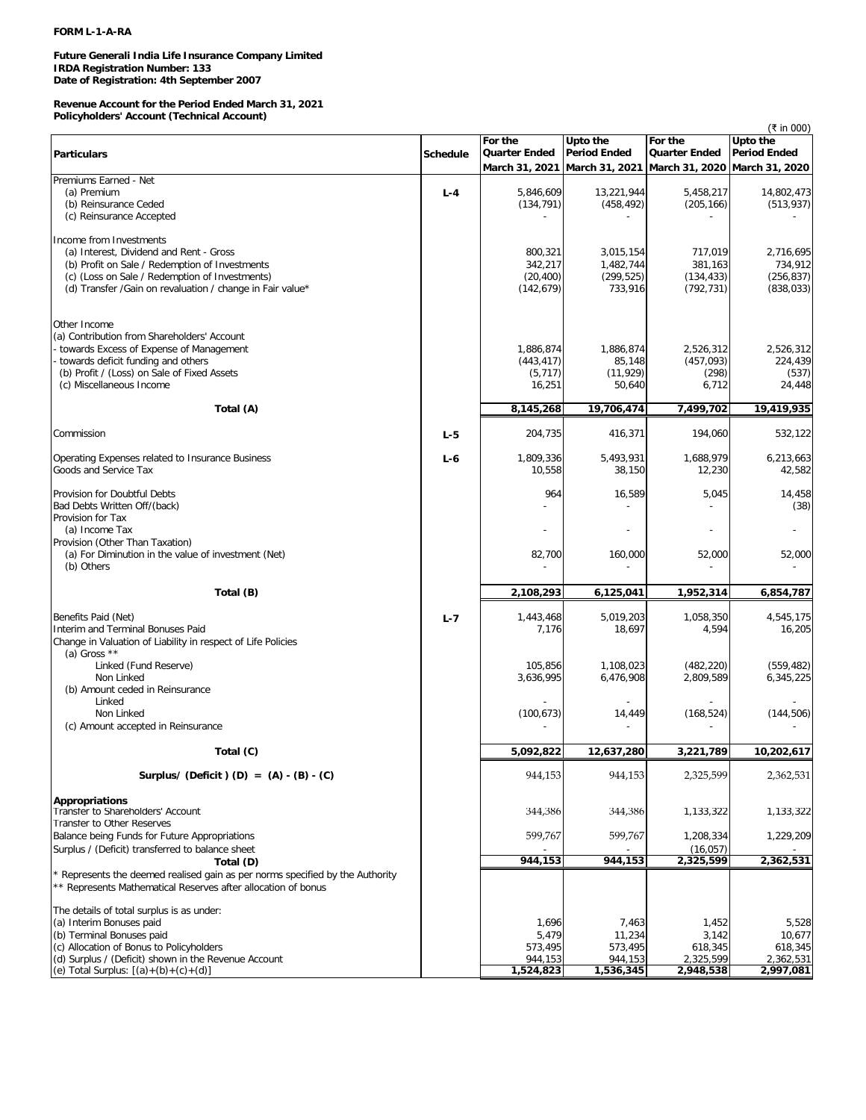# **Future Generali India Life Insurance Company Limited IRDA Registration Number: 133 Date of Registration: 4th September 2007**

# **Revenue Account for the Period Ended March 31, 2021 Policyholders' Account (Technical Account)**

| <b>Period Ended</b><br><b>Particulars</b><br><b>Quarter Ended</b><br><b>Quarter Ended</b><br><b>Period Ended</b><br><b>Schedule</b><br>March 31, 2021<br>March 31, 2021<br>March 31, 2020 March 31, 2020<br>Premiums Earned - Net<br>(a) Premium<br>5,846,609<br>13,221,944<br>5,458,217<br>$L - 4$<br>(b) Reinsurance Ceded<br>(205, 166)<br>(134, 791)<br>(458, 492)<br>(c) Reinsurance Accepted<br>Income from Investments<br>(a) Interest, Dividend and Rent - Gross<br>800,321<br>3,015,154<br>717,019<br>2,716,695<br>1,482,744<br>381,163<br>(b) Profit on Sale / Redemption of Investments<br>342,217<br>(299, 525)<br>(c) (Loss on Sale / Redemption of Investments)<br>(20, 400)<br>(134, 433)<br>(d) Transfer / Gain on revaluation / change in Fair value*<br>(142, 679)<br>733,916<br>(792, 731)<br>Other Income<br>(a) Contribution from Shareholders' Account<br>towards Excess of Expense of Management<br>1,886,874<br>1,886,874<br>2,526,312<br>towards deficit funding and others<br>(443, 417)<br>85,148<br>(457, 093)<br>(b) Profit / (Loss) on Sale of Fixed Assets<br>(11, 929)<br>(298)<br>(5, 717)<br>(c) Miscellaneous Income<br>50,640<br>6,712<br>16,251<br>24,448<br>8,145,268<br>19,706,474<br>7,499,702<br>Total (A)<br>Commission<br>204,735<br>416,371<br>194,060<br>$L - 5$<br>Operating Expenses related to Insurance Business<br>1,809,336<br>5,493,931<br>1,688,979<br>6,213,663<br>$L - 6$<br>Goods and Service Tax<br>10,558<br>38,150<br>12,230<br>964<br>16,589<br>5,045<br>Bad Debts Written Off/(back)<br>Provision for Tax<br>(a) Income Tax<br>Provision (Other Than Taxation)<br>(a) For Diminution in the value of investment (Net)<br>82,700<br>160,000<br>52,000<br>52,000<br>(b) Others<br>Total (B)<br>2,108,293<br>6,125,041<br>1,952,314<br>Benefits Paid (Net)<br>1,443,468<br>5,019,203<br>1,058,350<br>4,545,175<br>$L - 7$<br>Interim and Terminal Bonuses Paid<br>7,176<br>18,697<br>4,594<br>Change in Valuation of Liability in respect of Life Policies<br>(a) Gross $**$<br>Linked (Fund Reserve)<br>105,856<br>1,108,023<br>(482, 220)<br>Non Linked<br>3,636,995<br>6,476,908<br>2,809,589<br>(b) Amount ceded in Reinsurance<br>Linked<br>Non Linked<br>(144, 506)<br>(100, 673)<br>14,449<br>(168, 524)<br>(c) Amount accepted in Reinsurance<br>5,092,822<br>12,637,280<br>3,221,789<br>Total (C)<br>944,153<br>944,153<br>2,325,599<br>Surplus/ (Deficit) (D) = $(A) - (B) - (C)$<br><b>Appropriations</b><br>Transfer to Shareholders' Account<br>344,386<br>344,386<br>1,133,322<br>Transfer to Other Reserves<br>599,767<br>599,767<br>Balance being Funds for Future Appropriations<br>1,208,334<br>Surplus / (Deficit) transferred to balance sheet<br>(16, 057)<br>2,362,531<br>944,153<br>944,153<br>2,325,599<br>Total (D)<br>Represents the deemed realised gain as per norms specified by the Authority<br>** Represents Mathematical Reserves after allocation of bonus<br>The details of total surplus is as under:<br>(a) Interim Bonuses paid<br>1,696<br>1,452<br>7,463<br>(b) Terminal Bonuses paid<br>5,479<br>11,234<br>3,142<br>(c) Allocation of Bonus to Policyholders<br>573,495<br>618,345<br>573,495<br>618,345<br>(d) Surplus / (Deficit) shown in the Revenue Account<br>944,153<br>944,153<br>2,325,599<br>2,362,531 |                                        | For the   | Upto the  | For the   | (₹ in 000)<br>Upto the |
|---------------------------------------------------------------------------------------------------------------------------------------------------------------------------------------------------------------------------------------------------------------------------------------------------------------------------------------------------------------------------------------------------------------------------------------------------------------------------------------------------------------------------------------------------------------------------------------------------------------------------------------------------------------------------------------------------------------------------------------------------------------------------------------------------------------------------------------------------------------------------------------------------------------------------------------------------------------------------------------------------------------------------------------------------------------------------------------------------------------------------------------------------------------------------------------------------------------------------------------------------------------------------------------------------------------------------------------------------------------------------------------------------------------------------------------------------------------------------------------------------------------------------------------------------------------------------------------------------------------------------------------------------------------------------------------------------------------------------------------------------------------------------------------------------------------------------------------------------------------------------------------------------------------------------------------------------------------------------------------------------------------------------------------------------------------------------------------------------------------------------------------------------------------------------------------------------------------------------------------------------------------------------------------------------------------------------------------------------------------------------------------------------------------------------------------------------------------------------------------------------------------------------------------------------------------------------------------------------------------------------------------------------------------------------------------------------------------------------------------------------------------------------------------------------------------------------------------------------------------------------------------------------------------------------------------------------------------------------------------------------------------------------------------------------------------------------------------------------------------------------------------------------------------------------------------------------------------------------------------------------------------------------------------------------------------------|----------------------------------------|-----------|-----------|-----------|------------------------|
|                                                                                                                                                                                                                                                                                                                                                                                                                                                                                                                                                                                                                                                                                                                                                                                                                                                                                                                                                                                                                                                                                                                                                                                                                                                                                                                                                                                                                                                                                                                                                                                                                                                                                                                                                                                                                                                                                                                                                                                                                                                                                                                                                                                                                                                                                                                                                                                                                                                                                                                                                                                                                                                                                                                                                                                                                                                                                                                                                                                                                                                                                                                                                                                                                                                                                                                     |                                        |           |           |           |                        |
|                                                                                                                                                                                                                                                                                                                                                                                                                                                                                                                                                                                                                                                                                                                                                                                                                                                                                                                                                                                                                                                                                                                                                                                                                                                                                                                                                                                                                                                                                                                                                                                                                                                                                                                                                                                                                                                                                                                                                                                                                                                                                                                                                                                                                                                                                                                                                                                                                                                                                                                                                                                                                                                                                                                                                                                                                                                                                                                                                                                                                                                                                                                                                                                                                                                                                                                     |                                        |           |           |           |                        |
|                                                                                                                                                                                                                                                                                                                                                                                                                                                                                                                                                                                                                                                                                                                                                                                                                                                                                                                                                                                                                                                                                                                                                                                                                                                                                                                                                                                                                                                                                                                                                                                                                                                                                                                                                                                                                                                                                                                                                                                                                                                                                                                                                                                                                                                                                                                                                                                                                                                                                                                                                                                                                                                                                                                                                                                                                                                                                                                                                                                                                                                                                                                                                                                                                                                                                                                     |                                        |           |           |           |                        |
|                                                                                                                                                                                                                                                                                                                                                                                                                                                                                                                                                                                                                                                                                                                                                                                                                                                                                                                                                                                                                                                                                                                                                                                                                                                                                                                                                                                                                                                                                                                                                                                                                                                                                                                                                                                                                                                                                                                                                                                                                                                                                                                                                                                                                                                                                                                                                                                                                                                                                                                                                                                                                                                                                                                                                                                                                                                                                                                                                                                                                                                                                                                                                                                                                                                                                                                     |                                        |           |           |           | 14,802,473             |
|                                                                                                                                                                                                                                                                                                                                                                                                                                                                                                                                                                                                                                                                                                                                                                                                                                                                                                                                                                                                                                                                                                                                                                                                                                                                                                                                                                                                                                                                                                                                                                                                                                                                                                                                                                                                                                                                                                                                                                                                                                                                                                                                                                                                                                                                                                                                                                                                                                                                                                                                                                                                                                                                                                                                                                                                                                                                                                                                                                                                                                                                                                                                                                                                                                                                                                                     |                                        |           |           |           | (513, 937)             |
|                                                                                                                                                                                                                                                                                                                                                                                                                                                                                                                                                                                                                                                                                                                                                                                                                                                                                                                                                                                                                                                                                                                                                                                                                                                                                                                                                                                                                                                                                                                                                                                                                                                                                                                                                                                                                                                                                                                                                                                                                                                                                                                                                                                                                                                                                                                                                                                                                                                                                                                                                                                                                                                                                                                                                                                                                                                                                                                                                                                                                                                                                                                                                                                                                                                                                                                     |                                        |           |           |           |                        |
|                                                                                                                                                                                                                                                                                                                                                                                                                                                                                                                                                                                                                                                                                                                                                                                                                                                                                                                                                                                                                                                                                                                                                                                                                                                                                                                                                                                                                                                                                                                                                                                                                                                                                                                                                                                                                                                                                                                                                                                                                                                                                                                                                                                                                                                                                                                                                                                                                                                                                                                                                                                                                                                                                                                                                                                                                                                                                                                                                                                                                                                                                                                                                                                                                                                                                                                     |                                        |           |           |           |                        |
|                                                                                                                                                                                                                                                                                                                                                                                                                                                                                                                                                                                                                                                                                                                                                                                                                                                                                                                                                                                                                                                                                                                                                                                                                                                                                                                                                                                                                                                                                                                                                                                                                                                                                                                                                                                                                                                                                                                                                                                                                                                                                                                                                                                                                                                                                                                                                                                                                                                                                                                                                                                                                                                                                                                                                                                                                                                                                                                                                                                                                                                                                                                                                                                                                                                                                                                     |                                        |           |           |           |                        |
|                                                                                                                                                                                                                                                                                                                                                                                                                                                                                                                                                                                                                                                                                                                                                                                                                                                                                                                                                                                                                                                                                                                                                                                                                                                                                                                                                                                                                                                                                                                                                                                                                                                                                                                                                                                                                                                                                                                                                                                                                                                                                                                                                                                                                                                                                                                                                                                                                                                                                                                                                                                                                                                                                                                                                                                                                                                                                                                                                                                                                                                                                                                                                                                                                                                                                                                     |                                        |           |           |           | 734,912                |
|                                                                                                                                                                                                                                                                                                                                                                                                                                                                                                                                                                                                                                                                                                                                                                                                                                                                                                                                                                                                                                                                                                                                                                                                                                                                                                                                                                                                                                                                                                                                                                                                                                                                                                                                                                                                                                                                                                                                                                                                                                                                                                                                                                                                                                                                                                                                                                                                                                                                                                                                                                                                                                                                                                                                                                                                                                                                                                                                                                                                                                                                                                                                                                                                                                                                                                                     |                                        |           |           |           | (256, 837)             |
|                                                                                                                                                                                                                                                                                                                                                                                                                                                                                                                                                                                                                                                                                                                                                                                                                                                                                                                                                                                                                                                                                                                                                                                                                                                                                                                                                                                                                                                                                                                                                                                                                                                                                                                                                                                                                                                                                                                                                                                                                                                                                                                                                                                                                                                                                                                                                                                                                                                                                                                                                                                                                                                                                                                                                                                                                                                                                                                                                                                                                                                                                                                                                                                                                                                                                                                     |                                        |           |           |           | (838, 033)             |
|                                                                                                                                                                                                                                                                                                                                                                                                                                                                                                                                                                                                                                                                                                                                                                                                                                                                                                                                                                                                                                                                                                                                                                                                                                                                                                                                                                                                                                                                                                                                                                                                                                                                                                                                                                                                                                                                                                                                                                                                                                                                                                                                                                                                                                                                                                                                                                                                                                                                                                                                                                                                                                                                                                                                                                                                                                                                                                                                                                                                                                                                                                                                                                                                                                                                                                                     |                                        |           |           |           |                        |
|                                                                                                                                                                                                                                                                                                                                                                                                                                                                                                                                                                                                                                                                                                                                                                                                                                                                                                                                                                                                                                                                                                                                                                                                                                                                                                                                                                                                                                                                                                                                                                                                                                                                                                                                                                                                                                                                                                                                                                                                                                                                                                                                                                                                                                                                                                                                                                                                                                                                                                                                                                                                                                                                                                                                                                                                                                                                                                                                                                                                                                                                                                                                                                                                                                                                                                                     |                                        |           |           |           |                        |
|                                                                                                                                                                                                                                                                                                                                                                                                                                                                                                                                                                                                                                                                                                                                                                                                                                                                                                                                                                                                                                                                                                                                                                                                                                                                                                                                                                                                                                                                                                                                                                                                                                                                                                                                                                                                                                                                                                                                                                                                                                                                                                                                                                                                                                                                                                                                                                                                                                                                                                                                                                                                                                                                                                                                                                                                                                                                                                                                                                                                                                                                                                                                                                                                                                                                                                                     |                                        |           |           |           |                        |
|                                                                                                                                                                                                                                                                                                                                                                                                                                                                                                                                                                                                                                                                                                                                                                                                                                                                                                                                                                                                                                                                                                                                                                                                                                                                                                                                                                                                                                                                                                                                                                                                                                                                                                                                                                                                                                                                                                                                                                                                                                                                                                                                                                                                                                                                                                                                                                                                                                                                                                                                                                                                                                                                                                                                                                                                                                                                                                                                                                                                                                                                                                                                                                                                                                                                                                                     |                                        |           |           |           | 2,526,312              |
|                                                                                                                                                                                                                                                                                                                                                                                                                                                                                                                                                                                                                                                                                                                                                                                                                                                                                                                                                                                                                                                                                                                                                                                                                                                                                                                                                                                                                                                                                                                                                                                                                                                                                                                                                                                                                                                                                                                                                                                                                                                                                                                                                                                                                                                                                                                                                                                                                                                                                                                                                                                                                                                                                                                                                                                                                                                                                                                                                                                                                                                                                                                                                                                                                                                                                                                     |                                        |           |           |           | 224,439                |
|                                                                                                                                                                                                                                                                                                                                                                                                                                                                                                                                                                                                                                                                                                                                                                                                                                                                                                                                                                                                                                                                                                                                                                                                                                                                                                                                                                                                                                                                                                                                                                                                                                                                                                                                                                                                                                                                                                                                                                                                                                                                                                                                                                                                                                                                                                                                                                                                                                                                                                                                                                                                                                                                                                                                                                                                                                                                                                                                                                                                                                                                                                                                                                                                                                                                                                                     |                                        |           |           |           | (537)                  |
|                                                                                                                                                                                                                                                                                                                                                                                                                                                                                                                                                                                                                                                                                                                                                                                                                                                                                                                                                                                                                                                                                                                                                                                                                                                                                                                                                                                                                                                                                                                                                                                                                                                                                                                                                                                                                                                                                                                                                                                                                                                                                                                                                                                                                                                                                                                                                                                                                                                                                                                                                                                                                                                                                                                                                                                                                                                                                                                                                                                                                                                                                                                                                                                                                                                                                                                     |                                        |           |           |           |                        |
|                                                                                                                                                                                                                                                                                                                                                                                                                                                                                                                                                                                                                                                                                                                                                                                                                                                                                                                                                                                                                                                                                                                                                                                                                                                                                                                                                                                                                                                                                                                                                                                                                                                                                                                                                                                                                                                                                                                                                                                                                                                                                                                                                                                                                                                                                                                                                                                                                                                                                                                                                                                                                                                                                                                                                                                                                                                                                                                                                                                                                                                                                                                                                                                                                                                                                                                     |                                        |           |           |           | 19,419,935             |
|                                                                                                                                                                                                                                                                                                                                                                                                                                                                                                                                                                                                                                                                                                                                                                                                                                                                                                                                                                                                                                                                                                                                                                                                                                                                                                                                                                                                                                                                                                                                                                                                                                                                                                                                                                                                                                                                                                                                                                                                                                                                                                                                                                                                                                                                                                                                                                                                                                                                                                                                                                                                                                                                                                                                                                                                                                                                                                                                                                                                                                                                                                                                                                                                                                                                                                                     |                                        |           |           |           | 532,122                |
|                                                                                                                                                                                                                                                                                                                                                                                                                                                                                                                                                                                                                                                                                                                                                                                                                                                                                                                                                                                                                                                                                                                                                                                                                                                                                                                                                                                                                                                                                                                                                                                                                                                                                                                                                                                                                                                                                                                                                                                                                                                                                                                                                                                                                                                                                                                                                                                                                                                                                                                                                                                                                                                                                                                                                                                                                                                                                                                                                                                                                                                                                                                                                                                                                                                                                                                     |                                        |           |           |           |                        |
|                                                                                                                                                                                                                                                                                                                                                                                                                                                                                                                                                                                                                                                                                                                                                                                                                                                                                                                                                                                                                                                                                                                                                                                                                                                                                                                                                                                                                                                                                                                                                                                                                                                                                                                                                                                                                                                                                                                                                                                                                                                                                                                                                                                                                                                                                                                                                                                                                                                                                                                                                                                                                                                                                                                                                                                                                                                                                                                                                                                                                                                                                                                                                                                                                                                                                                                     |                                        |           |           |           | 42,582                 |
|                                                                                                                                                                                                                                                                                                                                                                                                                                                                                                                                                                                                                                                                                                                                                                                                                                                                                                                                                                                                                                                                                                                                                                                                                                                                                                                                                                                                                                                                                                                                                                                                                                                                                                                                                                                                                                                                                                                                                                                                                                                                                                                                                                                                                                                                                                                                                                                                                                                                                                                                                                                                                                                                                                                                                                                                                                                                                                                                                                                                                                                                                                                                                                                                                                                                                                                     |                                        |           |           |           |                        |
|                                                                                                                                                                                                                                                                                                                                                                                                                                                                                                                                                                                                                                                                                                                                                                                                                                                                                                                                                                                                                                                                                                                                                                                                                                                                                                                                                                                                                                                                                                                                                                                                                                                                                                                                                                                                                                                                                                                                                                                                                                                                                                                                                                                                                                                                                                                                                                                                                                                                                                                                                                                                                                                                                                                                                                                                                                                                                                                                                                                                                                                                                                                                                                                                                                                                                                                     | Provision for Doubtful Debts           |           |           |           | 14,458                 |
|                                                                                                                                                                                                                                                                                                                                                                                                                                                                                                                                                                                                                                                                                                                                                                                                                                                                                                                                                                                                                                                                                                                                                                                                                                                                                                                                                                                                                                                                                                                                                                                                                                                                                                                                                                                                                                                                                                                                                                                                                                                                                                                                                                                                                                                                                                                                                                                                                                                                                                                                                                                                                                                                                                                                                                                                                                                                                                                                                                                                                                                                                                                                                                                                                                                                                                                     |                                        |           |           |           | (38)                   |
|                                                                                                                                                                                                                                                                                                                                                                                                                                                                                                                                                                                                                                                                                                                                                                                                                                                                                                                                                                                                                                                                                                                                                                                                                                                                                                                                                                                                                                                                                                                                                                                                                                                                                                                                                                                                                                                                                                                                                                                                                                                                                                                                                                                                                                                                                                                                                                                                                                                                                                                                                                                                                                                                                                                                                                                                                                                                                                                                                                                                                                                                                                                                                                                                                                                                                                                     |                                        |           |           |           |                        |
|                                                                                                                                                                                                                                                                                                                                                                                                                                                                                                                                                                                                                                                                                                                                                                                                                                                                                                                                                                                                                                                                                                                                                                                                                                                                                                                                                                                                                                                                                                                                                                                                                                                                                                                                                                                                                                                                                                                                                                                                                                                                                                                                                                                                                                                                                                                                                                                                                                                                                                                                                                                                                                                                                                                                                                                                                                                                                                                                                                                                                                                                                                                                                                                                                                                                                                                     |                                        |           |           |           |                        |
|                                                                                                                                                                                                                                                                                                                                                                                                                                                                                                                                                                                                                                                                                                                                                                                                                                                                                                                                                                                                                                                                                                                                                                                                                                                                                                                                                                                                                                                                                                                                                                                                                                                                                                                                                                                                                                                                                                                                                                                                                                                                                                                                                                                                                                                                                                                                                                                                                                                                                                                                                                                                                                                                                                                                                                                                                                                                                                                                                                                                                                                                                                                                                                                                                                                                                                                     |                                        |           |           |           |                        |
|                                                                                                                                                                                                                                                                                                                                                                                                                                                                                                                                                                                                                                                                                                                                                                                                                                                                                                                                                                                                                                                                                                                                                                                                                                                                                                                                                                                                                                                                                                                                                                                                                                                                                                                                                                                                                                                                                                                                                                                                                                                                                                                                                                                                                                                                                                                                                                                                                                                                                                                                                                                                                                                                                                                                                                                                                                                                                                                                                                                                                                                                                                                                                                                                                                                                                                                     |                                        |           |           |           |                        |
|                                                                                                                                                                                                                                                                                                                                                                                                                                                                                                                                                                                                                                                                                                                                                                                                                                                                                                                                                                                                                                                                                                                                                                                                                                                                                                                                                                                                                                                                                                                                                                                                                                                                                                                                                                                                                                                                                                                                                                                                                                                                                                                                                                                                                                                                                                                                                                                                                                                                                                                                                                                                                                                                                                                                                                                                                                                                                                                                                                                                                                                                                                                                                                                                                                                                                                                     |                                        |           |           |           |                        |
|                                                                                                                                                                                                                                                                                                                                                                                                                                                                                                                                                                                                                                                                                                                                                                                                                                                                                                                                                                                                                                                                                                                                                                                                                                                                                                                                                                                                                                                                                                                                                                                                                                                                                                                                                                                                                                                                                                                                                                                                                                                                                                                                                                                                                                                                                                                                                                                                                                                                                                                                                                                                                                                                                                                                                                                                                                                                                                                                                                                                                                                                                                                                                                                                                                                                                                                     |                                        |           |           |           | 6,854,787              |
|                                                                                                                                                                                                                                                                                                                                                                                                                                                                                                                                                                                                                                                                                                                                                                                                                                                                                                                                                                                                                                                                                                                                                                                                                                                                                                                                                                                                                                                                                                                                                                                                                                                                                                                                                                                                                                                                                                                                                                                                                                                                                                                                                                                                                                                                                                                                                                                                                                                                                                                                                                                                                                                                                                                                                                                                                                                                                                                                                                                                                                                                                                                                                                                                                                                                                                                     |                                        |           |           |           |                        |
|                                                                                                                                                                                                                                                                                                                                                                                                                                                                                                                                                                                                                                                                                                                                                                                                                                                                                                                                                                                                                                                                                                                                                                                                                                                                                                                                                                                                                                                                                                                                                                                                                                                                                                                                                                                                                                                                                                                                                                                                                                                                                                                                                                                                                                                                                                                                                                                                                                                                                                                                                                                                                                                                                                                                                                                                                                                                                                                                                                                                                                                                                                                                                                                                                                                                                                                     |                                        |           |           |           | 16,205                 |
|                                                                                                                                                                                                                                                                                                                                                                                                                                                                                                                                                                                                                                                                                                                                                                                                                                                                                                                                                                                                                                                                                                                                                                                                                                                                                                                                                                                                                                                                                                                                                                                                                                                                                                                                                                                                                                                                                                                                                                                                                                                                                                                                                                                                                                                                                                                                                                                                                                                                                                                                                                                                                                                                                                                                                                                                                                                                                                                                                                                                                                                                                                                                                                                                                                                                                                                     |                                        |           |           |           |                        |
|                                                                                                                                                                                                                                                                                                                                                                                                                                                                                                                                                                                                                                                                                                                                                                                                                                                                                                                                                                                                                                                                                                                                                                                                                                                                                                                                                                                                                                                                                                                                                                                                                                                                                                                                                                                                                                                                                                                                                                                                                                                                                                                                                                                                                                                                                                                                                                                                                                                                                                                                                                                                                                                                                                                                                                                                                                                                                                                                                                                                                                                                                                                                                                                                                                                                                                                     |                                        |           |           |           |                        |
|                                                                                                                                                                                                                                                                                                                                                                                                                                                                                                                                                                                                                                                                                                                                                                                                                                                                                                                                                                                                                                                                                                                                                                                                                                                                                                                                                                                                                                                                                                                                                                                                                                                                                                                                                                                                                                                                                                                                                                                                                                                                                                                                                                                                                                                                                                                                                                                                                                                                                                                                                                                                                                                                                                                                                                                                                                                                                                                                                                                                                                                                                                                                                                                                                                                                                                                     |                                        |           |           |           | (559, 482)             |
|                                                                                                                                                                                                                                                                                                                                                                                                                                                                                                                                                                                                                                                                                                                                                                                                                                                                                                                                                                                                                                                                                                                                                                                                                                                                                                                                                                                                                                                                                                                                                                                                                                                                                                                                                                                                                                                                                                                                                                                                                                                                                                                                                                                                                                                                                                                                                                                                                                                                                                                                                                                                                                                                                                                                                                                                                                                                                                                                                                                                                                                                                                                                                                                                                                                                                                                     |                                        |           |           |           | 6,345,225              |
|                                                                                                                                                                                                                                                                                                                                                                                                                                                                                                                                                                                                                                                                                                                                                                                                                                                                                                                                                                                                                                                                                                                                                                                                                                                                                                                                                                                                                                                                                                                                                                                                                                                                                                                                                                                                                                                                                                                                                                                                                                                                                                                                                                                                                                                                                                                                                                                                                                                                                                                                                                                                                                                                                                                                                                                                                                                                                                                                                                                                                                                                                                                                                                                                                                                                                                                     |                                        |           |           |           |                        |
|                                                                                                                                                                                                                                                                                                                                                                                                                                                                                                                                                                                                                                                                                                                                                                                                                                                                                                                                                                                                                                                                                                                                                                                                                                                                                                                                                                                                                                                                                                                                                                                                                                                                                                                                                                                                                                                                                                                                                                                                                                                                                                                                                                                                                                                                                                                                                                                                                                                                                                                                                                                                                                                                                                                                                                                                                                                                                                                                                                                                                                                                                                                                                                                                                                                                                                                     |                                        |           |           |           |                        |
|                                                                                                                                                                                                                                                                                                                                                                                                                                                                                                                                                                                                                                                                                                                                                                                                                                                                                                                                                                                                                                                                                                                                                                                                                                                                                                                                                                                                                                                                                                                                                                                                                                                                                                                                                                                                                                                                                                                                                                                                                                                                                                                                                                                                                                                                                                                                                                                                                                                                                                                                                                                                                                                                                                                                                                                                                                                                                                                                                                                                                                                                                                                                                                                                                                                                                                                     |                                        |           |           |           |                        |
|                                                                                                                                                                                                                                                                                                                                                                                                                                                                                                                                                                                                                                                                                                                                                                                                                                                                                                                                                                                                                                                                                                                                                                                                                                                                                                                                                                                                                                                                                                                                                                                                                                                                                                                                                                                                                                                                                                                                                                                                                                                                                                                                                                                                                                                                                                                                                                                                                                                                                                                                                                                                                                                                                                                                                                                                                                                                                                                                                                                                                                                                                                                                                                                                                                                                                                                     |                                        |           |           |           |                        |
|                                                                                                                                                                                                                                                                                                                                                                                                                                                                                                                                                                                                                                                                                                                                                                                                                                                                                                                                                                                                                                                                                                                                                                                                                                                                                                                                                                                                                                                                                                                                                                                                                                                                                                                                                                                                                                                                                                                                                                                                                                                                                                                                                                                                                                                                                                                                                                                                                                                                                                                                                                                                                                                                                                                                                                                                                                                                                                                                                                                                                                                                                                                                                                                                                                                                                                                     |                                        |           |           |           | 10,202,617             |
|                                                                                                                                                                                                                                                                                                                                                                                                                                                                                                                                                                                                                                                                                                                                                                                                                                                                                                                                                                                                                                                                                                                                                                                                                                                                                                                                                                                                                                                                                                                                                                                                                                                                                                                                                                                                                                                                                                                                                                                                                                                                                                                                                                                                                                                                                                                                                                                                                                                                                                                                                                                                                                                                                                                                                                                                                                                                                                                                                                                                                                                                                                                                                                                                                                                                                                                     |                                        |           |           |           | 2,362,531              |
|                                                                                                                                                                                                                                                                                                                                                                                                                                                                                                                                                                                                                                                                                                                                                                                                                                                                                                                                                                                                                                                                                                                                                                                                                                                                                                                                                                                                                                                                                                                                                                                                                                                                                                                                                                                                                                                                                                                                                                                                                                                                                                                                                                                                                                                                                                                                                                                                                                                                                                                                                                                                                                                                                                                                                                                                                                                                                                                                                                                                                                                                                                                                                                                                                                                                                                                     |                                        |           |           |           |                        |
|                                                                                                                                                                                                                                                                                                                                                                                                                                                                                                                                                                                                                                                                                                                                                                                                                                                                                                                                                                                                                                                                                                                                                                                                                                                                                                                                                                                                                                                                                                                                                                                                                                                                                                                                                                                                                                                                                                                                                                                                                                                                                                                                                                                                                                                                                                                                                                                                                                                                                                                                                                                                                                                                                                                                                                                                                                                                                                                                                                                                                                                                                                                                                                                                                                                                                                                     |                                        |           |           |           | 1,133,322              |
|                                                                                                                                                                                                                                                                                                                                                                                                                                                                                                                                                                                                                                                                                                                                                                                                                                                                                                                                                                                                                                                                                                                                                                                                                                                                                                                                                                                                                                                                                                                                                                                                                                                                                                                                                                                                                                                                                                                                                                                                                                                                                                                                                                                                                                                                                                                                                                                                                                                                                                                                                                                                                                                                                                                                                                                                                                                                                                                                                                                                                                                                                                                                                                                                                                                                                                                     |                                        |           |           |           |                        |
|                                                                                                                                                                                                                                                                                                                                                                                                                                                                                                                                                                                                                                                                                                                                                                                                                                                                                                                                                                                                                                                                                                                                                                                                                                                                                                                                                                                                                                                                                                                                                                                                                                                                                                                                                                                                                                                                                                                                                                                                                                                                                                                                                                                                                                                                                                                                                                                                                                                                                                                                                                                                                                                                                                                                                                                                                                                                                                                                                                                                                                                                                                                                                                                                                                                                                                                     |                                        |           |           |           | 1,229,209              |
|                                                                                                                                                                                                                                                                                                                                                                                                                                                                                                                                                                                                                                                                                                                                                                                                                                                                                                                                                                                                                                                                                                                                                                                                                                                                                                                                                                                                                                                                                                                                                                                                                                                                                                                                                                                                                                                                                                                                                                                                                                                                                                                                                                                                                                                                                                                                                                                                                                                                                                                                                                                                                                                                                                                                                                                                                                                                                                                                                                                                                                                                                                                                                                                                                                                                                                                     |                                        |           |           |           |                        |
|                                                                                                                                                                                                                                                                                                                                                                                                                                                                                                                                                                                                                                                                                                                                                                                                                                                                                                                                                                                                                                                                                                                                                                                                                                                                                                                                                                                                                                                                                                                                                                                                                                                                                                                                                                                                                                                                                                                                                                                                                                                                                                                                                                                                                                                                                                                                                                                                                                                                                                                                                                                                                                                                                                                                                                                                                                                                                                                                                                                                                                                                                                                                                                                                                                                                                                                     |                                        |           |           |           |                        |
|                                                                                                                                                                                                                                                                                                                                                                                                                                                                                                                                                                                                                                                                                                                                                                                                                                                                                                                                                                                                                                                                                                                                                                                                                                                                                                                                                                                                                                                                                                                                                                                                                                                                                                                                                                                                                                                                                                                                                                                                                                                                                                                                                                                                                                                                                                                                                                                                                                                                                                                                                                                                                                                                                                                                                                                                                                                                                                                                                                                                                                                                                                                                                                                                                                                                                                                     |                                        |           |           |           |                        |
|                                                                                                                                                                                                                                                                                                                                                                                                                                                                                                                                                                                                                                                                                                                                                                                                                                                                                                                                                                                                                                                                                                                                                                                                                                                                                                                                                                                                                                                                                                                                                                                                                                                                                                                                                                                                                                                                                                                                                                                                                                                                                                                                                                                                                                                                                                                                                                                                                                                                                                                                                                                                                                                                                                                                                                                                                                                                                                                                                                                                                                                                                                                                                                                                                                                                                                                     |                                        |           |           |           |                        |
|                                                                                                                                                                                                                                                                                                                                                                                                                                                                                                                                                                                                                                                                                                                                                                                                                                                                                                                                                                                                                                                                                                                                                                                                                                                                                                                                                                                                                                                                                                                                                                                                                                                                                                                                                                                                                                                                                                                                                                                                                                                                                                                                                                                                                                                                                                                                                                                                                                                                                                                                                                                                                                                                                                                                                                                                                                                                                                                                                                                                                                                                                                                                                                                                                                                                                                                     |                                        |           |           |           |                        |
|                                                                                                                                                                                                                                                                                                                                                                                                                                                                                                                                                                                                                                                                                                                                                                                                                                                                                                                                                                                                                                                                                                                                                                                                                                                                                                                                                                                                                                                                                                                                                                                                                                                                                                                                                                                                                                                                                                                                                                                                                                                                                                                                                                                                                                                                                                                                                                                                                                                                                                                                                                                                                                                                                                                                                                                                                                                                                                                                                                                                                                                                                                                                                                                                                                                                                                                     |                                        |           |           |           | 5,528                  |
|                                                                                                                                                                                                                                                                                                                                                                                                                                                                                                                                                                                                                                                                                                                                                                                                                                                                                                                                                                                                                                                                                                                                                                                                                                                                                                                                                                                                                                                                                                                                                                                                                                                                                                                                                                                                                                                                                                                                                                                                                                                                                                                                                                                                                                                                                                                                                                                                                                                                                                                                                                                                                                                                                                                                                                                                                                                                                                                                                                                                                                                                                                                                                                                                                                                                                                                     |                                        |           |           |           | 10,677                 |
|                                                                                                                                                                                                                                                                                                                                                                                                                                                                                                                                                                                                                                                                                                                                                                                                                                                                                                                                                                                                                                                                                                                                                                                                                                                                                                                                                                                                                                                                                                                                                                                                                                                                                                                                                                                                                                                                                                                                                                                                                                                                                                                                                                                                                                                                                                                                                                                                                                                                                                                                                                                                                                                                                                                                                                                                                                                                                                                                                                                                                                                                                                                                                                                                                                                                                                                     |                                        |           |           |           |                        |
|                                                                                                                                                                                                                                                                                                                                                                                                                                                                                                                                                                                                                                                                                                                                                                                                                                                                                                                                                                                                                                                                                                                                                                                                                                                                                                                                                                                                                                                                                                                                                                                                                                                                                                                                                                                                                                                                                                                                                                                                                                                                                                                                                                                                                                                                                                                                                                                                                                                                                                                                                                                                                                                                                                                                                                                                                                                                                                                                                                                                                                                                                                                                                                                                                                                                                                                     | (e) Total Surplus: $[(a)+(b)+(c)+(d)]$ | 1,524,823 | 1,536,345 | 2,948,538 | 2,997,081              |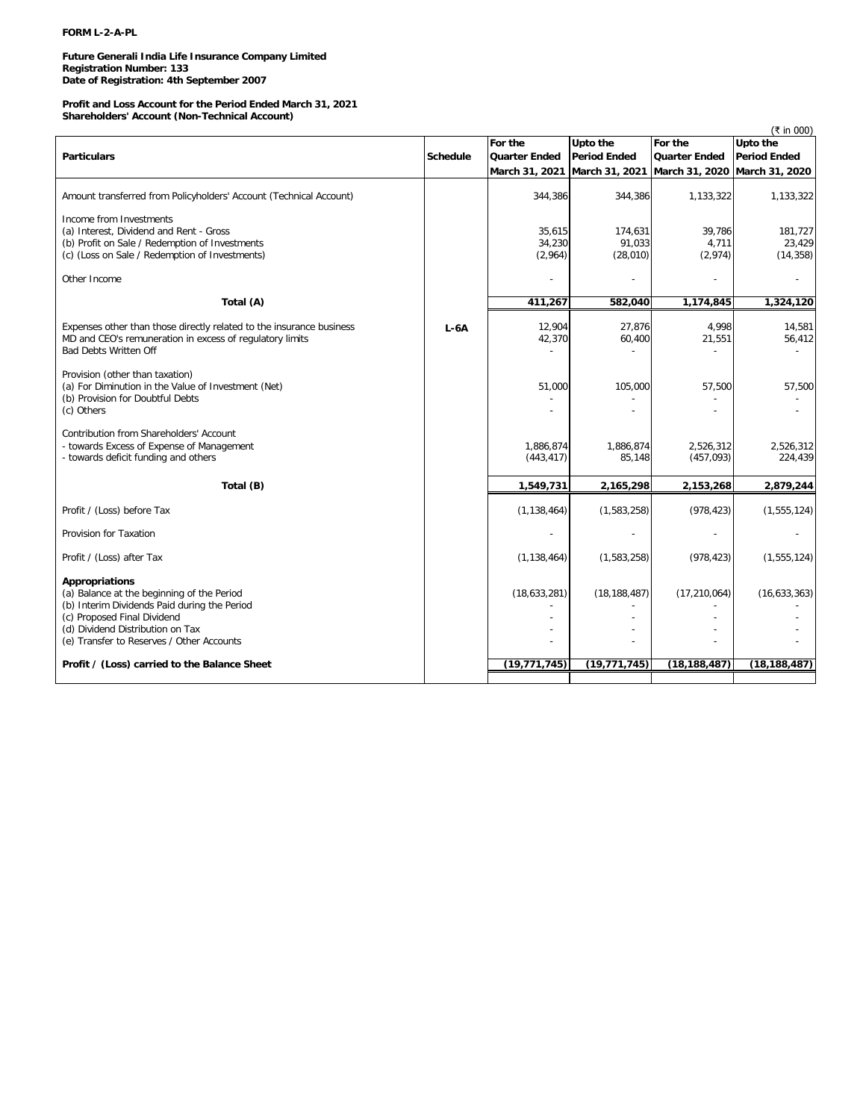# **FORM L-2-A-PL**

**Future Generali India Life Insurance Company Limited Registration Number: 133 Date of Registration: 4th September 2007**

### **Profit and Loss Account for the Period Ended March 31, 2021 Shareholders' Account (Non-Technical Account)**

|                                                                                                                                                                                                                              |                 |                             |                                                             |                            | (₹ in 000)                     |
|------------------------------------------------------------------------------------------------------------------------------------------------------------------------------------------------------------------------------|-----------------|-----------------------------|-------------------------------------------------------------|----------------------------|--------------------------------|
|                                                                                                                                                                                                                              |                 | For the                     | Upto the                                                    | For the                    | Upto the                       |
| <b>Particulars</b>                                                                                                                                                                                                           | <b>Schedule</b> | <b>Quarter Ended</b>        | <b>Period Ended</b>                                         | <b>Quarter Ended</b>       | <b>Period Ended</b>            |
|                                                                                                                                                                                                                              |                 |                             | March 31, 2021 March 31, 2021 March 31, 2020 March 31, 2020 |                            |                                |
| Amount transferred from Policyholders' Account (Technical Account)                                                                                                                                                           |                 | 344,386                     | 344,386                                                     | 1,133,322                  | 1,133,322                      |
| Income from Investments<br>(a) Interest, Dividend and Rent - Gross<br>(b) Profit on Sale / Redemption of Investments<br>(c) (Loss on Sale / Redemption of Investments)                                                       |                 | 35,615<br>34,230<br>(2,964) | 174,631<br>91,033<br>(28,010)                               | 39,786<br>4,711<br>(2,974) | 181,727<br>23,429<br>(14, 358) |
| Other Income                                                                                                                                                                                                                 |                 |                             |                                                             |                            |                                |
| Total (A)                                                                                                                                                                                                                    |                 | 411,267                     | 582,040                                                     | 1,174,845                  | 1,324,120                      |
| Expenses other than those directly related to the insurance business<br>MD and CEO's remuneration in excess of regulatory limits<br><b>Bad Debts Written Off</b>                                                             | $L-6A$          | 12,904<br>42,370            | 27,876<br>60,400                                            | 4,998<br>21,551            | 14,581<br>56,412               |
| Provision (other than taxation)<br>(a) For Diminution in the Value of Investment (Net)<br>(b) Provision for Doubtful Debts<br>(c) Others                                                                                     |                 | 51,000                      | 105,000                                                     | 57,500                     | 57,500                         |
| Contribution from Shareholders' Account<br>- towards Excess of Expense of Management<br>- towards deficit funding and others                                                                                                 |                 | 1,886,874<br>(443, 417)     | 1,886,874<br>85,148                                         | 2,526,312<br>(457,093)     | 2,526,312<br>224,439           |
| Total (B)                                                                                                                                                                                                                    |                 | 1,549,731                   | 2,165,298                                                   | 2,153,268                  | 2,879,244                      |
| Profit / (Loss) before Tax                                                                                                                                                                                                   |                 | (1, 138, 464)               | (1,583,258)                                                 | (978, 423)                 | (1, 555, 124)                  |
| Provision for Taxation                                                                                                                                                                                                       |                 |                             |                                                             |                            |                                |
| Profit / (Loss) after Tax                                                                                                                                                                                                    |                 | (1, 138, 464)               | (1,583,258)                                                 | (978, 423)                 | (1, 555, 124)                  |
| Appropriations<br>(a) Balance at the beginning of the Period<br>(b) Interim Dividends Paid during the Period<br>(c) Proposed Final Dividend<br>(d) Dividend Distribution on Tax<br>(e) Transfer to Reserves / Other Accounts |                 | (18,633,281)                | (18, 188, 487)                                              | (17, 210, 064)             | (16,633,363)                   |
| Profit / (Loss) carried to the Balance Sheet                                                                                                                                                                                 |                 | (19, 771, 745)              | (19, 771, 745)                                              | (18, 188, 487)             | (18, 188, 487)                 |
|                                                                                                                                                                                                                              |                 |                             |                                                             |                            |                                |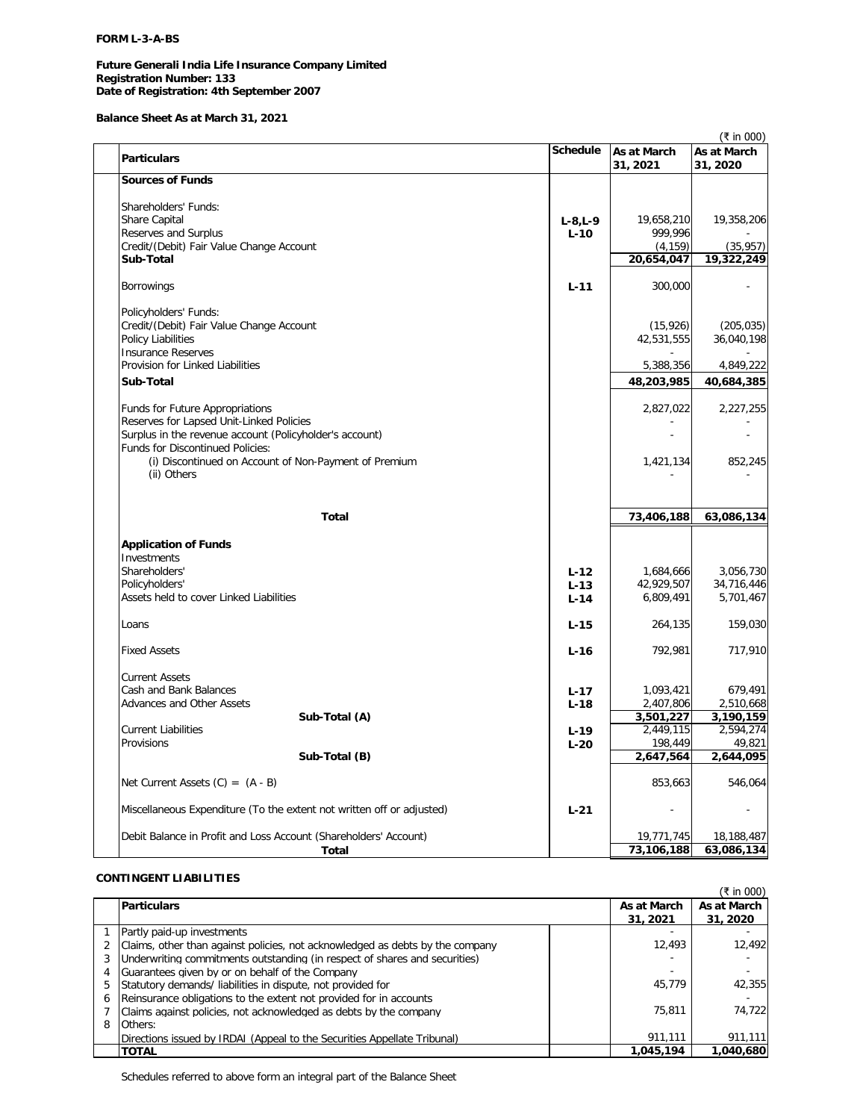# **FORM L-3-A-BS**

# **Future Generali India Life Insurance Company Limited Registration Number: 133 Date of Registration: 4th September 2007**

**Balance Sheet As at March 31, 2021**

|                                                                       |                 |                         | (₹ in 000)              |
|-----------------------------------------------------------------------|-----------------|-------------------------|-------------------------|
| <b>Particulars</b>                                                    | <b>Schedule</b> | As at March<br>31, 2021 | As at March<br>31, 2020 |
| <b>Sources of Funds</b>                                               |                 |                         |                         |
| Shareholders' Funds:                                                  |                 |                         |                         |
| Share Capital                                                         | $L - 8, L - 9$  | 19,658,210              | 19,358,206              |
| Reserves and Surplus                                                  | $L-10$          | 999,996                 |                         |
| Credit/(Debit) Fair Value Change Account                              |                 | (4, 159)                | (35, 957)               |
| Sub-Total                                                             |                 | 20,654,047              | $\overline{19,}322,249$ |
| <b>Borrowings</b>                                                     | $L - 11$        | 300,000                 |                         |
| Policyholders' Funds:                                                 |                 |                         |                         |
| Credit/(Debit) Fair Value Change Account                              |                 | (15, 926)               | (205, 035)              |
| <b>Policy Liabilities</b>                                             |                 | 42,531,555              | 36,040,198              |
| <b>Insurance Reserves</b>                                             |                 |                         |                         |
| Provision for Linked Liabilities                                      |                 | 5,388,356               | 4,849,222               |
| Sub-Total                                                             |                 | 48,203,985              | 40,684,385              |
| <b>Funds for Future Appropriations</b>                                |                 | 2,827,022               | 2,227,255               |
| Reserves for Lapsed Unit-Linked Policies                              |                 |                         |                         |
| Surplus in the revenue account (Policyholder's account)               |                 |                         |                         |
| Funds for Discontinued Policies:                                      |                 |                         |                         |
| (i) Discontinued on Account of Non-Payment of Premium                 |                 | 1,421,134               | 852,245                 |
| (ii) Others                                                           |                 |                         |                         |
|                                                                       |                 |                         |                         |
| <b>Total</b>                                                          |                 | 73,406,188              | 63,086,134              |
|                                                                       |                 |                         |                         |
| <b>Application of Funds</b>                                           |                 |                         |                         |
| Investments                                                           |                 |                         |                         |
| Shareholders'                                                         | $L - 12$        | 1,684,666               | 3,056,730               |
| Policyholders'                                                        | $L-13$          | 42,929,507              | 34,716,446              |
| Assets held to cover Linked Liabilities                               | $L-14$          | 6,809,491               | 5,701,467               |
| Loans                                                                 | $L-15$          | 264,135                 | 159,030                 |
| <b>Fixed Assets</b>                                                   | $L-16$          | 792,981                 | 717,910                 |
| <b>Current Assets</b>                                                 |                 |                         |                         |
| Cash and Bank Balances                                                | $L - 17$        | 1,093,421               | 679,491                 |
| Advances and Other Assets                                             | $L-18$          | 2,407,806               | 2,510,668               |
| Sub-Total (A)                                                         |                 | 3,501,227               | 3,190,159               |
| <b>Current Liabilities</b>                                            | $L - 19$        | 2,449,115               | 2,594,274               |
| Provisions                                                            | $L-20$          | 198,449                 | 49,821                  |
| Sub-Total (B)                                                         |                 | 2,647,564               | 2,644,095               |
| Net Current Assets $(C) = (A - B)$                                    |                 | 853,663                 | 546,064                 |
| Miscellaneous Expenditure (To the extent not written off or adjusted) | $L-21$          |                         |                         |
|                                                                       |                 |                         |                         |
| Debit Balance in Profit and Loss Account (Shareholders' Account)      |                 | 19,771,745              | 18,188,487              |
| Total                                                                 |                 | 73,106,188              | 63,086,134              |

# **CONTINGENT LIABILITIES**

|   |                                                                               |             | (₹ in 000)  |
|---|-------------------------------------------------------------------------------|-------------|-------------|
|   | <b>Particulars</b>                                                            | As at March | As at March |
|   |                                                                               | 31, 2021    | 31, 2020    |
|   | Partly paid-up investments                                                    |             |             |
|   | Claims, other than against policies, not acknowledged as debts by the company | 12.493      | 12,492      |
|   | Underwriting commitments outstanding (in respect of shares and securities)    |             |             |
|   | Guarantees given by or on behalf of the Company                               |             |             |
| 5 | Statutory demands/ liabilities in dispute, not provided for                   | 45.779      | 42.355      |
| 6 | Reinsurance obligations to the extent not provided for in accounts            |             |             |
|   | Claims against policies, not acknowledged as debts by the company             | 75,811      | 74.722      |
| 8 | Others:                                                                       |             |             |
|   | Directions issued by IRDAI (Appeal to the Securities Appellate Tribunal)      | 911.111     | 911.111     |
|   | <b>TOTAL</b>                                                                  | 1,045,194   | 1,040,680   |

Schedules referred to above form an integral part of the Balance Sheet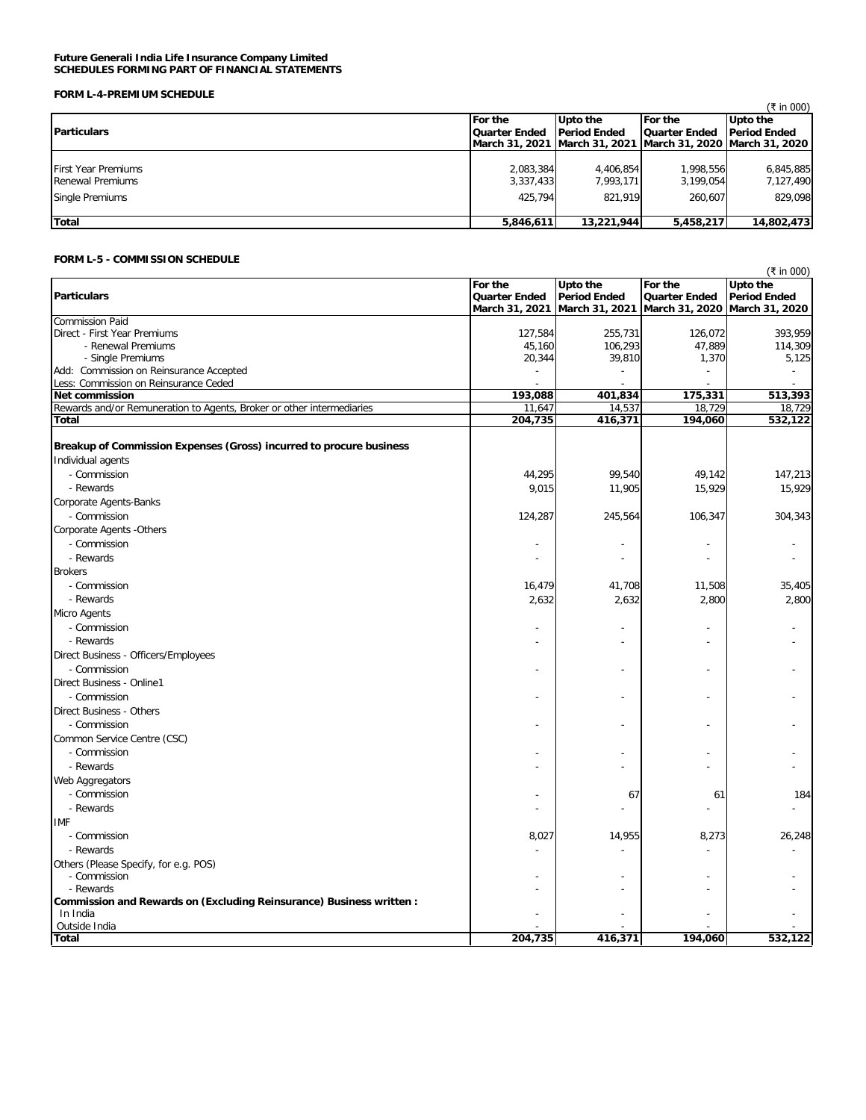### **Future Generali India Life Insurance Company Limited SCHEDULES FORMING PART OF FINANCIAL STATEMENTS**

# **FORM L-4-PREMIUM SCHEDULE**

| ם שומש ב-די ולכוחו שום ה-                                                       |                                   |                                   |                                        |                                                                |
|---------------------------------------------------------------------------------|-----------------------------------|-----------------------------------|----------------------------------------|----------------------------------------------------------------|
|                                                                                 |                                   |                                   |                                        | (₹ in 000)                                                     |
| <b>Particulars</b>                                                              | For the<br>Quarter Ended          | Upto the<br><b>Period Ended</b>   | <b>For the</b><br><b>Quarter Ended</b> | Upto the<br><b>Period Ended</b>                                |
|                                                                                 |                                   |                                   |                                        | March 31, 2021  March 31, 2021  March 31, 2020  March 31, 2020 |
| <b>First Year Premiums</b><br><b>Renewal Premiums</b><br><b>Single Premiums</b> | 2.083.384<br>3,337,433<br>425.794 | 4.406.854<br>7.993.171<br>821.919 | 1.998.556<br>3,199,054<br>260.607      | 6,845,885<br>7,127,490<br>829.098                              |
| <b>Total</b>                                                                    | 5,846,611                         | 13,221,944                        | 5,458,217                              | 14,802,473                                                     |

# **FORM L-5 - COMMISSION SCHEDULE**

| (₹ in 000)                                                            |                                                   |                                                   |                                                           |                                 |
|-----------------------------------------------------------------------|---------------------------------------------------|---------------------------------------------------|-----------------------------------------------------------|---------------------------------|
| <b>Particulars</b>                                                    | For the<br><b>Quarter Ended</b><br>March 31, 2021 | Upto the<br><b>Period Ended</b><br>March 31, 2021 | For the<br>Quarter Ended<br>March 31, 2020 March 31, 2020 | Upto the<br><b>Period Ended</b> |
| <b>Commission Paid</b>                                                |                                                   |                                                   |                                                           |                                 |
| Direct - First Year Premiums                                          | 127,584                                           | 255,731                                           | 126,072                                                   | 393,959                         |
| - Renewal Premiums                                                    | 45,160                                            | 106,293                                           | 47,889                                                    | 114,309                         |
| - Single Premiums                                                     | 20,344                                            | 39,810                                            | 1,370                                                     | 5,125                           |
| Add: Commission on Reinsurance Accepted                               |                                                   |                                                   |                                                           |                                 |
| Less: Commission on Reinsurance Ceded                                 |                                                   |                                                   |                                                           |                                 |
| <b>Net commission</b>                                                 | 193,088                                           | 401,834                                           | 175,331                                                   | 513,393                         |
| Rewards and/or Remuneration to Agents, Broker or other intermediaries | 11,647                                            | 14,537                                            | 18,729                                                    | 18,729                          |
| <b>Total</b>                                                          | 204,735                                           | 416,371                                           | 194,060                                                   | 532,122                         |
| Breakup of Commission Expenses (Gross) incurred to procure business   |                                                   |                                                   |                                                           |                                 |
|                                                                       |                                                   |                                                   |                                                           |                                 |
| Individual agents                                                     |                                                   |                                                   |                                                           |                                 |
| - Commission                                                          | 44,295                                            | 99,540                                            | 49,142                                                    | 147,213                         |
| - Rewards                                                             | 9,015                                             | 11,905                                            | 15,929                                                    | 15,929                          |
| Corporate Agents-Banks                                                |                                                   |                                                   |                                                           |                                 |
| - Commission                                                          | 124,287                                           | 245,564                                           | 106,347                                                   | 304,343                         |
| Corporate Agents -Others                                              |                                                   |                                                   |                                                           |                                 |
| - Commission                                                          |                                                   |                                                   |                                                           |                                 |
| - Rewards                                                             |                                                   |                                                   |                                                           |                                 |
| <b>Brokers</b>                                                        |                                                   |                                                   |                                                           |                                 |
| - Commission                                                          | 16,479                                            | 41,708                                            | 11,508                                                    | 35,405                          |
| - Rewards                                                             | 2,632                                             | 2,632                                             | 2,800                                                     | 2,800                           |
| Micro Agents                                                          |                                                   |                                                   |                                                           |                                 |
| - Commission                                                          |                                                   |                                                   |                                                           |                                 |
| - Rewards                                                             |                                                   |                                                   |                                                           |                                 |
|                                                                       |                                                   |                                                   |                                                           |                                 |
| Direct Business - Officers/Employees                                  |                                                   |                                                   |                                                           |                                 |
| - Commission                                                          |                                                   |                                                   |                                                           |                                 |
| Direct Business - Online1                                             |                                                   |                                                   |                                                           |                                 |
| - Commission                                                          |                                                   |                                                   |                                                           |                                 |
| Direct Business - Others                                              |                                                   |                                                   |                                                           |                                 |
| - Commission                                                          |                                                   |                                                   |                                                           |                                 |
| Common Service Centre (CSC)                                           |                                                   |                                                   |                                                           |                                 |
| - Commission                                                          |                                                   |                                                   |                                                           |                                 |
| - Rewards                                                             |                                                   |                                                   |                                                           |                                 |
| Web Aggregators                                                       |                                                   |                                                   |                                                           |                                 |
| - Commission                                                          |                                                   | 67                                                | 61                                                        | 184                             |
| - Rewards                                                             |                                                   |                                                   |                                                           |                                 |
| <b>IMF</b>                                                            |                                                   |                                                   |                                                           |                                 |
| - Commission                                                          | 8,027                                             | 14,955                                            | 8,273                                                     | 26,248                          |
| - Rewards                                                             |                                                   |                                                   |                                                           |                                 |
|                                                                       |                                                   |                                                   |                                                           |                                 |
| Others (Please Specify, for e.g. POS)<br>- Commission                 |                                                   |                                                   |                                                           |                                 |
| - Rewards                                                             |                                                   |                                                   |                                                           |                                 |
| Commission and Rewards on (Excluding Reinsurance) Business written :  |                                                   |                                                   |                                                           |                                 |
| In India                                                              |                                                   |                                                   |                                                           |                                 |
| Outside India                                                         |                                                   |                                                   |                                                           |                                 |
| <b>Total</b>                                                          | 204,735                                           | 416,371                                           | 194,060                                                   | 532,122                         |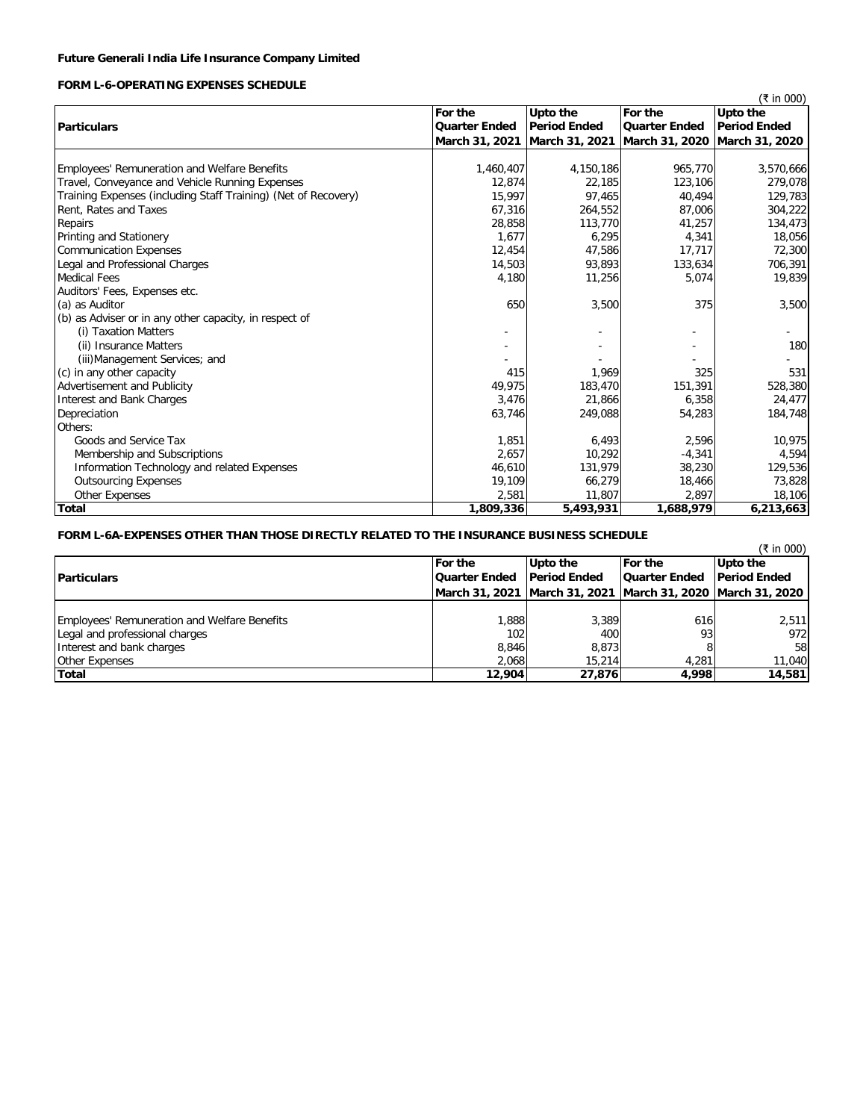# **FORM L-6-OPERATING EXPENSES SCHEDULE**

|                                                                |                      |                     |                                              | (₹ in 000)          |
|----------------------------------------------------------------|----------------------|---------------------|----------------------------------------------|---------------------|
|                                                                | For the              | Upto the            | For the                                      | Upto the            |
| <b>Particulars</b>                                             | <b>Quarter Ended</b> | <b>Period Ended</b> | <b>Quarter Ended</b>                         | <b>Period Ended</b> |
|                                                                | March 31, 2021       |                     | March 31, 2021 March 31, 2020 March 31, 2020 |                     |
|                                                                |                      |                     |                                              |                     |
| <b>Employees' Remuneration and Welfare Benefits</b>            | 1,460,407            | 4,150,186           | 965,770                                      | 3,570,666           |
| Travel, Conveyance and Vehicle Running Expenses                | 12,874               | 22,185              | 123,106                                      | 279,078             |
| Training Expenses (including Staff Training) (Net of Recovery) | 15,997               | 97,465              | 40,494                                       | 129,783             |
| Rent, Rates and Taxes                                          | 67,316               | 264,552             | 87,006                                       | 304,222             |
| Repairs                                                        | 28,858               | 113,770             | 41,257                                       | 134,473             |
| Printing and Stationery                                        | 1,677                | 6,295               | 4,341                                        | 18,056              |
| Communication Expenses                                         | 12,454               | 47,586              | 17,717                                       | 72,300              |
| Legal and Professional Charges                                 | 14,503               | 93,893              | 133,634                                      | 706,391             |
| <b>Medical Fees</b>                                            | 4,180                | 11,256              | 5,074                                        | 19,839              |
| Auditors' Fees, Expenses etc.                                  |                      |                     |                                              |                     |
| (a) as Auditor                                                 | 650                  | 3,500               | 375                                          | 3,500               |
| (b) as Adviser or in any other capacity, in respect of         |                      |                     |                                              |                     |
| (i) Taxation Matters                                           |                      |                     |                                              |                     |
| (ii) Insurance Matters                                         |                      |                     |                                              | 180                 |
| (iii) Management Services; and                                 |                      |                     |                                              |                     |
| (c) in any other capacity                                      | 415                  | 1,969               | 325                                          | 531                 |
| <b>Advertisement and Publicity</b>                             | 49,975               | 183,470             | 151,391                                      | 528,380             |
| Interest and Bank Charges                                      | 3,476                | 21.866              | 6,358                                        | 24,477              |
| Depreciation                                                   | 63,746               | 249,088             | 54,283                                       | 184,748             |
| Others:                                                        |                      |                     |                                              |                     |
| Goods and Service Tax                                          | 1,851                | 6,493               | 2,596                                        | 10,975              |
| Membership and Subscriptions                                   | 2,657                | 10,292              | $-4,341$                                     | 4,594               |
| Information Technology and related Expenses                    | 46,610               | 131.979             | 38,230                                       | 129,536             |
| <b>Outsourcing Expenses</b>                                    | 19,109               | 66,279              | 18,466                                       | 73,828              |
| Other Expenses                                                 | 2,581                | 11,807              | 2,897                                        | 18,106              |
| <b>Total</b>                                                   | 1,809,336            | 5,493,931           | 1,688,979                                    | 6,213,663           |

# **FORM L-6A-EXPENSES OTHER THAN THOSE DIRECTLY RELATED TO THE INSURANCE BUSINESS SCHEDULE**

|                                              |                      |                     |                                                                | (₹ in 000)          |
|----------------------------------------------|----------------------|---------------------|----------------------------------------------------------------|---------------------|
|                                              | <b>For the</b>       | Upto the            | <b>For the</b>                                                 | Upto the            |
| <b>Particulars</b>                           | <b>Quarter Ended</b> | <b>Period Ended</b> | <b>Quarter Ended</b>                                           | <b>Period Ended</b> |
|                                              |                      |                     | March 31, 2021  March 31, 2021  March 31, 2020  March 31, 2020 |                     |
|                                              |                      |                     |                                                                |                     |
| Employees' Remuneration and Welfare Benefits | 888, 1               | 3.389               | 616                                                            | 2,511               |
| Legal and professional charges               | 102                  | 400                 | 93                                                             | 972                 |
| Interest and bank charges                    | 8,846                | 8.873               |                                                                | 58                  |
| <b>Other Expenses</b>                        | 2,068                | 15,214              | 4,281                                                          | 11,040              |
| Total                                        | 12,904               | 27,876              | 4,998                                                          | 14,581              |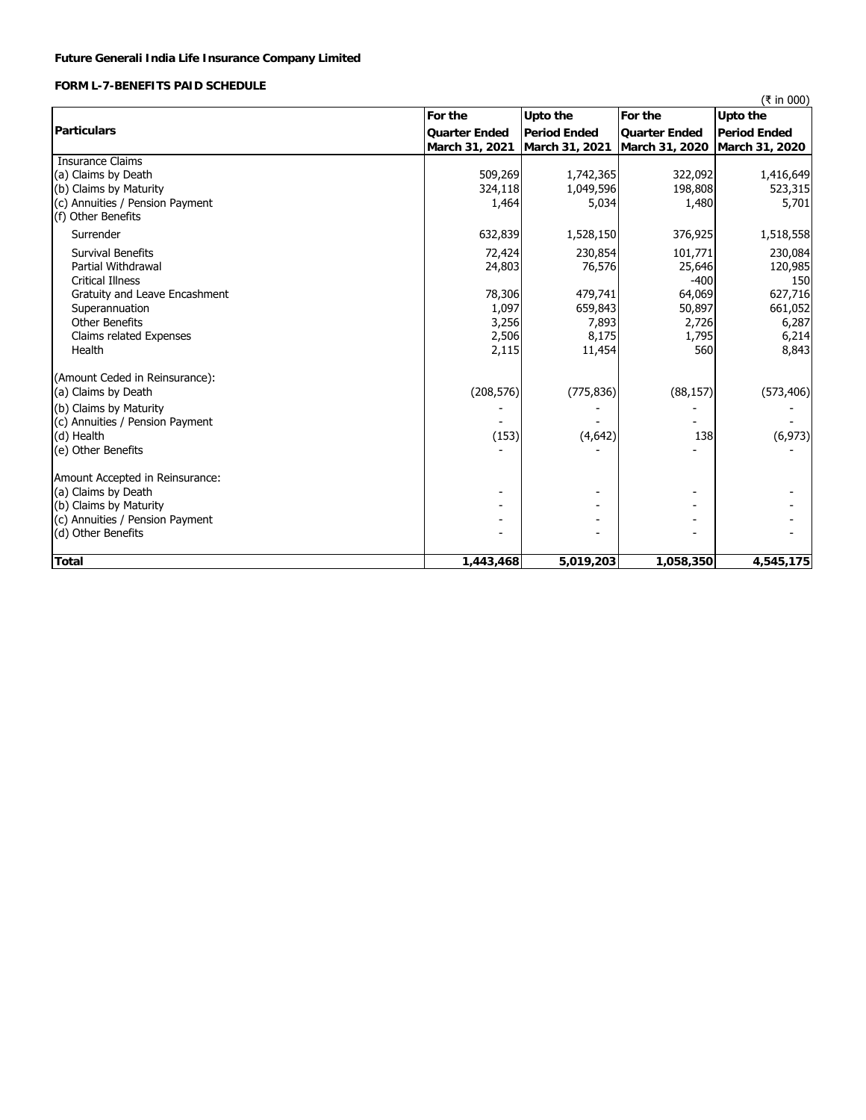# **FORM L-7-BENEFITS PAID SCHEDULE**

|                                 |                               |                     |                      | (₹ in 000)          |
|---------------------------------|-------------------------------|---------------------|----------------------|---------------------|
|                                 | For the                       | Upto the            | For the              | <b>Upto the</b>     |
| <b>Particulars</b>              | <b>Quarter Ended</b>          | <b>Period Ended</b> | <b>Quarter Ended</b> | <b>Period Ended</b> |
|                                 | March 31, 2021 March 31, 2021 |                     | March 31, 2020       | March 31, 2020      |
| <b>Insurance Claims</b>         |                               |                     |                      |                     |
| (a) Claims by Death             | 509,269                       | 1,742,365           | 322,092              | 1,416,649           |
| (b) Claims by Maturity          | 324,118                       | 1,049,596           | 198,808              | 523,315             |
| (c) Annuities / Pension Payment | 1,464                         | 5,034               | 1,480                | 5,701               |
| (f) Other Benefits              |                               |                     |                      |                     |
| Surrender                       | 632,839                       | 1,528,150           | 376,925              | 1,518,558           |
| Survival Benefits               | 72,424                        | 230,854             | 101,771              | 230,084             |
| <b>Partial Withdrawal</b>       | 24,803                        | 76,576              | 25,646               | 120,985             |
| <b>Critical Illness</b>         |                               |                     | $-400$               | 150                 |
| Gratuity and Leave Encashment   | 78,306                        | 479,741             | 64,069               | 627,716             |
| Superannuation                  | 1,097                         | 659,843             | 50,897               | 661,052             |
| <b>Other Benefits</b>           | 3,256                         | 7,893               | 2,726                | 6,287               |
| Claims related Expenses         | 2,506                         | 8,175               | 1,795                | 6,214               |
| Health                          | 2,115                         | 11,454              | 560                  | 8,843               |
| (Amount Ceded in Reinsurance):  |                               |                     |                      |                     |
| (a) Claims by Death             | (208, 576)                    | (775, 836)          | (88, 157)            | (573, 406)          |
| (b) Claims by Maturity          |                               |                     |                      |                     |
| (c) Annuities / Pension Payment |                               |                     |                      |                     |
| (d) Health                      | (153)                         | (4,642)             | 138                  | (6, 973)            |
| (e) Other Benefits              |                               |                     |                      |                     |
| Amount Accepted in Reinsurance: |                               |                     |                      |                     |
| (a) Claims by Death             |                               |                     | ۰                    |                     |
| (b) Claims by Maturity          |                               |                     |                      |                     |
| (c) Annuities / Pension Payment |                               |                     |                      |                     |
| (d) Other Benefits              |                               |                     |                      |                     |
| <b>Total</b>                    | 1,443,468                     | 5,019,203           | 1,058,350            | 4,545,175           |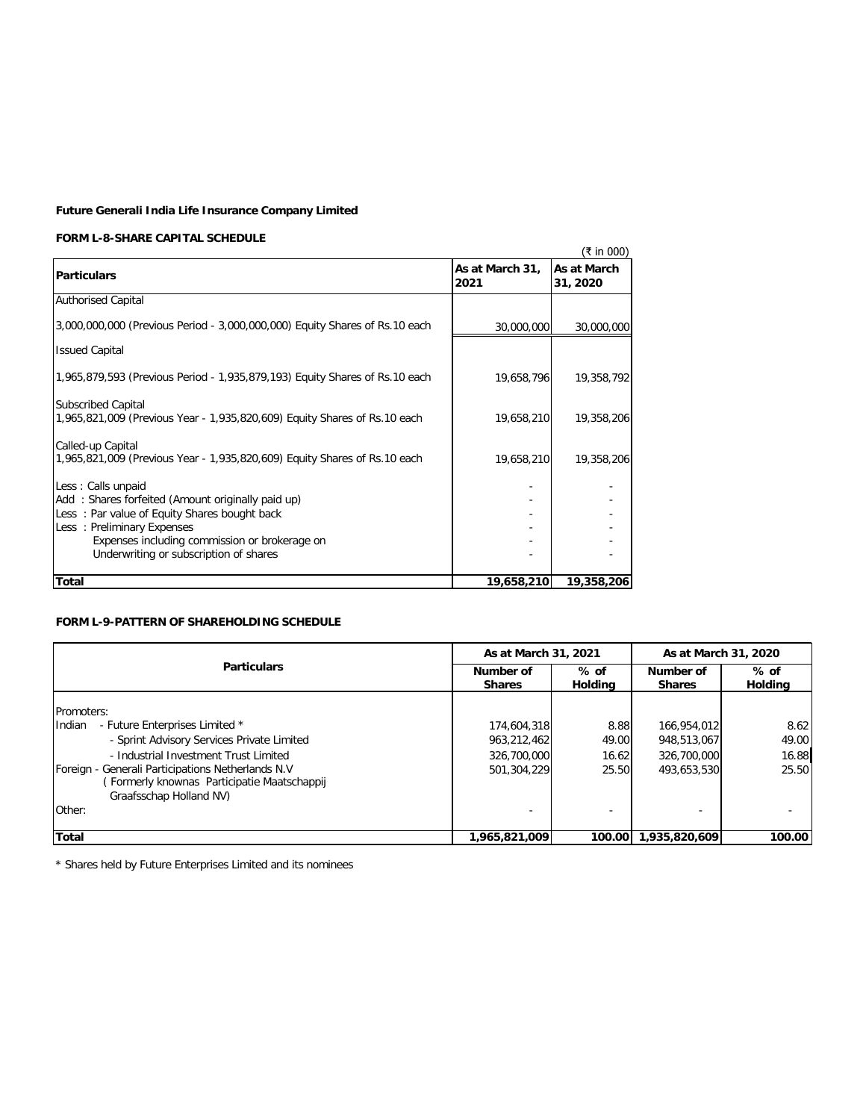# **FORM L-8-SHARE CAPITAL SCHEDULE**

|                                                                                                                                                                                                                                                  |                         | (₹ in 000)              |
|--------------------------------------------------------------------------------------------------------------------------------------------------------------------------------------------------------------------------------------------------|-------------------------|-------------------------|
| <b>Particulars</b>                                                                                                                                                                                                                               | As at March 31,<br>2021 | As at March<br>31, 2020 |
| <b>Authorised Capital</b>                                                                                                                                                                                                                        |                         |                         |
| 3,000,000,000 (Previous Period - 3,000,000,000) Equity Shares of Rs.10 each                                                                                                                                                                      | 30,000,000              | 30,000,000              |
| <b>Issued Capital</b>                                                                                                                                                                                                                            |                         |                         |
| 1,965,879,593 (Previous Period - 1,935,879,193) Equity Shares of Rs.10 each                                                                                                                                                                      | 19,658,796              | 19,358,792              |
| <b>Subscribed Capital</b><br>1,965,821,009 (Previous Year - 1,935,820,609) Equity Shares of Rs.10 each                                                                                                                                           | 19,658,210              | 19,358,206              |
| Called-up Capital<br>1,965,821,009 (Previous Year - 1,935,820,609) Equity Shares of Rs.10 each                                                                                                                                                   | 19,658,210              | 19,358,206              |
| Less: Calls unpaid<br>Add: Shares forfeited (Amount originally paid up)<br>Less: Par value of Equity Shares bought back<br>Less: Preliminary Expenses<br>Expenses including commission or brokerage on<br>Underwriting or subscription of shares |                         |                         |
| Total                                                                                                                                                                                                                                            | 19,658,210              | 19,358,206              |

# **FORM L-9-PATTERN OF SHAREHOLDING SCHEDULE**

|                                                                                                                             | As at March 31, 2021                                   |        | As at March 31, 2020       |                          |
|-----------------------------------------------------------------------------------------------------------------------------|--------------------------------------------------------|--------|----------------------------|--------------------------|
| <b>Particulars</b>                                                                                                          | Number of<br>$%$ of<br><b>Holdina</b><br><b>Shares</b> |        | Number of<br><b>Shares</b> | $%$ of<br><b>Holdina</b> |
| Promoters:                                                                                                                  |                                                        |        |                            |                          |
| <b>Indian</b><br>- Future Enterprises Limited *                                                                             | 174,604,318                                            | 8.88   | 166,954,012                | 8.62                     |
| - Sprint Advisory Services Private Limited                                                                                  | 963.212.462                                            | 49.00  | 948,513,067                | 49.00                    |
| - Industrial Investment Trust Limited                                                                                       | 326,700,000                                            | 16.62  | 326,700,000                | 16.88                    |
| Foreign - Generali Participations Netherlands N.V<br>(Formerly knownas Participatie Maatschappij<br>Graafsschap Holland NV) | 501.304.229                                            | 25.50  | 493.653.530                | 25.50                    |
| Other:                                                                                                                      |                                                        |        |                            |                          |
| <b>Total</b>                                                                                                                | 1,965,821,009                                          | 100.00 | 1,935,820,609              | 100.00                   |

\* Shares held by Future Enterprises Limited and its nominees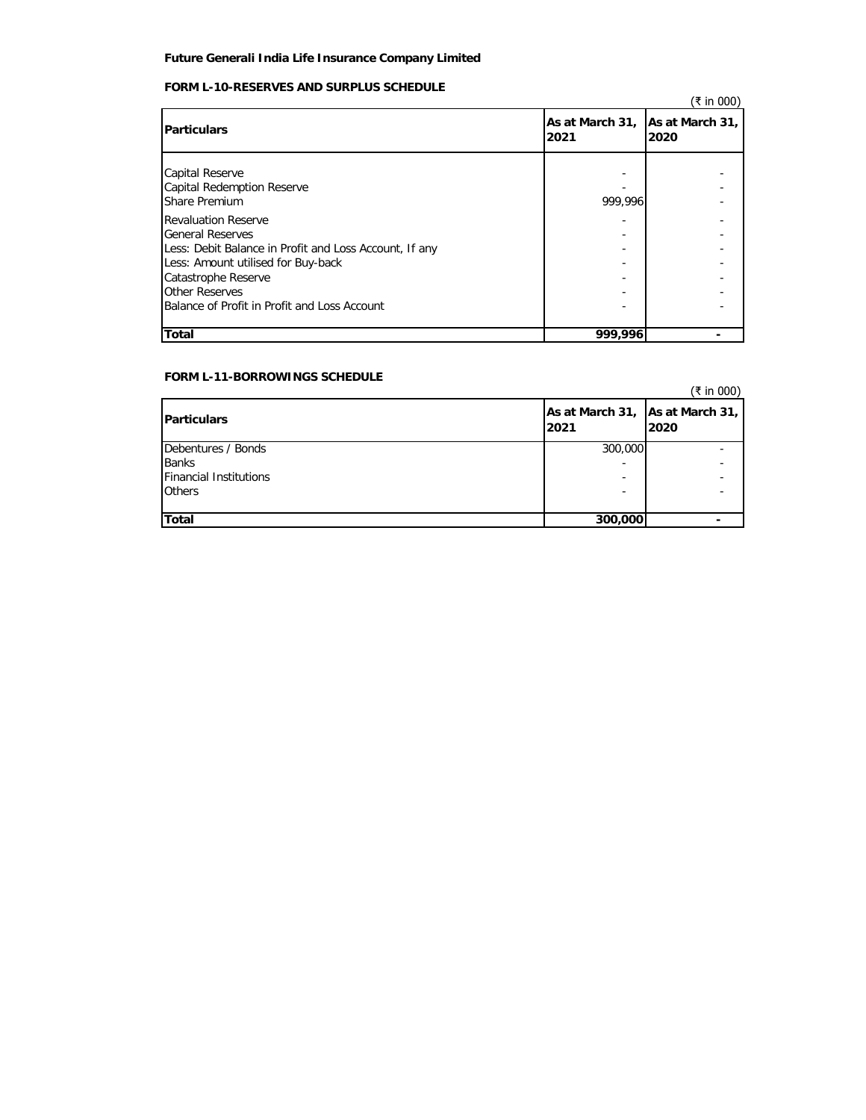# **FORM L-10-RESERVES AND SURPLUS SCHEDULE**

|                                                                                                                                                                              |                                         | (₹ in 000) |
|------------------------------------------------------------------------------------------------------------------------------------------------------------------------------|-----------------------------------------|------------|
| <b>Particulars</b>                                                                                                                                                           | As at March 31, As at March 31,<br>2021 | 2020       |
| Capital Reserve<br><b>Capital Redemption Reserve</b><br><b>Share Premium</b>                                                                                                 | 999.996                                 |            |
| <b>Revaluation Reserve</b><br><b>General Reserves</b><br>Less: Debit Balance in Profit and Loss Account, If any<br>Less: Amount utilised for Buy-back<br>Catastrophe Reserve |                                         |            |
| Other Reserves<br>Balance of Profit in Profit and Loss Account                                                                                                               |                                         |            |
| <b>Total</b>                                                                                                                                                                 | 999,996                                 |            |

# **FORM L-11-BORROWINGS SCHEDULE**

| <b>FURIVE LETT-BURROW HWS SUFFEDULE</b> |                                         | (₹ in 000) |
|-----------------------------------------|-----------------------------------------|------------|
| <b>Particulars</b>                      | As at March 31, As at March 31,<br>2021 | 2020       |
| Debentures / Bonds                      | 300,000                                 |            |
| <b>Banks</b>                            |                                         |            |
| <b>Financial Institutions</b>           |                                         |            |
| <b>Others</b>                           |                                         |            |
| <b>Total</b>                            | 300,000                                 |            |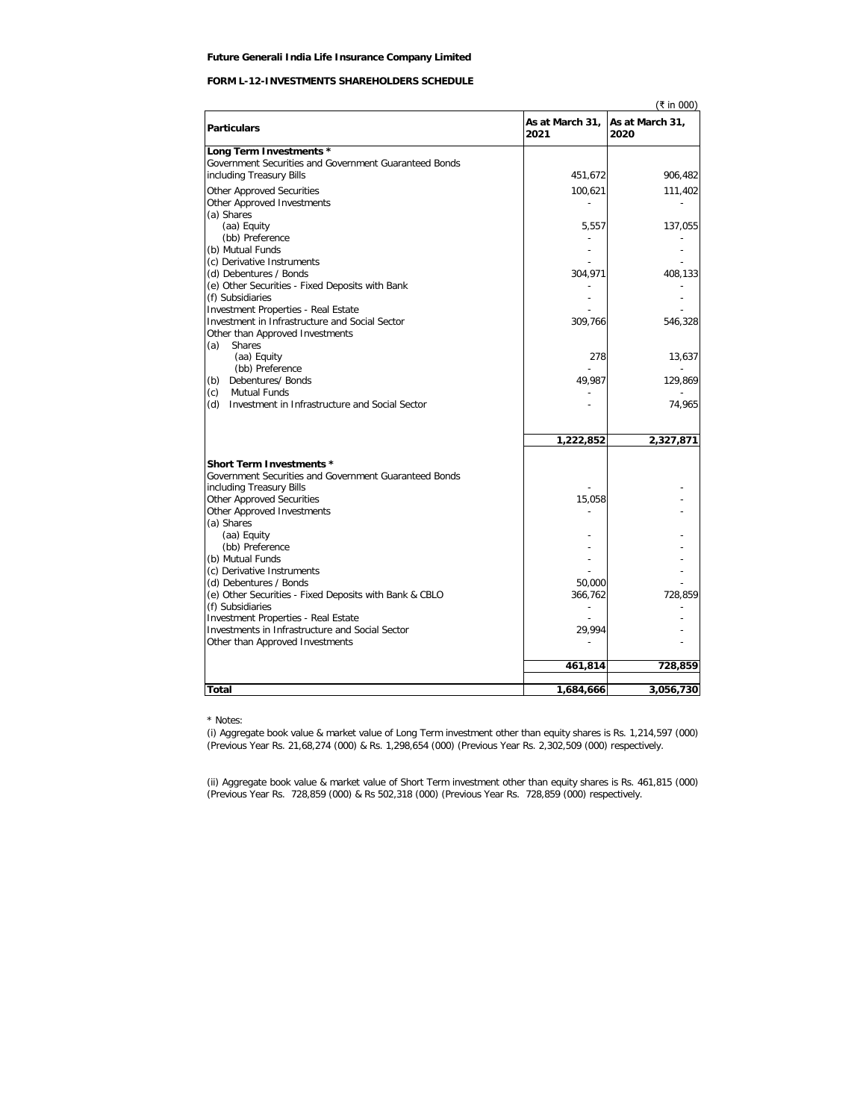# **FORM L-12-INVESTMENTS SHAREHOLDERS SCHEDULE**

|                                                                                       |                         | (₹ in 000)              |
|---------------------------------------------------------------------------------------|-------------------------|-------------------------|
| <b>Particulars</b>                                                                    | As at March 31,<br>2021 | As at March 31,<br>2020 |
| Long Term Investments *                                                               |                         |                         |
| Government Securities and Government Guaranteed Bonds                                 |                         |                         |
| including Treasury Bills                                                              | 451,672                 | 906,482                 |
| <b>Other Approved Securities</b>                                                      | 100,621                 | 111,402                 |
| Other Approved Investments                                                            |                         |                         |
| (a) Shares                                                                            |                         |                         |
| (aa) Equity                                                                           | 5,557                   | 137,055                 |
| (bb) Preference                                                                       |                         |                         |
| (b) Mutual Funds                                                                      | ٠                       |                         |
| (c) Derivative Instruments                                                            |                         |                         |
| (d) Debentures / Bonds                                                                | 304,971                 | 408,133                 |
| (e) Other Securities - Fixed Deposits with Bank                                       |                         |                         |
| (f) Subsidiaries                                                                      |                         |                         |
| Investment Properties - Real Estate<br>Investment in Infrastructure and Social Sector |                         |                         |
| Other than Approved Investments                                                       | 309,766                 | 546,328                 |
| <b>Shares</b><br>(a)                                                                  |                         |                         |
| (aa) Equity                                                                           | 278                     | 13,637                  |
| (bb) Preference                                                                       |                         |                         |
| (b) Debentures/ Bonds                                                                 | 49.987                  | 129,869                 |
| (c)<br><b>Mutual Funds</b>                                                            |                         |                         |
| (d)<br>Investment in Infrastructure and Social Sector                                 |                         | 74,965                  |
|                                                                                       |                         |                         |
|                                                                                       | 1,222,852               | 2,327,871               |
| <b>Short Term Investments *</b>                                                       |                         |                         |
| Government Securities and Government Guaranteed Bonds                                 |                         |                         |
| including Treasury Bills                                                              |                         |                         |
| <b>Other Approved Securities</b>                                                      | 15,058                  |                         |
| Other Approved Investments                                                            |                         |                         |
| (a) Shares                                                                            |                         |                         |
| (aa) Equity                                                                           |                         |                         |
| (bb) Preference                                                                       |                         |                         |
| (b) Mutual Funds                                                                      |                         |                         |
| (c) Derivative Instruments                                                            |                         |                         |
| (d) Debentures / Bonds<br>(e) Other Securities - Fixed Deposits with Bank & CBLO      | 50,000<br>366,762       | 728,859                 |
| (f) Subsidiaries                                                                      | $\overline{a}$          |                         |
| <b>Investment Properties - Real Estate</b>                                            |                         |                         |
| Investments in Infrastructure and Social Sector                                       | 29,994                  |                         |
| Other than Approved Investments                                                       |                         |                         |
|                                                                                       |                         |                         |
|                                                                                       | 461,814                 | 728,859                 |
| <b>Total</b>                                                                          | 1,684,666               | 3,056,730               |

\* Notes:

(i) Aggregate book value & market value of Long Term investment other than equity shares is Rs. 1,214,597 (000) (Previous Year Rs. 21,68,274 (000) & Rs. 1,298,654 (000) (Previous Year Rs. 2,302,509 (000) respectively.

(ii) Aggregate book value & market value of Short Term investment other than equity shares is Rs. 461,815 (000) (Previous Year Rs. 728,859 (000) & Rs 502,318 (000) (Previous Year Rs. 728,859 (000) respectively.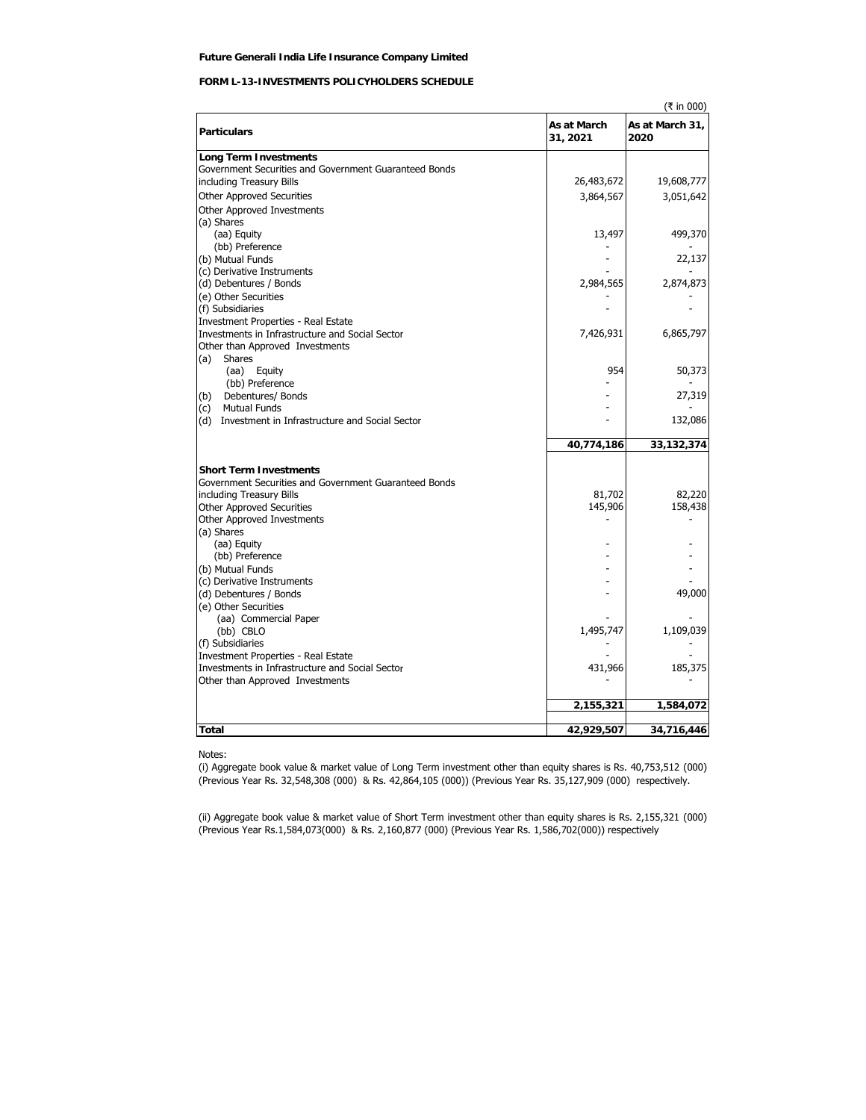# **FORM L-13-INVESTMENTS POLICYHOLDERS SCHEDULE**

|                                                       |                         | (₹ in 000)              |
|-------------------------------------------------------|-------------------------|-------------------------|
| <b>Particulars</b>                                    | As at March<br>31, 2021 | As at March 31,<br>2020 |
| <b>Long Term Investments</b>                          |                         |                         |
| Government Securities and Government Guaranteed Bonds |                         |                         |
| including Treasury Bills                              | 26,483,672              | 19,608,777              |
| <b>Other Approved Securities</b>                      | 3,864,567               | 3,051,642               |
| Other Approved Investments                            |                         |                         |
| (a) Shares                                            |                         |                         |
| (aa) Equity                                           | 13,497                  | 499,370                 |
| (bb) Preference                                       |                         |                         |
| (b) Mutual Funds                                      |                         | 22,137                  |
| (c) Derivative Instruments                            |                         |                         |
| (d) Debentures / Bonds                                | 2,984,565               | 2,874,873               |
| (e) Other Securities                                  |                         |                         |
| (f) Subsidiaries                                      |                         |                         |
| <b>Investment Properties - Real Estate</b>            |                         |                         |
| Investments in Infrastructure and Social Sector       | 7,426,931               | 6,865,797               |
| Other than Approved Investments                       |                         |                         |
| (a)<br>Shares                                         |                         |                         |
| (aa) Equity                                           | 954                     | 50,373                  |
| (bb) Preference                                       |                         |                         |
| (b)<br>Debentures/ Bonds                              |                         | 27,319                  |
| <b>Mutual Funds</b><br>(c)                            |                         |                         |
| Investment in Infrastructure and Social Sector<br>(d) |                         | 132,086                 |
|                                                       | 40,774,186              | 33,132,374              |
|                                                       |                         |                         |
| <b>Short Term Investments</b>                         |                         |                         |
| Government Securities and Government Guaranteed Bonds |                         |                         |
| including Treasury Bills                              | 81,702                  | 82,220                  |
| <b>Other Approved Securities</b>                      | 145,906                 | 158,438                 |
| <b>Other Approved Investments</b>                     |                         |                         |
| (a) Shares                                            |                         |                         |
| (aa) Equity<br>(bb) Preference                        |                         |                         |
| (b) Mutual Funds                                      |                         |                         |
| (c) Derivative Instruments                            |                         |                         |
| (d) Debentures / Bonds                                |                         | 49,000                  |
| (e) Other Securities                                  |                         |                         |
| (aa) Commercial Paper                                 |                         |                         |
| (bb) CBLO                                             | 1,495,747               | 1,109,039               |
| (f) Subsidiaries                                      |                         |                         |
| <b>Investment Properties - Real Estate</b>            |                         |                         |
| Investments in Infrastructure and Social Sector       | 431,966                 | 185,375                 |
| Other than Approved Investments                       |                         |                         |
|                                                       |                         |                         |
|                                                       | 2,155,321               | 1,584,072               |
| <b>Total</b>                                          | 42,929,507              | 34,716,446              |
|                                                       |                         |                         |

Notes:

(i) Aggregate book value & market value of Long Term investment other than equity shares is Rs. 40,753,512 (000) (Previous Year Rs. 32,548,308 (000) & Rs. 42,864,105 (000)) (Previous Year Rs. 35,127,909 (000) respectively.

(ii) Aggregate book value & market value of Short Term investment other than equity shares is Rs. 2,155,321 (000) (Previous Year Rs.1,584,073(000) & Rs. 2,160,877 (000) (Previous Year Rs. 1,586,702(000)) respectively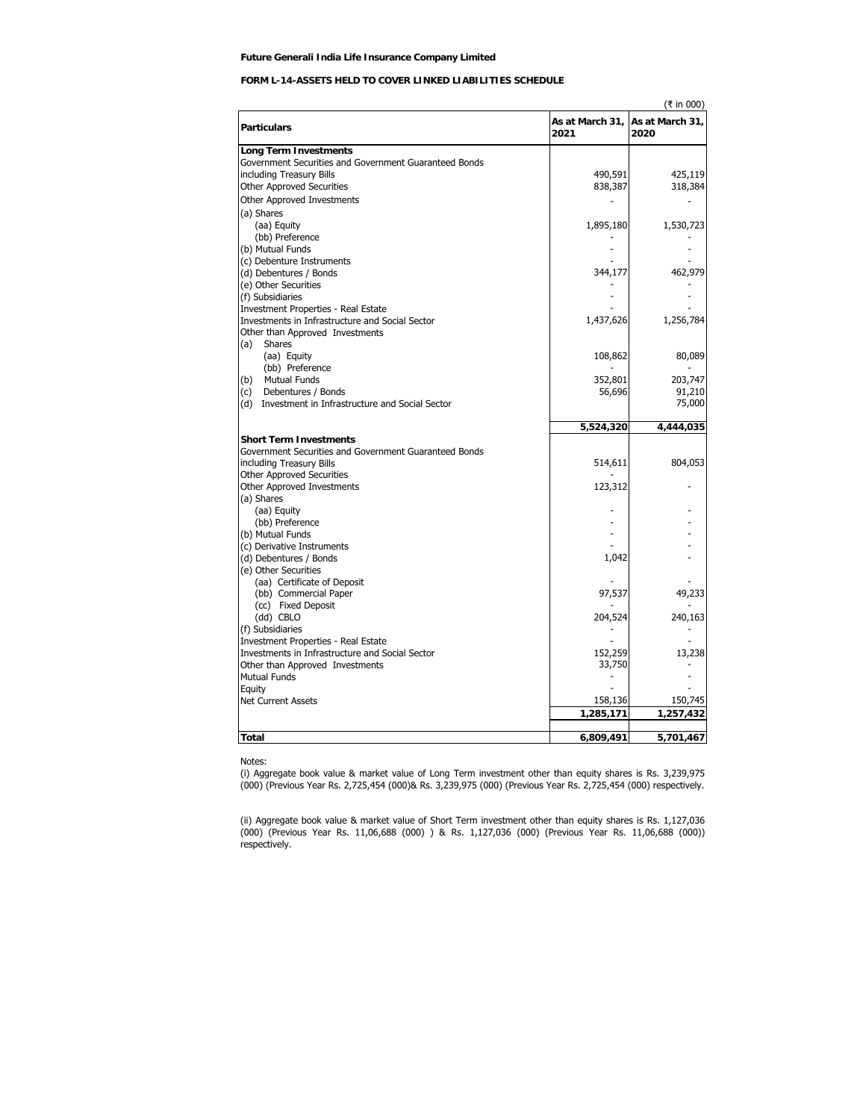# **FORM L-14-ASSETS HELD TO COVER LINKED LIABILITIES SCHEDULE**

|                                                       |                         | (₹ in 000)              |
|-------------------------------------------------------|-------------------------|-------------------------|
| <b>Particulars</b>                                    | As at March 31,<br>2021 | As at March 31,<br>2020 |
| <b>Long Term Investments</b>                          |                         |                         |
| Government Securities and Government Guaranteed Bonds |                         |                         |
| including Treasury Bills                              | 490,591                 | 425,119                 |
| <b>Other Approved Securities</b>                      | 838,387                 | 318,384                 |
| Other Approved Investments                            |                         |                         |
| (a) Shares                                            |                         |                         |
| (aa) Equity                                           | 1,895,180               | 1,530,723               |
| (bb) Preference                                       |                         |                         |
| (b) Mutual Funds                                      |                         |                         |
| (c) Debenture Instruments                             |                         |                         |
| (d) Debentures / Bonds                                | 344,177                 | 462,979                 |
| (e) Other Securities                                  |                         |                         |
| (f) Subsidiaries                                      |                         |                         |
| <b>Investment Properties - Real Estate</b>            |                         |                         |
| Investments in Infrastructure and Social Sector       | 1,437,626               | 1,256,784               |
| Other than Approved Investments                       |                         |                         |
| (a)<br>Shares                                         |                         |                         |
| (aa) Equity                                           | 108,862                 | 80,089                  |
| (bb) Preference                                       |                         |                         |
| <b>Mutual Funds</b><br>(b)                            | 352,801                 | 203,747                 |
| Debentures / Bonds<br>(c)                             | 56,696                  | 91,210                  |
| Investment in Infrastructure and Social Sector<br>(d) |                         | 75,000                  |
|                                                       |                         |                         |
|                                                       | 5,524,320               | 4,444,035               |
| <b>Short Term Investments</b>                         |                         |                         |
| Government Securities and Government Guaranteed Bonds |                         |                         |
| including Treasury Bills                              | 514,611                 | 804,053                 |
| <b>Other Approved Securities</b>                      |                         |                         |
| Other Approved Investments                            | 123,312                 |                         |
| (a) Shares                                            |                         |                         |
| (aa) Equity                                           |                         |                         |
| (bb) Preference                                       |                         |                         |
| (b) Mutual Funds                                      |                         |                         |
| (c) Derivative Instruments                            |                         |                         |
| (d) Debentures / Bonds<br>(e) Other Securities        | 1,042                   |                         |
| (aa) Certificate of Deposit                           |                         |                         |
| (bb) Commercial Paper                                 | 97,537                  | 49,233                  |
| (cc) Fixed Deposit                                    |                         |                         |
| (dd) CBLO                                             | 204,524                 | 240,163                 |
| (f) Subsidiaries                                      |                         |                         |
| <b>Investment Properties - Real Estate</b>            |                         |                         |
| Investments in Infrastructure and Social Sector       | 152,259                 | 13,238                  |
| Other than Approved Investments                       | 33,750                  |                         |
| <b>Mutual Funds</b>                                   |                         |                         |
| Equity                                                |                         |                         |
| Net Current Assets                                    | 158,136                 | 150,745                 |
|                                                       | 1,285,171               | 1,257,432               |
|                                                       |                         |                         |
| Total                                                 | 6,809,491               | 5,701,467               |
|                                                       |                         |                         |

Notes:

(i) Aggregate book value & market value of Long Term investment other than equity shares is Rs. 3,239,975 (000) (Previous Year Rs. 2,725,454 (000)& Rs. 3,239,975 (000) (Previous Year Rs. 2,725,454 (000) respectively.

(ii) Aggregate book value & market value of Short Term investment other than equity shares is Rs. 1,127,036 (000) (Previous Year Rs. 11,06,688 (000) ) & Rs. 1,127,036 (000) (Previous Year Rs. 11,06,688 (000)) respectively.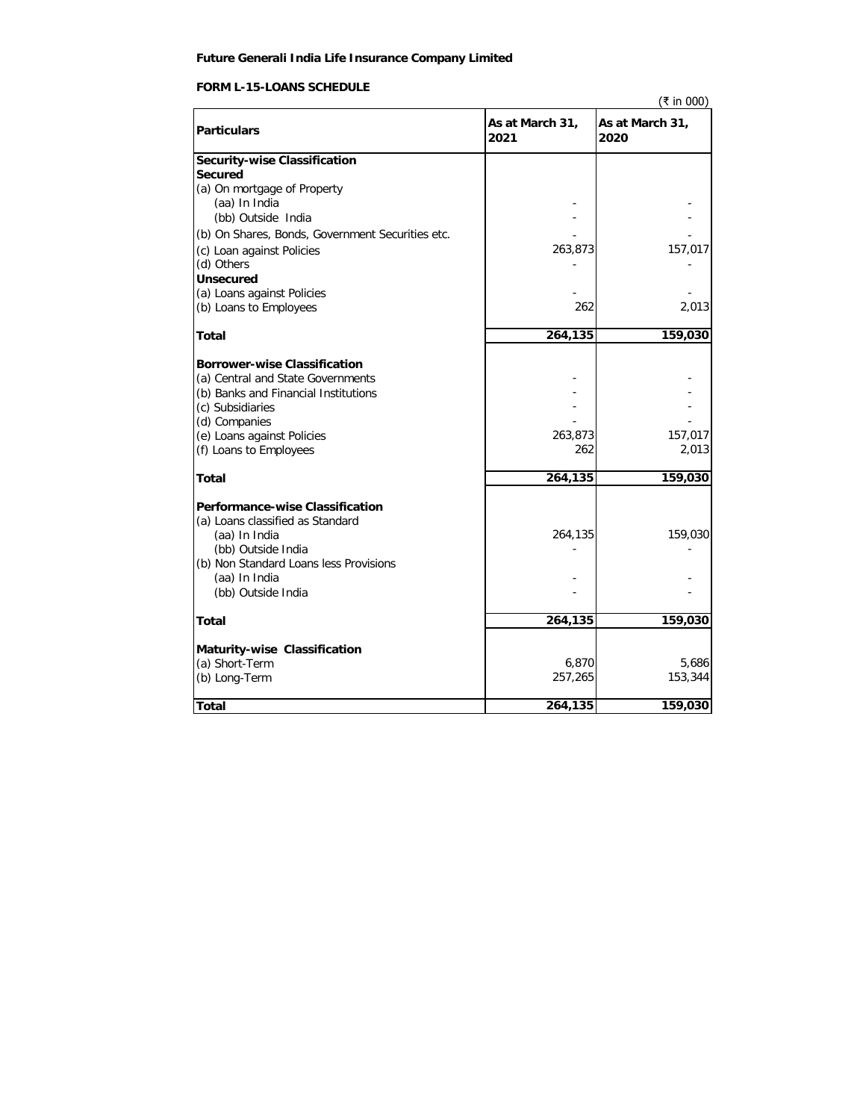# **FORM L-15-LOANS SCHEDULE**

|                                                  |                         | (₹ in 000)              |
|--------------------------------------------------|-------------------------|-------------------------|
| <b>Particulars</b>                               | As at March 31,<br>2021 | As at March 31,<br>2020 |
| <b>Security-wise Classification</b>              |                         |                         |
| <b>Secured</b>                                   |                         |                         |
| (a) On mortgage of Property                      |                         |                         |
| (aa) In India                                    |                         |                         |
| (bb) Outside India                               |                         |                         |
| (b) On Shares, Bonds, Government Securities etc. |                         |                         |
| (c) Loan against Policies                        | 263,873                 | 157,017                 |
| (d) Others                                       |                         |                         |
| <b>Unsecured</b>                                 |                         |                         |
| (a) Loans against Policies                       |                         |                         |
| (b) Loans to Employees                           | 262                     | 2,013                   |
| <b>Total</b>                                     | 264,135                 | 159,030                 |
| <b>Borrower-wise Classification</b>              |                         |                         |
| (a) Central and State Governments                |                         |                         |
| (b) Banks and Financial Institutions             |                         |                         |
| (c) Subsidiaries                                 |                         |                         |
| (d) Companies                                    |                         |                         |
| (e) Loans against Policies                       | 263,873                 | 157,017                 |
| (f) Loans to Employees                           | 262                     | 2,013                   |
| Total                                            | 264,135                 | 159,030                 |
| <b>Performance-wise Classification</b>           |                         |                         |
| (a) Loans classified as Standard                 |                         |                         |
| (aa) In India                                    | 264,135                 | 159,030                 |
| (bb) Outside India                               |                         |                         |
| (b) Non Standard Loans less Provisions           |                         |                         |
| (aa) In India                                    |                         |                         |
| (bb) Outside India                               |                         |                         |
| <b>Total</b>                                     | 264,135                 | 159,030                 |
| Maturity-wise Classification                     |                         |                         |
| (a) Short-Term                                   | 6,870                   | 5,686                   |
| (b) Long-Term                                    | 257,265                 | 153,344                 |
| <b>Total</b>                                     | 264,135                 | 159,030                 |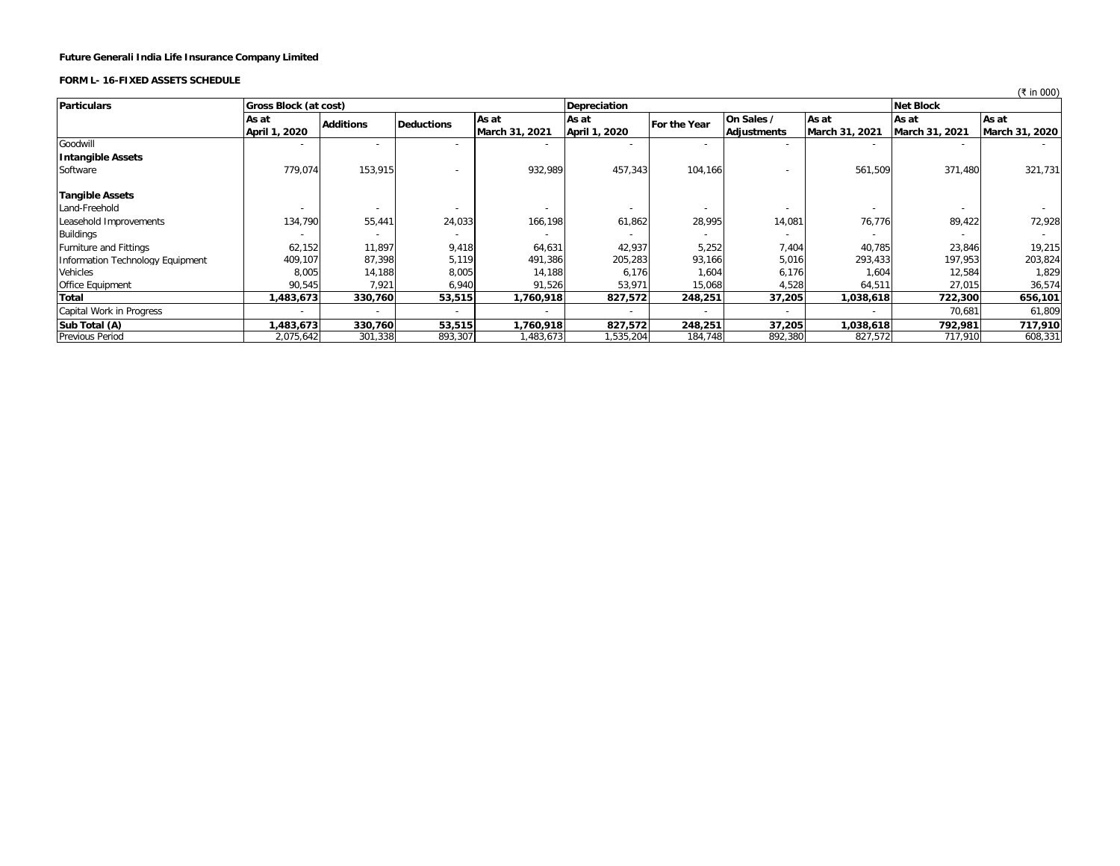# **FORM L- 16-FIXED ASSETS SCHEDULE**

|                                  |                       |                  |                   |                          |               |                          |                          |                |                  | $\left\langle \right.$ $\left. \right.$ $\left. \right.$ $\left. \right.$ $\left. \right.$ $\left. \right.$ $\left. \right.$ $\left. \right.$ $\left. \right.$ $\left. \right.$ $\left. \right.$ $\left. \right.$ $\left. \right.$ $\left. \right.$ $\left. \right.$ $\left. \right.$ $\left. \right.$ $\left. \right.$ $\left. \right.$ $\left. \right.$ $\left. \right.$ $\left. \right.$ $\left. \right.$ $\left. \right.$ $\left.$ |
|----------------------------------|-----------------------|------------------|-------------------|--------------------------|---------------|--------------------------|--------------------------|----------------|------------------|----------------------------------------------------------------------------------------------------------------------------------------------------------------------------------------------------------------------------------------------------------------------------------------------------------------------------------------------------------------------------------------------------------------------------------------|
| <b>Particulars</b>               | Gross Block (at cost) |                  |                   |                          | Depreciation  |                          |                          |                | <b>Net Block</b> |                                                                                                                                                                                                                                                                                                                                                                                                                                        |
|                                  | As at                 | <b>Additions</b> | <b>Deductions</b> | As at                    | As at         | For the Year             | On Sales /               | As at          | As at            | As at                                                                                                                                                                                                                                                                                                                                                                                                                                  |
|                                  | April 1, 2020         |                  |                   | March 31, 2021           | April 1, 2020 |                          | Adjustments              | March 31, 2021 | March 31, 2021   | March 31, 2020                                                                                                                                                                                                                                                                                                                                                                                                                         |
| Goodwill                         |                       |                  |                   | $\overline{\phantom{a}}$ |               | $\overline{\phantom{a}}$ | $\overline{\phantom{a}}$ |                |                  |                                                                                                                                                                                                                                                                                                                                                                                                                                        |
| <b>Intangible Assets</b>         |                       |                  |                   |                          |               |                          |                          |                |                  |                                                                                                                                                                                                                                                                                                                                                                                                                                        |
| Software                         | 779,074               | 153.915          |                   | 932,989                  | 457,343       | 104,166                  |                          | 561,509        | 371,480          | 321,731                                                                                                                                                                                                                                                                                                                                                                                                                                |
| <b>Tangible Assets</b>           |                       |                  |                   |                          |               |                          |                          |                |                  |                                                                                                                                                                                                                                                                                                                                                                                                                                        |
| Land-Freehold                    |                       |                  |                   |                          |               |                          |                          |                |                  |                                                                                                                                                                                                                                                                                                                                                                                                                                        |
| Leasehold Improvements           | 134,790               | 55,441           | 24,033            | 166,198                  | 61,862        | 28,995                   | 14,081                   | 76,776         | 89,422           | 72,928                                                                                                                                                                                                                                                                                                                                                                                                                                 |
| Buildings                        |                       |                  |                   |                          |               |                          |                          |                |                  |                                                                                                                                                                                                                                                                                                                                                                                                                                        |
| <b>Furniture and Fittings</b>    | 62,152                | 11,897           | 9,418             | 64,631                   | 42,937        | 5,252                    | 7,404                    | 40,785         | 23,846           | 19,215                                                                                                                                                                                                                                                                                                                                                                                                                                 |
| Information Technology Equipment | 409,107               | 87,398           | 5,119             | 491,386                  | 205,283       | 93,166                   | 5,016                    | 293,433        | 197,953          | 203,824                                                                                                                                                                                                                                                                                                                                                                                                                                |
| Vehicles                         | 8,005                 | 14,188           | 8,005             | 14,188                   | 6,176         | 1,604                    | 6,176                    | 1,604          | 12,584           | 1,829                                                                                                                                                                                                                                                                                                                                                                                                                                  |
| Office Equipment                 | 90,545                | 7,921            | 6,940             | 91,526                   | 53,971        | 15,068                   | 4,528                    | 64,511         | 27,015           | 36,574                                                                                                                                                                                                                                                                                                                                                                                                                                 |
| Total                            | 483,673               | 330,760          | 53,515            | 1,760,918                | 827,572       | 248,251                  | 37,205                   | 1,038,618      | 722,300          | 656,101                                                                                                                                                                                                                                                                                                                                                                                                                                |
| Capital Work in Progress         |                       |                  |                   |                          |               |                          |                          |                | 70,681           | 61,809                                                                                                                                                                                                                                                                                                                                                                                                                                 |
| Sub Total (A)                    | 483,673               | 330,760          | 53,515            | 1,760,918                | 827,572       | 248,251                  | 37,205                   | 1,038,618      | 792,981          | 717,910                                                                                                                                                                                                                                                                                                                                                                                                                                |
| <b>Previous Period</b>           | 2,075,642             | 301,338          | 893,307           | ,483,673                 | 1,535,204     | 184,748                  | 892,380                  | 827,572        | 717,910          | 608,331                                                                                                                                                                                                                                                                                                                                                                                                                                |

 $(7 \text{ in } 000)$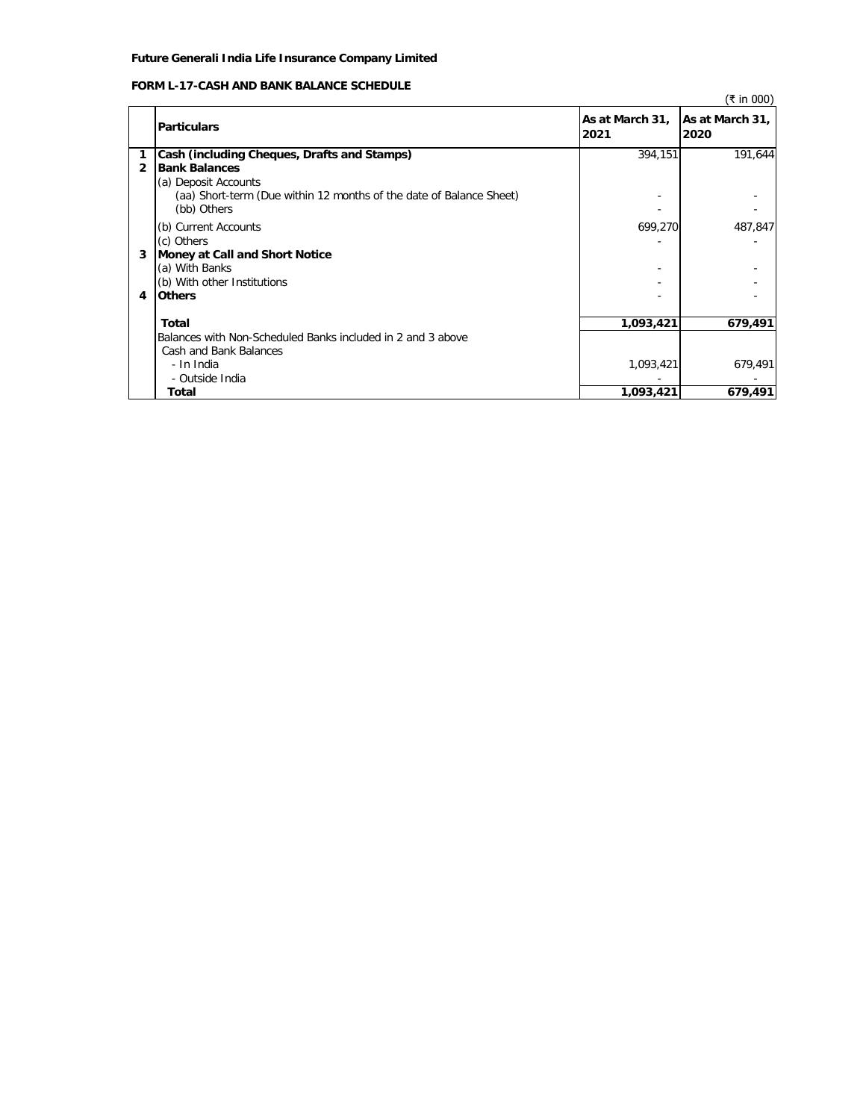# **FORM L-17-CASH AND BANK BALANCE SCHEDULE**

|   | ו טומט ובינו אסטון הואט שווא ווכחס נובטסב                                          |                         | (₹ in 000)              |
|---|------------------------------------------------------------------------------------|-------------------------|-------------------------|
|   | <b>Particulars</b>                                                                 | As at March 31,<br>2021 | As at March 31,<br>2020 |
|   | Cash (including Cheques, Drafts and Stamps)                                        | 394,151                 | 191,644                 |
| 2 | <b>Bank Balances</b>                                                               |                         |                         |
|   | (a) Deposit Accounts                                                               |                         |                         |
|   | (aa) Short-term (Due within 12 months of the date of Balance Sheet)<br>(bb) Others |                         |                         |
|   | (b) Current Accounts                                                               | 699,270                 | 487,847                 |
|   | (c) Others                                                                         |                         |                         |
| 3 | Money at Call and Short Notice                                                     |                         |                         |
|   | (a) With Banks                                                                     |                         |                         |
|   | (b) With other Institutions                                                        |                         |                         |
| 4 | <b>Others</b>                                                                      |                         |                         |
|   | Total                                                                              | 1,093,421               | 679,491                 |
|   | Balances with Non-Scheduled Banks included in 2 and 3 above                        |                         |                         |
|   | Cash and Bank Balances                                                             |                         |                         |
|   | - In India                                                                         | 1,093,421               | 679,491                 |
|   | - Outside India                                                                    |                         |                         |
|   | Total                                                                              | 1,093,421               | 679,491                 |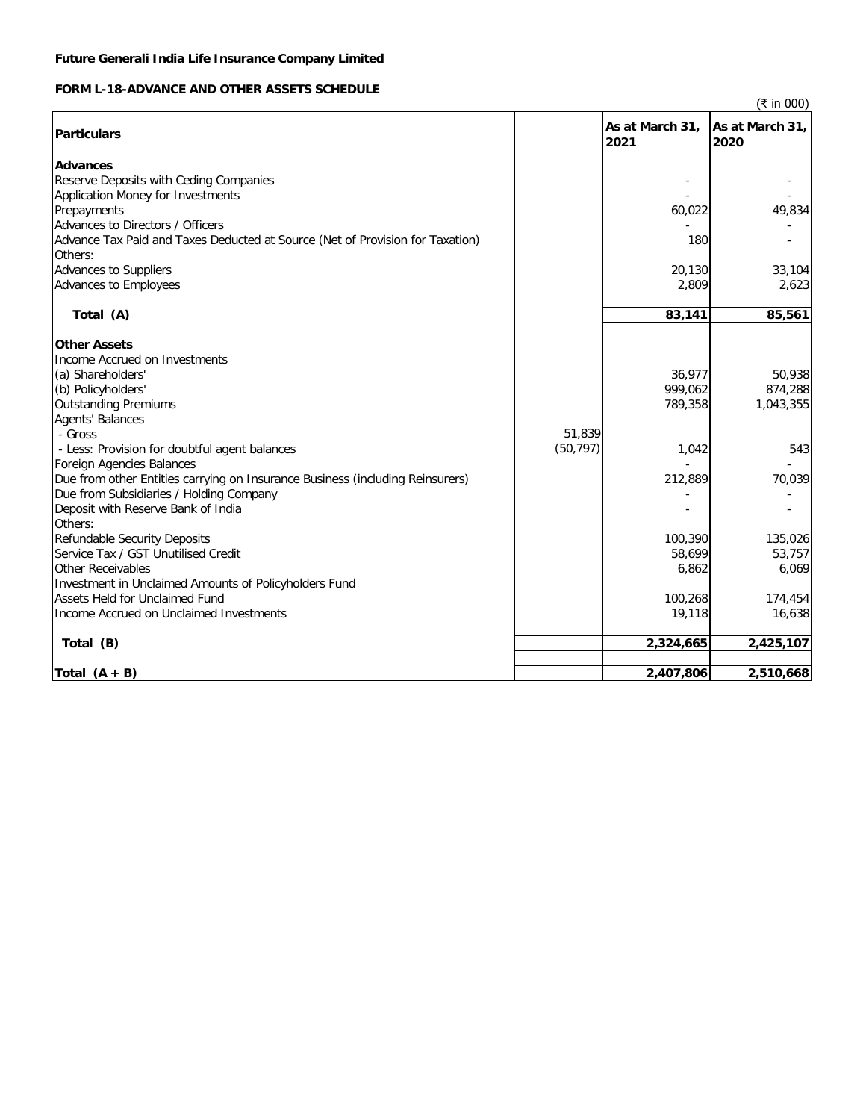# **FORM L-18-ADVANCE AND OTHER ASSETS SCHEDULE**

(₹ in 000)

| <b>Particulars</b>                                                                       |           | As at March 31,<br>2021 | As at March 31,<br>2020 |
|------------------------------------------------------------------------------------------|-----------|-------------------------|-------------------------|
| <b>Advances</b>                                                                          |           |                         |                         |
| Reserve Deposits with Ceding Companies                                                   |           |                         |                         |
| Application Money for Investments                                                        |           |                         |                         |
| Prepayments                                                                              |           | 60,022                  | 49,834                  |
| Advances to Directors / Officers                                                         |           |                         |                         |
| Advance Tax Paid and Taxes Deducted at Source (Net of Provision for Taxation)<br>Others: |           | 180                     |                         |
| Advances to Suppliers                                                                    |           | 20,130                  | 33,104                  |
| Advances to Employees                                                                    |           | 2,809                   | 2,623                   |
| Total (A)                                                                                |           | 83,141                  | 85,561                  |
|                                                                                          |           |                         |                         |
| <b>Other Assets</b>                                                                      |           |                         |                         |
| Income Accrued on Investments                                                            |           |                         |                         |
| (a) Shareholders'                                                                        |           | 36,977                  | 50,938                  |
| (b) Policyholders'                                                                       |           | 999,062                 | 874,288                 |
| <b>Outstanding Premiums</b>                                                              |           | 789,358                 | 1,043,355               |
| <b>Agents' Balances</b>                                                                  |           |                         |                         |
| - Gross                                                                                  | 51,839    |                         |                         |
| - Less: Provision for doubtful agent balances                                            | (50, 797) | 1,042                   | 543                     |
| <b>Foreign Agencies Balances</b>                                                         |           |                         |                         |
| Due from other Entities carrying on Insurance Business (including Reinsurers)            |           | 212,889                 | 70,039                  |
| Due from Subsidiaries / Holding Company                                                  |           |                         |                         |
| Deposit with Reserve Bank of India                                                       |           |                         |                         |
| Others:                                                                                  |           |                         |                         |
| Refundable Security Deposits                                                             |           | 100,390                 | 135,026                 |
| Service Tax / GST Unutilised Credit                                                      |           | 58,699                  | 53,757                  |
| <b>Other Receivables</b>                                                                 |           | 6,862                   | 6,069                   |
| Investment in Unclaimed Amounts of Policyholders Fund                                    |           |                         |                         |
| Assets Held for Unclaimed Fund                                                           |           | 100,268                 | 174,454                 |
| Income Accrued on Unclaimed Investments                                                  |           | 19,118                  | 16,638                  |
| Total (B)                                                                                |           | 2,324,665               | 2,425,107               |
|                                                                                          |           |                         |                         |
| Total $(A + B)$                                                                          |           | 2,407,806               | 2,510,668               |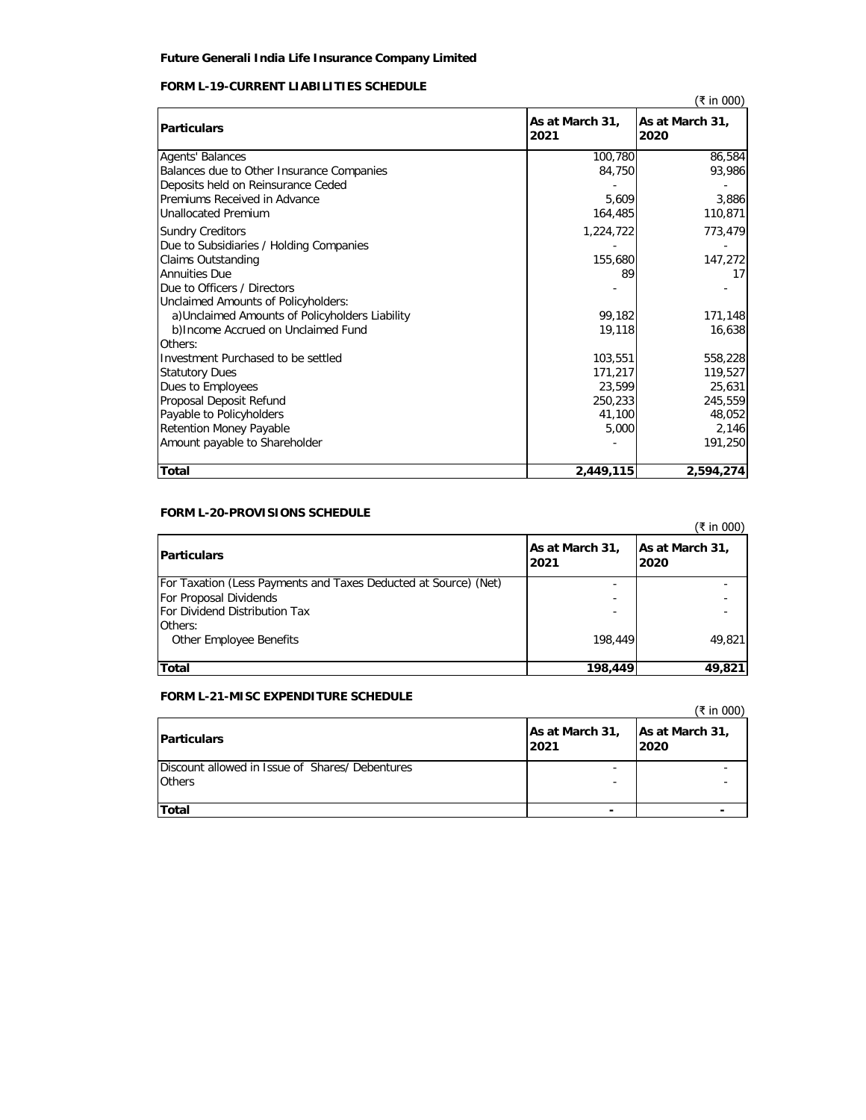# **FORM L-19-CURRENT LIABILITIES SCHEDULE**

|                                                 |                         | (₹ in 000)              |
|-------------------------------------------------|-------------------------|-------------------------|
| <b>Particulars</b>                              | As at March 31,<br>2021 | As at March 31,<br>2020 |
| <b>Agents' Balances</b>                         | 100,780                 | 86,584                  |
| Balances due to Other Insurance Companies       | 84,750                  | 93,986                  |
| Deposits held on Reinsurance Ceded              |                         |                         |
| Premiums Received in Advance                    | 5.609                   | 3,886                   |
| <b>Unallocated Premium</b>                      | 164,485                 | 110,871                 |
| <b>Sundry Creditors</b>                         | 1,224,722               | 773,479                 |
| Due to Subsidiaries / Holding Companies         |                         |                         |
| Claims Outstanding                              | 155,680                 | 147,272                 |
| <b>Annuities Due</b>                            | 89                      | 17                      |
| Due to Officers / Directors                     |                         |                         |
| Unclaimed Amounts of Policyholders:             |                         |                         |
| a) Unclaimed Amounts of Policyholders Liability | 99,182                  | 171,148                 |
| b) Income Accrued on Unclaimed Fund             | 19,118                  | 16,638                  |
| Others:                                         |                         |                         |
| Investment Purchased to be settled              | 103,551                 | 558,228                 |
| <b>Statutory Dues</b>                           | 171,217                 | 119,527                 |
| Dues to Employees                               | 23,599                  | 25,631                  |
| Proposal Deposit Refund                         | 250,233                 | 245,559                 |
| Payable to Policyholders                        | 41,100                  | 48,052                  |
| <b>Retention Money Payable</b>                  | 5,000                   | 2,146                   |
| Amount payable to Shareholder                   |                         | 191,250                 |
| <b>Total</b>                                    | 2,449,115               | 2,594,274               |

# **FORM L-20-PROVISIONS SCHEDULE**

|                                                                 |                         | (₹ in 000)              |
|-----------------------------------------------------------------|-------------------------|-------------------------|
| <b>Particulars</b>                                              | As at March 31,<br>2021 | As at March 31,<br>2020 |
| For Taxation (Less Payments and Taxes Deducted at Source) (Net) |                         |                         |
| For Proposal Dividends                                          |                         |                         |
| For Dividend Distribution Tax                                   |                         |                         |
| Others:                                                         |                         |                         |
| Other Employee Benefits                                         | 198,449                 | 49,821                  |
|                                                                 |                         |                         |
| <b>Total</b>                                                    | 198,449                 | 49,821                  |

# **FORM L-21-MISC EXPENDITURE SCHEDULE**

|                                                |                         | (₹ in 000)              |
|------------------------------------------------|-------------------------|-------------------------|
| <b>Particulars</b>                             | As at March 31,<br>2021 | As at March 31,<br>2020 |
| Discount allowed in Issue of Shares/Debentures |                         |                         |
| <b>Others</b>                                  | -                       |                         |
| Total                                          |                         |                         |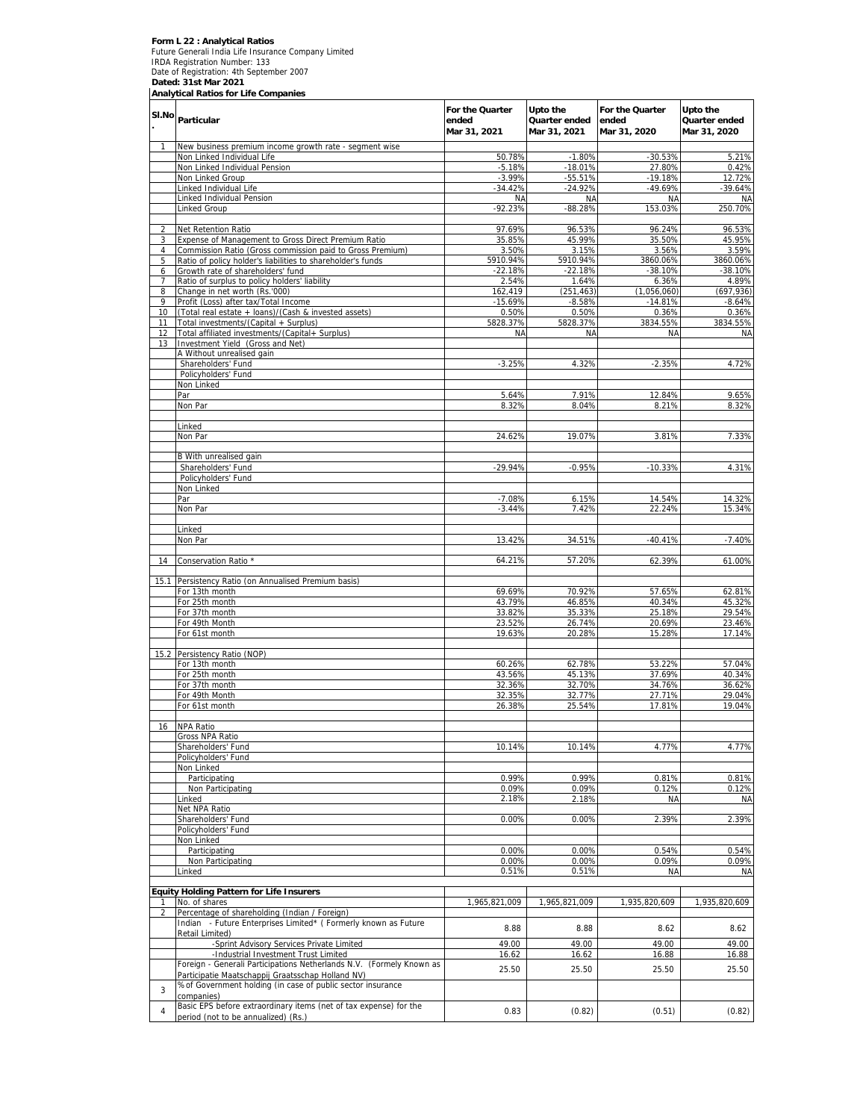# Form L 22 : Analytical Ratios<br>Future Generali India Life Insurance Company Limited<br>IRDA Registration Number: 133<br>Date of Registration: 4th September 2007<br>Dated: 31st Mar 2021<br>Analytical Ratios for Life Companies

|                | SI.No Particular                                                                                                 | For the Quarter<br>ended<br>Mar 31, 2021 | Upto the<br>Quarter ended<br>Mar 31, 2021 | For the Quarter<br>ended<br>Mar 31, 2020 | Upto the<br>Quarter ended<br>Mar 31, 2020 |
|----------------|------------------------------------------------------------------------------------------------------------------|------------------------------------------|-------------------------------------------|------------------------------------------|-------------------------------------------|
| 1              | New business premium income growth rate - segment wise                                                           |                                          |                                           |                                          |                                           |
|                | Non Linked Individual Life                                                                                       | 50.78%                                   | $-1.80%$                                  | $-30.53%$                                | 5.21%                                     |
|                | Non Linked Individual Pension<br>Non Linked Group                                                                | $-5.18%$<br>$-3.99%$                     | $-18.01%$                                 | 27.80%                                   | 0.42%<br>12.72%                           |
|                | inked Individual Life                                                                                            | $-34.42%$                                | $-55.51%$<br>$-24.92%$                    | $-19.18%$<br>$-49.69%$                   | -39.64%                                   |
|                | Linked Individual Pension                                                                                        | <b>NA</b>                                | <b>NA</b>                                 | <b>NA</b>                                | <b>NA</b>                                 |
|                | Linked Group                                                                                                     | $-92.23%$                                | $-88.28%$                                 | 153.03%                                  | 250.70%                                   |
|                |                                                                                                                  |                                          |                                           |                                          |                                           |
| 2              | Net Retention Ratio                                                                                              | 97.69%<br>35.85%                         | 96.53%<br>45.99%                          | 96.24%                                   | 96.53%                                    |
| 3<br>4         | Expense of Management to Gross Direct Premium Ratio<br>Commission Ratio (Gross commission paid to Gross Premium) | 3.50%                                    | 3.15%                                     | 35.50%<br>3.56%                          | 45.95%<br>3.59%                           |
| 5              | Ratio of policy holder's liabilities to shareholder's funds                                                      | 5910.94%                                 | 5910.94%                                  | 3860.06%                                 | 3860.06%                                  |
| 6              | Growth rate of shareholders' fund                                                                                | $-22.18%$                                | $-22.18%$                                 | $-38.10%$                                | -38.10%                                   |
| 7              | Ratio of surplus to policy holders' liability                                                                    | 2.54%                                    | 1.64%                                     | 6.36%                                    | 4.89%                                     |
| 8              | Change in net worth (Rs.'000)                                                                                    | 162,419                                  | (251, 463)                                | (1,056,060)                              | (697, 936)                                |
| 9<br>10        | Profit (Loss) after tax/Total Income<br>(Total real estate + loans)/(Cash & invested assets)                     | $-15.69%$<br>0.50%                       | $-8.58%$<br>0.50%                         | $-14.81%$<br>0.36%                       | $-8.64%$<br>0.36%                         |
| 11             | Total investments/(Capital + Surplus)                                                                            | 5828.37%                                 | 5828.37%                                  | 3834.55%                                 | 3834.55%                                  |
| 12             | Total affiliated investments/(Capital+ Surplus)                                                                  | <b>NA</b>                                | <b>NA</b>                                 | <b>NA</b>                                | ΝA                                        |
| 13             | Investment Yield (Gross and Net)                                                                                 |                                          |                                           |                                          |                                           |
|                | A Without unrealised gain                                                                                        |                                          |                                           |                                          |                                           |
|                | Shareholders' Fund                                                                                               | $-3.25%$                                 | 4.32%                                     | $-2.35%$                                 | 4.72%                                     |
|                | Policyholders' Fund<br>Non Linked                                                                                |                                          |                                           |                                          |                                           |
|                | Par                                                                                                              | 5.64%                                    | 7.91%                                     | 12.84%                                   | 9.65%                                     |
|                | Non Par                                                                                                          | 8.32%                                    | 8.04%                                     | 8.21%                                    | 8.32%                                     |
|                |                                                                                                                  |                                          |                                           |                                          |                                           |
|                | Linked                                                                                                           |                                          |                                           |                                          |                                           |
|                | Non Par                                                                                                          | 24.62%                                   | 19.07%                                    | 3.81%                                    | 7.33%                                     |
|                | B With unrealised gain                                                                                           |                                          |                                           |                                          |                                           |
|                | Shareholders' Fund                                                                                               | $-29.94%$                                | $-0.95%$                                  | $-10.33%$                                | 4.31%                                     |
|                | Policyholders' Fund                                                                                              |                                          |                                           |                                          |                                           |
|                | Non Linked                                                                                                       |                                          |                                           |                                          |                                           |
|                | Par                                                                                                              | $-7.08%$                                 | 6.15%                                     | 14.54%                                   | 14.32%                                    |
|                | Non Par                                                                                                          | $-3.44%$                                 | 7.42%                                     | 22.24%                                   | 15.34%                                    |
|                | Linked                                                                                                           |                                          |                                           |                                          |                                           |
|                | Non Par                                                                                                          | 13.42%                                   | 34.51%                                    | $-40.41%$                                | $-7.40%$                                  |
|                |                                                                                                                  |                                          |                                           |                                          |                                           |
| 14             | Conservation Ratio *                                                                                             | 64.21%                                   | 57.20%                                    | 62.39%                                   | 61.00%                                    |
|                |                                                                                                                  |                                          |                                           |                                          |                                           |
|                | 15.1 Persistency Ratio (on Annualised Premium basis)<br>For 13th month                                           | 69.69%                                   | 70.92%                                    | 57.65%                                   | 62.81%                                    |
|                | For 25th month                                                                                                   | 43.79%                                   | 46.85%                                    | 40.34%                                   | 45.32%                                    |
|                | For 37th month                                                                                                   | 33.82%                                   | 35.33%                                    | 25.18%                                   | 29.54%                                    |
|                | For 49th Month                                                                                                   | 23.52%                                   | 26.74%                                    | 20.69%                                   | 23.46%                                    |
|                | For 61st month                                                                                                   | 19.63%                                   | 20.28%                                    | 15.28%                                   | 17.14%                                    |
|                |                                                                                                                  |                                          |                                           |                                          |                                           |
|                | 15.2 Persistency Ratio (NOP)<br>For 13th month                                                                   | 60.26%                                   | 62.78%                                    | 53.22%                                   | 57.04%                                    |
|                | For 25th month                                                                                                   | 43.56%                                   | 45.13%                                    | 37.69%                                   | 40.34%                                    |
|                | For 37th month                                                                                                   | 32.36%                                   | 32.70%                                    | 34.76%                                   | 36.62%                                    |
|                | For 49th Month                                                                                                   | 32.35%                                   | 32.77%                                    | 27.71%                                   | 29.04%                                    |
|                | For 61st month                                                                                                   | 26.38%                                   | 25.54%                                    | 17.81%                                   | 19.04%                                    |
| 16             | <b>NPA Ratio</b>                                                                                                 |                                          |                                           |                                          |                                           |
|                | Gross NPA Ratio                                                                                                  |                                          |                                           |                                          |                                           |
|                | Shareholders' Fund                                                                                               | 10.14%                                   | 10.14%                                    | 4.77%                                    | 4.77%                                     |
|                | Policyholders' Fund                                                                                              |                                          |                                           |                                          |                                           |
|                | Non Linked                                                                                                       |                                          |                                           |                                          |                                           |
|                | Participating                                                                                                    | 0.99%                                    | 0.99%                                     | 0.81%                                    | 0.81%                                     |
|                | Non Participating<br>Linked                                                                                      | 0.09%<br>2.18%                           | 0.09%<br>2.18%                            | 0.12%<br><b>NA</b>                       | 0.12%<br><b>NA</b>                        |
|                | Net NPA Ratio                                                                                                    |                                          |                                           |                                          |                                           |
|                | Shareholders' Fund                                                                                               | 0.00%                                    | 0.00%                                     | 2.39%                                    | 2.39%                                     |
|                | Policyholders' Fund                                                                                              |                                          |                                           |                                          |                                           |
|                | Non Linked                                                                                                       |                                          |                                           |                                          |                                           |
|                | Participating                                                                                                    | 0.00%                                    | 0.00%                                     | 0.54%                                    | 0.54%                                     |
|                | Non Participating<br>inked                                                                                       | 0.00%<br>0.51%                           | 0.00%<br>0.51%                            | 0.09%<br>NA                              | 0.09%<br><b>NA</b>                        |
|                |                                                                                                                  |                                          |                                           |                                          |                                           |
|                | <b>Equity Holding Pattern for Life Insurers</b>                                                                  |                                          |                                           |                                          |                                           |
| 1.             | No. of shares                                                                                                    | 1,965,821,009                            | 1.965.821.009                             | 1,935,820,609                            | 1,935,820,609                             |
| $\overline{2}$ | Percentage of shareholding (Indian / Foreign)                                                                    |                                          |                                           |                                          |                                           |
|                | Indian - Future Enterprises Limited* (Formerly known as Future                                                   | 8.88                                     | 8.88                                      | 8.62                                     | 8.62                                      |
|                | Retail Limited)<br>-Sprint Advisory Services Private Limited                                                     | 49.00                                    | 49.00                                     | 49.00                                    | 49.00                                     |
|                | -Industrial Investment Trust Limited                                                                             | 16.62                                    | 16.62                                     | 16.88                                    | 16.88                                     |
|                | Foreign - Generali Participations Netherlands N.V. (Formely Known as                                             |                                          |                                           |                                          |                                           |
|                | Participatie Maatschappij Graatsschap Holland NV)                                                                | 25.50                                    | 25.50                                     | 25.50                                    | 25.50                                     |
| 3              | % of Government holding (in case of public sector insurance                                                      |                                          |                                           |                                          |                                           |
|                | companies)                                                                                                       |                                          |                                           |                                          |                                           |
| 4              | Basic EPS before extraordinary items (net of tax expense) for the<br>period (not to be annualized) (Rs.)         | 0.83                                     | (0.82)                                    | (0.51)                                   | (0.82)                                    |
|                |                                                                                                                  |                                          |                                           |                                          |                                           |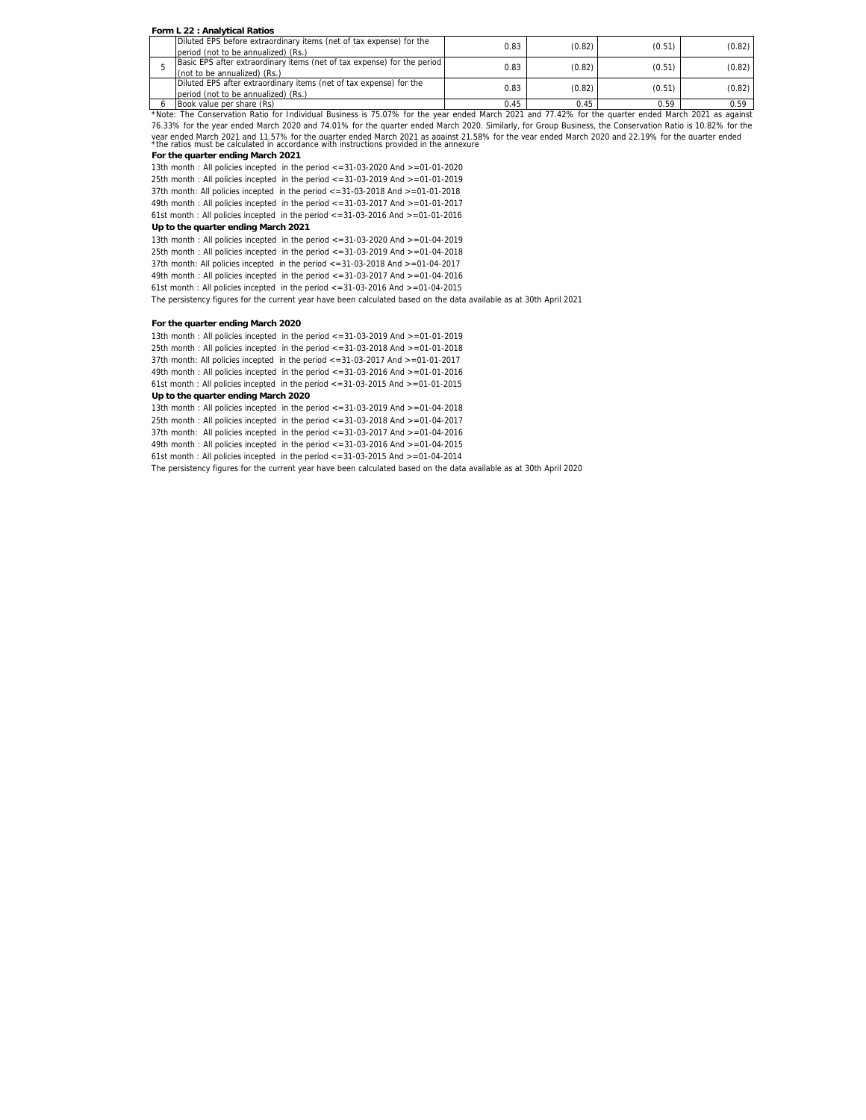### **Form L 22 : Analytical Ratios**

| Diluted EPS before extraordinary items (net of tax expense) for the     | 0.83 | (0.82) | (0.51) | (0.82) |
|-------------------------------------------------------------------------|------|--------|--------|--------|
| period (not to be annualized) (Rs.)                                     |      |        |        |        |
| Basic EPS after extraordinary items (net of tax expense) for the period | 0.83 | (0.82) | (0.51) | (0.82) |
| (not to be annualized) (Rs.)                                            |      |        |        |        |
| Diluted EPS after extraordinary items (net of tax expense) for the      | 0.83 | (0.82) | (0.51) | (0.82) |
| period (not to be annualized) (Rs.)                                     |      |        |        |        |
| Book value per share (Rs)                                               | 045  | 0 45   | በ 59   | N 59   |

6 Book value per share (Rs) 0.45 0.45 0.59 0.59 \*Note: The Conservation Ratio for Individual Business is 75.07% for the year ended March 2021 and 77.42% for the quarter ended March 2021 as against vear ended March 2021 and 11.57% for the quarter ended March 2021 as against 21.58% for the vear ended March 2020 and 22.19% for the quarter ended<br>\*the ratios must be calculated in accordance with instructions provided in 76.33% for the year ended March 2020 and 74.01% for the quarter ended March 2020. Similarly, for Group Business, the Conservation Ratio is 10.82% for the

# **For the quarter ending March 2021**

13th month : All policies incepted in the period <=31-03-2020 And >=01-01-2020 25th month : All policies incepted in the period <=31-03-2019 And >=01-01-2019 37th month: All policies incepted in the period <=31-03-2018 And >=01-01-2018 49th month : All policies incepted in the period <=31-03-2017 And >=01-01-2017

61st month : All policies incepted in the period <=31-03-2016 And >=01-01-2016

# **Up to the quarter ending March 2021**

13th month : All policies incepted in the period <=31-03-2020 And >=01-04-2019 25th month : All policies incepted in the period <=31-03-2019 And >=01-04-2018 37th month: All policies incepted in the period <=31-03-2018 And >=01-04-2017 49th month : All policies incepted in the period <=31-03-2017 And >=01-04-2016 61st month : All policies incepted in the period <=31-03-2016 And >=01-04-2015

The persistency figures for the current year have been calculated based on the data available as at 30th April 2021

### **For the quarter ending March 2020**

13th month : All policies incepted in the period <=31-03-2019 And >=01-01-2019 25th month : All policies incepted in the period <=31-03-2018 And >=01-01-2018 37th month: All policies incepted in the period <=31-03-2017 And >=01-01-2017 49th month : All policies incepted in the period <=31-03-2016 And >=01-01-2016 61st month : All policies incepted in the period <=31-03-2015 And >=01-01-2015 **Up to the quarter ending March 2020**

13th month : All policies incepted in the period <=31-03-2019 And >=01-04-2018 25th month : All policies incepted in the period <=31-03-2018 And >=01-04-2017 37th month: All policies incepted in the period <=31-03-2017 And >=01-04-2016 49th month : All policies incepted in the period <=31-03-2016 And >=01-04-2015 61st month : All policies incepted in the period  $\langle$  =31-03-2015 And  $\rangle$ =01-04-2014

The persistency figures for the current year have been calculated based on the data available as at 30th April 2020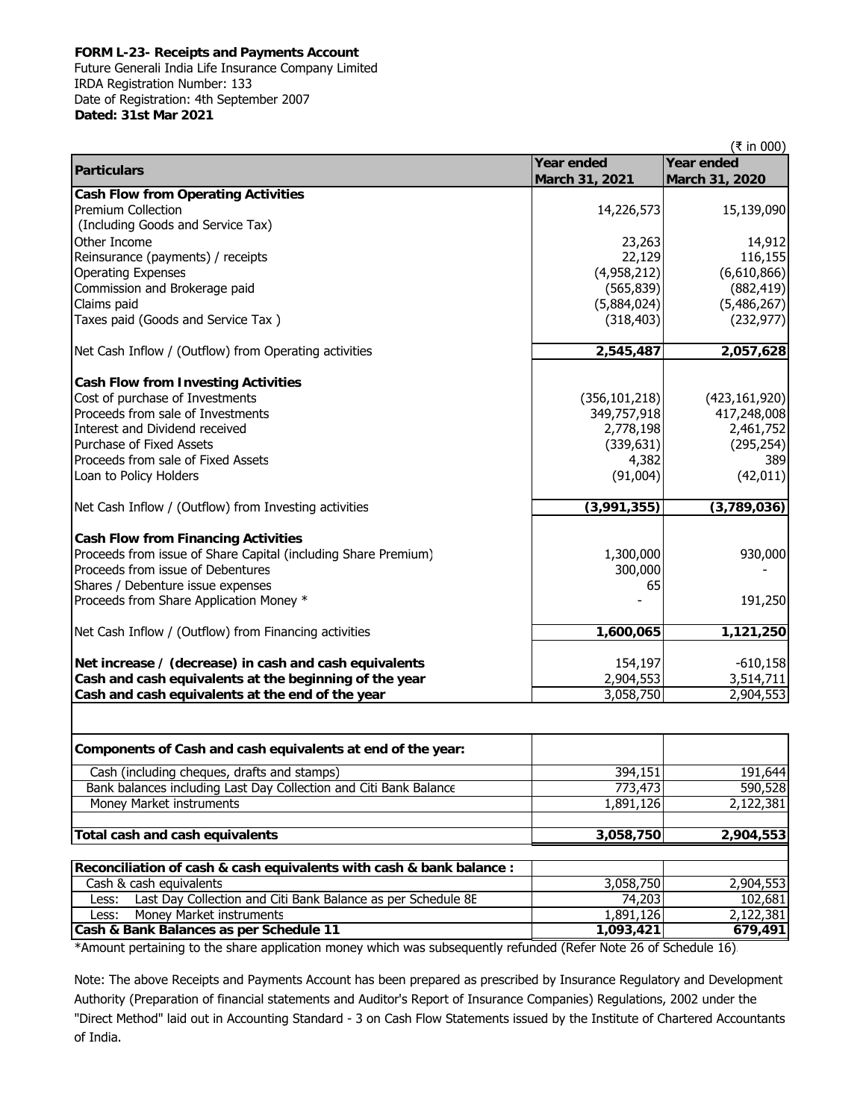# **FORM L-23- Receipts and Payments Account**

Future Generali India Life Insurance Company Limited IRDA Registration Number: 133 Date of Registration: 4th September 2007 **Dated: 31st Mar 2021**

|                                                                |                   | (₹ in 000)        |
|----------------------------------------------------------------|-------------------|-------------------|
| <b>Particulars</b>                                             | <b>Year ended</b> | <b>Year ended</b> |
|                                                                | March 31, 2021    | March 31, 2020    |
| <b>Cash Flow from Operating Activities</b>                     |                   |                   |
| <b>Premium Collection</b>                                      | 14,226,573        | 15,139,090        |
| (Including Goods and Service Tax)                              |                   |                   |
| Other Income                                                   | 23,263            | 14,912            |
| Reinsurance (payments) / receipts                              | 22,129            | 116,155           |
| <b>Operating Expenses</b>                                      | (4,958,212)       | (6,610,866)       |
| Commission and Brokerage paid                                  | (565, 839)        | (882, 419)        |
| Claims paid                                                    | (5,884,024)       | (5,486,267)       |
| Taxes paid (Goods and Service Tax)                             | (318, 403)        | (232, 977)        |
| Net Cash Inflow / (Outflow) from Operating activities          | 2,545,487         | 2,057,628         |
|                                                                |                   |                   |
| <b>Cash Flow from Investing Activities</b>                     |                   |                   |
| Cost of purchase of Investments                                | (356, 101, 218)   | (423, 161, 920)   |
| Proceeds from sale of Investments                              | 349,757,918       | 417,248,008       |
| Interest and Dividend received                                 | 2,778,198         | 2,461,752         |
| Purchase of Fixed Assets                                       | (339, 631)        | (295, 254)        |
| Proceeds from sale of Fixed Assets                             | 4,382             | 389               |
| Loan to Policy Holders                                         | (91,004)          | (42, 011)         |
| Net Cash Inflow / (Outflow) from Investing activities          | (3,991,355)       | (3, 789, 036)     |
|                                                                |                   |                   |
| <b>Cash Flow from Financing Activities</b>                     |                   |                   |
| Proceeds from issue of Share Capital (including Share Premium) | 1,300,000         | 930,000           |
| Proceeds from issue of Debentures                              | 300,000           |                   |
| Shares / Debenture issue expenses                              | 65                |                   |
| Proceeds from Share Application Money *                        |                   | 191,250           |
| Net Cash Inflow / (Outflow) from Financing activities          | 1,600,065         | 1,121,250         |
| Net increase / (decrease) in cash and cash equivalents         | 154,197           | $-610,158$        |
| Cash and cash equivalents at the beginning of the year         | 2,904,553         | 3,514,711         |
| Cash and cash equivalents at the end of the year               | 3,058,750         | 2,904,553         |
|                                                                |                   |                   |

| Components of Cash and cash equivalents at end of the year:           |                         |           |
|-----------------------------------------------------------------------|-------------------------|-----------|
| Cash (including cheques, drafts and stamps)                           | 394,151                 | 191,644   |
| Bank balances including Last Day Collection and Citi Bank Balance     | 773,473                 | 590,528   |
| Money Market instruments                                              | $\overline{1,891}, 126$ | 2,122,381 |
|                                                                       |                         |           |
| Total cash and cash equivalents                                       | 3,058,750               | 2,904,553 |
|                                                                       |                         |           |
| Reconciliation of cash & cash equivalents with cash & bank balance :  |                         |           |
| Cash & cash equivalents                                               | 3,058,750               | 2,904,553 |
| Last Day Collection and Citi Bank Balance as per Schedule 8E<br>Less: | 74,203                  | 102,681   |
| Money Market instruments<br>Less:                                     | 1,891,126               | 2,122,381 |
| Cash & Bank Balances as per Schedule 11                               | 1,093,421               | 679,491   |

\*Amount pertaining to the share application money which was subsequently refunded (Refer Note 26 of Schedule 16).

Note: The above Receipts and Payments Account has been prepared as prescribed by Insurance Regulatory and Development Authority (Preparation of financial statements and Auditor's Report of Insurance Companies) Regulations, 2002 under the "Direct Method" laid out in Accounting Standard - 3 on Cash Flow Statements issued by the Institute of Chartered Accountants of India.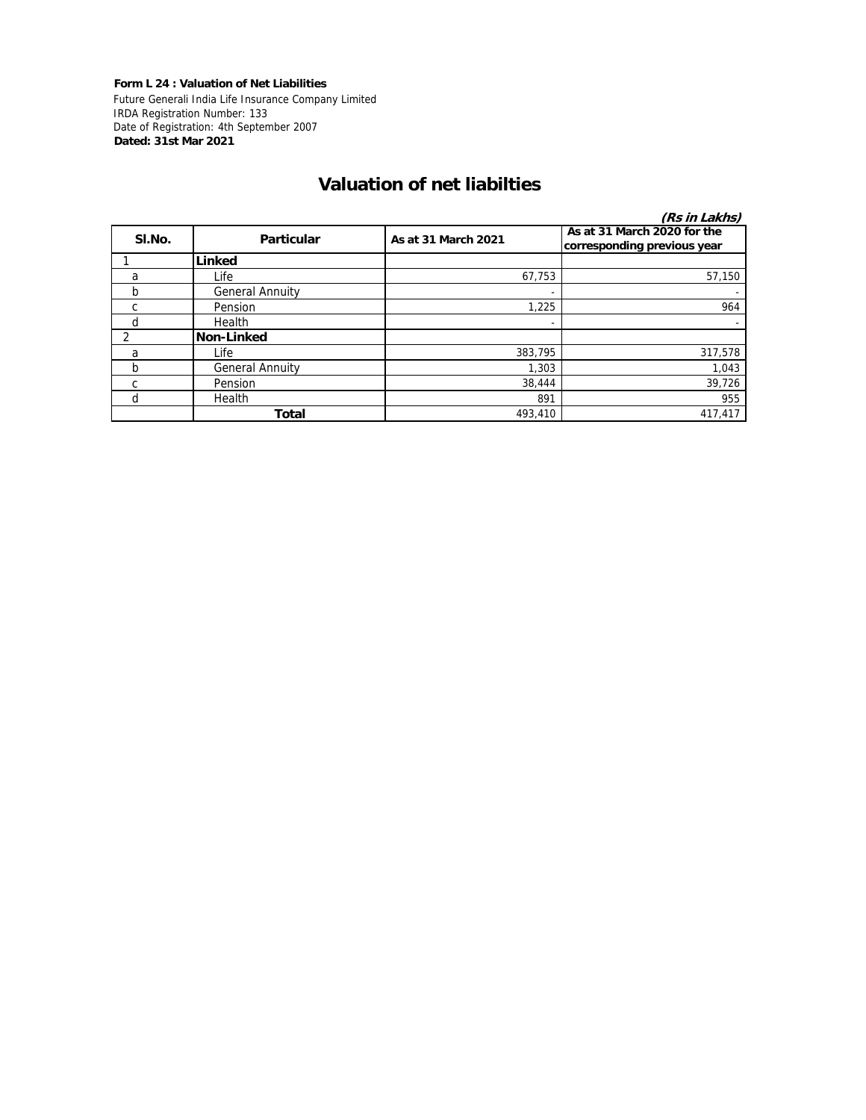**Form L 24 : Valuation of Net Liabilities** Future Generali India Life Insurance Company Limited IRDA Registration Number: 133 Date of Registration: 4th September 2007 **Dated: 31st Mar 2021**

# **Valuation of net liabilties**

|        |                        |                     | (Rs in Lakhs)                                              |
|--------|------------------------|---------------------|------------------------------------------------------------|
| SI.No. | <b>Particular</b>      | As at 31 March 2021 | As at 31 March 2020 for the<br>corresponding previous year |
|        | Linked                 |                     |                                                            |
| a      | Life                   | 67,753              | 57,150                                                     |
| b      | <b>General Annuity</b> |                     |                                                            |
| C      | Pension                | 1,225               | 964                                                        |
| d      | Health                 |                     |                                                            |
|        | Non-Linked             |                     |                                                            |
| a      | Life                   | 383,795             | 317,578                                                    |
| b      | <b>General Annuity</b> | 1,303               | 1,043                                                      |
| C      | Pension                | 38,444              | 39,726                                                     |
| d      | Health                 | 891                 | 955                                                        |
|        | <b>Total</b>           | 493,410             | 417,417                                                    |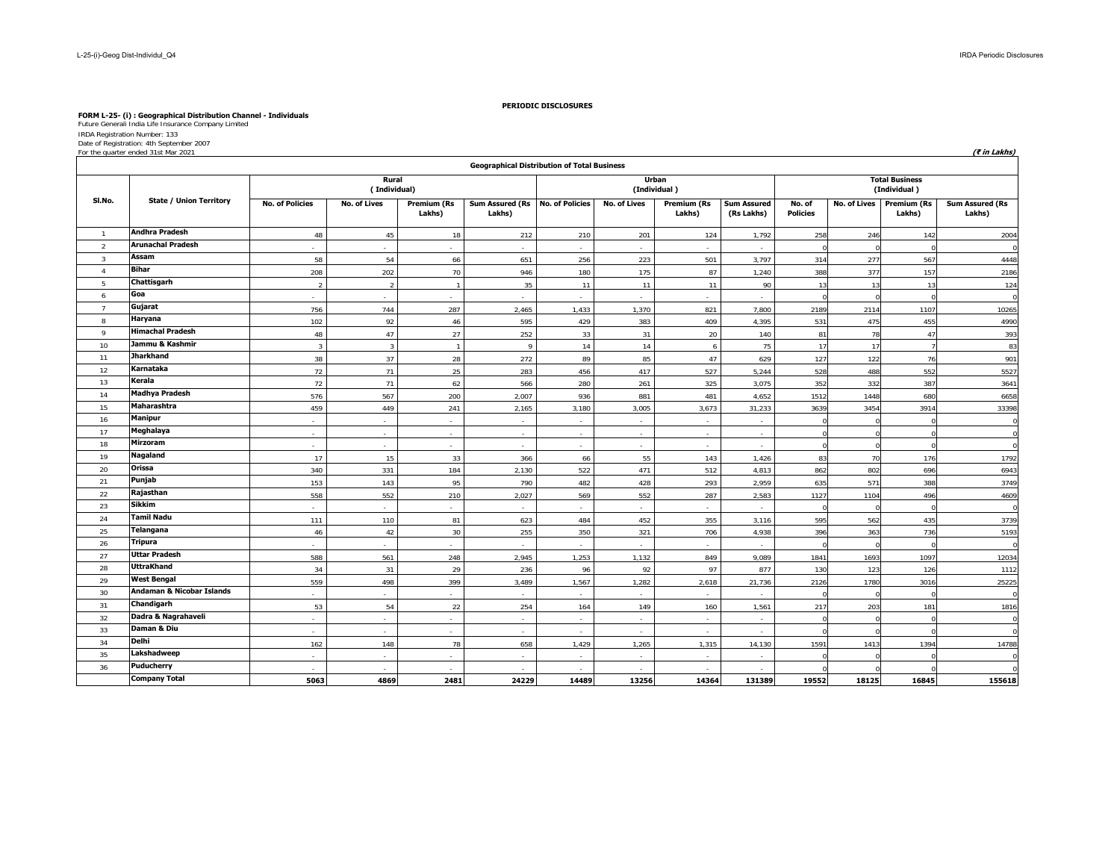# **FORM L-25- (i) : Geographical Distribution Channel - Individuals** Future Generali India Life Insurance Company Limited

IRDA Registration Number: 133 Date of Registration: 4th September 2007

| For the quarter ended 31st Mar 2021 | 't in Lakhs. |  |  |  |
|-------------------------------------|--------------|--|--|--|
|-------------------------------------|--------------|--|--|--|

|                 |                                      |                        |                       |                              | <b>Geographical Distribution of Total Business</b> |                        |                     |                       |                                  |                                       |                     |                              |                                  |  |
|-----------------|--------------------------------------|------------------------|-----------------------|------------------------------|----------------------------------------------------|------------------------|---------------------|-----------------------|----------------------------------|---------------------------------------|---------------------|------------------------------|----------------------------------|--|
|                 |                                      |                        | Rural<br>(Individual) |                              |                                                    |                        |                     | Urban<br>(Individual) |                                  | <b>Total Business</b><br>(Individual) |                     |                              |                                  |  |
| SI.No.          | <b>State / Union Territory</b>       | <b>No. of Policies</b> | <b>No. of Lives</b>   | <b>Premium (Rs</b><br>Lakhs) | <b>Sum Assured (Rs</b><br>Lakhs)                   | <b>No. of Policies</b> | <b>No. of Lives</b> | Premium (Rs<br>Lakhs) | <b>Sum Assured</b><br>(Rs Lakhs) | No. of<br><b>Policies</b>             | <b>No. of Lives</b> | <b>Premium (Rs</b><br>Lakhs) | <b>Sum Assured (Rs</b><br>Lakhs) |  |
| $\overline{1}$  | <b>Andhra Pradesh</b>                | 48                     | 45                    | 18                           | 212                                                | 210                    | 201                 | 124                   | 1,792                            | 258                                   | 246                 | 142                          | 2004                             |  |
| $\overline{2}$  | <b>Arunachal Pradesh</b>             |                        | $\sim$                |                              | $\omega$                                           | $\mathbf{r}$           |                     | $\sim$                | $\sim$                           |                                       |                     |                              | $\Omega$                         |  |
| $\overline{3}$  | Assam                                | 58                     | 54                    | 66                           | 651                                                | 256                    | 223                 | 501                   | 3,797                            | 314                                   | 277                 | 567                          | 4448                             |  |
| $\overline{4}$  | <b>Bihar</b>                         | 208                    | 202                   | 70                           | 946                                                | 180                    | 175                 | 87                    | 1,240                            | 388                                   | 377                 | 157                          | 2186                             |  |
| $5\phantom{.0}$ | Chattisgarh                          | $\overline{2}$         | $\overline{2}$        |                              | 35                                                 | 11                     | 11                  | 11                    | 90                               | 13                                    | 13                  | 13                           | 124                              |  |
| 6               | Goa                                  |                        |                       |                              |                                                    |                        |                     |                       |                                  |                                       |                     |                              | $\Omega$                         |  |
| $\overline{7}$  | Gujarat                              | 756                    | 744                   | 287                          | 2,465                                              | 1,433                  | 1,370               | 821                   | 7,800                            | 2189                                  | 2114                | 1107                         | 10265                            |  |
| 8               | Haryana                              | 102                    | 92                    | 46                           | 595                                                | 429                    | 383                 | 409                   | 4,395                            | 531                                   | 475                 | 455                          | 4990                             |  |
| 9               | <b>Himachal Pradesh</b>              | 48                     | 47                    | 27                           | 252                                                | 33                     | 31                  | 20                    | 140                              | 81                                    | 78                  | 47                           | 393                              |  |
| 10              | Jammu & Kashmir                      | $\overline{3}$         | $\overline{3}$        |                              | $\Omega$                                           | 14                     | 14                  | 6                     | 75                               | 17                                    | 17                  |                              | 83                               |  |
| 11              | <b>Jharkhand</b>                     | 38                     | 37                    | 28                           | 272                                                | 89                     | 85                  | 47                    | 629                              | 127                                   | 122                 | 76                           | 901                              |  |
| 12              | Karnataka                            | 72                     | 71                    | 25                           | 283                                                | 456                    | 417                 | 527                   | 5,244                            | 528                                   | 488                 | 552                          | 5527                             |  |
| 13              | Kerala                               | 72                     | 71                    | 62                           | 566                                                | 280                    | 261                 | 325                   | 3,075                            | 352                                   | 332                 | 387                          | 3641                             |  |
| 14              | <b>Madhya Pradesh</b>                | 576                    | 567                   | 200                          | 2,007                                              | 936                    | 881                 | 481                   | 4,652                            | 1512                                  | 1448                | 680                          | 6658                             |  |
| 15              | Maharashtra                          | 459                    | 449                   | 241                          | 2,165                                              | 3,180                  | 3,005               | 3,673                 | 31,233                           | 3639                                  | 3454                | 3914                         | 33398                            |  |
| 16              | <b>Manipur</b>                       | $\sim$                 | $\sim$                |                              | $\sim$                                             | ٠                      | in 1919.            | $\sim$                | $\sim$                           |                                       |                     |                              | $\Omega$                         |  |
| 17              | Meghalaya                            | $\sim$                 | $\sim$                | $\sim$                       | $\sim$                                             | ÷.                     | $\sim$              | $\sim$                | $\sim$                           |                                       |                     |                              | $\Omega$                         |  |
| 18              | <b>Mirzoram</b>                      | $\blacksquare$         | $\sim$                |                              | $\sim$                                             | $\sim$                 | ٠                   | $\sim$                | $\sim$                           |                                       |                     |                              | $\Omega$                         |  |
| 19              | Nagaland                             | 17                     | 15                    | 33                           | 366                                                | 66                     | 55                  | 143                   | 1,426                            | 83                                    | 70                  | 176                          | 1792                             |  |
| 20              | Orissa                               | 340                    | 331                   | 184                          | 2.130                                              | 522                    | 471                 | 512                   | 4.813                            | 862                                   | 802                 | 696                          | 6943                             |  |
| 21              | Punjab                               | 153                    | 143                   | 95                           | 790                                                | 482                    | 428                 | 293                   | 2,959                            | 635                                   | 571                 | 388                          | 3749                             |  |
| 22              | Rajasthan                            | 558                    | 552                   | 210                          | 2,027                                              | 569                    | 552                 | 287                   | 2,583                            | 1127                                  | 1104                | 496                          | 4609                             |  |
| 23              | Sikkim                               |                        |                       |                              | $\sim$                                             |                        |                     |                       | $\sim$                           |                                       |                     |                              | $\Omega$                         |  |
| 24              | <b>Tamil Nadu</b>                    | 111                    | 110                   | 81                           | 623                                                | 484                    | 452                 | 355                   | 3,116                            | 595                                   | 562                 | 435                          | 3739                             |  |
| 25              | <b>Telangana</b>                     | 46                     | 42                    | 30                           | 255                                                | 350                    | 321                 | 706                   | 4,938                            | 396                                   | 363                 | 736                          | 5193                             |  |
| 26              | <b>Tripura</b>                       |                        |                       |                              |                                                    |                        |                     |                       |                                  |                                       |                     |                              |                                  |  |
| 27              | <b>Uttar Pradesh</b>                 | 588                    | 561                   | 248                          | 2,945                                              | 1,253                  | 1,132               | 849                   | 9,089                            | 1841                                  | 1693                | 1097                         | 12034                            |  |
| 28              | <b>UttraKhand</b>                    | 34                     | 31                    | 29                           | 236                                                | 96                     | 92                  | 97                    | 877                              | 130                                   | 123                 | 126                          | 1112                             |  |
| 29              | <b>West Bengal</b>                   | 559                    | 498                   | 399                          | 3,489                                              | 1,567                  | 1,282               | 2,618                 | 21,736                           | 2126                                  | 1780                | 3016                         | 25225                            |  |
| 30              | <b>Andaman &amp; Nicobar Islands</b> |                        | $\mathcal{L}$         |                              | $\sim$                                             | $\mathcal{L}$          | $\sim$              | $\sim$                | $\sim$                           |                                       |                     |                              | $\Omega$                         |  |
| 31              | Chandigarh                           | 53                     | 54                    | 22                           | 254                                                | 164                    | 149                 | 160                   | 1,561                            | 217                                   | 203                 | 181                          | 1816                             |  |
| 32              | Dadra & Nagrahaveli                  | $\sim$                 | $\sim$                | $\sim$                       | $\sim$                                             | $\sim$                 | $\sim$              | $\sim$                | $\sim$                           |                                       |                     |                              | $\Omega$                         |  |
| 33              | Daman & Diu                          | $\sim$                 | $\sim$                |                              | $\sim$                                             | $\mathbf{r}$           | ٠                   | $\sim$                | $\sim$                           |                                       |                     |                              | $\Omega$                         |  |
| 34              | <b>Delhi</b>                         | 162                    | 148                   | 78                           | 658                                                | 1,429                  | 1,265               | 1.315                 | 14,130                           | 1591                                  | 1413                | 1394                         | 14788                            |  |
| 35              | Lakshadweep                          |                        | $\sim$                |                              |                                                    |                        |                     |                       |                                  |                                       |                     |                              | $\Omega$                         |  |
| 36              | <b>Puducherry</b>                    | $\sim$                 | $\sim$                | $\sim$                       | $\sim$                                             | $\sim$                 | $\sim$              | $\sim$                | $\sim$                           |                                       |                     |                              | $\Omega$                         |  |
|                 | <b>Company Total</b>                 | 5063                   | 4869                  | 2481                         | 24229                                              | 14489                  | 13256               | 14364                 | 131389                           | 19552                                 | 18125               | 16845                        | 155618                           |  |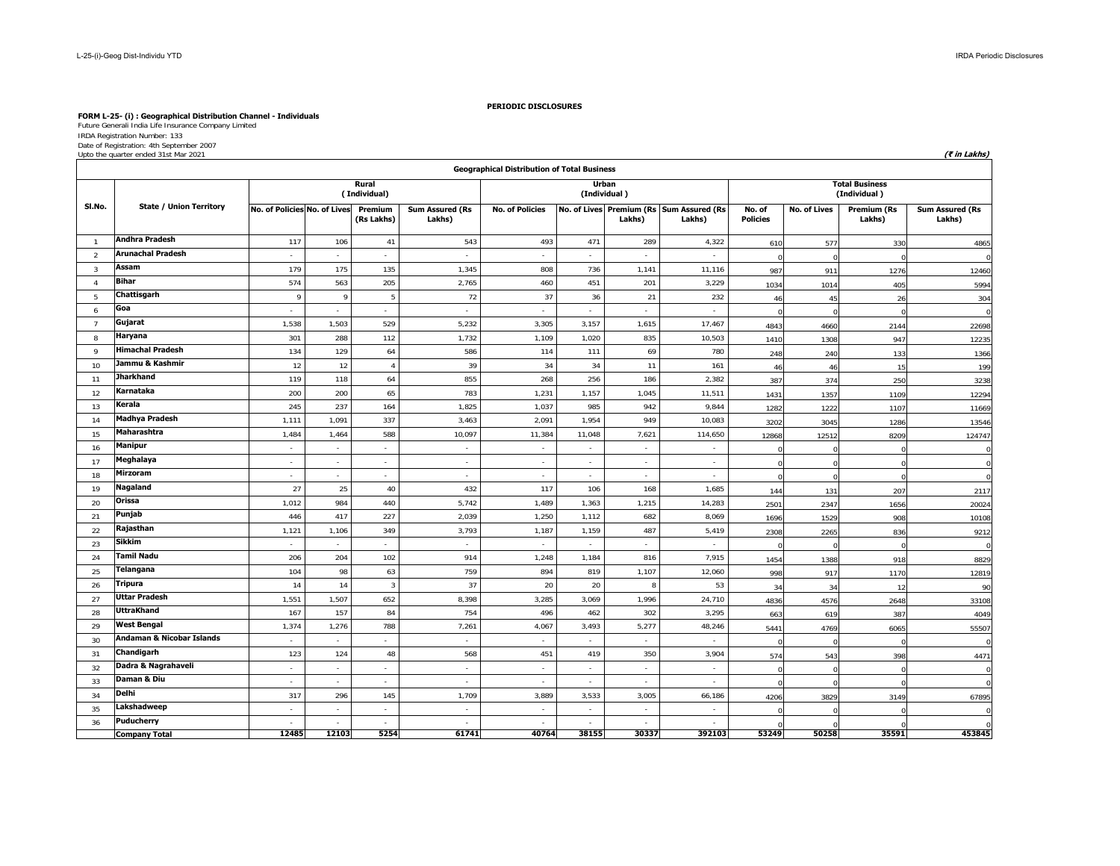# **FORM L-25- (i) : Geographical Distribution Channel - Individuals** Future Generali India Life Insurance Company Limited

IRDA Registration Number: 133 Date of Registration: 4th September 2007 Upto the quarter ended 31st Mar 2021 **(₹ in Lakhs)**

|                | <b>Geographical Distribution of Total Business</b><br>Urban |                              |               |                       |                                  |                        |        |                             |                                                    |                           |              |                                       |                                  |  |
|----------------|-------------------------------------------------------------|------------------------------|---------------|-----------------------|----------------------------------|------------------------|--------|-----------------------------|----------------------------------------------------|---------------------------|--------------|---------------------------------------|----------------------------------|--|
|                |                                                             |                              |               | Rural<br>(Individual) |                                  |                        |        | (Individual)                |                                                    |                           |              | <b>Total Business</b><br>(Individual) |                                  |  |
| SI.No.         | <b>State / Union Territory</b>                              | No. of Policies No. of Lives |               | Premium<br>(Rs Lakhs) | <b>Sum Assured (Rs</b><br>Lakhs) | <b>No. of Policies</b> |        | Lakhs)                      | No. of Lives Premium (Rs Sum Assured (Rs<br>Lakhs) | No. of<br><b>Policies</b> | No. of Lives | <b>Premium (Rs</b><br>Lakhs)          | <b>Sum Assured (Rs</b><br>Lakhs) |  |
| $\overline{1}$ | <b>Andhra Pradesh</b>                                       | 117                          | 106           | 41                    | 543                              | 493                    | 471    | 289                         | 4,322                                              | 610                       | 577          | 330                                   | 4865                             |  |
| $\overline{2}$ | <b>Arunachal Pradesh</b>                                    |                              | $\sim$        | $\sim$                | $\sim$                           | $\sim$                 | $\sim$ | $\sim$                      | $\sim$                                             |                           | $\Omega$     |                                       |                                  |  |
| 3              | Assam                                                       | 179                          | 175           | 135                   | 1,345                            | 808                    | 736    | 1,141                       | 11,116                                             | 987                       | 911          | 1276                                  | 12460                            |  |
| $\overline{4}$ | <b>Bihar</b>                                                | 574                          | 563           | 205                   | 2,765                            | 460                    | 451    | 201                         | 3,229                                              | 1034                      | 1014         | 405                                   | 5994                             |  |
| -5             | Chattisgarh                                                 | 9                            | $\mathsf Q$   | -5                    | 72                               | 37                     | 36     | 21                          | 232                                                | 46                        | 45           | 26                                    | 304                              |  |
| 6              | Goa                                                         | à.                           | $\sim$        |                       | $\sim$                           | ÷.                     | $\sim$ | $\sim$                      |                                                    | $\Omega$                  | $\Omega$     | $\Omega$                              |                                  |  |
| $\overline{7}$ | Gujarat                                                     | 1,538                        | 1,503         | 529                   | 5,232                            | 3,305                  | 3,157  | 1,615                       | 17,467                                             | 4843                      | 4660         | 2144                                  | 22698                            |  |
| 8              | Haryana                                                     | 301                          | 288           | 112                   | 1,732                            | 1,109                  | 1,020  | 835                         | 10,503                                             | 1410                      | 1308         | 947                                   | 12235                            |  |
| 9              | <b>Himachal Pradesh</b>                                     | 134                          | 129           | 64                    | 586                              | 114                    | 111    | 69                          | 780                                                | 248                       | 240          | 133                                   | 1366                             |  |
| 10             | Jammu & Kashmir                                             | 12                           | 12            | $\overline{4}$        | 39                               | 34                     | 34     | 11                          | 161                                                | 46                        | 46           | 15                                    | 199                              |  |
| 11             | <b>Jharkhand</b>                                            | 119                          | 118           | 64                    | 855                              | 268                    | 256    | 186                         | 2,382                                              | 387                       | 374          | 250                                   | 3238                             |  |
| 12             | Karnataka                                                   | 200                          | 200           | 65                    | 783                              | 1,231                  | 1,157  | 1,045                       | 11,511                                             | 1431                      | 1357         | 1109                                  | 12294                            |  |
| 13             | Kerala                                                      | 245                          | 237           | 164                   | 1,825                            | 1,037                  | 985    | 942                         | 9,844                                              | 1282                      | 1222         | 1107                                  | 11669                            |  |
| 14             | Madhya Pradesh                                              | 1,111                        | 1,091         | 337                   | 3,463                            | 2,091                  | 1,954  | 949                         | 10,083                                             | 3202                      | 3045         | 1286                                  | 13546                            |  |
| 15             | Maharashtra                                                 | 1,484                        | 1,464         | 588                   | 10,097                           | 11,384                 | 11,048 | 7,621                       | 114,650                                            | 12868                     | 12512        | 8209                                  | 124747                           |  |
| 16             | <b>Manipur</b>                                              | ÷,                           | $\mathcal{L}$ | ×                     | $\mathbf{r}$                     | $\sim$                 | $\sim$ | $\sim$                      | $\sim$                                             |                           |              |                                       |                                  |  |
| 17             | Meghalaya                                                   |                              |               |                       |                                  | ÷                      |        | $\sim$                      |                                                    |                           |              |                                       |                                  |  |
| 18             | Mirzoram                                                    | ÷.                           | $\sim$        | $\sim$                | $\sim$                           | ÷                      | ÷.     | $\mathcal{L}^{\mathcal{L}}$ | $\sim$                                             |                           |              | $\Omega$                              |                                  |  |
| 19             | Nagaland                                                    | 27                           | 25            | 40                    | 432                              | 117                    | 106    | 168                         | 1,685                                              | 144                       | 131          | 207                                   | 2117                             |  |
| 20             | Orissa                                                      | 1,012                        | 984           | 440                   | 5,742                            | 1,489                  | 1,363  | 1,215                       | 14,283                                             | 2501                      | 2347         | 1656                                  | 20024                            |  |
| 21             | Punjab                                                      | 446                          | 417           | 227                   | 2,039                            | 1,250                  | 1,112  | 682                         | 8,069                                              | 1696                      | 1529         | 908                                   | 10108                            |  |
| 22             | Rajasthan                                                   | 1,121                        | 1,106         | 349                   | 3,793                            | 1,187                  | 1,159  | 487                         | 5,419                                              | 2308                      | 2265         | 836                                   | 9212                             |  |
| 23             | Sikkim                                                      | $\sim$                       | $\sim$        | $\sim$                | $\mathbf{r}$                     | $\sim$                 | $\sim$ | $\sim$                      | $\sim$                                             | $\Omega$                  |              | $\Omega$                              |                                  |  |
| 24             | Tamil Nadu                                                  | 206                          | 204           | 102                   | 914                              | 1,248                  | 1,184  | 816                         | 7,915                                              | 1454                      | 1388         | 918                                   | 8829                             |  |
| 25             | Telangana                                                   | 104                          | 98            | 63                    | 759                              | 894                    | 819    | 1,107                       | 12,060                                             | 998                       | 917          | 1170                                  | 12819                            |  |
| 26             | Tripura                                                     | 14                           | 14            | $\overline{3}$        | 37                               | 20                     | 20     | -8                          | 53                                                 | 34                        | 34           | 12                                    | 90                               |  |
| 27             | <b>Uttar Pradesh</b>                                        | 1,551                        | 1,507         | 652                   | 8,398                            | 3,285                  | 3,069  | 1,996                       | 24,710                                             | 4836                      | 4576         | 2648                                  | 33108                            |  |
| 28             | UttraKhand                                                  | 167                          | 157           | 84                    | 754                              | 496                    | 462    | 302                         | 3,295                                              | 663                       | 619          | 387                                   | 4049                             |  |
| 29             | West Bengal                                                 | 1,374                        | 1,276         | 788                   | 7,261                            | 4,067                  | 3,493  | 5,277                       | 48,246                                             | 5441                      | 4769         | 6065                                  | 55507                            |  |
| 30             | Andaman & Nicobar Islands                                   | ÷,                           | $\sim$        | ÷.                    |                                  | ÷.                     | ÷.     | $\mathbf{r}$                |                                                    | $\Omega$                  | $\Omega$     | $\Omega$                              |                                  |  |
| 31             | Chandigarh                                                  | 123                          | 124           | 48                    | 568                              | 451                    | 419    | 350                         | 3,904                                              | 574                       | 543          | 398                                   | 4471                             |  |
| 32             | Dadra & Nagrahaveli                                         | $\sim$                       | $\sim$        | $\sim$                | $\sim$                           | ÷.                     | $\sim$ | $\sim$                      | $\sim$                                             | $\Omega$                  | $\Omega$     |                                       | 0                                |  |
| 33             | Daman & Diu                                                 | $\sim$                       | $\sim$        | $\sim$                | $\sim$                           | $\sim$                 | $\sim$ | $\sim$                      | in 1919.                                           |                           |              |                                       |                                  |  |
| 34             | Delhi                                                       | 317                          | 296           | 145                   | 1,709                            | 3,889                  | 3,533  | 3,005                       | 66,186                                             | 4206                      | 3829         | 3149                                  | 67895                            |  |
| 35             | Lakshadweep                                                 | $\sim$                       | $\sim$        | in 1999.              | $\sim$                           | $\sim$                 | $\sim$ | $\sim$                      | in 1919.                                           |                           |              |                                       |                                  |  |
| 36             | Puducherry                                                  |                              | $\sim$        |                       |                                  |                        |        | $\sim$                      |                                                    |                           |              |                                       |                                  |  |
|                | <b>Company Total</b>                                        | 12485                        | 12103         | 5254                  | 61741                            | 40764                  | 38155  | 30337                       | 392103                                             | 53249                     | 50258        | 35591                                 | 453845                           |  |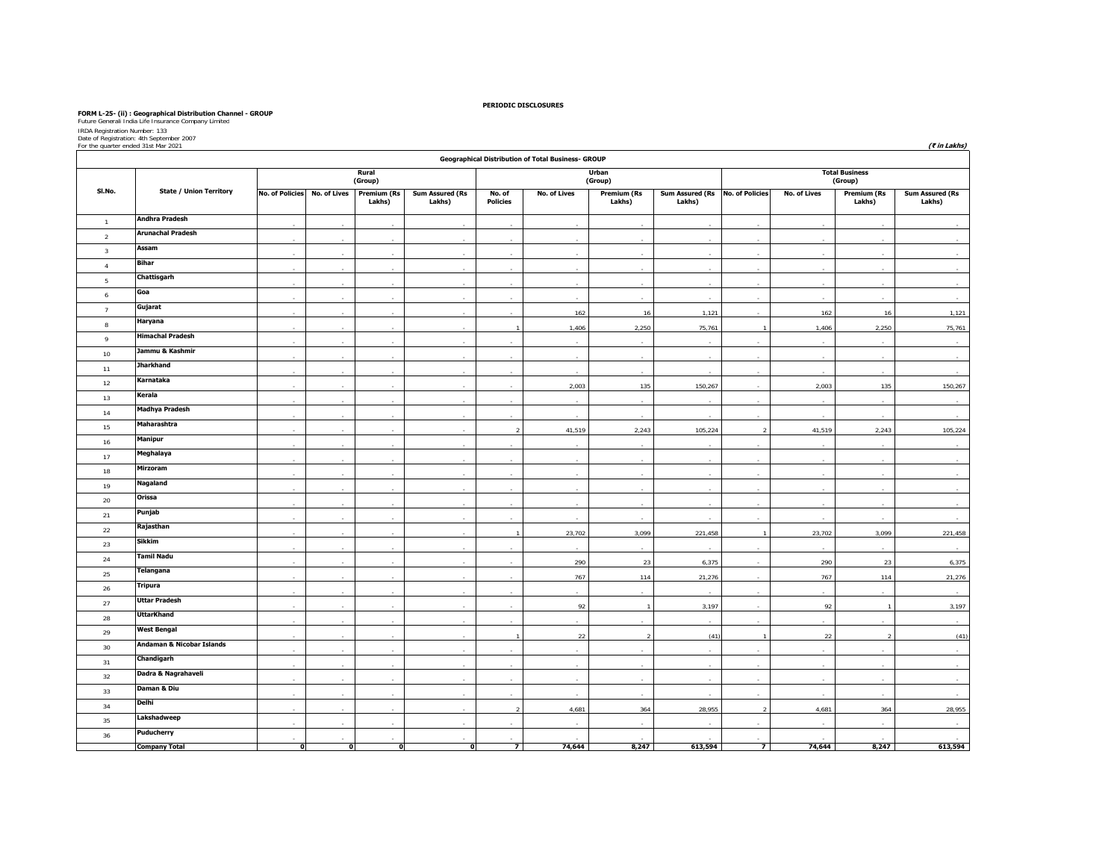FORM L-25- (ii) : Geographical Distribution Channel - GROUP<br>Future Cenerali India Life Insurance Company Limited<br>IRIDA Registration Number: 133<br>Dor the quarter ended 31st Mar 2021 (₹ *in Lakhs*)<br>For the quarter ended 31st

|                | Geographical Distribution of Total Business- GROUP |                        |              |                              |                                  |                           |              |                              |                                           |               |              |                                  |                                  |  |
|----------------|----------------------------------------------------|------------------------|--------------|------------------------------|----------------------------------|---------------------------|--------------|------------------------------|-------------------------------------------|---------------|--------------|----------------------------------|----------------------------------|--|
|                |                                                    |                        |              | Rural<br>(Group)             |                                  |                           |              | Urban<br>(Group)             |                                           |               |              | <b>Total Business</b><br>(Group) |                                  |  |
| SI.No.         | <b>State / Union Territory</b>                     | <b>No. of Policies</b> | No. of Lives | <b>Premium (Rs</b><br>Lakhs) | <b>Sum Assured (Rs</b><br>Lakhs) | No. of<br><b>Policies</b> | No. of Lives | <b>Premium (Rs</b><br>Lakhs) | Sum Assured (Rs No. of Policies<br>Lakhs) |               | No. of Lives | <b>Premium (Rs</b><br>Lakhs)     | <b>Sum Assured (Rs</b><br>Lakhs) |  |
| $\overline{1}$ | Andhra Pradesh                                     |                        |              |                              |                                  |                           |              |                              |                                           |               |              |                                  |                                  |  |
| $\overline{2}$ | <b>Arunachal Pradesh</b>                           |                        | ÷.           |                              | i.                               |                           |              |                              |                                           |               | ÷            |                                  |                                  |  |
| $\overline{3}$ | Assam                                              |                        |              |                              |                                  |                           |              |                              |                                           |               |              |                                  |                                  |  |
| $\overline{4}$ | Bihar                                              |                        |              |                              |                                  |                           |              |                              |                                           |               |              |                                  |                                  |  |
| 5              | Chattisgarh                                        |                        |              |                              |                                  |                           |              |                              |                                           |               |              |                                  |                                  |  |
| 6              | Goa                                                |                        |              |                              |                                  |                           |              |                              |                                           |               |              |                                  |                                  |  |
| $\overline{7}$ | Gujarat                                            |                        |              |                              |                                  |                           | 162          | 16                           | 1,121                                     |               | 162          | 16                               | 1,121                            |  |
| $^{\rm 8}$     | Haryana                                            |                        |              |                              |                                  |                           | 1,406        | 2,250                        | 75,761                                    |               | 1,406        | 2,250                            | 75,761                           |  |
| $\overline{9}$ | <b>Himachal Pradesh</b>                            |                        | ×.           | ÷                            | $\sim$                           |                           | ÷            | ÷.                           |                                           |               | ×            | ÷.                               | $\sim$                           |  |
| 10             | Jammu & Kashmir                                    |                        |              |                              |                                  |                           |              |                              |                                           |               |              |                                  |                                  |  |
| 11             | <b>Jharkhand</b>                                   |                        |              |                              |                                  |                           |              |                              |                                           |               |              |                                  |                                  |  |
| 12             | Karnataka                                          |                        |              | ÷.                           |                                  |                           | 2,003        | 135                          | 150,267                                   |               | 2,003        | 135                              | 150,267                          |  |
| 13             | Kerala                                             |                        |              |                              |                                  |                           |              |                              |                                           |               |              |                                  |                                  |  |
| 14             | <b>Madhya Pradesh</b>                              |                        |              |                              |                                  |                           |              |                              |                                           |               |              |                                  |                                  |  |
| 15             | Maharashtra                                        | ×.                     | ×.           | ×                            | $\epsilon$                       | $\overline{2}$            | 41,519       | 2,243                        | 105,224                                   | $\mathcal{D}$ | 41,519       | 2,243                            | 105,224                          |  |
| 16             | Manipur                                            |                        |              |                              |                                  |                           |              |                              |                                           |               |              |                                  |                                  |  |
| 17             | Meghalaya                                          |                        |              |                              |                                  |                           |              |                              |                                           |               |              |                                  |                                  |  |
| 18             | Mirzoram                                           |                        |              | ×.                           |                                  |                           |              |                              |                                           |               |              |                                  |                                  |  |
| 19             | <b>Nagaland</b>                                    |                        |              |                              |                                  |                           |              |                              |                                           |               |              |                                  |                                  |  |
| 20             | Orissa                                             |                        |              |                              |                                  |                           |              |                              |                                           |               |              |                                  |                                  |  |
| 21             | Punjab                                             |                        | $\sim$       | $\sim$                       | $\mathbf{r}$                     | $\sim$                    |              | $\mathbf{r}$                 | ÷.                                        | ÷             | $\sim$       | $\sim$                           | $\sim$                           |  |
| 22             | Rajasthan                                          |                        |              |                              |                                  |                           | 23,702       | 3,099                        | 221,458                                   |               | 23,702       | 3,099                            | 221,458                          |  |
| 23             | Sikkim                                             |                        |              |                              |                                  |                           |              |                              |                                           |               |              |                                  |                                  |  |
| 24             | <b>Tamil Nadu</b>                                  |                        |              |                              |                                  |                           | 290          | 23                           | 6,375                                     |               | 290          | 23                               | 6,375                            |  |
| 25             | <b>Telangana</b>                                   |                        |              |                              |                                  |                           | 767          | 114                          | 21,276                                    |               | 767          | 114                              | 21,276                           |  |
| 26             | Tripura                                            |                        |              |                              |                                  |                           |              |                              |                                           |               |              |                                  |                                  |  |
| 27             | <b>Uttar Pradesh</b>                               |                        |              | $\sim$                       |                                  |                           | 92           | $\overline{1}$               | 3,197                                     |               | 92           | $\overline{1}$                   | 3,197                            |  |
| 28             | <b>UttarKhand</b>                                  |                        |              |                              |                                  |                           |              |                              |                                           |               |              |                                  |                                  |  |
| 29             | <b>West Bengal</b>                                 |                        |              |                              |                                  |                           | 22           | r.                           | (41)                                      |               | 22           | $\mathcal{P}$                    | (41)                             |  |
| 30             | Andaman & Nicobar Islands                          |                        |              |                              |                                  |                           |              |                              |                                           |               |              |                                  |                                  |  |
| 31             | Chandigarh                                         |                        |              |                              |                                  |                           |              |                              |                                           |               |              |                                  |                                  |  |
| 32             | Dadra & Nagrahaveli                                |                        |              |                              |                                  |                           |              |                              |                                           |               |              |                                  |                                  |  |
| 33             | Daman & Diu                                        |                        |              |                              |                                  |                           |              |                              |                                           |               |              |                                  |                                  |  |
| 34             | Delhi                                              |                        | ٠            | ×.                           |                                  | $\overline{2}$            | 4,681        | 364                          | 28,955                                    | $\mathcal{D}$ | 4,681        | 364                              | 28,955                           |  |
| 35             | Lakshadweep                                        |                        |              |                              |                                  |                           |              |                              |                                           |               |              |                                  |                                  |  |
| 36             | <b>Puducherry</b>                                  |                        |              |                              |                                  |                           |              |                              |                                           |               |              |                                  |                                  |  |
|                | <b>Company Total</b>                               | $\Omega$               | ō            | ō                            | ᅁ                                | $\overline{ }$            | 74,644       | 8,247                        | 613,594                                   | 7             | 74,644       | 8,247                            | 613,594                          |  |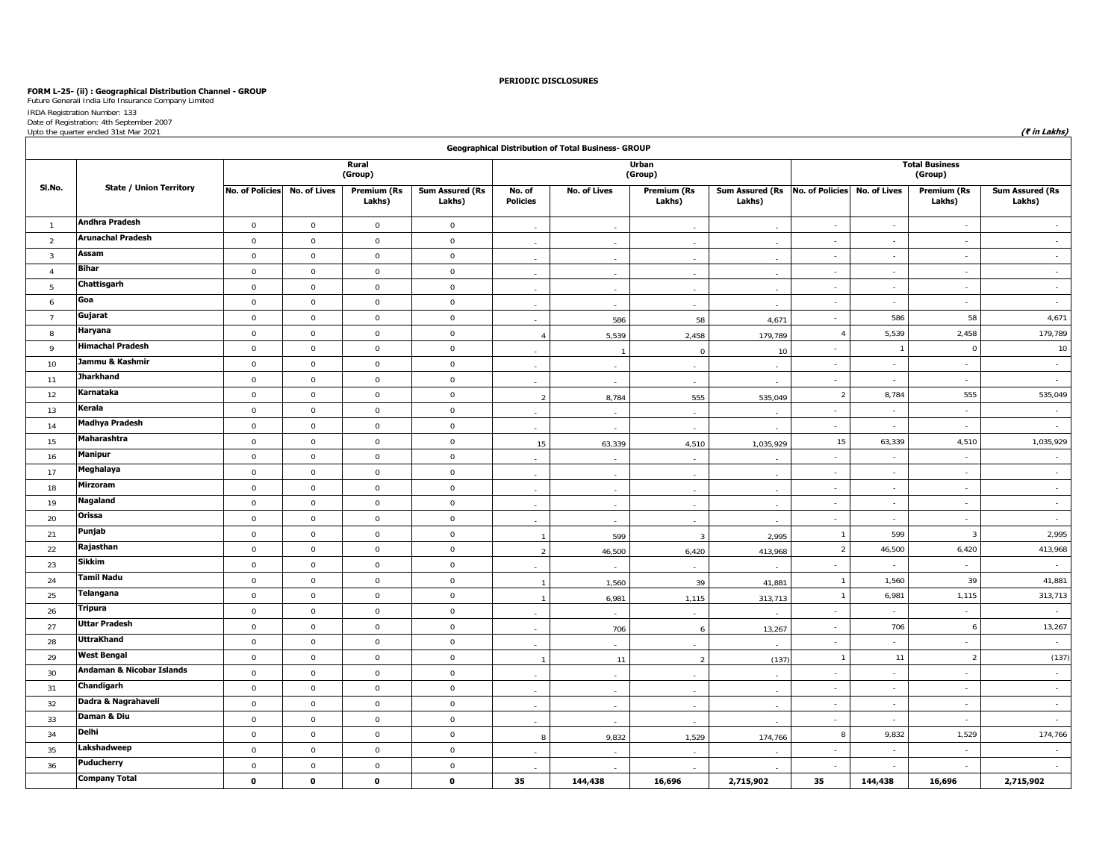# **FORM L-25- (ii) : Geographical Distribution Channel - GROUP** Future Generali India Life Insurance Company Limited

IRDA Registration Number: 133 Date of Registration: 4th September 2007 Upto the quarter ended 31st Mar 2021 **(₹ in Lakhs)**

|                         |                                      |                        |              |                              |                                  |                           | Geographical Distribution of Total Business- GROUP |                              |                                           |                             |                     |                                  |                                  |
|-------------------------|--------------------------------------|------------------------|--------------|------------------------------|----------------------------------|---------------------------|----------------------------------------------------|------------------------------|-------------------------------------------|-----------------------------|---------------------|----------------------------------|----------------------------------|
|                         |                                      |                        |              | Rural<br>(Group)             |                                  |                           |                                                    | <b>Urban</b><br>(Group)      |                                           |                             |                     | <b>Total Business</b><br>(Group) |                                  |
| SI.No.                  | <b>State / Union Territory</b>       | <b>No. of Policies</b> | No. of Lives | <b>Premium (Rs</b><br>Lakhs) | <b>Sum Assured (Rs</b><br>Lakhs) | No. of<br><b>Policies</b> | <b>No. of Lives</b>                                | <b>Premium (Rs</b><br>Lakhs) | Sum Assured (Rs No. of Policies<br>Lakhs) |                             | <b>No. of Lives</b> | <b>Premium (Rs</b><br>Lakhs)     | <b>Sum Assured (Rs</b><br>Lakhs) |
| $\mathbf{1}$            | <b>Andhra Pradesh</b>                | $\mathbf 0$            | $\mathbf 0$  | $\mathbf 0$                  | $\mathbf 0$                      | $\sim$                    | $\sim$                                             | $\sim$                       | $\sim$                                    | $\sim$                      | $\sim$              | $\sim$                           | $\sim$                           |
| 2                       | <b>Arunachal Pradesh</b>             | $\mathbf 0$            | $\mathbf 0$  | $\mathbf{0}$                 | $\mathbf 0$                      |                           | $\sim$                                             | $\overline{\phantom{a}}$     | $\overline{a}$                            | $\sim$                      | $\sim$              | $\sim$                           | $\sim$                           |
| $\overline{\mathbf{3}}$ | Assam                                | $\mathbf 0$            | $\mathbf 0$  | $\mathbf 0$                  | $\mathsf 0$                      |                           | $\sim$                                             | $\sim$                       |                                           | $\sim$                      | $\sim$              | $\sim$                           | $\sim$                           |
| $\overline{4}$          | <b>Bihar</b>                         | $\mathbb O$            | $\mathbb O$  | $\mathsf 0$                  | $\mathsf 0$                      |                           | $\sim$                                             |                              |                                           | $\sim$                      | $\sim$              | $\sim$                           | $\sim$                           |
| 5                       | Chattisgarh                          | $\mathbf 0$            | $\mathbf 0$  | $\mathbf 0$                  | $\mathsf 0$                      |                           |                                                    |                              |                                           | $\sim$                      | $\sim$              | $\sim$                           | $\sim$                           |
| 6                       | Goa                                  | $\mathbb O$            | $\mathbf 0$  | $\mathbf 0$                  | $\mathbf 0$                      |                           | $\sim$                                             | $\overline{a}$               |                                           | $\mathcal{L}_{\mathcal{A}}$ | $\sim$              | $\sim$                           | $\sim$                           |
| $\overline{7}$          | Gujarat                              | $\,0\,$                | $\mathbf 0$  | $\mathsf 0$                  | $\mathbf 0$                      | $\sim$                    | 586                                                | 58                           | 4,671                                     | $\sim$                      | 586                 | 58                               | 4,671                            |
| 8                       | Haryana                              | $\mathbf 0$            | $\mathbf 0$  | $\mathbf 0$                  | $\mathsf 0$                      | $\boldsymbol{\Lambda}$    | 5,539                                              | 2,458                        | 179,789                                   | $\overline{4}$              | 5,539               | 2,458                            | 179,789                          |
| 9                       | <b>Himachal Pradesh</b>              | $\,0\,$                | $\mathbb O$  | $\mathsf 0$                  | $\mathsf 0$                      |                           |                                                    | $\Omega$                     | 10                                        | $\sim$                      | -1                  | $\mathbf 0$                      | 10                               |
| 10                      | Jammu & Kashmir                      | $\mathbf 0$            | $\mathbf 0$  | $\mathbf 0$                  | $\mathsf 0$                      |                           | $\sim$                                             | $\mathcal{L}_{\mathcal{A}}$  |                                           | $\sim$                      | $\sim$              | $\sim$                           | $\sim$                           |
| 11                      | <b>Jharkhand</b>                     | $\,0\,$                | $\mathbb O$  | $\mathsf 0$                  | $\mathsf 0$                      |                           |                                                    |                              |                                           | $\overline{\phantom{a}}$    | $\sim$              | $\sim$                           | $\sim$                           |
| 12                      | Karnataka                            | $\mathbb O$            | $\mathbb O$  | $\mathsf 0$                  | $\mathsf 0$                      | $\overline{2}$            | 8,784                                              | 555                          | 535,049                                   | $\overline{2}$              | 8,784               | 555                              | 535,049                          |
| 13                      | Kerala                               | $\mathbb O$            | $\mathbb O$  | $\mathbf 0$                  | $\mathsf 0$                      |                           | $\sim$                                             | $\sim$                       |                                           | $\sim$                      | $\sim$              | $\sim$                           | $\sim$                           |
| 14                      | <b>Madhya Pradesh</b>                | $\,0\,$                | $\mathbf 0$  | $\mathbf 0$                  | $\mathsf 0$                      |                           | $\overline{a}$                                     |                              |                                           | $\sim$                      | $\sim$              | $\sim$                           | $\sim$                           |
| 15                      | Maharashtra                          | $\mathbb O$            | $\mathbb O$  | $\mathbf 0$                  | $\mathsf 0$                      | 15                        | 63,339                                             | 4,510                        | 1,035,929                                 | 15                          | 63,339              | 4,510                            | 1,035,929                        |
| 16                      | <b>Manipur</b>                       | $\,0\,$                | $\mathbf 0$  | $\mathbf 0$                  | $\mathsf 0$                      | $\sim$                    | $\sim$                                             | $\overline{a}$               |                                           | $\sim$                      | $\sim$              | $\sim$                           | $\sim$                           |
| 17                      | Meghalaya                            | $\mathsf 0$            | $\mathbf 0$  | $\mathsf 0$                  | $\mathsf 0$                      |                           | $\sim$                                             | $\sim$                       |                                           | $\sim$                      | $\sim$              | $\sim$                           | $\sim$                           |
| 18                      | Mirzoram                             | $\mathbf 0$            | $\mathbf 0$  | $\mathsf 0$                  | $\mathsf 0$                      |                           | $\sim$                                             |                              |                                           | $\sim$                      | $\sim$              | $\sim$                           | $\sim$                           |
| 19                      | Nagaland                             | $\mathbf 0$            | $\mathbf 0$  | $\mathsf 0$                  | $\mathsf 0$                      | $\sim$                    | $\sim$                                             | $\overline{a}$               | $\overline{a}$                            | $\sim$                      | $\sim$              | $\sim$                           | $\sim$                           |
| 20                      | Orissa                               | $\mathbf 0$            | $\mathbf 0$  | $\mathbf 0$                  | $\mathsf 0$                      | $\sim$                    | $\sim$                                             | $\sim$                       | $\sim$                                    | $\sim$                      | $\sim$              | $\sim$                           | $\sim$                           |
| 21                      | Punjab                               | $\,0\,$                | $\mathbf 0$  | $\mathbf 0$                  | $\mathsf 0$                      | $\overline{1}$            | 599                                                | $\overline{3}$               | 2,995                                     | $\overline{1}$              | 599                 | $\overline{3}$                   | 2,995                            |
| 22                      | Rajasthan                            | $\,0\,$                | $\mathbb O$  | $\mathsf 0$                  | $\mathsf 0$                      | $\overline{2}$            | 46,500                                             | 6,420                        | 413,968                                   | $\overline{2}$              | 46,500              | 6,420                            | 413,968                          |
| 23                      | <b>Sikkim</b>                        | $\mathbf 0$            | $\mathbf 0$  | $\mathbf 0$                  | $\mathsf 0$                      |                           |                                                    |                              |                                           | $\sim$                      | $\sim$              | $\sim$                           | $\sim$                           |
| 24                      | <b>Tamil Nadu</b>                    | $\mathbb O$            | $\mathbf 0$  | $\mathbf 0$                  | $\mathbf 0$                      | $\overline{1}$            | 1,560                                              | 39                           | 41,881                                    | $\overline{1}$              | 1,560               | 39                               | 41,881                           |
| 25                      | Telangana                            | $\,0\,$                | $\mathbf 0$  | $\mathsf 0$                  | $\mathbf 0$                      | $\overline{1}$            | 6,981                                              | 1,115                        | 313,713                                   | $\overline{1}$              | 6,981               | 1,115                            | 313,713                          |
| 26                      | <b>Tripura</b>                       | $\mathbf 0$            | $\mathbf 0$  | $\mathbf{0}$                 | $\mathbf 0$                      |                           | $\sim$                                             | $\sim$                       |                                           | $\sim$                      | $\sim$              | $\sim$                           | $\sim$                           |
| 27                      | <b>Uttar Pradesh</b>                 | $\,0\,$                | $\,0\,$      | $\mathbf 0$                  | $\mathsf 0$                      |                           | 706                                                | 6                            | 13,267                                    | $\sim$                      | 706                 | 6                                | 13,267                           |
| 28                      | <b>UttraKhand</b>                    | $\mathbf 0$            | $\mathbf 0$  | $\mathbf 0$                  | $\mathsf 0$                      |                           |                                                    |                              |                                           | $\sim$                      | $\sim$              | $\sim$                           | $\sim$                           |
| 29                      | <b>West Bengal</b>                   | $\mathbf 0$            | $\mathbb O$  | $\mathbf 0$                  | $\mathsf 0$                      | $\overline{1}$            | 11                                                 | $\overline{2}$               | (137)                                     | $\overline{1}$              | 11                  | $\overline{2}$                   | (137)                            |
| 30                      | <b>Andaman &amp; Nicobar Islands</b> | $\mathbf 0$            | $\mathbf 0$  | $\mathsf 0$                  | $\mathbf{0}$                     |                           |                                                    |                              |                                           | $\mathcal{L}_{\mathcal{A}}$ | $\sim$              | $\sim$                           | $\sim$                           |
| 31                      | Chandigarh                           | $\,0\,$                | $\,0\,$      | $\mathsf 0$                  | $\mathsf 0$                      | $\sim$                    | $\sim$                                             | $\sim$                       | $\sim$                                    | $\sim$                      | $\mathcal{L}$       | $\sim$                           | $\sim$                           |
| 32                      | Dadra & Nagrahaveli                  | $\mathbf 0$            | $\mathbf 0$  | $\mathsf 0$                  | $\mathsf 0$                      | $\sim$                    | ÷                                                  | $\overline{a}$               | $\overline{\phantom{a}}$                  | $\sim$                      | $\sim$              | $\sim$                           | $\sim$                           |
| 33                      | Daman & Diu                          | $\,0\,$                | $\,0\,$      | $\mathsf 0$                  | $\mathsf 0$                      | $\sim$                    | $\sim$                                             |                              |                                           | $\sim$                      | $\sim$              | $\sim$                           | $\sim$                           |
| 34                      | Delhi                                | $\mathbf 0$            | $\mathbf 0$  | $\mathbf 0$                  | $\mathsf 0$                      | 8                         | 9,832                                              | 1,529                        | 174,766                                   | 8                           | 9,832               | 1,529                            | 174,766                          |
| 35                      | Lakshadweep                          | $\mathbb O$            | $\mathbf 0$  | $\mathbf 0$                  | $\mathsf 0$                      |                           |                                                    |                              |                                           | $\mathcal{L}_{\mathcal{A}}$ | $\sim$              | $\sim$                           | $\sim$                           |
| 36                      | Puducherry                           | $\mathbf 0$            | $\mathbb O$  | $\mathsf 0$                  | $\mathsf 0$                      |                           |                                                    |                              |                                           |                             | $\sim$              | $\sim$                           | $\sim$                           |
|                         | <b>Company Total</b>                 | $\mathbf 0$            | $\mathbf 0$  | $\mathbf 0$                  | $\mathbf 0$                      | 35                        | 144,438                                            | 16,696                       | 2,715,902                                 | 35                          | 144,438             | 16,696                           | 2,715,902                        |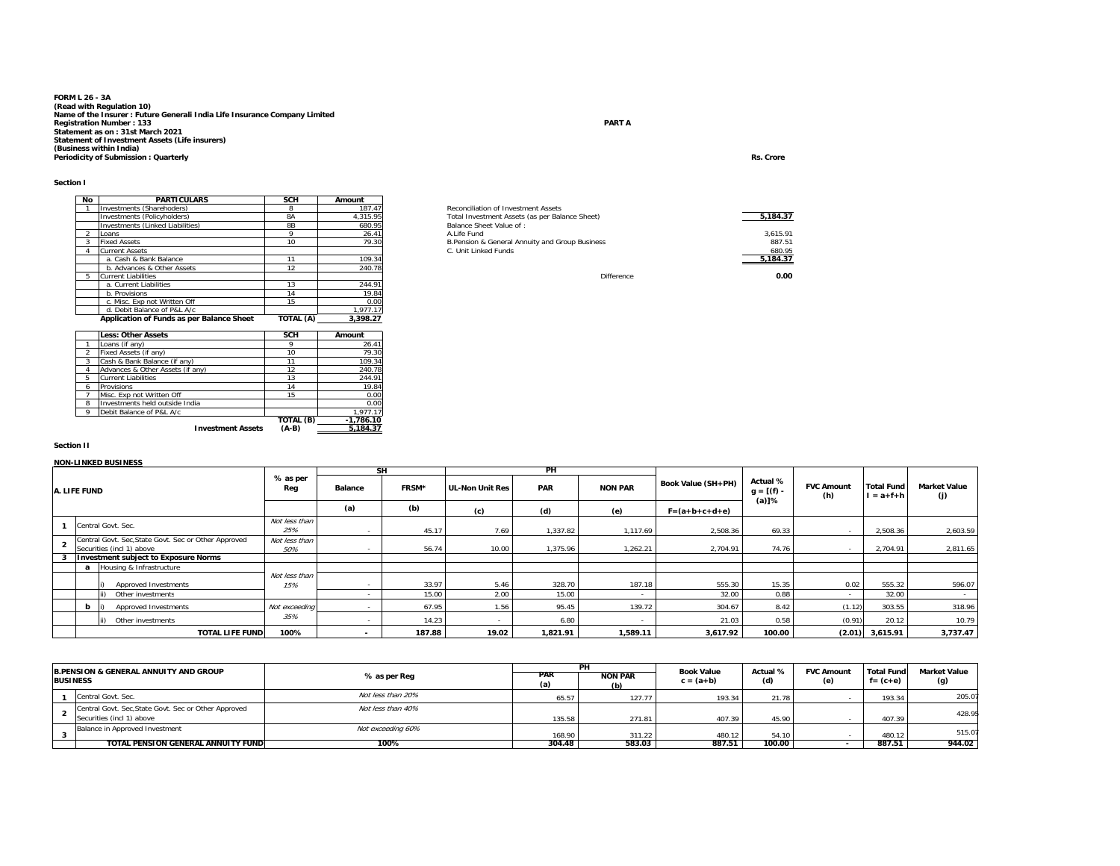# **FORM L 26 - 3A**(Read with Regulation 10)<br>Name of the Insurer : Future Generali India Life Insurance Company Limited<br>Registration Number : 133<br>Statement as on : 31st March 2021<br>Statement of Investment Assets (Life insurers)<br>(Business with

| No | <b>PARTICULARS</b>                        | <b>SCH</b> | Amount   |                                                 |
|----|-------------------------------------------|------------|----------|-------------------------------------------------|
|    | Investments (Sharehoders)                 | 8          | 187.47   | Reconciliation of Investment Assets             |
|    | Investments (Policyholders)               | <b>8A</b>  | 4.315.95 | Total Investment Assets (as per Balance Sheet)  |
|    | Investments (Linked Liabilities)          | 8B         | 680.95   | Balance Sheet Value of:                         |
|    | Loans                                     | o          | 26.41    | A.I ife Fund                                    |
|    | <b>Fixed Assets</b>                       | 10         | 79.30    | B. Pension & General Annuity and Group Business |
|    | <b>Current Assets</b>                     |            |          | C. Unit Linked Funds                            |
|    | a. Cash & Bank Balance                    | 11         | 109.34   |                                                 |
|    | b. Advances & Other Assets                | 12         | 240.78   |                                                 |
| 5  | Current Liabilities                       |            |          | Difference                                      |
|    | a. Current Liabilities                    | 13         | 244.91   |                                                 |
|    | b. Provisions                             | 14         | 19.84    |                                                 |
|    | c. Misc. Exp not Written Off              | 15         | 0.00     |                                                 |
|    | d. Debit Balance of P&L A/c               |            | 1.977.17 |                                                 |
|    | Application of Funds as per Balance Sheet | TOTAL (A)  | 3.398.27 |                                                 |

|                | <b>Less: Other Assets</b>        | <b>SCH</b> | Amount      |
|----------------|----------------------------------|------------|-------------|
|                | Loans (if any)                   | 9          | 26.41       |
| $\mathfrak{D}$ | Fixed Assets (if any)            | 10         | 79.30       |
| 3              | Cash & Bank Balance (if any)     | 11         | 109.34      |
|                | Advances & Other Assets (if any) | 12         | 240.78      |
| 5              | <b>Current Liabilities</b>       | 13         | 244.91      |
| 6              | Provisions                       | 14         | 19.84       |
|                | Misc. Exp not Written Off        | 15         | 0.00        |
| 8              | Investments held outside India   |            | 0.00        |
| o              | Debit Balance of P&L A/c         |            | 1.977.17    |
|                |                                  | TOTAL (B)  | $-1.786.10$ |
|                | <b>Investment Assets</b>         | $(A-B)$    | 5.184.37    |

# 1 Investments (Sharehoders) 8 187.47 19.00 Reconciliation of Investment Assets Investments (Policyholders) 8A 4,315.95 23.00 Total Investment Assets (as per Balance Sheet) **5,184.37** Investments (Linked Liabilities) 8B 680.95 Balance Sheet Value of : 9 26.41 A.Life Fund 3,615.91<br>B.Pension & General Annuity and Group Business 887.51 387.51 887.51<br>S.S. C. Unit Linked Funds 680.95 487.95 487.95 487.95 487.95 101 2. ׇ֚֚֬ **5,184.37**

**e 0.00** 

#### **Section II**

#### **NON-LINKED BUSINESS**

|              |     |                                                      |                      |       | SΗ              |            | PH             |                    |                                      |                          |                                      |                            |          |
|--------------|-----|------------------------------------------------------|----------------------|-------|-----------------|------------|----------------|--------------------|--------------------------------------|--------------------------|--------------------------------------|----------------------------|----------|
| A. LIFE FUND |     | % as per<br>Reg                                      | <b>Balance</b>       | FRSM* | UL-Non Unit Res | <b>PAR</b> | <b>NON PAR</b> | Book Value (SH+PH) | Actual %<br>$g = [(f) -$<br>$(a)$ ]% | <b>FVC Amount</b><br>(h) | <b>Total Fund</b><br>$l = a + f + h$ | <b>Market Value</b><br>(j) |          |
|              |     |                                                      | (a)                  | (b)   | (c)             | (d)        | (e)            | $F = (a+b+c+d+e)$  |                                      |                          |                                      |                            |          |
|              |     | Central Govt, Sec.                                   | Not less than<br>25% |       | 45.17           | 7.69       | 1,337.82       | 1,117.69           | 2,508.36                             | 69.33                    | $\sim$                               | 2,508.36                   | 2,603.59 |
|              |     | Central Govt. Sec, State Govt. Sec or Other Approved | Not less than        |       |                 |            |                |                    |                                      |                          |                                      |                            |          |
|              |     | Securities (incl 1) above                            | 50%                  |       | 56.74           | 10.00      | 1.375.96       | .262.21            | 2.704.91                             | 74.76                    |                                      | 2.704.91                   | 2,811.65 |
|              |     | <b>Investment subject to Exposure Norms</b>          |                      |       |                 |            |                |                    |                                      |                          |                                      |                            |          |
|              |     | Housing & Infrastructure                             |                      |       |                 |            |                |                    |                                      |                          |                                      |                            |          |
|              |     | Approved Investments                                 | Not less than<br>15% |       | 33.97           | 5.46       | 328.70         | 187.18             | 555.30                               | 15.35                    | 0.02                                 | 555.32                     | 596.07   |
|              |     | Other investments                                    |                      |       | 15.00           | 2.00       | 15.00          |                    | 32.00                                | 0.88                     | $\sim$                               | 32.00                      |          |
|              | b I | Approved Investments                                 | Not exceeding        |       | 67.95           | 1.56       | 95.45          | 139.72             | 304.67                               | 8.42                     | (1.12)                               | 303.55                     | 318.96   |
|              |     | Other investments                                    | 35%                  |       | 14.23           |            | 6.80           |                    | 21.03                                | 0.58                     | (0.91)                               | 20.12                      | 10.79    |
|              |     | <b>TOTAL LIFE FUNDI</b>                              | 100%                 |       | 187.88          | 19.02      | 1,821.91       | 1,589.11           | 3,617.92                             | 100.00                   |                                      | $(2.01)$ 3,615.91          | 3,737.47 |

| <b>BUSINESS</b> | <b>B.PENSION &amp; GENERAL ANNUITY AND GROUP</b>                                  | % as per Req      | <b>PAR</b><br>(a) | <b>NON PAR</b><br>(b) | <b>Book Value</b><br>$c = (a+b)$ | Actual %<br>(d) | <b>FVC Amount</b><br>(e) | <b>Total Fund</b><br>$f = (c + e)$ | <b>Market Value</b><br>(g) |
|-----------------|-----------------------------------------------------------------------------------|-------------------|-------------------|-----------------------|----------------------------------|-----------------|--------------------------|------------------------------------|----------------------------|
|                 | Central Govt, Sec.                                                                | Not less than 20% | 65.57             | 127.77                | 193.34                           | 21.78           |                          | 193.34                             | 205.07                     |
|                 | Central Govt. Sec, State Govt. Sec or Other Approved<br>Securities (incl 1) above | Not less than 40% | 135.58            | 271.81                | 407.39                           | 45.90           |                          | 407.39                             | 428.95                     |
|                 | Balance in Approved Investment                                                    | Not exceeding 60% | 168.90            | 311.22                | 480.12                           | 54.10           |                          | 480.12                             | 515.07                     |
|                 | TOTAL PENSION GENERAL ANNUITY FUND                                                | 100%              | 304.48            | 583.03                | 887.51                           | 100.00          |                          | 887.51                             | 944.02                     |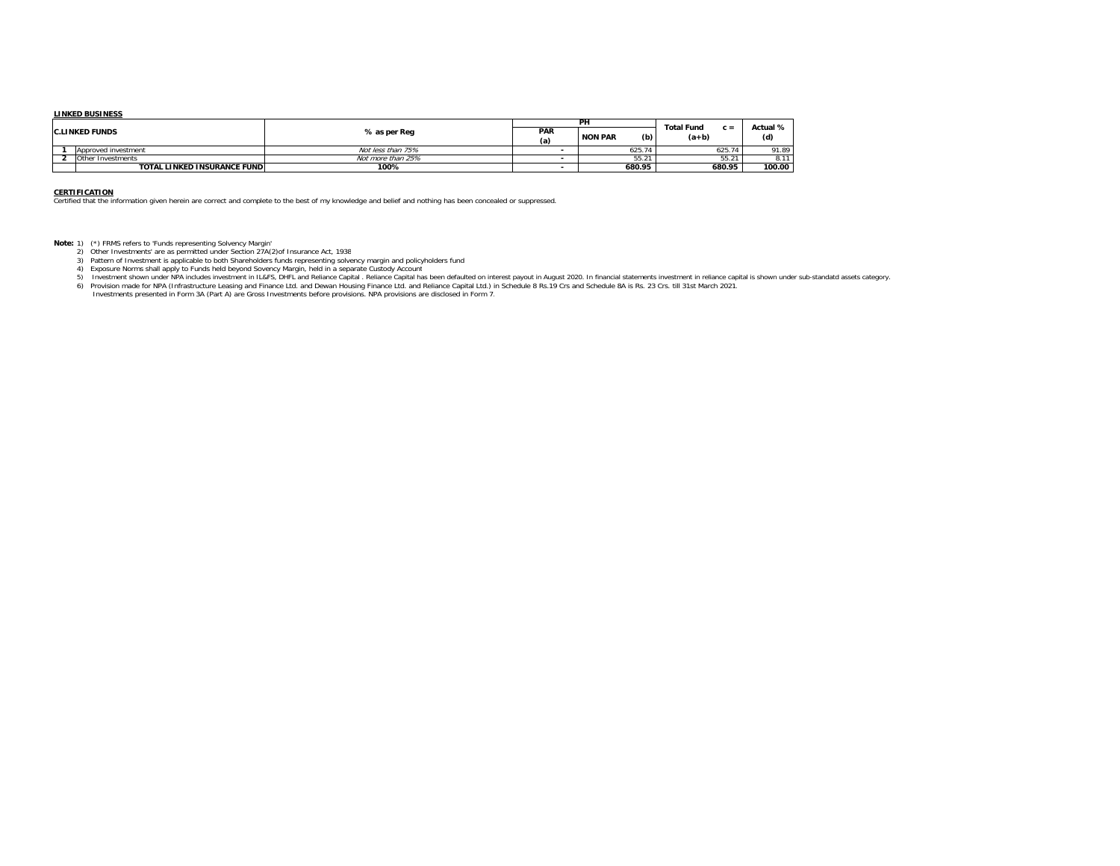#### **LINKED BUSINESS**

|                       |                                     |                   |            | PH                    | <b>Total Fund</b> | Actual % |  |
|-----------------------|-------------------------------------|-------------------|------------|-----------------------|-------------------|----------|--|
| <b>C.LINKED FUNDS</b> |                                     | % as per Req      | PAR<br>(a) | (b)<br><b>NON PAR</b> | $c =$<br>$(a+b)$  | (d)      |  |
|                       | Approved investment                 | Not less than 75% |            | 625.74                | 625.74            | 91.89    |  |
|                       | Other Investments                   | Not more than 25% |            | $- - -$<br>JJ.Z       | $55.2^{\circ}$    | 8.17     |  |
|                       | <b>TOTAL LINKED INSURANCE FUNDI</b> | 100%              |            | 680.95                | 680.95            | 100.00   |  |

**CERTIFICATION** Certified that the information given herein are correct and complete to the best of my knowledge and belief and nothing has been concealed or suppressed.

- 
- 
- 
- 
- Note: 1) (\*) FRMS refers to "Funds representing Solvency Margin"<br>2) Other Investments' are as permitted under Section 27A(2)of Insurance Act, 1938<br>3) Pattern of Investment is applicable to both Shareholders funds represent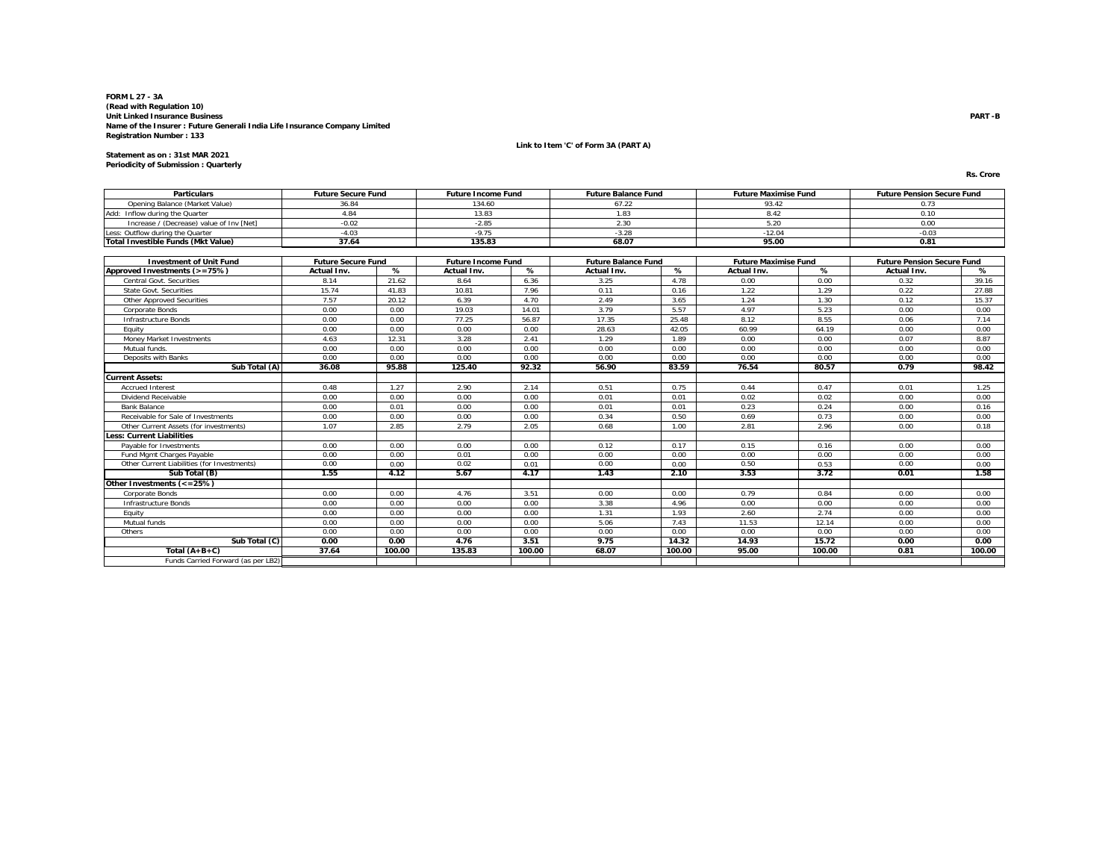**Link to Item 'C' of Form 3A (PART A)**

**Statement as on : 31st MAR 2021 Periodicity of Submission : Quarterly**

**Rs. Crore**

| <b>Particulars</b>                          | <b>Future Secure Fund</b><br><b>Future Income Fund</b> |        |                           |        | <b>Future Balance Fund</b> |        | <b>Future Maximise Fund</b> |        | <b>Future Pension Secure Fund</b> |        |
|---------------------------------------------|--------------------------------------------------------|--------|---------------------------|--------|----------------------------|--------|-----------------------------|--------|-----------------------------------|--------|
| Opening Balance (Market Value)              | 36.84                                                  |        | 134.60                    |        | 67.22                      |        | 93.42                       |        | 0.73                              |        |
| Add: Inflow during the Quarter              | 4.84                                                   |        | 13.83                     |        | 1.83                       |        | 8.42                        |        | 0.10                              |        |
| Increase / (Decrease) value of Inv [Net]    | $-0.02$                                                |        | $-2.85$                   |        | 2.30                       |        | 5.20                        |        | 0.00                              |        |
| Less: Outflow during the Quarter            | $-4.03$                                                |        | $-9.75$                   |        | $-3.28$                    |        | $-12.04$                    |        | $-0.03$                           |        |
| <b>Total Investible Funds (Mkt Value)</b>   | 37.64                                                  |        | 135.83                    |        | 68.07                      |        | 95.00                       |        | 0.81                              |        |
|                                             |                                                        |        |                           |        |                            |        |                             |        |                                   |        |
| <b>Investment of Unit Fund</b>              | <b>Future Secure Fund</b>                              |        | <b>Future Income Fund</b> |        | <b>Future Balance Fund</b> |        | <b>Future Maximise Fund</b> |        | <b>Future Pension Secure Fund</b> |        |
| Approved Investments (>=75%)                | Actual Inv.                                            | %      | Actual Inv.               | %      | Actual Inv.                | %      | Actual Inv.                 | %      | Actual Inv.                       | %      |
| Central Govt. Securities                    | 8.14                                                   | 21.62  | 8.64                      | 6.36   | 3.25                       | 4.78   | 0.00                        | 0.00   | 0.32                              | 39.16  |
| <b>State Govt. Securities</b>               | 15.74                                                  | 41.83  | 10.81                     | 7.96   | 0.11                       | 0.16   | 1.22                        | 1.29   | 0.22                              | 27.88  |
| <b>Other Approved Securities</b>            | 7.57                                                   | 20.12  | 6.39                      | 4.70   | 2.49                       | 3.65   | 1.24                        | 1.30   | 0.12                              | 15.37  |
| Corporate Bonds                             | 0.00                                                   | 0.00   | 19.03                     | 14.01  | 3.79                       | 5.57   | 4.97                        | 5.23   | 0.00                              | 0.00   |
| Infrastructure Bonds                        | 0.00                                                   | 0.00   | 77.25                     | 56.87  | 17.35                      | 25.48  | 8.12                        | 8.55   | 0.06                              | 7.14   |
| Eauity                                      | 0.00                                                   | 0.00   | 0.00                      | 0.00   | 28.63                      | 42.05  | 60.99                       | 64.19  | 0.00                              | 0.00   |
| Money Market Investments                    | 4.63                                                   | 12.31  | 3.28                      | 2.41   | 1.29                       | 1.89   | 0.00                        | 0.00   | 0.07                              | 8.87   |
| Mutual funds.                               | 0.00<br>0.00                                           |        | 0.00                      | 0.00   | 0.00                       | 0.00   | 0.00                        | 0.00   | 0.00                              | 0.00   |
| Deposits with Banks                         | 0.00                                                   | 0.00   | 0.00                      | 0.00   | 0.00                       | 0.00   | 0.00                        | 0.00   | 0.00                              | 0.00   |
| Sub Total (A)<br>36.08<br>95.88             |                                                        | 125.40 | 92.32                     | 56.90  | 83.59                      | 76.54  | 80.57                       | 0.79   | 98.42                             |        |
| <b>Current Assets:</b>                      |                                                        |        |                           |        |                            |        |                             |        |                                   |        |
| <b>Accrued Interest</b>                     | 0.48                                                   | 1.27   | 2.90                      | 2.14   | 0.51                       | 0.75   | 0.44                        | 0.47   | 0.01                              | 1.25   |
| Dividend Receivable                         | 0.00                                                   | 0.00   | 0.00                      | 0.00   | 0.01                       | 0.01   | 0.02                        | 0.02   | 0.00                              | 0.00   |
| <b>Bank Balance</b>                         | 0.00                                                   | 0.01   | 0.00                      | 0.00   | 0.01                       | 0.01   | 0.23                        | 0.24   | 0.00                              | 0.16   |
| Receivable for Sale of Investments          | 0.00                                                   | 0.00   | 0.00                      | 0.00   | 0.34                       | 0.50   | 0.69                        | 0.73   | 0.00                              | 0.00   |
| Other Current Assets (for investments)      | 1.07                                                   | 2.85   | 2.79                      | 2.05   | 0.68                       | 1.00   | 2.81                        | 2.96   | 0.00                              | 0.18   |
| <b>Less: Current Liabilities</b>            |                                                        |        |                           |        |                            |        |                             |        |                                   |        |
| Pavable for Investments                     | 0.00                                                   | 0.00   | 0.00                      | 0.00   | 0.12                       | 0.17   | 0.15                        | 0.16   | 0.00                              | 0.00   |
| Fund Mgmt Charges Payable                   | 0.00                                                   | 0.00   | 0.01                      | 0.00   | 0.00                       | 0.00   | 0.00                        | 0.00   | 0.00                              | 0.00   |
| Other Current Liabilities (for Investments) | 0.00                                                   | 0.00   | 0.02                      | 0.01   | 0.00                       | 0.00   | 0.50                        | 0.53   | 0.00                              | 0.00   |
| Sub Total (B)                               | 1.55                                                   | 4.12   | 5.67                      | 4.17   | 1.43                       | 2.10   | 3.53                        | 3.72   | 0.01                              | 1.58   |
| Other Investments (<=25%)                   |                                                        |        |                           |        |                            |        |                             |        |                                   |        |
| <b>Corporate Bonds</b>                      | 0.00                                                   | 0.00   | 4.76                      | 3.51   | 0.00                       | 0.00   | 0.79                        | 0.84   | 0.00                              | 0.00   |
| <b>Infrastructure Bonds</b>                 | 0.00                                                   | 0.00   | 0.00                      | 0.00   | 3.38                       | 4.96   | 0.00                        | 0.00   | 0.00                              | 0.00   |
| Equity                                      | 0.00                                                   | 0.00   | 0.00                      | 0.00   | 1.31                       | 1.93   | 2.60                        | 2.74   | 0.00                              | 0.00   |
| Mutual funds                                | 0.00                                                   | 0.00   | 0.00                      | 0.00   | 5.06                       | 7.43   | 11.53                       | 12.14  | 0.00                              | 0.00   |
| Others                                      | 0.00                                                   | 0.00   | 0.00                      | 0.00   | 0.00                       | 0.00   | 0.00                        | 0.00   | 0.00                              | 0.00   |
| Sub Total (C)                               | 0.00                                                   | 0.00   | 4.76                      | 3.51   | 9.75                       | 14.32  | 14.93                       | 15.72  | 0.00                              | 0.00   |
| Total $(A+B+C)$                             | 37.64                                                  | 100.00 | 135.83                    | 100.00 | 68.07                      | 100.00 | 95.00                       | 100.00 | 0.81                              | 100.00 |
| Funds Carried Forward (as per LB2)          |                                                        |        |                           |        |                            |        |                             |        |                                   |        |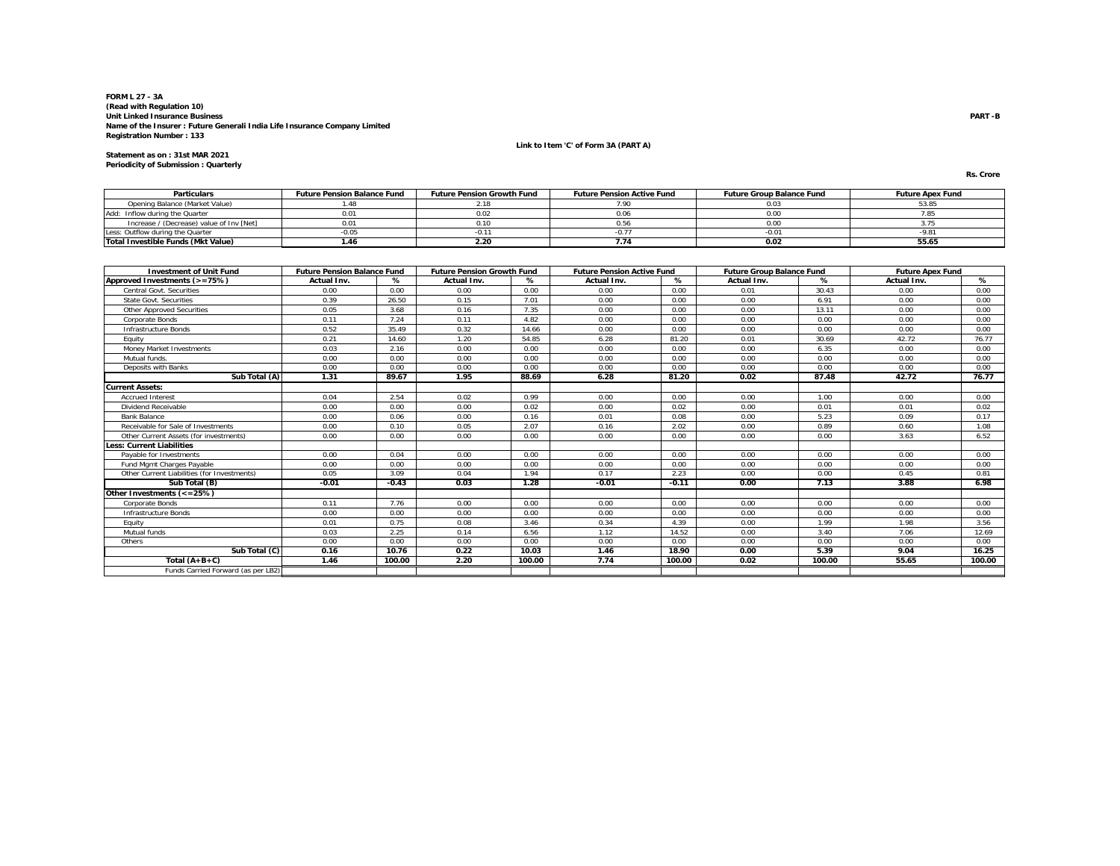**Link to Item 'C' of Form 3A (PART A)**

**Statement as on : 31st MAR 2021 Periodicity of Submission : Quarterly**

**Rs. Crore**

| <b>Particulars</b>                       | <b>Future Pension Balance Fund</b> | <b>Future Pension Growth Fund</b> | <b>Future Pension Active Fund</b> | <b>Future Group Balance Fund</b> | <b>Future Apex Fund</b> |
|------------------------------------------|------------------------------------|-----------------------------------|-----------------------------------|----------------------------------|-------------------------|
| Opening Balance (Market Value)           |                                    |                                   |                                   | 0.03                             | 53.85                   |
| Add: Inflow during the Quarter           | 0.01                               |                                   |                                   |                                  |                         |
| Increase / (Decrease) value of Inv [Net] | 0.01                               |                                   |                                   |                                  |                         |
| Less: Outflow during the Quarter         | 0.05                               |                                   |                                   | $-0.01$                          | $-9.8$                  |
| Total Investible Funds (Mkt Value)       | 1.46                               | z.zu                              | 1.14                              | 0.02                             | 55.65                   |

| <b>Investment of Unit Fund</b>              | <b>Future Pension Balance Fund</b> |         | <b>Future Pension Growth Fund</b> |        | <b>Future Pension Active Fund</b> |         | <b>Future Group Balance Fund</b> |        | <b>Future Apex Fund</b> |        |
|---------------------------------------------|------------------------------------|---------|-----------------------------------|--------|-----------------------------------|---------|----------------------------------|--------|-------------------------|--------|
| Approved Investments (>=75%)                | Actual Inv.                        | %       | Actual Inv.                       | %      | <b>Actual Inv.</b>                | %       | Actual Inv.                      | %      | <b>Actual Inv.</b>      | %      |
| Central Govt. Securities                    | 0.00                               | 0.00    | 0.00                              | 0.00   | 0.00                              | 0.00    | 0.01                             | 30.43  | 0.00                    | 0.00   |
| <b>State Govt. Securities</b>               | 0.39                               | 26.50   | 0.15                              | 7.01   | 0.00                              | 0.00    | 0.00                             | 6.91   | 0.00                    | 0.00   |
| <b>Other Approved Securities</b>            | 0.05                               | 3.68    | 0.16                              | 7.35   | 0.00                              | 0.00    | 0.00                             | 13.11  | 0.00                    | 0.00   |
| <b>Corporate Bonds</b>                      | 0.11                               | 7.24    | 0.11                              | 4.82   | 0.00                              | 0.00    | 0.00                             | 0.00   | 0.00                    | 0.00   |
| <b>Infrastructure Bonds</b>                 | 0.52                               | 35.49   | 0.32                              | 14.66  | 0.00                              | 0.00    | 0.00                             | 0.00   | 0.00                    | 0.00   |
| Equity                                      | 0.21                               | 14.60   | 1.20                              | 54.85  | 6.28                              | 81.20   | 0.01                             | 30.69  | 42.72                   | 76.77  |
| <b>Money Market Investments</b>             | 0.03                               | 2.16    | 0.00                              | 0.00   | 0.00                              | 0.00    | 0.00                             | 6.35   | 0.00                    | 0.00   |
| Mutual funds.                               | 0.00                               | 0.00    | 0.00                              | 0.00   | 0.00                              | 0.00    | 0.00                             | 0.00   | 0.00                    | 0.00   |
| Deposits with Banks                         | 0.00                               | 0.00    | 0.00                              | 0.00   | 0.00                              | 0.00    | 0.00                             | 0.00   | 0.00                    | 0.00   |
| Sub Total (A)                               | 1.31                               | 89.67   | 1.95                              | 88.69  | 6.28                              | 81.20   | 0.02                             | 87.48  | 42.72                   | 76.77  |
| <b>Current Assets:</b>                      |                                    |         |                                   |        |                                   |         |                                  |        |                         |        |
| <b>Accrued Interest</b>                     | 0.04                               | 2.54    | 0.02                              | 0.99   | 0.00                              | 0.00    | 0.00                             | 1.00   | 0.00                    | 0.00   |
| Dividend Receivable                         | 0.00                               | 0.00    | 0.00                              | 0.02   | 0.00                              | 0.02    | 0.00                             | 0.01   | 0.01                    | 0.02   |
| <b>Bank Balance</b>                         | 0.00                               | 0.06    | 0.00                              | 0.16   | 0.01                              | 0.08    | 0.00                             | 5.23   | 0.09                    | 0.17   |
| Receivable for Sale of Investments          | 0.00                               | 0.10    | 0.05                              | 2.07   | 0.16                              | 2.02    | 0.00                             | 0.89   | 0.60                    | 1.08   |
| Other Current Assets (for investments)      | 0.00                               | 0.00    | 0.00                              | 0.00   | 0.00                              | 0.00    | 0.00                             | 0.00   | 3.63                    | 6.52   |
| <b>Less: Current Liabilities</b>            |                                    |         |                                   |        |                                   |         |                                  |        |                         |        |
| Pavable for Investments                     | 0.00                               | 0.04    | 0.00                              | 0.00   | 0.00                              | 0.00    | 0.00                             | 0.00   | 0.00                    | 0.00   |
| <b>Fund Mamt Charges Pavable</b>            | 0.00                               | 0.00    | 0.00                              | 0.00   | 0.00                              | 0.00    | 0.00                             | 0.00   | 0.00                    | 0.00   |
| Other Current Liabilities (for Investments) | 0.05                               | 3.09    | 0.04                              | 1.94   | 0.17                              | 2.23    | 0.00                             | 0.00   | 0.45                    | 0.81   |
| Sub Total (B)                               | $-0.01$                            | $-0.43$ | 0.03                              | 1.28   | $-0.01$                           | $-0.11$ | 0.00                             | 7.13   | 3.88                    | 6.98   |
| Other Investments (<=25%)                   |                                    |         |                                   |        |                                   |         |                                  |        |                         |        |
| Corporate Bonds                             | 0.11                               | 7.76    | 0.00                              | 0.00   | 0.00                              | 0.00    | 0.00                             | 0.00   | 0.00                    | 0.00   |
| <b>Infrastructure Bonds</b>                 | 0.00                               | 0.00    | 0.00                              | 0.00   | 0.00                              | 0.00    | 0.00                             | 0.00   | 0.00                    | 0.00   |
| Equity                                      | 0.01                               | 0.75    | 0.08                              | 3.46   | 0.34                              | 4.39    | 0.00                             | 1.99   | 1.98                    | 3.56   |
| Mutual funds                                | 0.03                               | 2.25    | 0.14                              | 6.56   | 1.12                              | 14.52   | 0.00                             | 3.40   | 7.06                    | 12.69  |
| Others                                      | 0.00                               | 0.00    | 0.00                              | 0.00   | 0.00                              | 0.00    | 0.00                             | 0.00   | 0.00                    | 0.00   |
| Sub Total (C)                               | 0.16                               | 10.76   | 0.22                              | 10.03  | 1.46                              | 18.90   | 0.00                             | 5.39   | 9.04                    | 16.25  |
| Total $(A+B+C)$                             | 1.46                               | 100.00  | 2.20                              | 100.00 | 7.74                              | 100.00  | 0.02                             | 100.00 | 55.65                   | 100.00 |
| Funds Carried Forward (as per LB2)          |                                    |         |                                   |        |                                   |         |                                  |        |                         |        |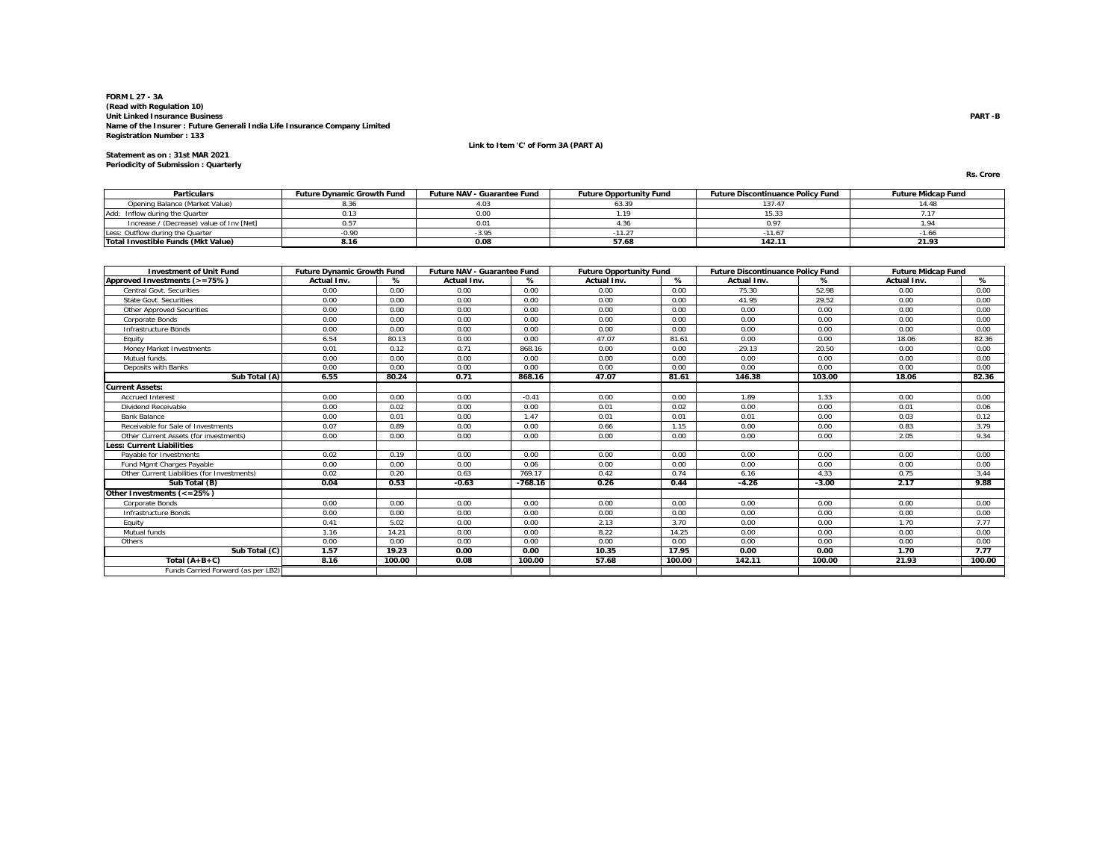**Link to Item 'C' of Form 3A (PART A)**

**Statement as on : 31st MAR 2021 Periodicity of Submission : Quarterly**

**Rs. Crore**

| <b>Particulars</b>                       | <b>Future Dynamic Growth Fund</b> | <b>Future NAV - Guarantee Fund</b> | <b>Future Opportunity Fund</b> | <b>Future Discontinuance Policy Fund</b> | <b>Future Midcap Fund</b> |
|------------------------------------------|-----------------------------------|------------------------------------|--------------------------------|------------------------------------------|---------------------------|
| Opening Balance (Market Value)           |                                   |                                    |                                |                                          | 14.41                     |
| Add: Inflow during the Quarter           |                                   | 0.00                               |                                | 15.33                                    |                           |
| Increase / (Decrease) value of Inv [Net] |                                   | 0.01                               |                                |                                          |                           |
| Less: Outflow during the Quarter         | 0.90                              |                                    |                                |                                          | -1.60                     |
| Total Investible Funds (Mkt Value)       | B.16                              | 0.08                               | 57.68                          | 142.11                                   | 21.93                     |

| <b>Investment of Unit Fund</b>              | <b>Future Dynamic Growth Fund</b> |        | <b>Future NAV - Guarantee Fund</b> |           | <b>Future Opportunity Fund</b> |        | <b>Future Discontinuance Policy Fund</b> |         | <b>Future Midcap Fund</b> |        |
|---------------------------------------------|-----------------------------------|--------|------------------------------------|-----------|--------------------------------|--------|------------------------------------------|---------|---------------------------|--------|
| Approved Investments (>=75%)                | Actual Inv.                       | %      | <b>Actual Inv.</b>                 | %         | Actual Inv.                    | %      | <b>Actual Inv.</b>                       | %       | Actual Inv.               | %      |
| Central Govt. Securities                    | 0.00                              | 0.00   | 0.00                               | 0.00      | 0.00                           | 0.00   | 75.30                                    | 52.98   | 0.00                      | 0.00   |
| <b>State Govt. Securities</b>               | 0.00                              | 0.00   | 0.00                               | 0.00      | 0.00                           | 0.00   | 41.95                                    | 29.52   | 0.00                      | 0.00   |
| <b>Other Approved Securities</b>            | 0.00                              | 0.00   | 0.00                               | 0.00      | 0.00                           | 0.00   | 0.00                                     | 0.00    | 0.00                      | 0.00   |
| <b>Corporate Bonds</b>                      | 0.00                              | 0.00   | 0.00                               | 0.00      | 0.00                           | 0.00   | 0.00                                     | 0.00    | 0.00                      | 0.00   |
| <b>Infrastructure Bonds</b>                 | 0.00                              | 0.00   | 0.00                               | 0.00      | 0.00                           | 0.00   | 0.00                                     | 0.00    | 0.00                      | 0.00   |
| Equity                                      | 6.54                              | 80.13  | 0.00                               | 0.00      | 47.07                          | 81.61  | 0.00                                     | 0.00    | 18.06                     | 82.36  |
| <b>Money Market Investments</b>             | 0.01                              | 0.12   | 0.71                               | 868.16    | 0.00                           | 0.00   | 29.13                                    | 20.50   | 0.00                      | 0.00   |
| Mutual funds.                               | 0.00                              | 0.00   | 0.00                               | 0.00      | 0.00                           | 0.00   | 0.00                                     | 0.00    | 0.00                      | 0.00   |
| Deposits with Banks                         | 0.00                              | 0.00   | 0.00                               | 0.00      | 0.00                           | 0.00   | 0.00                                     | 0.00    | 0.00                      | 0.00   |
| Sub Total (A)                               | 6.55                              | 80.24  | 0.71                               | 868.16    | 47.07                          | 81.61  | 146.38                                   | 103.00  | 18.06                     | 82.36  |
| <b>Current Assets:</b>                      |                                   |        |                                    |           |                                |        |                                          |         |                           |        |
| <b>Accrued Interest</b>                     | 0.00                              | 0.00   | 0.00                               | $-0.41$   | 0.00                           | 0.00   | 1.89                                     | 1.33    | 0.00                      | 0.00   |
| Dividend Receivable                         | 0.00                              | 0.02   | 0.00                               | 0.00      | 0.01                           | 0.02   | 0.00                                     | 0.00    | 0.01                      | 0.06   |
| <b>Bank Balance</b>                         | 0.00                              | 0.01   | 0.00                               | 1.47      | 0.01                           | 0.01   | 0.01                                     | 0.00    | 0.03                      | 0.12   |
| Receivable for Sale of Investments          | 0.07                              | 0.89   | 0.00                               | 0.00      | 0.66                           | 1.15   | 0.00                                     | 0.00    | 0.83                      | 3.79   |
| Other Current Assets (for investments)      | 0.00                              | 0.00   | 0.00                               | 0.00      | 0.00                           | 0.00   | 0.00                                     | 0.00    | 2.05                      | 9.34   |
| <b>Less: Current Liabilities</b>            |                                   |        |                                    |           |                                |        |                                          |         |                           |        |
| Pavable for Investments                     | 0.02                              | 0.19   | 0.00                               | 0.00      | 0.00                           | 0.00   | 0.00                                     | 0.00    | 0.00                      | 0.00   |
| Fund Mamt Charges Pavable                   | 0.00                              | 0.00   | 0.00                               | 0.06      | 0.00                           | 0.00   | 0.00                                     | 0.00    | 0.00                      | 0.00   |
| Other Current Liabilities (for Investments) | 0.02                              | 0.20   | 0.63                               | 769.17    | 0.42                           | 0.74   | 6.16                                     | 4.33    | 0.75                      | 3.44   |
| Sub Total (B)                               | 0.04                              | 0.53   | $-0.63$                            | $-768.16$ | 0.26                           | 0.44   | $-4.26$                                  | $-3.00$ | 2.17                      | 9.88   |
| Other Investments (<=25%)                   |                                   |        |                                    |           |                                |        |                                          |         |                           |        |
| Corporate Bonds                             | 0.00                              | 0.00   | 0.00                               | 0.00      | 0.00                           | 0.00   | 0.00                                     | 0.00    | 0.00                      | 0.00   |
| <b>Infrastructure Bonds</b>                 | 0.00                              | 0.00   | 0.00                               | 0.00      | 0.00                           | 0.00   | 0.00                                     | 0.00    | 0.00                      | 0.00   |
| Equity                                      | 0.41                              | 5.02   | 0.00                               | 0.00      | 2.13                           | 3.70   | 0.00                                     | 0.00    | 1.70                      | 7.77   |
| Mutual funds                                | 1.16                              | 14.21  | 0.00                               | 0.00      | 8.22                           | 14.25  | 0.00                                     | 0.00    | 0.00                      | 0.00   |
| Others                                      | 0.00                              | 0.00   | 0.00                               | 0.00      | 0.00                           | 0.00   | 0.00                                     | 0.00    | 0.00                      | 0.00   |
| Sub Total (C)                               | 1.57                              | 19.23  | 0.00                               | 0.00      | 10.35                          | 17.95  | 0.00                                     | 0.00    | 1.70                      | 7.77   |
| Total $(A+B+C)$                             | 8.16                              | 100.00 | 0.08                               | 100.00    | 57.68                          | 100.00 | 142.11                                   | 100.00  | 21.93                     | 100.00 |
| Funds Carried Forward (as per LB2)          |                                   |        |                                    |           |                                |        |                                          |         |                           |        |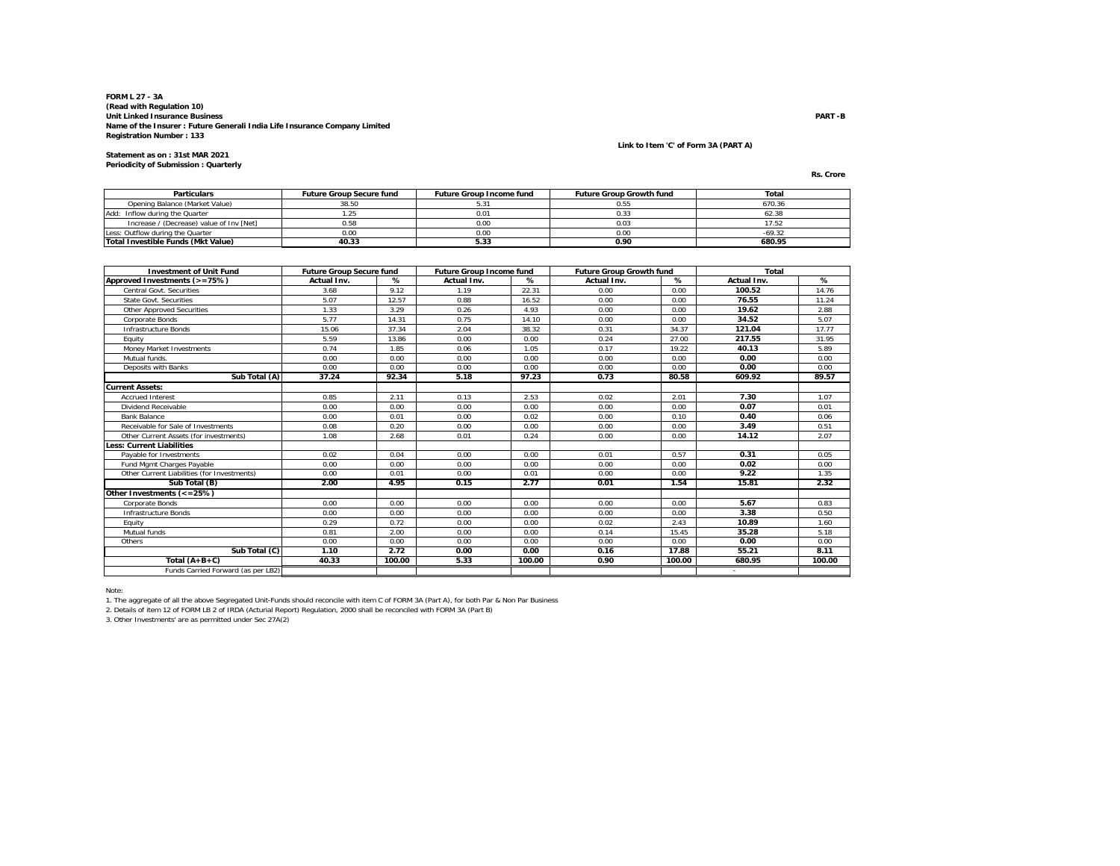**Statement as on : 31st MAR 2021Periodicity of Submission : Quarterly**

# **Link to Item 'C' of Form 3A (PART A)**

| Rs. Crore |  |
|-----------|--|
|           |  |

| <b>Particulars</b>                       | <b>Future Group Secure fund</b> | <b>Future Group Income fund</b> | <b>Future Group Growth fund</b> | Total    |
|------------------------------------------|---------------------------------|---------------------------------|---------------------------------|----------|
| Opening Balance (Market Value)           | 38.50                           |                                 | 0.55                            | 670.36   |
| Add: Inflow during the Quarter           |                                 | 0.01                            |                                 | 62.38    |
| Increase / (Decrease) value of Inv [Net] | 0.58                            | 0.00                            | 0.03                            |          |
| Less: Outflow during the Quarter         | 0.00                            | 0.00                            | 0.00                            | $-69.32$ |
| Total Investible Funds (Mkt Value)       | 40.33                           | 5.33                            | 0.90                            | 680.95   |

| <b>Investment of Unit Fund</b>              | <b>Future Group Secure fund</b> |        | <b>Future Group Income fund</b> |        | <b>Future Group Growth fund</b> |        | Total       |        |
|---------------------------------------------|---------------------------------|--------|---------------------------------|--------|---------------------------------|--------|-------------|--------|
| Approved Investments (>=75%)                | Actual Inv.                     | %      | Actual Inv.                     | %      | Actual Inv.                     | %      | Actual Inv. | %      |
| Central Govt. Securities                    | 3.68                            | 9.12   | 1.19                            | 22.31  | 0.00                            | 0.00   | 100.52      | 14.76  |
| <b>State Govt. Securities</b>               | 5.07                            | 12.57  | 0.88                            | 16.52  | 0.00                            | 0.00   | 76.55       | 11.24  |
| Other Approved Securities                   | 1.33                            | 3.29   | 0.26                            | 4.93   | 0.00                            | 0.00   | 19.62       | 2.88   |
| Corporate Bonds                             | 5.77                            | 14.31  | 0.75                            | 14.10  | 0.00                            | 0.00   | 34.52       | 5.07   |
| Infrastructure Bonds                        | 15.06                           | 37.34  | 2.04                            | 38.32  | 0.31                            | 34.37  | 121.04      | 17.77  |
| Equity                                      | 5.59                            | 13.86  | 0.00                            | 0.00   | 0.24                            | 27.00  | 217.55      | 31.95  |
| <b>Money Market Investments</b>             | 0.74                            | 1.85   | 0.06                            | 1.05   | 0.17                            | 19.22  | 40.13       | 5.89   |
| Mutual funds.                               | 0.00                            | 0.00   | 0.00                            | 0.00   | 0.00                            | 0.00   | 0.00        | 0.00   |
| Deposits with Banks                         | 0.00                            | 0.00   | 0.00                            | 0.00   | 0.00                            | 0.00   | 0.00        | 0.00   |
| Sub Total (A)                               | 37.24                           | 92.34  | 5.18                            | 97.23  | 0.73                            | 80.58  | 609.92      | 89.57  |
| <b>Current Assets:</b>                      |                                 |        |                                 |        |                                 |        |             |        |
| <b>Accrued Interest</b>                     | 0.85                            | 2.11   | 0.13                            | 2.53   | 0.02                            | 2.01   | 7.30        | 1.07   |
| Dividend Receivable                         | 0.00                            | 0.00   | 0.00                            | 0.00   | 0.00                            | 0.00   | 0.07        | 0.01   |
| <b>Bank Balance</b>                         | 0.00                            | 0.01   | 0.00                            | 0.02   | 0.00                            | 0.10   | 0.40        | 0.06   |
| Receivable for Sale of Investments          | 0.08                            | 0.20   | 0.00                            | 0.00   | 0.00                            | 0.00   | 3.49        | 0.51   |
| Other Current Assets (for investments)      | 1.08                            | 2.68   | 0.01                            | 0.24   | 0.00                            | 0.00   | 14.12       | 2.07   |
| <b>Less: Current Liabilities</b>            |                                 |        |                                 |        |                                 |        |             |        |
| Pavable for Investments                     | 0.02                            | 0.04   | 0.00                            | 0.00   | 0.01                            | 0.57   | 0.31        | 0.05   |
| Fund Mgmt Charges Payable                   | 0.00                            | 0.00   | 0.00                            | 0.00   | 0.00                            | 0.00   | 0.02        | 0.00   |
| Other Current Liabilities (for Investments) | 0.00                            | 0.01   | 0.00                            | 0.01   | 0.00                            | 0.00   | 9.22        | 1.35   |
| Sub Total (B)                               | 2.00                            | 4.95   | 0.15                            | 2.77   | 0.01                            | 1.54   | 15.81       | 2.32   |
| Other Investments (<=25%)                   |                                 |        |                                 |        |                                 |        |             |        |
| Corporate Bonds                             | 0.00                            | 0.00   | 0.00                            | 0.00   | 0.00                            | 0.00   | 5.67        | 0.83   |
| Infrastructure Bonds                        | 0.00                            | 0.00   | 0.00                            | 0.00   | 0.00                            | 0.00   | 3.38        | 0.50   |
| Equity                                      | 0.29                            | 0.72   | 0.00                            | 0.00   | 0.02                            | 2.43   | 10.89       | 1.60   |
| Mutual funds                                | 0.81                            | 2.00   | 0.00                            | 0.00   | 0.14                            | 15.45  | 35.28       | 5.18   |
| Others                                      | 0.00                            | 0.00   | 0.00                            | 0.00   | 0.00                            | 0.00   | 0.00        | 0.00   |
| Sub Total (C)                               | 1.10                            | 2.72   | 0.00                            | 0.00   | 0.16                            | 17.88  | 55.21       | 8.11   |
| Total $(A+B+C)$                             | 40.33                           | 100.00 | 5.33                            | 100.00 | 0.90                            | 100.00 | 680.95      | 100.00 |
| Funds Carried Forward (as per LB2)          |                                 |        |                                 |        |                                 |        | $\sim$      |        |

Note:

1. The aggregate of all the above Segregated Unit-Funds should reconcile with item C of FORM 3A (Part A), for both Par & Non Par Business

2. Details of item 12 of FORM LB 2 of IRDA (Acturial Report) Regulation, 2000 shall be reconciled with FORM 3A (Part B) 3. Other Investments' are as permitted under Sec 27A(2)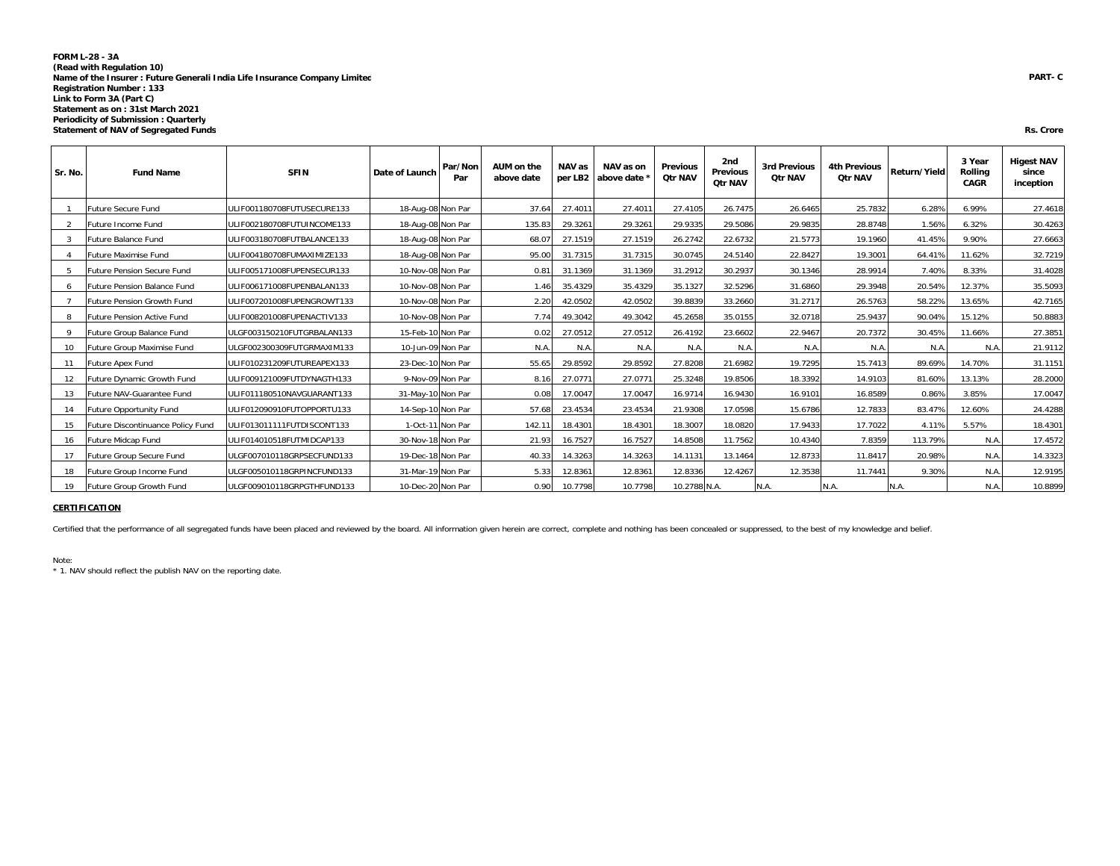#### **FORM L-28 - 3A (Read with Regulation 10) Name of the Insurer : Future Generali India Life Insurance Company Limited Registration Number : 133 Link to Form 3A (Part C) Statement as on : 31st March 2021 Periodicity of Submission : Quarterly Statement of NAV of Segregated Funds**

| Sr. No. | <b>Fund Name</b>                   | <b>SFIN</b>                | Date of Launch    | Par/Non<br>Par | AUM on the<br>above date | NAV as  | NAV as on<br>per LB2 above date | <b>Previous</b><br><b>Qtr NAV</b> | 2nd<br><b>Previous</b><br><b>Qtr NAV</b> | <b>3rd Previous</b><br><b>Qtr NAV</b> | <b>4th Previous</b><br><b>Qtr NAV</b> | Return/Yield | 3 Year<br>Rolling<br><b>CAGR</b> | <b>Higest NAV</b><br>since<br>inception |
|---------|------------------------------------|----------------------------|-------------------|----------------|--------------------------|---------|---------------------------------|-----------------------------------|------------------------------------------|---------------------------------------|---------------------------------------|--------------|----------------------------------|-----------------------------------------|
|         | <b>Future Secure Fund</b>          | ULIF001180708FUTUSECURE133 | 18-Aug-08 Non Par |                | 37.64                    | 27.4011 | 27.401                          | 27.4105                           | 26.7475                                  | 26.6465                               | 25.7832                               | 6.28%        | 6.99%                            | 27.4618                                 |
| 2       | Future Income Fund                 | ULIF002180708FUTUINCOME133 | 18-Aug-08 Non Par |                | 135.83                   | 29.3261 | 29.3261                         | 29.9335                           | 29.5086                                  | 29.9835                               | 28.8748                               | 1.56%        | 6.32%                            | 30.4263                                 |
| 3       | Future Balance Fund                | ULIF003180708FUTBALANCE133 | 18-Aug-08 Non Par |                | 68.07                    | 27.1519 | 27.1519                         | 26.2742                           | 22.6732                                  | 21.5773                               | 19.1960                               | 41.45%       | 9.90%                            | 27.6663                                 |
|         | Future Maximise Fund               | ULIF004180708FUMAXIMIZE133 | 18-Aug-08 Non Par |                | 95.00                    | 31.7315 | 31.7315                         | 30.0745                           | 24.5140                                  | 22.8427                               | 19.3001                               | 64.41%       | 11.62%                           | 32.7219                                 |
| -5      | Future Pension Secure Fund         | ULIF005171008FUPENSECUR133 | 10-Nov-08 Non Par |                | 0.81                     | 31.1369 | 31.1369                         | 31.2912                           | 30.2937                                  | 30.1346                               | 28.9914                               | 7.40%        | 8.33%                            | 31.4028                                 |
| 6       | <b>Future Pension Balance Fund</b> | ULIF006171008FUPENBALAN133 | 10-Nov-08 Non Par |                | 1.46                     | 35.4329 | 35.4329                         | 35.1327                           | 32.5296                                  | 31.6860                               | 29.3948                               | 20.54%       | 12.37%                           | 35.5093                                 |
|         | <b>Future Pension Growth Fund</b>  | ULIF007201008FUPENGROWT133 | 10-Nov-08 Non Par |                | 2.20                     | 42.0502 | 42.0502                         | 39.8839                           | 33.2660                                  | 31.2717                               | 26.5763                               | 58.22%       | 13.65%                           | 42.7165                                 |
| -8      | Future Pension Active Fund         | ULIF008201008FUPENACTIV133 | 10-Nov-08 Non Par |                | 7.74                     | 49.3042 | 49.3042                         | 45.2658                           | 35.0155                                  | 32.0718                               | 25.9437                               | 90.04%       | 15.12%                           | 50.8883                                 |
| 9       | Future Group Balance Fund          | ULGF003150210FUTGRBALAN133 | 15-Feb-10 Non Par |                | 0.02                     | 27.0512 | 27.0512                         | 26.4192                           | 23.6602                                  | 22.9467                               | 20.7372                               | 30.45%       | 11.66%                           | 27.3851                                 |
| 10      | Future Group Maximise Fund         | ULGF002300309FUTGRMAXIM133 | 10-Jun-09 Non Par |                | N.A.                     | N.A.    | N.A.                            | N.A.                              | N.A.                                     | N.A.                                  | N.A.                                  | N.A.         | N.A.                             | 21.9112                                 |
| 11      | <b>Future Apex Fund</b>            | ULIF010231209FUTUREAPEX133 | 23-Dec-10 Non Par |                | 55.65                    | 29.8592 | 29.8592                         | 27.8208                           | 21.6982                                  | 19.7295                               | 15.7413                               | 89.69%       | 14.70%                           | 31.1151                                 |
| 12      | Future Dynamic Growth Fund         | ULIF009121009FUTDYNAGTH133 | 9-Nov-09 Non Par  |                | 8.16                     | 27.0771 | 27.077                          | 25.3248                           | 19.8506                                  | 18.3392                               | 14.9103                               | 81.60%       | 13.13%                           | 28.2000                                 |
| 13      | Future NAV-Guarantee Fund          | ULIF011180510NAVGUARANT133 | 31-May-10 Non Par |                | 0.08                     | 17.0047 | 17.0047                         | 16.9714                           | 16.9430                                  | 16.9101                               | 16.8589                               | 0.86%        | 3.85%                            | 17.0047                                 |
| 14      | <b>Future Opportunity Fund</b>     | ULIF012090910FUTOPPORTU133 | 14-Sep-10 Non Par |                | 57.68                    | 23.4534 | 23.4534                         | 21.9308                           | 17.0598                                  | 15.6786                               | 12.7833                               | 83.47%       | 12.60%                           | 24.4288                                 |
| 15      | Future Discontinuance Policy Fund  | ULIF013011111FUTDISCONT133 | 1-Oct-11 Non Par  |                | 142.11                   | 18.4301 | 18.4301                         | 18.3007                           | 18.0820                                  | 17.9433                               | 17.7022                               | 4.11%        | 5.57%                            | 18.4301                                 |
| 16      | Future Midcap Fund                 | ULIF014010518FUTMIDCAP133  | 30-Nov-18 Non Par |                | 21.93                    | 16.7527 | 16.7527                         | 14.8508                           | 11.7562                                  | 10.4340                               | 7.8359                                | 113.79%      | N.A.                             | 17.4572                                 |
| 17      | Future Group Secure Fund           | ULGF007010118GRPSECFUND133 | 19-Dec-18 Non Par |                | 40.33                    | 14.3263 | 14.3263                         | 14.1131                           | 13.1464                                  | 12.8733                               | 11.8417                               | 20.98%       | N.A.                             | 14.3323                                 |
| 18      | Future Group Income Fund           | ULGF005010118GRPINCFUND133 | 31-Mar-19 Non Par |                | 5.33                     | 12.8361 | 12.8361                         | 12.8336                           | 12.4267                                  | 12.3538                               | 11.7441                               | 9.30%        | N.A.                             | 12.9195                                 |
| 19      | Future Group Growth Fund           | ULGF009010118GRPGTHFUND133 | 10-Dec-20 Non Par |                | 0.90                     | 10.7798 | 10.7798                         | 10.2788 N.A.                      |                                          | N.A.                                  | N.A.                                  | N.A.         | N.A.                             | 10.8899                                 |

#### **CERTIFICATION** $\overline{\mathsf{N}}$

Certified that the performance of all segregated funds have been placed and reviewed by the board. All information given herein are correct, complete and nothing has been concealed or suppressed, to the best of my knowledg

Note:

\* 1. NAV should reflect the publish NAV on the reporting date.

#### **Rs. Crore**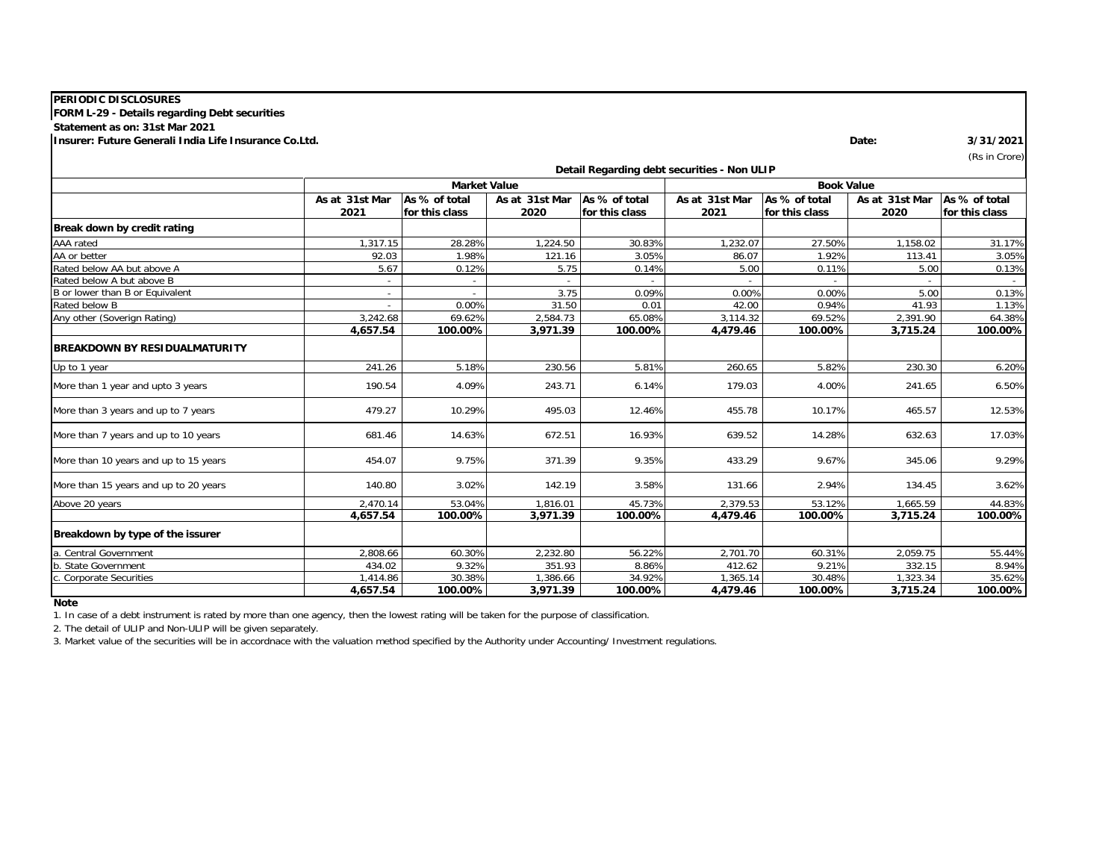| <b>PERIODIC DISCLOSURES</b>                           |                |                     |                |                |                                             |                   |                |                |
|-------------------------------------------------------|----------------|---------------------|----------------|----------------|---------------------------------------------|-------------------|----------------|----------------|
| FORM L-29 - Details regarding Debt securities         |                |                     |                |                |                                             |                   |                |                |
| Statement as on: 31st Mar 2021                        |                |                     |                |                |                                             |                   |                |                |
| Insurer: Future Generali India Life Insurance Co.Ltd. |                |                     |                |                |                                             |                   | Date:          | 3/31/2021      |
|                                                       |                |                     |                |                |                                             |                   |                | (Rs in Crore)  |
|                                                       |                |                     |                |                | Detail Regarding debt securities - Non ULIP |                   |                |                |
|                                                       |                | <b>Market Value</b> |                |                |                                             | <b>Book Value</b> |                |                |
|                                                       | As at 31st Mar | As % of total       | As at 31st Mar | As % of total  | As at 31st Mar                              | As % of total     | As at 31st Mar | As % of total  |
|                                                       | 2021           | for this class      | 2020           | for this class | 2021                                        | for this class    | 2020           | for this class |
| Break down by credit rating                           |                |                     |                |                |                                             |                   |                |                |
| AAA rated                                             | 1,317.15       | 28.28%              | 1,224.50       | 30.83%         | 1,232.07                                    | 27.50%            | 1,158.02       | 31.17%         |
| AA or better                                          | 92.03          | 1.98%               | 121.16         | 3.05%          | 86.07                                       | 1.92%             | 113.41         | 3.05%          |
| Rated below AA but above A                            | 5.67           | 0.12%               | 5.75           | 0.14%          | 5.00                                        | 0.11%             | 5.00           | 0.13%          |
| Rated below A but above B                             |                |                     |                |                |                                             |                   |                |                |
| B or lower than B or Equivalent                       | $\sim$         |                     | 3.75           | 0.09%          | 0.00%                                       | 0.00%             | 5.00           | 0.13%          |
| Rated below B                                         |                | 0.00%               | 31.50          | 0.01           | 42.00                                       | 0.94%             | 41.93          | 1.13%          |
| Any other (Soverign Rating)                           | 3,242.68       | 69.62%              | 2,584.73       | 65.08%         | 3,114.32                                    | 69.52%            | 2,391.90       | 64.38%         |
|                                                       | 4,657.54       | 100.00%             | 3,971.39       | 100.00%        | 4,479.46                                    | 100.00%           | 3,715.24       | 100.00%        |
| <b>BREAKDOWN BY RESIDUALMATURITY</b>                  |                |                     |                |                |                                             |                   |                |                |
| Up to 1 year                                          | 241.26         | 5.18%               | 230.56         | 5.81%          | 260.65                                      | 5.82%             | 230.30         | 6.20%          |
| More than 1 year and upto 3 years                     | 190.54         | 4.09%               | 243.71         | 6.14%          | 179.03                                      | 4.00%             | 241.65         | 6.50%          |
| More than 3 years and up to 7 years                   | 479.27         | 10.29%              | 495.03         | 12.46%         | 455.78                                      | 10.17%            | 465.57         | 12.53%         |
| More than 7 years and up to 10 years                  | 681.46         | 14.63%              | 672.51         | 16.93%         | 639.52                                      | 14.28%            | 632.63         | 17.03%         |
| More than 10 years and up to 15 years                 | 454.07         | 9.75%               | 371.39         | 9.35%          | 433.29                                      | 9.67%             | 345.06         | 9.29%          |
| More than 15 years and up to 20 years                 | 140.80         | 3.02%               | 142.19         | 3.58%          | 131.66                                      | 2.94%             | 134.45         | 3.62%          |
| Above 20 years                                        | 2,470.14       | 53.04%              | 1,816.01       | 45.73%         | 2.379.53                                    | 53.12%            | 1,665.59       | 44.83%         |
|                                                       | 4,657.54       | 100.00%             | 3,971.39       | 100.00%        | 4,479.46                                    | 100.00%           | 3,715.24       | 100.00%        |
| Breakdown by type of the issurer                      |                |                     |                |                |                                             |                   |                |                |
| a. Central Government                                 | 2.808.66       | 60.30%              | 2.232.80       | 56.22%         | 2,701.70                                    | 60.31%            | 2.059.75       | 55.44%         |
| b. State Government                                   | 434.02         | 9.32%               | 351.93         | 8.86%          | 412.62                                      | 9.21%             | 332.15         | 8.94%          |
| c. Corporate Securities                               | 1,414.86       | 30.38%              | 1,386.66       | 34.92%         | 1,365.14                                    | 30.48%            | 1,323.34       | 35.62%         |
|                                                       | 4,657.54       | 100.00%             | 3,971.39       | 100.00%        | 4,479.46                                    | 100.00%           | 3,715.24       | 100.00%        |

**Note**

1. In case of a debt instrument is rated by more than one agency, then the lowest rating will be taken for the purpose of classification.

2. The detail of ULIP and Non-ULIP will be given separately.

3. Market value of the securities will be in accordnace with the valuation method specified by the Authority under Accounting/ Investment regulations.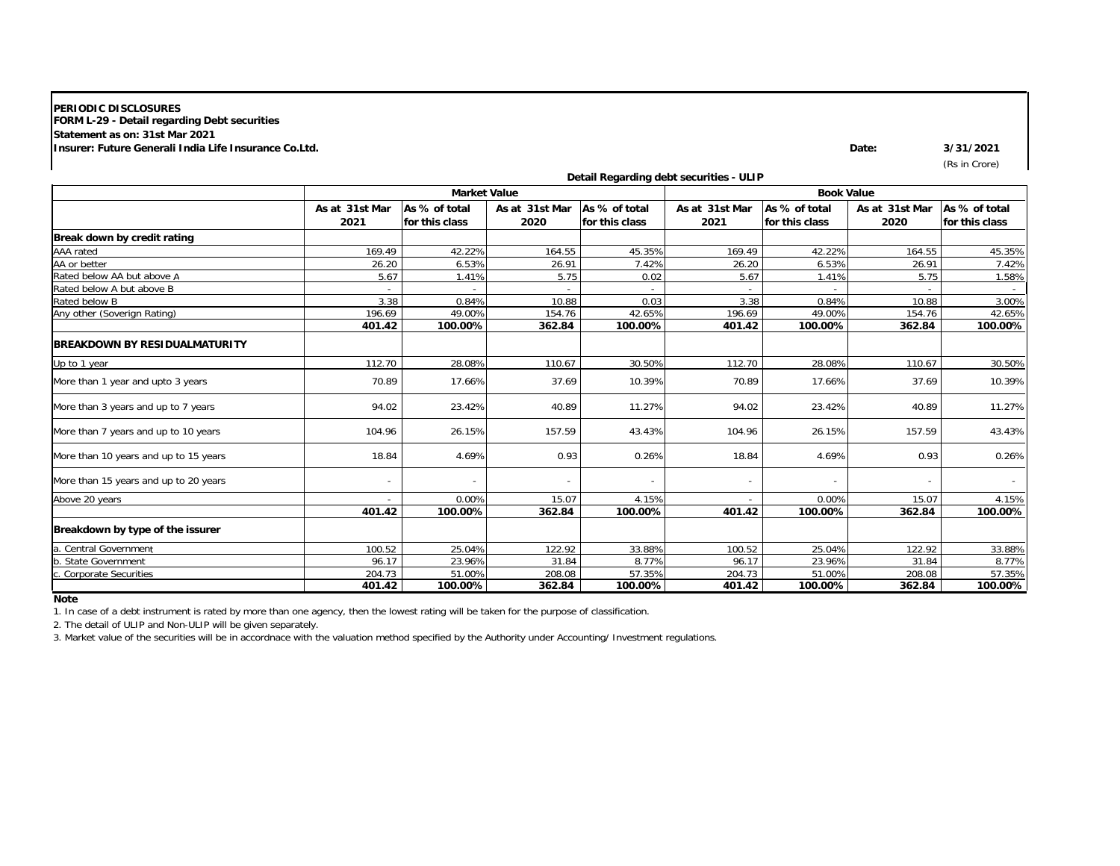# **FORM L-29 - Detail regarding Debt securities Statement as on: 31st Mar 2021 Insurer: Future Generali India Life Insurance Co.Ltd.PERIODIC DISCLOSURES**

**Date: 3/31/2021**

(Rs in Crore)

|                                       |                        |                                 |                        |                                 | Detail Regarding debt securities - ULIP |                                 |                        |                                 |
|---------------------------------------|------------------------|---------------------------------|------------------------|---------------------------------|-----------------------------------------|---------------------------------|------------------------|---------------------------------|
|                                       |                        | <b>Market Value</b>             |                        |                                 |                                         | <b>Book Value</b>               |                        |                                 |
|                                       | As at 31st Mar<br>2021 | As % of total<br>for this class | As at 31st Mar<br>2020 | As % of total<br>for this class | As at 31st Mar<br>2021                  | As % of total<br>for this class | As at 31st Mar<br>2020 | As % of total<br>for this class |
| Break down by credit rating           |                        |                                 |                        |                                 |                                         |                                 |                        |                                 |
| AAA rated                             | 169.49                 | 42.22%                          | 164.55                 | 45.35%                          | 169.49                                  | 42.22%                          | 164.55                 | 45.35%                          |
| AA or better                          | 26.20                  | 6.53%                           | 26.91                  | 7.42%                           | 26.20                                   | 6.53%                           | 26.91                  | 7.42%                           |
| Rated below AA but above A            | 5.67                   | 1.41%                           | 5.75                   | 0.02                            | 5.67                                    | 1.41%                           | 5.75                   | 1.58%                           |
| Rated below A but above B             |                        |                                 |                        |                                 |                                         |                                 |                        |                                 |
| Rated below B                         | 3.38                   | 0.84%                           | 10.88                  | 0.03                            | 3.38                                    | 0.84%                           | 10.88                  | 3.00%                           |
| Any other (Soverign Rating)           | 196.69                 | 49.00%                          | 154.76                 | 42.65%                          | 196.69                                  | 49.00%                          | 154.76                 | 42.65%                          |
|                                       | 401.42                 | 100.00%                         | 362.84                 | 100.00%                         | 401.42                                  | 100.00%                         | 362.84                 | 100.00%                         |
| BREAKDOWN BY RESIDUALMATURITY         |                        |                                 |                        |                                 |                                         |                                 |                        |                                 |
| Up to 1 year                          | 112.70                 | 28.08%                          | 110.67                 | 30.50%                          | 112.70                                  | 28.08%                          | 110.67                 | 30.50%                          |
| More than 1 year and upto 3 years     | 70.89                  | 17.66%                          | 37.69                  | 10.39%                          | 70.89                                   | 17.66%                          | 37.69                  | 10.39%                          |
| More than 3 years and up to 7 years   | 94.02                  | 23.42%                          | 40.89                  | 11.27%                          | 94.02                                   | 23.42%                          | 40.89                  | 11.27%                          |
| More than 7 years and up to 10 years  | 104.96                 | 26.15%                          | 157.59                 | 43.43%                          | 104.96                                  | 26.15%                          | 157.59                 | 43.43%                          |
| More than 10 years and up to 15 years | 18.84                  | 4.69%                           | 0.93                   | 0.26%                           | 18.84                                   | 4.69%                           | 0.93                   | 0.26%                           |
| More than 15 years and up to 20 years |                        |                                 |                        |                                 |                                         |                                 |                        |                                 |
| Above 20 years                        |                        | 0.00%                           | 15.07                  | 4.15%                           |                                         | 0.00%                           | 15.07                  | 4.15%                           |
|                                       | 401.42                 | 100.00%                         | 362.84                 | 100.00%                         | 401.42                                  | 100.00%                         | 362.84                 | 100.00%                         |
| Breakdown by type of the issurer      |                        |                                 |                        |                                 |                                         |                                 |                        |                                 |
| <b>Central Government</b>             | 100.52                 | 25.04%                          | 122.92                 | 33.88%                          | 100.52                                  | 25.04%                          | 122.92                 | 33.88%                          |
| <b>State Government</b>               | 96.17                  | 23.96%                          | 31.84                  | 8.77%                           | 96.17                                   | 23.96%                          | 31.84                  | 8.77%                           |
| <b>Corporate Securities</b>           | 204.73                 | 51.00%                          | 208.08                 | 57.35%                          | 204.73                                  | 51.00%                          | 208.08                 | 57.35%                          |
|                                       | 401.42                 | 100.00%                         | 362.84                 | 100.00%                         | 401.42                                  | 100.00%                         | 362.84                 | 100.00%                         |

**Note**

1. In case of a debt instrument is rated by more than one agency, then the lowest rating will be taken for the purpose of classification.

2. The detail of ULIP and Non-ULIP will be given separately.

3. Market value of the securities will be in accordnace with the valuation method specified by the Authority under Accounting/ Investment regulations.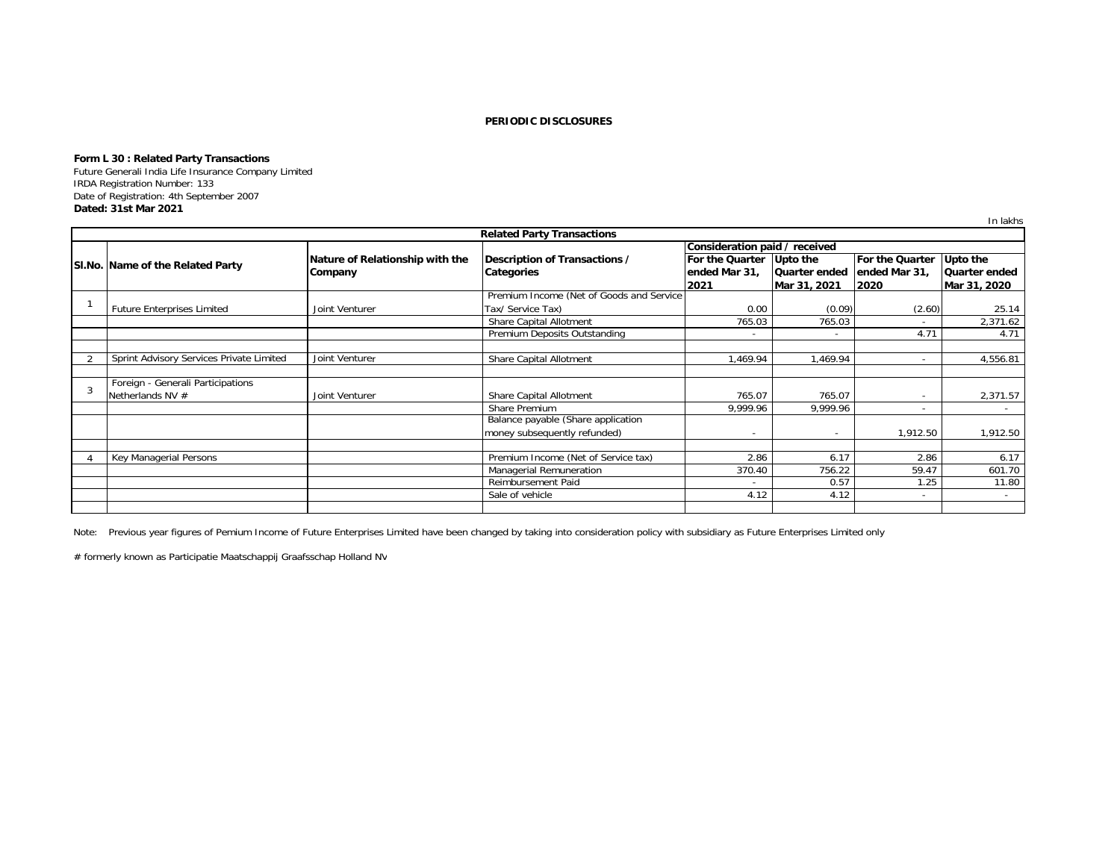# **Form L 30 : Related Party Transactions**

 Future Generali India Life Insurance Company LimitedIRDA Registration Number: 133 Date of Registration: 4th September 2007**Dated: 31st Mar 2021**

|                                          |                                 |                                          |                               |                          |                          | In lakhs        |
|------------------------------------------|---------------------------------|------------------------------------------|-------------------------------|--------------------------|--------------------------|-----------------|
|                                          |                                 | <b>Related Party Transactions</b>        |                               |                          |                          |                 |
|                                          |                                 |                                          | Consideration paid / received |                          |                          |                 |
|                                          | Nature of Relationship with the | Description of Transactions /            | For the Quarter Upto the      |                          | For the Quarter          | Upto the        |
| SI.No. Name of the Related Party         | Company                         | Categories                               | ended Mar 31,                 | Quarter ended            | ended Mar 31,            | Quarter ended   |
|                                          |                                 |                                          | 2021                          | Mar 31, 2021             | 2020                     | Mar 31, 2020    |
|                                          |                                 | Premium Income (Net of Goods and Service |                               |                          |                          |                 |
| <b>Future Enterprises Limited</b>        | Joint Venturer                  | Tax/ Service Tax)                        | 0.00                          | (0.09)                   | (2.60)                   | 25.14           |
|                                          |                                 | Share Capital Allotment                  | 765.03                        | 765.03                   | $\overline{\phantom{a}}$ | 2,371.62        |
|                                          |                                 | Premium Deposits Outstanding             | $\overline{\phantom{a}}$      | $\sim$                   | 4.71                     | 4.71            |
|                                          |                                 |                                          |                               |                          |                          |                 |
| Sprint Advisory Services Private Limited | Joint Venturer                  | Share Capital Allotment                  | 1,469.94                      | 1,469.94                 |                          | 4,556.81        |
|                                          |                                 |                                          |                               |                          |                          |                 |
| Foreign - Generali Participations        |                                 |                                          |                               |                          |                          |                 |
| Netherlands NV #                         | Joint Venturer                  | Share Capital Allotment                  | 765.07                        | 765.07                   |                          | 2,371.57        |
|                                          |                                 | Share Premium                            | 9.999.96                      | 9.999.96                 |                          | $\sim$          |
|                                          |                                 | Balance payable (Share application       |                               |                          |                          |                 |
|                                          |                                 | money subsequently refunded)             | $\overline{\phantom{0}}$      | $\overline{\phantom{a}}$ | 1,912.50                 | 1,912.50        |
|                                          |                                 |                                          |                               |                          |                          |                 |
| Key Managerial Persons                   |                                 | Premium Income (Net of Service tax)      | 2.86                          | 6.17                     | 2.86                     | 6.17            |
|                                          |                                 | Managerial Remuneration                  | 370.40                        | 756.22                   | 59.47                    | 601.70          |
|                                          |                                 | Reimbursement Paid                       |                               | 0.57                     | 1.25                     | 11.80           |
|                                          |                                 | Sale of vehicle                          | 4.12                          | 4.12                     | $\overline{\phantom{a}}$ | $\sim$ 10 $\pm$ |
|                                          |                                 |                                          |                               |                          |                          |                 |

Note: Previous year figures of Pemium Income of Future Enterprises Limited have been changed by taking into consideration policy with subsidiary as Future Enterprises Limited only

# formerly known as Participatie Maatschappij Graafsschap Holland NV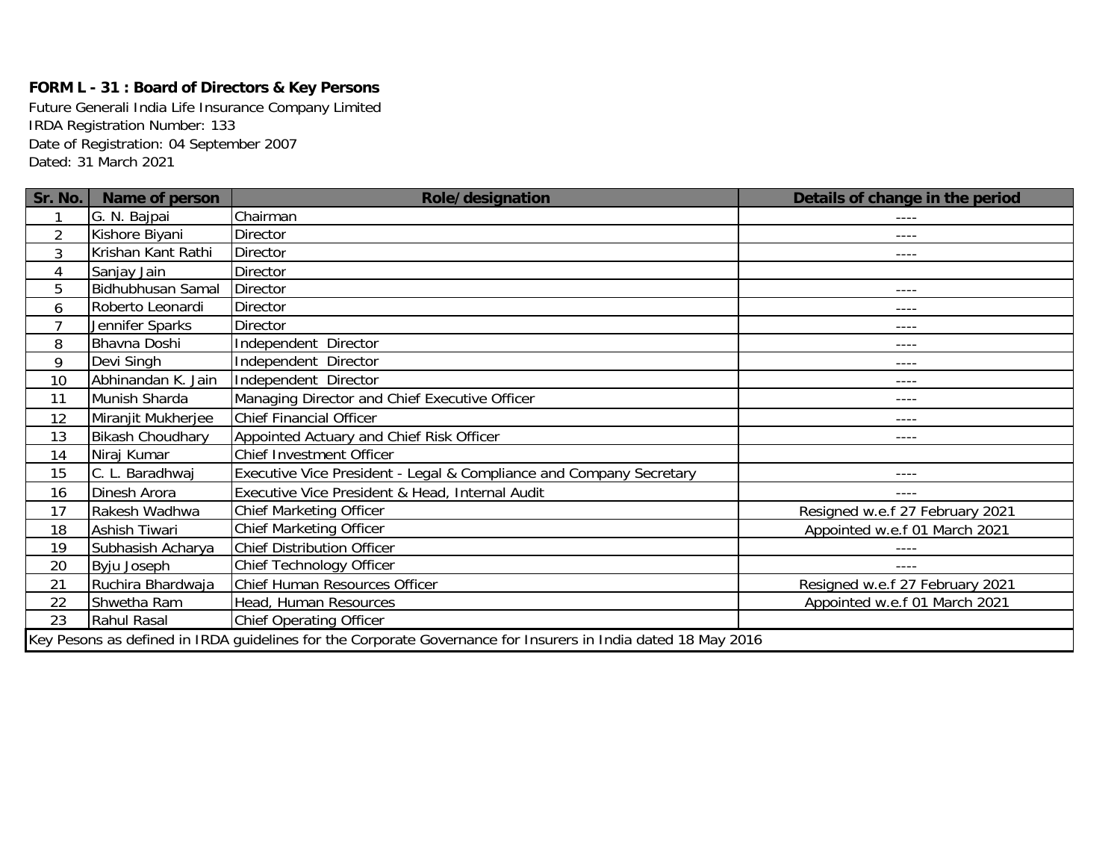# **FORM L - 31 : Board of Directors & Key Persons**

Date of Registration: 04 September 2007 Dated: 31 March 2021 Future Generali India Life Insurance Company Limited IRDA Registration Number: 133

| Sr. No.        | <b>Name of person</b>    | <b>Role/designation</b>                                                                                       | Details of change in the period |
|----------------|--------------------------|---------------------------------------------------------------------------------------------------------------|---------------------------------|
|                | G. N. Bajpai             | Chairman                                                                                                      | ----                            |
| $\overline{2}$ | Kishore Biyani           | <b>Director</b>                                                                                               | ----                            |
| $\mathfrak{Z}$ | Krishan Kant Rathi       | Director                                                                                                      | ----                            |
| 4              | Sanjay Jain              | Director                                                                                                      |                                 |
| 5              | <b>Bidhubhusan Samal</b> | Director                                                                                                      | ----                            |
| 6              | Roberto Leonardi         | <b>Director</b>                                                                                               | ----                            |
| $\overline{ }$ | Jennifer Sparks          | <b>Director</b>                                                                                               | $- - - -$                       |
| 8              | Bhavna Doshi             | Independent Director                                                                                          | ----                            |
| 9              | Devi Singh               | Independent Director                                                                                          | ----                            |
| 10             | Abhinandan K. Jain       | Independent Director                                                                                          | ----                            |
| 11             | Munish Sharda            | Managing Director and Chief Executive Officer                                                                 | ----                            |
| 12             | Miranjit Mukherjee       | <b>Chief Financial Officer</b>                                                                                | ----                            |
| 13             | <b>Bikash Choudhary</b>  | Appointed Actuary and Chief Risk Officer                                                                      | ----                            |
| 14             | Niraj Kumar              | Chief Investment Officer                                                                                      |                                 |
| 15             | C. L. Baradhwaj          | Executive Vice President - Legal & Compliance and Company Secretary                                           | ----                            |
| 16             | Dinesh Arora             | Executive Vice President & Head, Internal Audit                                                               | $- - - -$                       |
| 17             | Rakesh Wadhwa            | <b>Chief Marketing Officer</b>                                                                                | Resigned w.e.f 27 February 2021 |
| 18             | Ashish Tiwari            | <b>Chief Marketing Officer</b>                                                                                | Appointed w.e.f 01 March 2021   |
| 19             | Subhasish Acharya        | <b>Chief Distribution Officer</b>                                                                             | ----                            |
| 20             | Byju Joseph              | Chief Technology Officer                                                                                      | $- - - -$                       |
| 21             | Ruchira Bhardwaja        | Chief Human Resources Officer                                                                                 | Resigned w.e.f 27 February 2021 |
| 22             | Shwetha Ram              | Head, Human Resources                                                                                         | Appointed w.e.f 01 March 2021   |
| 23             | Rahul Rasal              | <b>Chief Operating Officer</b>                                                                                |                                 |
|                |                          | Key Pesons as defined in IRDA guidelines for the Corporate Governance for Insurers in India dated 18 May 2016 |                                 |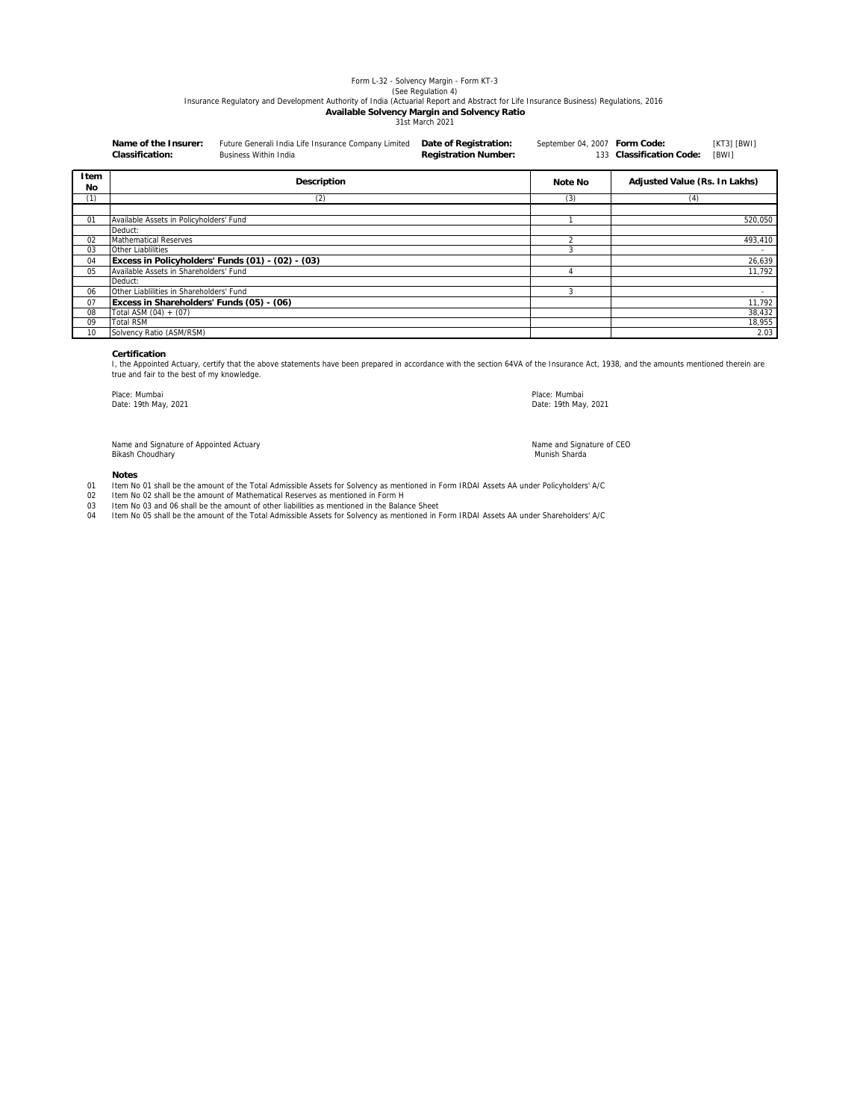# Form L-32 - Solvency Margin - Form KT-3

See Regulation 4))<br>Insurance Regulatory and Development Authority of India (Actuarial Report and Abstract for Life Insurance Business) Regulations, 2016

# **Available Solvency Margin and Solvency Ratio**

31st March 2021

|                 | Name of the Insurer:<br><b>Classification:</b> | Future Generali India Life Insurance Company Limited<br><b>Business Within India</b> | Date of Registration:<br><b>Registration Number:</b> | September 04, 2007 Form Code: | 133 Classification Code:      | $[KT3]$ $[BWI]$<br>[BWI] |
|-----------------|------------------------------------------------|--------------------------------------------------------------------------------------|------------------------------------------------------|-------------------------------|-------------------------------|--------------------------|
| Item<br>No      |                                                | <b>Description</b>                                                                   |                                                      | Note No                       | Adjusted Value (Rs. In Lakhs) |                          |
| (1)             |                                                | (2)                                                                                  |                                                      | (3)                           | (4)                           |                          |
|                 |                                                |                                                                                      |                                                      |                               |                               |                          |
| $\overline{01}$ | Available Assets in Policyholders' Fund        |                                                                                      |                                                      |                               |                               | 520,050                  |
|                 | Deduct:                                        |                                                                                      |                                                      |                               |                               |                          |
| 02              | <b>Mathematical Reserves</b>                   |                                                                                      |                                                      | $\sim$                        |                               | 493,410                  |
| 03              | Other Liablilities                             |                                                                                      |                                                      | 3                             |                               |                          |
| 04              |                                                | Excess in Policyholders' Funds (01) - (02) - (03)                                    |                                                      |                               |                               | 26,639                   |
| 05              | Available Assets in Shareholders' Fund         |                                                                                      |                                                      |                               |                               | 11,792                   |
|                 | Deduct:                                        |                                                                                      |                                                      |                               |                               |                          |
| 06              | Other Liablilities in Shareholders' Fund       |                                                                                      |                                                      | 3                             |                               |                          |
| 07              | Excess in Shareholders' Funds (05) - (06)      |                                                                                      |                                                      |                               |                               | 11,792                   |
| 08              | Total ASM $(04) + (07)$                        |                                                                                      |                                                      |                               |                               | 38,432                   |
| 09              | <b>Total RSM</b>                               |                                                                                      |                                                      |                               |                               | 18,955                   |
| 10              | Solvency Ratio (ASM/RSM)                       |                                                                                      |                                                      |                               |                               | 2.03                     |

### **Certification**

I, the Appointed Actuary, certify that the above statements have been prepared in accordance with the section 64VA of the Insurance Act, 1938, and the amounts mentioned therein are true and fair to the best of my knowledge.

Place: Mumbai Date: 19th May, 2021

Place: Mumbai Date: 19th May, 2021

Name and Signature of CEO

Name and Signature of Appointed Actuary Bikash Choudhary Munish Sharda and the control of the control of the control of the control of the control of the control of the control of the control of the control of the control of the control of the control of the con

#### **Notes**

- 01 Item No 01 shall be the amount of the Total Admissible Assets for Solvency as mentioned in Form IRDAI Assets AA under Policyholders' A/C
- 02 Item No 02 shall be the amount of Mathematical Reserves as mentioned in Form H
- 03 04 Item No 03 and 06 shall be the amount of other liabilities as mentioned in the Balance Sheet<br>Item No 05 shall be the amount of the Total Admissible Assets for Solvency as mentioned in Form IRDAI Assets AA under Shareholder
-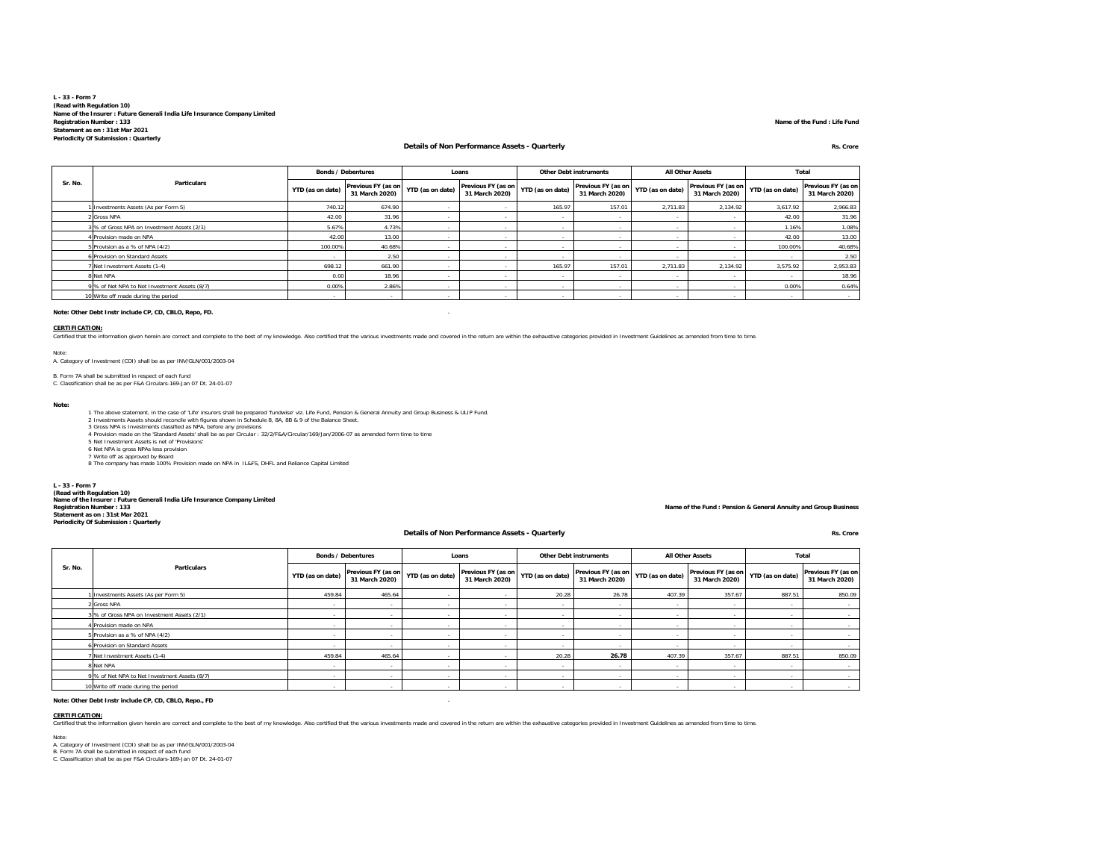#### **L - 33 - Form 7 (Read with Regulation 10) Name of the Insurer : Future Generali India Life Insurance Company Limited Registration Number : 133 Statement as on : 31st Mar 2021Periodicity Of Submission : Quarterly**

#### **Details of Non Performance Assets - Quarterly Rs. Crore**

**Name of the Fund : Life Fund**

|         |                                               |                  | <b>Bonds / Debentures</b>            |                          | Loans                                |                  | <b>Other Debt instruments</b>                         |          | <b>All Other Assets</b>              |                  | Total                                |
|---------|-----------------------------------------------|------------------|--------------------------------------|--------------------------|--------------------------------------|------------------|-------------------------------------------------------|----------|--------------------------------------|------------------|--------------------------------------|
| Sr. No. | Particulars                                   | YTD (as on date) | Previous FY (as on<br>31 March 2020) | YTD (as on date)         | Previous FY (as on<br>31 March 2020) | YTD (as on date) | Previous FY (as on YTD (as on date)<br>31 March 2020) |          | Previous FY (as on<br>31 March 2020) | YTD (as on date) | Previous FY (as on<br>31 March 2020) |
|         | Investments Assets (As per Form 5)            | 740.12           | 674.90                               |                          |                                      | 165.97           | 157.01                                                | 2.711.83 | 2,134.92                             | 3.617.92         | 2,966.83                             |
|         | 2 Gross NPA                                   | 42.00            | 31.96                                |                          |                                      |                  |                                                       |          |                                      | 42.00            | 31.96                                |
|         | 3 % of Gross NPA on Investment Assets (2/1)   | 5.67%            | 4.73%                                |                          |                                      |                  |                                                       |          |                                      | 1.16%            | 1.08%                                |
|         | 4 Provision made on NPA                       | 42.00            | 13.00                                |                          |                                      |                  |                                                       |          |                                      | 42.00            | 13.00                                |
|         | 5 Provision as a % of NPA (4/2)               | 100.00%          | 40.68%                               | $\overline{\phantom{a}}$ |                                      |                  |                                                       |          |                                      | 100.00%          | 40.68%                               |
|         | 6 Provision on Standard Assets                |                  | 2.50                                 |                          |                                      |                  |                                                       |          |                                      |                  | 2.50                                 |
|         | Net Investment Assets (1-4)                   | 698.12           | 661.90                               |                          |                                      | 165.97           | 157.01                                                | 2.711.83 | 2.134.92                             | 3.575.92         | 2,953.83                             |
|         | 8 Net NPA                                     | 0.00             | 18.96                                | $\overline{\phantom{a}}$ |                                      |                  |                                                       |          |                                      |                  | 18.96                                |
|         | 9 % of Net NPA to Net Investment Assets (8/7) | 0.00%            | 2.86%                                |                          |                                      |                  |                                                       |          |                                      | 0.00%            | 0.64%                                |
|         | 10 Write off made during the period           |                  |                                      | $\overline{\phantom{a}}$ |                                      |                  |                                                       |          |                                      |                  |                                      |

#### **Note: Other Debt Instr include CP, CD, CBLO, Repo, FD.** -

#### **CERTIFICATION:**

Scribted that the information given herein are correct and complete to the best of my knowledge. Also certified that the various investments made and covered in the return are within the exhaustive categories provided in I

Note:A. Category of Investment (COI) shall be as per INV/GLN/001/2003-04

B. Form 7A shall be submitted in respect of each fund C. Classification shall be as per F&A Circulars-169-Jan 07 Dt. 24-01-07

**Note:**

- 1 The above statement, in the case of 'Life' insurers shall be prepared 'fundwise' viz. Life Fund, Pension & General Annuity and Group Business & ULIP Fund<br>2 Investments Assets should reconcile with figures shown in Schedu
- 
- 4 Provision made on the 'Standard Assets' shall be as per Circular : 32/2/F&A/Circular/169/Jan/2006-07 as amended form time to time<br>5 Net Investment Assets is net of 'Provisions'<br>6 Net NPA is gross NPAs less provision
- 
- 
- 7 Write off as approved by Board 8 The company has made 100% Provision made on NPA in IL&FS, DHFL and Reliance Capital Limited

**L - 33 - Form 7 (Read with Regulation 10) Name of the Insurer : Future Generali India Life Insurance Company Limited Registration Number : 133 Statement as on : 31st Mar 2021 Periodicity Of Submission : Quarterly**

#### **Details of Non Performance Assets - Quarterly Rs. Crore**

**Name of the Fund : Pension & General Annuity and Group Business**

|         |                                               |                          | <b>Bonds / Debentures</b>            |                          | Loans                                |                  | <b>Other Debt instruments</b>        |                          | <b>All Other Assets</b>              | Total                    |                                      |
|---------|-----------------------------------------------|--------------------------|--------------------------------------|--------------------------|--------------------------------------|------------------|--------------------------------------|--------------------------|--------------------------------------|--------------------------|--------------------------------------|
| Sr. No. | Particulars                                   | YTD (as on date)         | Previous FY (as on<br>31 March 2020) | YTD (as on date)         | Previous FY (as on<br>31 March 2020) | YTD (as on date) | Previous FY (as on<br>31 March 2020) | YTD (as on date)         | Previous FY (as on<br>31 March 2020) | YTD (as on date)         | Previous FY (as on<br>31 March 2020) |
|         | Investments Assets (As per Form 5)            | 459.84                   | 465.64                               |                          |                                      | 20.28            | 26.78                                | 407.39                   | 357.67                               | 887.51                   | 850.09                               |
|         | 2 Gross NPA                                   |                          |                                      |                          |                                      |                  |                                      |                          |                                      |                          |                                      |
|         | 3 % of Gross NPA on Investment Assets (2/1)   |                          |                                      |                          |                                      |                  |                                      |                          |                                      |                          |                                      |
|         | 4 Provision made on NPA                       |                          |                                      |                          |                                      |                  |                                      | $\overline{\phantom{a}}$ | ٠                                    | $\sim$                   |                                      |
|         | 5 Provision as a % of NPA (4/2)               | $\overline{\phantom{a}}$ | . .                                  | $\overline{a}$           | <b>CONTRACTOR</b>                    |                  | $\sim$                               | $\sim$                   | $\overline{\phantom{a}}$             | $\overline{\phantom{a}}$ |                                      |
|         | 6 Provision on Standard Assets                |                          |                                      | $\overline{\phantom{a}}$ |                                      |                  | . .                                  | $\sim$                   |                                      |                          |                                      |
|         | 7 Net Investment Assets (1-4)                 | 459.84                   | 465.64                               |                          |                                      | 20.28            | 26.78                                | 407.39                   | 357.67                               | 887.51                   | 850.09                               |
|         | 8 Net NPA                                     |                          |                                      |                          |                                      |                  |                                      |                          |                                      |                          |                                      |
|         | 9 % of Net NPA to Net Investment Assets (8/7) |                          |                                      | $\overline{a}$           |                                      |                  |                                      |                          |                                      |                          |                                      |
|         | 10 Write off made during the period           | $\sim$                   | .                                    | $\overline{a}$           | $\sim$                               |                  | .                                    | $\sim$                   | $\overline{\phantom{a}}$             | $\overline{\phantom{a}}$ | $\overline{\phantom{a}}$             |

**Note: Other Debt Instr include CP, CD, CBLO, Repo., FD** -

#### **CERTIFICATION:**

Certified that the information given herein are correct and complete to the best of my knowledge. Also certified that the various investments made and covered in the return are within the exhaustive categories provided in

Note:

A. Category of Investment (COI) shall be as per INV/GLN/001/2003-04 B. Form 7A shall be submitted in respect of each fund C. Classification shall be as per F&A Circulars-169-Jan 07 Dt. 24-01-07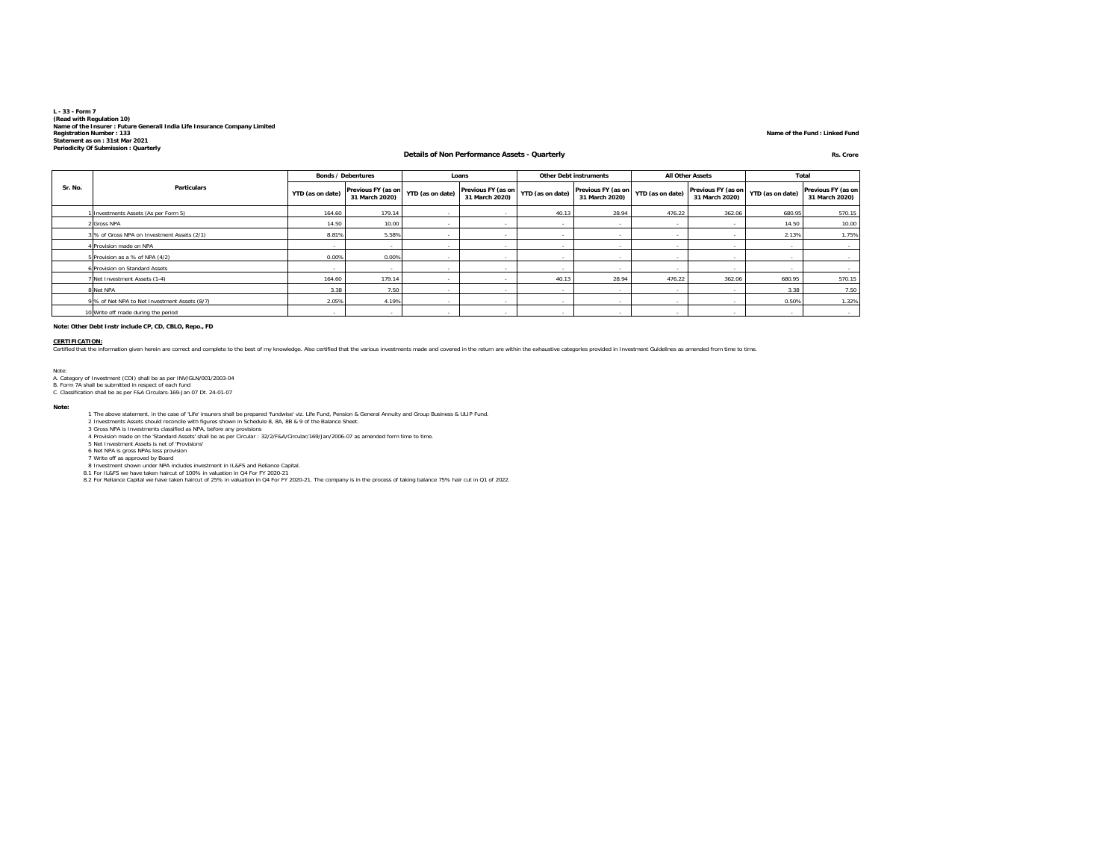# **L - 33 - Form 7**(Read with Regulation 10)<br>Name of the Insurer : Future Generali India Life Insurance Company Limited<br>Registration Number : 133<br>Statement as on : 31st Mar 2021<br>Periodicity Of Submission : Quarterly

### **Details of Non Performance Assets - Quarterly Rs. Crore**

#### **Name of the Fund : Linked Fund**

|         |                                               |                          | <b>Bonds / Debentures</b>            |                          | Loans                                |                  | <b>Other Debt instruments</b>        |                          | <b>All Other Assets</b>                                    |        | Total                                |
|---------|-----------------------------------------------|--------------------------|--------------------------------------|--------------------------|--------------------------------------|------------------|--------------------------------------|--------------------------|------------------------------------------------------------|--------|--------------------------------------|
| Sr. No. | <b>Particulars</b>                            | YTD (as on date)         | Previous FY (as on<br>31 March 2020) | YTD (as on date)         | Previous FY (as on<br>31 March 2020) | YTD (as on date) | Previous FY (as on<br>31 March 2020) | YTD (as on date)         | Previous FY (as on   YTD (as on date)  "<br>31 March 2020) |        | Previous FY (as on<br>31 March 2020) |
|         | Investments Assets (As per Form 5)            | 164.60                   | 179.14                               |                          |                                      | 40.13            | 28.94                                | 476.22                   | 362.06                                                     | 680.95 | 570.15                               |
|         | 2 Gross NPA                                   | 14.50                    | 10.00                                | $\overline{\phantom{a}}$ |                                      |                  |                                      | $\overline{\phantom{a}}$ |                                                            | 14.50  | 10.00                                |
|         | 3 % of Gross NPA on Investment Assets (2/1)   | 8.81%                    | 5.58%                                | $\overline{\phantom{a}}$ |                                      |                  |                                      |                          |                                                            | 2.13%  | 1.75%                                |
|         | 4 Provision made on NPA                       |                          | $\overline{\phantom{a}}$             | $\overline{\phantom{a}}$ |                                      |                  |                                      |                          |                                                            |        |                                      |
|         | 5 Provision as a % of NPA (4/2)               | 0.00%                    | 0.00%                                | $\overline{\phantom{a}}$ |                                      |                  |                                      | $\sim$                   | . .                                                        | $\sim$ |                                      |
|         | 6 Provision on Standard Assets                |                          |                                      |                          |                                      |                  |                                      |                          |                                                            |        |                                      |
|         | 7 Net Investment Assets (1-4)                 | 164.60                   | 179.14                               |                          |                                      | 40.13            | 28.94                                | 476.22                   | 362.06                                                     | 680.95 | 570.15                               |
|         | 8 Net NPA                                     | 3.38                     | 7.50                                 | $\overline{\phantom{a}}$ | $\overline{\phantom{a}}$             | ۰.               | $\sim$                               | $\overline{\phantom{a}}$ |                                                            | 3.38   | 7.50                                 |
|         | 9 % of Net NPA to Net Investment Assets (8/7) | 2.05%                    | 4.19%                                | $\overline{\phantom{a}}$ |                                      |                  |                                      |                          |                                                            | 0.50%  | 1.32%                                |
|         | 10 Write off made during the period           | $\overline{\phantom{a}}$ |                                      |                          |                                      |                  |                                      |                          |                                                            | $\sim$ |                                      |

**Note: Other Debt Instr include CP, CD, CBLO, Repo., FD**

CERTIFICATION:<br>Certified that the information given herein are correct and complete to the best of my knowledge. Also certified that the various investments made and covered in the return are within the exhaustive categori

Note: A. Category of Investment (COI) shall be as per INV/GLN/001/2003-04 B. Form 7A shall be submitted in respect of each fund

C. Classification shall be as per F&A Circulars-169-Jan 07 Dt. 24-01-07

**Note:**

1 The above statement, in the case of 'Life' insurers shall be prepared "fundwise' viz. Life Fund, Pension & General Annuity and Group Business & ULIP Fund<br>2 Investments Assets should reconcile with figures shown in Schedu

6 Net NPA is gross NPAs less provision

7 Write off as approved by Board<br>8 Investment shown under NPA includes investment in IL&FS and Reliance Capital.<br>8.1 For IL&FS we have taken haircut of 100% in valuation in O4 For FY 2020-21. The company is in the process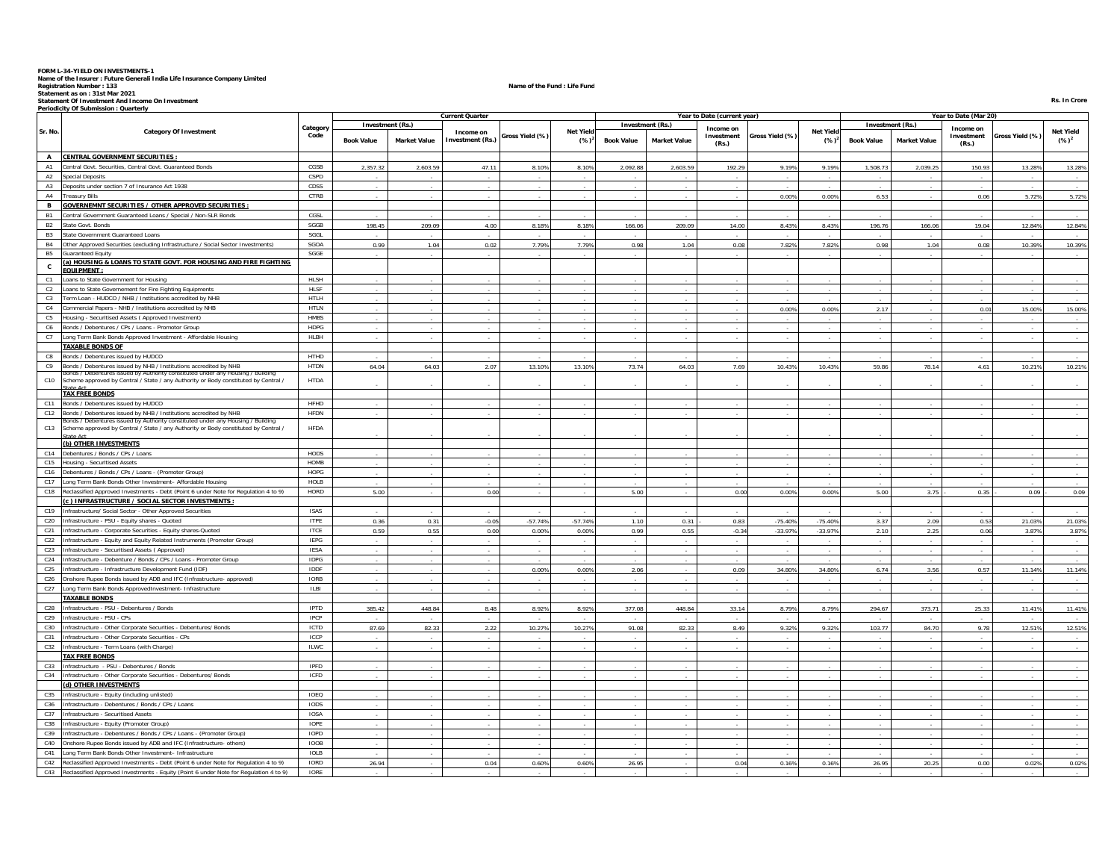FORM L-34-YIELD ON INVESTMENTS-1<br>Registration Number : T33<br>Statement of Investment And Income On Investment Company Limited<br>Statement as on : 31st Mar 2021<br>Statement as on : 31st Mar 2021<br>Periodicity Of Submission : Quarte

|                 |                                                                                                                     |                            |                   |                     | <b>Current Quarter</b>               |                 |                             |                   |                     | Year to Date (current year) |                 |                              |                   |                     | Year to Date (Mar 20) |                 |                             |
|-----------------|---------------------------------------------------------------------------------------------------------------------|----------------------------|-------------------|---------------------|--------------------------------------|-----------------|-----------------------------|-------------------|---------------------|-----------------------------|-----------------|------------------------------|-------------------|---------------------|-----------------------|-----------------|-----------------------------|
|                 |                                                                                                                     | Category                   | Investment (Rs.)  |                     |                                      |                 |                             | Investment (Rs.)  |                     | Income on                   |                 |                              |                   | Investment (Rs.)    | Income on             |                 |                             |
| Sr. No.         | <b>Category Of Investment</b>                                                                                       | Code                       | <b>Book Value</b> | <b>Market Value</b> | Income on<br><b>Investment (Rs.)</b> | Gross Yield (%) | <b>Net Yield</b><br>$(%)^2$ | <b>Book Value</b> | <b>Market Value</b> | Investment                  | Gross Yield (%) | <b>Net Yield</b><br>$(\%)^2$ | <b>Book Value</b> | <b>Market Value</b> | Investment            | Gross Yield (%) | <b>Net Yield</b><br>$(%)^2$ |
|                 |                                                                                                                     |                            |                   |                     |                                      |                 |                             |                   |                     | (Rs.)                       |                 |                              |                   |                     | (Rs.)                 |                 |                             |
| A               | <b>CENTRAL GOVERNMENT SECURITIES:</b>                                                                               |                            |                   |                     |                                      |                 |                             |                   |                     |                             |                 |                              |                   |                     |                       |                 |                             |
| A1              | Central Govt. Securities, Central Govt. Guaranteed Bonds                                                            | CGSB                       | 2.357.32          | 2.603.59            | 47.11                                | 8.10%           | 8.10%                       | 2.092.88          | 2.603.59            | 192.29                      | 9.19%           | 9.19%                        | 1.508.73          | 2.039.25            | 150.93                | 13.28%          | 13.28%                      |
| A2              | <b>Special Deposits</b>                                                                                             | <b>CSPD</b>                |                   |                     |                                      |                 |                             |                   |                     |                             |                 |                              |                   |                     |                       |                 |                             |
| A3              | Deposits under section 7 of Insurance Act 1938                                                                      | CDSS                       |                   |                     |                                      |                 |                             |                   |                     |                             |                 |                              |                   |                     |                       |                 |                             |
| A4              | <b>Treasury Bills</b>                                                                                               | CTRB                       |                   |                     |                                      |                 |                             |                   |                     |                             | 0.00%           | 0.00%                        | 6.53              |                     | 0.06                  | 5.72%           | 5.72%                       |
| в               | <b>GOVERNEMNT SECURITIES / OTHER APPROVED SECURITIES :</b>                                                          |                            |                   |                     |                                      |                 |                             |                   |                     |                             |                 |                              |                   |                     |                       |                 |                             |
| <b>B1</b>       | Central Government Guaranteed Loans / Special / Non-SLR Bonds                                                       | CGSL                       |                   |                     |                                      |                 |                             |                   |                     |                             |                 |                              |                   |                     |                       |                 |                             |
| <b>B2</b>       | State Govt. Bonds                                                                                                   | SGGB                       | 198.45            | 209.09              | 4.00                                 | 8.18%           | 8.18%                       | 166.06            | 209.09              | 14.00                       | 8.43%           | 8.43%                        | 196.76            | 166.06              | 19.04                 | 12.84%          | 12.84%                      |
| <b>B3</b>       | State Government Guaranteed Loans                                                                                   | SGGL                       |                   |                     |                                      |                 |                             |                   |                     |                             |                 |                              |                   |                     |                       |                 |                             |
| <b>B4</b>       | Other Approved Securities (excluding Infrastructure / Social Sector Investments)                                    | SGOA                       | 0.99              | 1.04                | 0.02                                 | 7.79%           | 7.79%                       | 0.98              | 1.04                | 0.08                        | 7.82%           | 7.82%                        | 0.98              | 1.04                | 0.08                  | 10.39%          | 10.39%                      |
| <b>B5</b>       | <b>Guaranteed Equity</b>                                                                                            | SGGE                       |                   |                     |                                      |                 |                             |                   |                     |                             |                 |                              |                   |                     |                       |                 |                             |
| $\mathbf{c}$    | (a) HOUSING & LOANS TO STATE GOVT. FOR HOUSING AND FIRE FIGHTING.                                                   |                            |                   |                     |                                      |                 |                             |                   |                     |                             |                 |                              |                   |                     |                       |                 |                             |
|                 | <b>EQUIPMENT</b>                                                                                                    |                            |                   |                     |                                      |                 |                             |                   |                     |                             |                 |                              |                   |                     |                       |                 |                             |
| C1              | Loans to State Government for Housing                                                                               | HLSH<br>HLSF               |                   |                     |                                      |                 |                             |                   |                     |                             |                 |                              |                   |                     |                       |                 |                             |
| C2              | Loans to State Governement for Fire Fighting Equipments<br>Term Loan - HUDCO / NHB / Institutions accredited by NHB | <b>HTLH</b>                |                   |                     |                                      |                 |                             |                   |                     |                             |                 |                              |                   |                     |                       |                 |                             |
| C3              |                                                                                                                     |                            |                   |                     |                                      |                 |                             |                   |                     |                             |                 |                              |                   |                     |                       |                 |                             |
| C4              | Commercial Papers - NHB / Institutions accredited by NHB                                                            | <b>HTLN</b><br><b>HMBS</b> |                   |                     |                                      |                 |                             |                   |                     |                             | 0.00%           | 0.00%                        | 2.17              |                     | 0.01                  | 15.00%          | 15.00%                      |
| C5              | Housing - Securitised Assets ( Approved Investment)                                                                 |                            |                   |                     |                                      |                 |                             |                   |                     |                             |                 |                              |                   |                     |                       |                 |                             |
| C6              | Bonds / Debentures / CPs / Loans - Promotor Group                                                                   | HDPG                       |                   |                     |                                      |                 |                             |                   |                     |                             |                 |                              |                   |                     |                       |                 |                             |
| C7              | Long Term Bank Bonds Approved Investment - Affordable Housing                                                       | HLBH                       |                   |                     |                                      |                 |                             |                   |                     |                             |                 |                              |                   |                     |                       |                 |                             |
|                 | <b>TAXABLE BONDS OF</b>                                                                                             | HTHD                       |                   |                     |                                      |                 |                             |                   |                     |                             |                 |                              |                   |                     |                       |                 |                             |
| C8<br>C9        | Bonds / Debentures issued by HUDCO<br>Bonds / Debentures issued by NHB / Institutions accredited by NHB             | <b>HTDN</b>                | 64.04             | 64.03               | 2.07                                 | 13.10%          | 13.10%                      | 73.74             | 64.03               | 7.69                        | 10.43%          | 10.43%                       | 59.86             | 78.14               | 4.61                  | 10.21%          |                             |
|                 | onds / Debentures issued by Authority constituted under any Housing / Building                                      |                            |                   |                     |                                      |                 |                             |                   |                     |                             |                 |                              |                   |                     |                       |                 | 10.21%                      |
| C10             | Scheme approved by Central / State / any Authority or Body constituted by Central /                                 | <b>HTDA</b>                |                   |                     |                                      |                 |                             |                   |                     |                             |                 |                              |                   |                     |                       |                 |                             |
|                 | $H0$ Ast<br><b>TAX FREE BONDS</b>                                                                                   |                            |                   |                     |                                      |                 |                             |                   |                     |                             |                 |                              |                   |                     |                       |                 |                             |
| C11             | Bonds / Debentures issued by HUDCO                                                                                  | <b>HFHD</b>                |                   |                     |                                      |                 |                             |                   |                     |                             |                 |                              |                   |                     |                       |                 |                             |
| C12             | Bonds / Debentures issued by NHB / Institutions accredited by NHB                                                   | HFDN                       |                   |                     |                                      |                 |                             |                   |                     |                             |                 |                              |                   |                     |                       |                 |                             |
|                 | Bonds / Debentures issued by Authority constituted under any Housing / Building                                     |                            |                   |                     |                                      |                 |                             |                   |                     |                             |                 |                              |                   |                     |                       |                 |                             |
| C13             | Scheme approved by Central / State / any Authority or Body constituted by Central /<br><b>State Art</b>             | HFDA                       |                   |                     |                                      |                 |                             |                   |                     |                             |                 |                              |                   |                     |                       |                 |                             |
|                 | (b) OTHER INVESTMENTS                                                                                               |                            |                   |                     |                                      |                 |                             |                   |                     |                             |                 |                              |                   |                     |                       |                 |                             |
| C14             | Debentures / Bonds / CPs / Loans                                                                                    | HODS                       |                   |                     |                                      |                 |                             |                   |                     |                             |                 |                              |                   |                     |                       |                 |                             |
|                 | C15 Housing - Securitised Assets                                                                                    | <b>HOMB</b>                |                   |                     |                                      |                 |                             |                   |                     |                             |                 |                              |                   |                     |                       |                 |                             |
| C16             | Debentures / Bonds / CPs / Loans - (Promoter Group)                                                                 | HOPG                       |                   |                     |                                      |                 |                             |                   |                     |                             |                 |                              |                   |                     |                       |                 |                             |
| C17             | Long Term Bank Bonds Other Investment- Affordable Housing                                                           | HOLB                       |                   |                     |                                      |                 |                             |                   |                     |                             |                 |                              |                   |                     |                       |                 |                             |
| C18             | Reclassified Approved Investments - Debt (Point 6 under Note for Regulation 4 to 9)                                 | HORD                       | 5.00              |                     | 0.00                                 |                 |                             | 5.00              |                     | 0.00                        | 0.00%           | 0.00%                        | 5.00              | 3.75                | 0.35                  | 0.09            | 0.09                        |
|                 | (c) INFRASTRUCTURE / SOCIAL SECTOR INVESTMENTS :                                                                    |                            |                   |                     |                                      |                 |                             |                   |                     |                             |                 |                              |                   |                     |                       |                 |                             |
| C19             | Infrastructure/ Social Sector - Other Approved Securities                                                           | <b>ISAS</b>                |                   |                     |                                      |                 |                             |                   |                     |                             |                 |                              |                   |                     |                       |                 |                             |
| C20             | Infrastructure - PSU - Equity shares - Quoted                                                                       | <b>ITPE</b>                | 0.36              | 0.31                | $-0.05$                              | $-57.74%$       | $-57.74%$                   | 1.10              | 0.31                | 0.83                        | $-75.40%$       | $-75.40%$                    | 3.37              | 2.09                | 0.53                  | 21.03%          | 21.03%                      |
| C21             | Infrastructure - Corporate Securities - Equity shares-Quoted                                                        | <b>ITCE</b>                | 0.59              | 0.55                | 0.00                                 | 0.00%           | 0.00%                       | 0.99              | 0.55                | $-0.34$                     | $-33.97%$       | $-33.97%$                    | 2.10              | 2.25                | 0.06                  | 3.87%           | 3.87%                       |
| C22             | Infrastructure - Equity and Equity Related Instruments (Promoter Group)                                             | <b>IEPG</b>                |                   |                     |                                      |                 |                             |                   |                     |                             |                 |                              |                   |                     |                       |                 |                             |
| C23             | Infrastructure - Securitised Assets ( Approved)                                                                     | IESA                       |                   |                     |                                      |                 |                             |                   |                     |                             |                 |                              |                   |                     |                       |                 |                             |
| C24             | Infrastructure - Debenture / Bonds / CPs / Loans - Promoter Group                                                   | <b>IDPG</b>                |                   |                     |                                      |                 |                             |                   |                     |                             |                 |                              |                   |                     |                       |                 |                             |
| C25             | Infrastructure - Infrastructure Development Fund (IDF)                                                              | <b>IDDF</b>                |                   |                     |                                      | 0.00%           | 0.00%                       | 2.06              |                     | 0.09                        | 34.80%          | 34.80%                       | 6.74              | 3.56                | 0.57                  | 11.14%          | 11.14%                      |
| C <sub>26</sub> | Onshore Rupee Bonds issued by ADB and IFC (Infrastructure- approved)                                                | IORB                       |                   |                     |                                      |                 |                             |                   |                     |                             |                 |                              |                   |                     |                       |                 |                             |
| C27             | Long Term Bank Bonds ApprovedInvestment- Infrastructure                                                             | <b>ILBI</b>                |                   |                     |                                      |                 |                             |                   |                     |                             |                 |                              |                   |                     |                       |                 |                             |
|                 | <b>TAXABLE BONDS</b>                                                                                                |                            |                   |                     |                                      |                 |                             |                   |                     |                             |                 |                              |                   |                     |                       |                 |                             |
| C28             | Infrastructure - PSU - Debentures / Bonds                                                                           | <b>IPTD</b>                | 385.42            | 448.84              | 8.48                                 | 8.92%           | 8.92%                       | 377.08            | 448.84              | 33.14                       | 8.79%           | 8.79%                        | 294.67            | 373.71              | 25.33                 | 11.41%          | 11.41%                      |
| C29             | Infrastructure - PSU - CPs                                                                                          | IPCP                       |                   |                     |                                      |                 |                             |                   |                     |                             |                 |                              |                   |                     |                       |                 |                             |
| C30             | Infrastructure - Other Corporate Securities - Debentures/ Bonds                                                     | ICTD                       | 87.69             | 82.33               | 2.22                                 | 10.27%          | 10.27%                      | 91.08             | 82.33               | 8.49                        | 9.32%           | 9.32%                        | 103.77            | 84.70               | 9.78                  | 12.51%          | 12.51%                      |
| C31             | Infrastructure - Other Corporate Securities - CPs                                                                   | ICCP                       |                   |                     |                                      |                 |                             |                   |                     |                             |                 |                              |                   |                     |                       |                 |                             |
| C32             | Infrastructure - Term Loans (with Charge)                                                                           | <b>ILWC</b>                |                   |                     |                                      |                 |                             |                   |                     |                             |                 |                              |                   |                     |                       |                 |                             |
|                 | <b>TAX FREE BONDS</b>                                                                                               |                            |                   |                     |                                      |                 |                             |                   |                     |                             |                 |                              |                   |                     |                       |                 |                             |
| C33             | Infrastructure - PSU - Debentures / Bonds                                                                           | <b>IPFD</b>                |                   |                     |                                      |                 |                             |                   |                     |                             |                 |                              |                   |                     |                       |                 |                             |
| C34             | Infrastructure - Other Corporate Securities - Debentures/ Bonds                                                     | ICFD                       |                   |                     |                                      |                 |                             |                   |                     |                             |                 |                              |                   |                     |                       |                 |                             |
|                 | (d) OTHER INVESTMENTS                                                                                               |                            |                   |                     |                                      |                 |                             |                   |                     |                             |                 |                              |                   |                     |                       |                 |                             |
| C35             | Infrastructure - Equity (including unlisted)                                                                        | IOEQ                       |                   |                     |                                      |                 |                             |                   |                     |                             |                 |                              |                   |                     |                       |                 |                             |
| C36             | Infrastructure - Debentures / Bonds / CPs / Loans                                                                   | IODS                       |                   |                     |                                      |                 |                             |                   |                     |                             |                 |                              |                   |                     |                       |                 |                             |
| C37<br>C38      | Infrastructure - Securitised Assets<br>Infrastructure - Equity (Promoter Group)                                     | <b>IOSA</b><br><b>IOPE</b> |                   |                     |                                      |                 |                             |                   |                     |                             |                 |                              |                   |                     |                       |                 |                             |
| C39             | Infrastructure - Debentures / Bonds / CPs / Loans - (Promoter Group)                                                | <b>IOPD</b>                | $\sim$            |                     |                                      |                 |                             |                   |                     |                             |                 | $\sim$                       |                   |                     |                       |                 |                             |
| C40             | Onshore Rupee Bonds issued by ADB and IFC (Infrastructure- others)                                                  | <b>IOOB</b>                |                   |                     |                                      |                 |                             |                   |                     |                             |                 |                              |                   |                     |                       |                 |                             |
| C41             | Long Term Bank Bonds Other Investment- Infrastructure                                                               | <b>IOLB</b>                |                   |                     |                                      |                 |                             |                   |                     |                             |                 |                              |                   |                     |                       |                 |                             |
| C42             | Reclassified Approved Investments - Debt (Point 6 under Note for Regulation 4 to 9)                                 | <b>IORD</b>                | 26.94             |                     | 0.04                                 | 0.60%           | 0.60%                       | 26.95             |                     | 0.04                        | 0.16%           | 0.16%                        | 26.95             | 20.25               | 0.00                  | 0.02%           | 0.02%                       |
| C43             | Reclassified Approved Investments - Equity (Point 6 under Note for Requlation 4 to 9)                               | <b>IORE</b>                |                   |                     |                                      |                 |                             |                   |                     |                             |                 |                              |                   |                     |                       |                 |                             |

 **Rs. In Crore**Rs. In Crore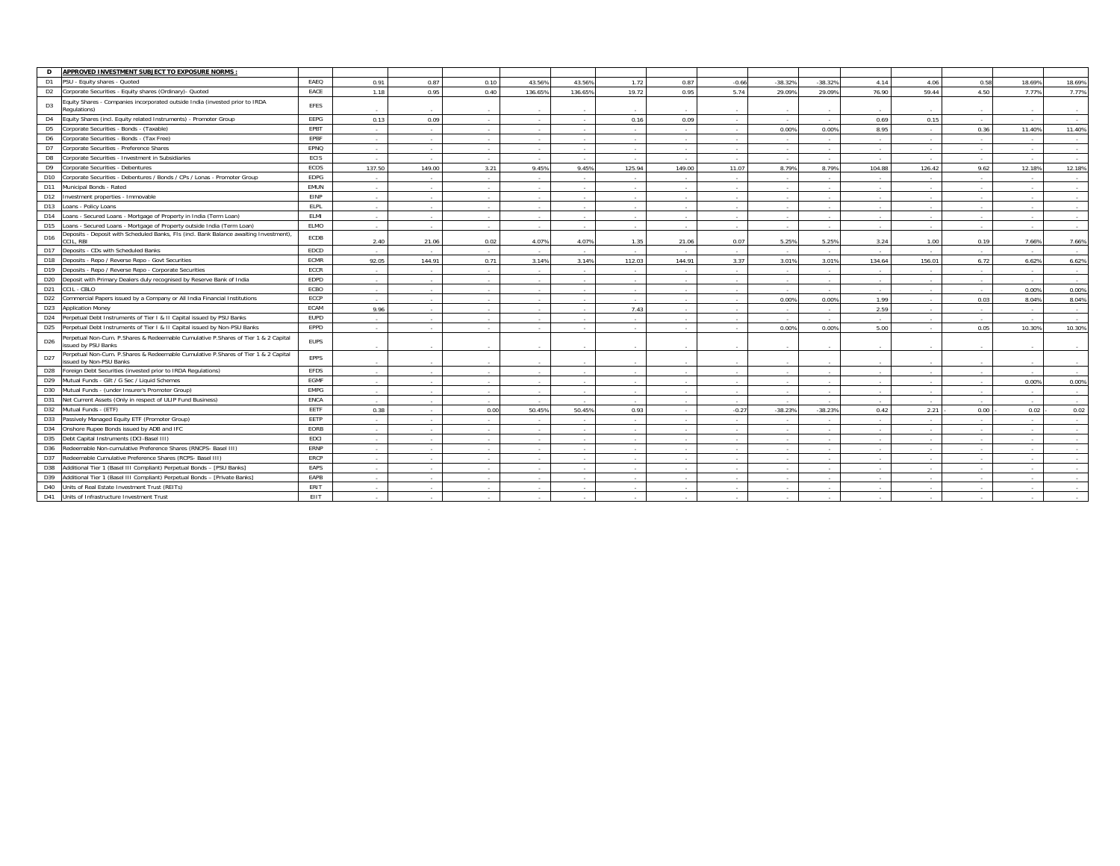| APPROVED INVESTMENT SUBJECT TO EXPOSURE NORMS<br>D                                                                              |             |        |                |                |         |         |                          |                |         |                          |           |                          |        |                          |                          |        |
|---------------------------------------------------------------------------------------------------------------------------------|-------------|--------|----------------|----------------|---------|---------|--------------------------|----------------|---------|--------------------------|-----------|--------------------------|--------|--------------------------|--------------------------|--------|
| PSU - Equity shares - Quoted<br>D <sub>1</sub>                                                                                  | EAEQ        | 0.91   | 0.87           | 0.10           | 43.56%  | 43.56%  | 1.72                     | 0.87           | $-0.66$ | $-38.32%$                | $-38.329$ | 4.14                     | 4.06   | 0.58                     | 18.69%                   | 18.69% |
| Corporate Securities - Equity shares (Ordinary) - Quoted<br>D <sub>2</sub>                                                      | EACE        | 1.18   | 0.95           | 0.40           | 136.65% | 136.65% | 19.72                    | 0.95           | 5.74    | 29.09%                   | 29.09%    | 76.90                    | 59.44  | 4.50                     | 7.77%                    | 7.77%  |
| Equity Shares - Companies incorporated outside India (invested prior to IRDA<br>D <sub>3</sub><br>Requlations)                  | EFES        |        |                |                |         |         |                          |                |         |                          | $\sim$    |                          |        |                          |                          | $\sim$ |
| Equity Shares (incl. Equity related Instruments) - Promoter Group<br>D <sub>4</sub>                                             | EEPG        | 0.13   | 0.09           | $\sim$         |         |         | 0.16                     | 0.09           |         |                          | $\sim$    | 0.69                     | 0.15   |                          |                          | $\sim$ |
| Corporate Securities - Bonds - (Taxable)<br>D <sub>5</sub>                                                                      | EPBT        | $\sim$ | $\sim$         | $\sim$         |         | $\sim$  |                          | ۰.             | $\sim$  | 0.00%                    | 0.00%     | 8.95                     |        | 0.36                     | 11.40%                   | 11.40% |
| Corporate Securities - Bonds - (Tax Free)<br>D <sub>6</sub>                                                                     | EPBF        | $\sim$ | <b>Section</b> | <b>Section</b> |         | $\sim$  | $\overline{\phantom{a}}$ | $\sim$         |         | $\sim$                   | $\sim$    | $\overline{\phantom{a}}$ |        |                          |                          | $\sim$ |
| Corporate Securities - Preference Shares<br>D7                                                                                  | EPNQ        | $\sim$ | <b>Section</b> | <b>Section</b> | $\sim$  | $\sim$  | $\sim$                   | <b>Section</b> | $\sim$  | $\overline{\phantom{a}}$ | $\sim$    | $\sim$                   | $\sim$ | $\sim$                   | $\overline{\phantom{a}}$ | $\sim$ |
| Corporate Securities - Investment in Subsidiaries<br>D8                                                                         | ECIS        |        | $\sim$         |                |         |         |                          |                |         |                          |           |                          |        |                          |                          |        |
| D9<br>Corporate Securities - Debentures                                                                                         | ECOS        | 137.50 | 149.00         | 3.21           | 9.45%   | 9.45%   | 125.94                   | 149.00         | 11.07   | 8.79%                    | 8.799     | 104.88                   | 126.42 | 9.62                     | 12.18%                   | 12.18% |
| D <sub>10</sub><br>Corporate Securities - Debentures / Bonds / CPs / Lonas - Promoter Group                                     | EDPG        | $\sim$ | <b>Section</b> | $\sim$         |         |         |                          | $\sim$         |         | $\overline{\phantom{a}}$ | $\sim$    | $\overline{\phantom{a}}$ |        |                          |                          | $\sim$ |
| D11<br>Municipal Bonds - Rated                                                                                                  | EMUN        | $\sim$ | <b>Section</b> | $\sim$         |         |         |                          | <b>Section</b> |         |                          | $\sim$    | $\sim$                   |        |                          |                          | $\sim$ |
| D <sub>12</sub><br>Investment properties - Immovable                                                                            | EINP        | $\sim$ | $\sim$         | $\sim$         |         |         |                          | <b>1999</b>    |         |                          | $\sim$    | $\sim$                   |        |                          |                          | $\sim$ |
| D13<br>Loans - Policy Loans                                                                                                     | ELPL        | $\sim$ | $\sim$         | $\sim$         |         |         |                          | $\sim$         |         |                          | $\sim$    |                          |        |                          |                          |        |
| Loans - Secured Loans - Mortgage of Property in India (Term Loan)<br>D14                                                        | <b>ELMI</b> | $\sim$ | <b>A</b>       | $\sim$         |         |         |                          | <b>A</b>       |         |                          | $\sim$    |                          |        |                          |                          | $\sim$ |
| D15<br>Loans - Secured Loans - Mortgage of Property outside India (Term Loan)                                                   | <b>ELMO</b> | $\sim$ | $\sim$         | $\sim$         | $\sim$  | $\sim$  | $\sim$                   | $\sim$         | $\sim$  | $\overline{\phantom{a}}$ | $\sim$    | $\sim$                   | $\sim$ | $\sim$                   | $\sim$                   | $\sim$ |
| Deposits - Deposit with Scheduled Banks, FIs (incl. Bank Balance awaiting Investment),<br>D16<br>CIL. RBI                       | ECDB        | 2.40   | 21.06          | 0.02           | 4.07%   | 4.07%   | 1.35                     | 21.06          | 0.07    | 5.25%                    | 5.25%     | 3.24                     | 1.00   | 0.19                     | 7.66%                    | 7.66%  |
| Deposits - CDs with Scheduled Banks<br>D17                                                                                      | EDCD        |        | $\sim$         | $\sim$         |         |         |                          | $\sim$         |         |                          | $\sim$    |                          |        |                          |                          | $\sim$ |
| D18<br>Deposits - Repo / Reverse Repo - Govt Securities                                                                         | <b>ECMR</b> | 92.05  | 144.91         | 0.71           | 3.14%   | 3.14%   | 112.03                   | 144.91         | 3.37    | 3.01%                    | 3.01%     | 134.64                   | 156.01 | 6.72                     | 6.62%                    | 6.62%  |
| D <sub>19</sub><br>Deposits - Repo / Reverse Repo - Corporate Securities                                                        | ECCR        | $\sim$ | $\sim$         | $\sim$         |         | $\sim$  | $\overline{\phantom{a}}$ | $\sim$         | $\sim$  | $\overline{\phantom{a}}$ | $\sim$    | $\overline{\phantom{a}}$ | ۰.     | $\overline{\phantom{a}}$ | $\overline{\phantom{a}}$ | $\sim$ |
| Deposit with Primary Dealers duly recognised by Reserve Bank of India<br>D <sub>20</sub>                                        | EDPD        | $\sim$ | $\sim$         | $\sim$         | $\sim$  | $\sim$  | $\sim$                   | $\sim$         | $\sim$  | $\overline{a}$           | $\sim$    | $\sim$                   |        |                          |                          | $\sim$ |
| D <sub>21</sub><br>CCIL - CBLO                                                                                                  | ECBO        | $\sim$ | <b>A</b> 1979  | $\sim$         | $\sim$  | $\sim$  | $\sim$                   | $\sim$         | $\sim$  | $\sim$                   | $\sim$    | $\sim$                   | $\sim$ |                          | 0.00%                    | 0.00%  |
| Commercial Papers issued by a Company or All India Financial Institutions<br>D <sub>22</sub>                                    | ECCP        | $\sim$ | <b>Section</b> | $\sim$         | $\sim$  | $\sim$  | $\overline{\phantom{a}}$ | <b>Section</b> | $\sim$  | 0.00%                    | 0.00%     | 1.99                     | ۰.     | 0.03                     | 8.04%                    | 8.04%  |
| D <sub>23</sub><br><b>Application Money</b>                                                                                     | ECAM        | 9.96   | $\sim$         | $\sim$         |         |         | 7.43                     | $\sim$         |         |                          | $\sim$    | 2.59                     |        |                          |                          | $\sim$ |
| D <sub>24</sub><br>Perpetual Debt Instruments of Tier I & II Capital issued by PSU Banks                                        | <b>EUPD</b> | $\sim$ | $\sim$         | $\sim$         | $\sim$  | $\sim$  | $\overline{\phantom{a}}$ | $\sim$         | $\sim$  | $\overline{\phantom{a}}$ | $\sim$    | $\sim$                   | $\sim$ | $\sim$                   | $\sim$                   | $\sim$ |
| D <sub>25</sub><br>Perpetual Debt Instruments of Tier I & II Capital issued by Non-PSU Banks                                    | EPPD        |        | $\sim$         |                |         |         |                          |                |         | 0.00%                    | 0.00%     | 5.00                     |        | 0.05                     | 10.30%                   | 10.30% |
| Perpetual Non-Cum. P.Shares & Redeemable Cumulative P.Shares of Tier 1 & 2 Capital<br>D <sub>26</sub><br>issued by PSU Banks    | <b>EUPS</b> |        |                |                |         |         |                          |                |         |                          |           |                          |        |                          |                          |        |
| Perpetual Non-Cum. P.Shares & Redeemable Cumulative P.Shares of Tier 1 & 2 Capital<br>D <sub>27</sub><br>ssued by Non-PSU Banks | EPPS        | $\sim$ | $\sim$         |                |         |         |                          | $\sim$         |         |                          |           |                          |        |                          |                          |        |
| D <sub>28</sub><br>Foreign Debt Securities (invested prior to IRDA Regulations)                                                 | <b>EFDS</b> | $\sim$ | $\sim$         | $\sim$         | $\sim$  | $\sim$  | $\sim$                   | $\sim$         | $\sim$  | $\overline{\phantom{a}}$ | $\sim$    | $\sim$                   | ۰.     |                          |                          | $\sim$ |
| Mutual Funds - Gilt / G Sec / Liquid Schemes<br>D <sub>29</sub>                                                                 | EGMF        | $\sim$ | $\sim$         | <b>Service</b> | $\sim$  | $\sim$  | $\sim$                   |                | $\sim$  | $\sim$                   | $\sim$    | $\sim$                   | $\sim$ |                          | 0.00%                    | 0.00%  |
| Mutual Funds - (under Insurer's Promoter Group)<br>D30                                                                          | <b>EMPG</b> | $\sim$ | $\sim$         | $\sim$         |         |         |                          | 14             |         | $\overline{\phantom{a}}$ | $\sim$    | $\overline{\phantom{a}}$ |        |                          |                          | $\sim$ |
| D31<br>Net Current Assets (Only in respect of ULIP Fund Business)                                                               | <b>ENCA</b> | $\sim$ | $\sim$         | $\sim$         | $\sim$  | $\sim$  | $\overline{\phantom{a}}$ | $\sim$         | $\sim$  | $\overline{\phantom{a}}$ | $\sim$    | $\sim$                   | ۰.     | $\sim$                   | $\sim$                   | $\sim$ |
| D32<br>Mutual Funds - (ETF)                                                                                                     | <b>EETF</b> | 0.38   | $\sim$         | 0.00           | 50.45%  | 50.45%  | 0.93                     | $\sim$         | $-0.27$ | $-38.23%$                | $-38.239$ | 0.42                     | 2.21   | 0.00                     | 0.02                     | 0.02   |
| Passively Managed Equity ETF (Promoter Group)<br>D33                                                                            | EETP        | $\sim$ | $\sim$         |                |         |         |                          |                |         |                          | $\sim$    |                          |        |                          |                          | $\sim$ |
| D34<br>Onshore Rupee Bonds issued by ADB and IFC                                                                                | EORB        | $\sim$ | $\sim$         | $\sim$         | $\sim$  | $\sim$  | $\sim$                   |                | $\sim$  | $\overline{\phantom{a}}$ | $\sim$    | $\sim$                   | $\sim$ |                          |                          | $\sim$ |
| Debt Capital Instruments (DCI-Basel III)<br>D35                                                                                 | <b>EDCI</b> | $\sim$ | $\sim$         | $\sim$         | $\sim$  | $\sim$  | $\overline{\phantom{a}}$ | <b>Section</b> | $\sim$  | $\overline{\phantom{a}}$ | $\sim$    | $\sim$                   | $\sim$ |                          |                          | $\sim$ |
| Redeemable Non-cumulative Preference Shares (RNCPS- Basel III)<br>D36                                                           | ERNP        | $\sim$ | $\sim$         | $\sim$         |         |         |                          | <b>A</b>       |         |                          | $\sim$    |                          |        |                          |                          |        |
| D37<br>Redeemable Cumulative Preference Shares (RCPS- Basel III)                                                                | ERCP        | $\sim$ | <b>A</b>       | $\sim$         | $\sim$  |         | $\overline{\phantom{a}}$ | <b>A</b>       | $\sim$  | $\overline{\phantom{a}}$ | $\sim$    | $\sim$                   |        |                          |                          |        |
| D38<br>Additional Tier 1 (Basel III Compliant) Perpetual Bonds - [PSU Banks]                                                    | EAPS        | $\sim$ | $\sim$         | $\sim$         |         |         |                          | $\sim$         |         |                          | ٠.        | $\overline{\phantom{a}}$ |        |                          |                          |        |
| D39<br>Additional Tier 1 (Basel III Compliant) Perpetual Bonds - [Private Banks]                                                | EAPB        | $\sim$ | <b>Section</b> | <b>Service</b> | $\sim$  | $\sim$  |                          |                | $\sim$  | $\overline{\phantom{a}}$ | $\sim$    | $\sim$                   | $\sim$ |                          |                          |        |
| D40<br>Units of Real Estate Investment Trust (REITs)                                                                            | ERIT        | $\sim$ | $\sim$         | $\sim$         | $\sim$  |         |                          | $\sim$         | $\sim$  | $\overline{\phantom{a}}$ | $\sim$    | $\sim$                   |        |                          |                          |        |
| D41<br>Units of Infrastructure Investment Trust                                                                                 | EIIT        |        |                |                |         |         |                          |                |         |                          |           |                          |        |                          |                          |        |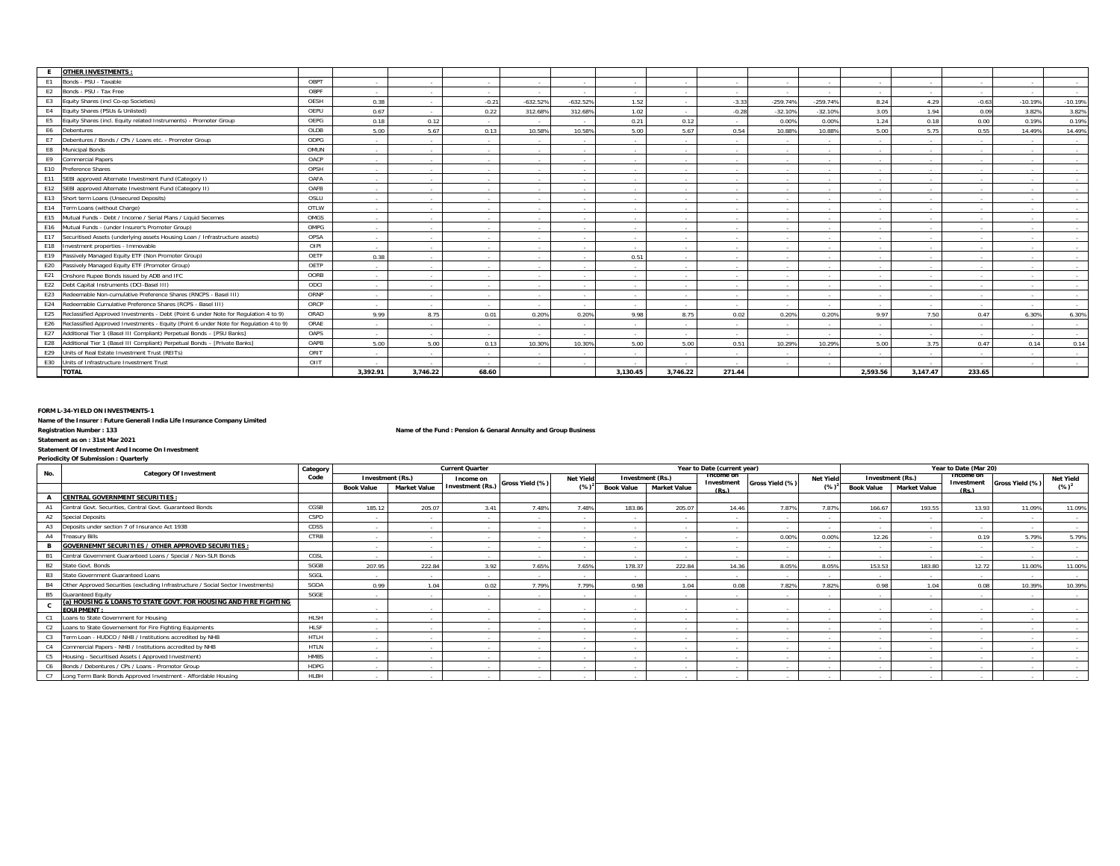|                | <b>OTHER INVESTMENTS</b>                                                                  |      |          |                 |                  |             |            |          |                  |             |                          |            |                          |                            |         |                          |                |
|----------------|-------------------------------------------------------------------------------------------|------|----------|-----------------|------------------|-------------|------------|----------|------------------|-------------|--------------------------|------------|--------------------------|----------------------------|---------|--------------------------|----------------|
| E1             | Bonds - PSU - Taxable                                                                     | OBPT | $\sim$   | $\sim$          | $\sim$           | $\sim$      | $\sim$     | $\sim$   | $\sim$           | н.          | $\sim$                   | $\sim$     | $\sim$                   | $\sim$                     | $\sim$  | $\sim$                   | $\sim$         |
| E <sub>2</sub> | Bonds - PSU - Tax Free                                                                    | OBPF | $\sim$   | $\sim$          | $\sim$ 100 $\mu$ | $\sim$      | $\sim$     | $\sim$   | <b>Section</b>   | $\sim$      | $\sim$                   | $\sim$     | $\sim$                   | $\sim$                     | $\sim$  | $\overline{\phantom{a}}$ | <b>Service</b> |
| E <sub>3</sub> | Equity Shares (incl Co-op Societies)                                                      | OESH | 0.38     | <b>Section</b>  | $-0.21$          | $-632.52%$  | $-632.52%$ | 1.52     | $\sim$ 100 $\mu$ | $-3.33$     | $-259.74%$               | $-259.749$ | 8.24                     | 4.29                       | $-0.63$ | $-10.19%$                | $-10.19%$      |
| E4             | Equity Shares (PSUs & Unlisted)                                                           | OEPU | 0.67     | $\sim$          | 0.22             | 312.68%     | 312.68%    | 1.02     | $\sim$           | $-0.28$     | $-32.10%$                | $-32.10%$  | 3.05                     | 1.94                       | 0.09    | 3.82%                    | 3.82%          |
|                | Equity Shares (incl. Equity related Instruments) - Promoter Group                         | OEPG | 0.18     | 0.12            | <b>Service</b>   |             | $\sim$     | 0.21     | 0.12             | $\sim$      | 0.00%                    | 0.00%      | 1.24                     | 0.18                       | 0.00    | 0.19%                    | 0.19%          |
| E6             | Debentures                                                                                | OLDB | 5.00     | 5.67            | 0.13             | 10.58%      | 10.58%     | 5.00     | 5.67             | 0.54        | 10.88%                   | 10.88%     | 5.00                     | 5.75                       | 0.55    | 14.49%                   | 14.49%         |
| E7             | Debentures / Bonds / CPs / Loans etc. - Promoter Group                                    | ODPG | $\sim$   | $\sim$          | <b>Section</b>   |             | $\sim$     | $\sim$   | <b>Section</b>   | $\sim$      | $\sim$                   | $\sim$     | $\sim$                   |                            | $\sim$  |                          | $\sim$         |
| E8             | Municipal Bonds                                                                           | OMUN | $\sim$   | $\sim$          | <b>Section</b>   | $\sim$      | $\sim$     | $\sim$   | <b>Section</b>   | <b>1999</b> | $\sim$                   | $\sim$     | $\sim$                   | <b>Contract</b>            | $\sim$  | $\sim$                   | <b>Service</b> |
| E9             | <b>Commercial Papers</b>                                                                  | OACP | $\sim$   | $\sim$          | $\sim$           | $\sim$      | $\sim$     | $\sim$   | $\sim$           | $\sim$      | $\sim$                   | $\sim$     | $\sim$                   | $\sim 10^{-1}$             | $\sim$  | $\sim$                   | $\sim$         |
| E10            | Preference Shares                                                                         | OPSH | $\sim$   | $\sim$          | $\sim$           |             | $\sim$     | $\sim$   | $\sim$           | <b>1999</b> | $\sim$                   | - 1        | $\overline{\phantom{a}}$ | $\sim$                     | $\sim$  |                          | $\sim$         |
| E11            | SEBI approved Alternate Investment Fund (Category I)                                      | OAFA | $\sim$   | $\sim$          | <b>Section</b>   |             | $\sim$     | $\sim$   | <b>Section</b>   | $\sim$      | $\sim$                   | $\sim$     | $\sim$                   | $\sim$                     | $\sim$  |                          | $\sim$         |
| E12            | SEBI approved Alternate Investment Fund (Category II)                                     | OAFB | $\sim$   | $\sim$          | <b>Section</b>   |             | $\sim$     | $\sim$   | <b>Section</b>   | $\sim$      | $\sim$                   | $\sim$     | $\sim$                   | <b>Contract</b>            | $\sim$  |                          | $\sim$         |
|                | E13 Short term Loans (Unsecured Deposits)                                                 | OSLU | $\sim$   | <b>Contract</b> | $\sim$           |             | $\sim$     | $\sim$   | $\sim$           | $\sim$      | $\sim$                   | $\sim$     | $\overline{\phantom{a}}$ | <b><i><u>Parts</u></i></b> |         |                          | $\sim$         |
| E14            | Term Loans (without Charge)                                                               | OTLW | $\sim$   | $\sim$          | $\sim$           | <b>1999</b> | $\sim$     | $\sim$   | $\sim$           | н.          | $\sim$                   | $\sim$     | $\sim$                   | $\sim$                     | $\sim$  | $\overline{\phantom{a}}$ | $\sim$         |
| E15            | Mutual Funds - Debt / Income / Serial Plans / Liquid Secemes                              | OMGS | $\sim$   | <b>Section</b>  | <b>Service</b>   |             |            | $\sim$   | <b>Service</b>   | $\sim$      | $\sim$                   | $\sim$     | $\sim$                   | <b>Contract</b>            | $\sim$  |                          | <b>Service</b> |
| E16            | Mutual Funds - (under Insurer's Promoter Group)                                           | OMPG | $\sim$   | $\sim$          | <b>Section</b>   |             | $\sim$     | $\sim$   | <b>Section</b>   | $\sim$      | $\overline{\phantom{a}}$ | $\sim$     | $\sim$                   | <b>Contract</b>            | $\sim$  |                          | $\sim$         |
| E17            | Securitised Assets (underlying assets Housing Loan / Infrastructure assets)               | OPSA | $\sim$   | $\sim$          | $\sim$           | <b>1999</b> | $\sim$     | $\sim$   | $\sim$           | $\sim$      | $\sim$                   | $\sim$     | $\overline{\phantom{a}}$ | $\sim$                     | $\sim$  | $\sim$                   | $\sim$         |
| E18            | Investment properties - Immovable                                                         | OIPI | $\sim$   | $\sim$          | <b>Section</b>   | - 1         | $\sim$     | $\sim$   | $\sim$           | н.          | $\sim$                   | $\sim$     | $\sim$                   | <b>Service</b>             | $\sim$  | $\sim$                   | $\sim$         |
| E19            | Passively Managed Equity ETF (Non Promoter Group)                                         | OETF | 0.38     | $\sim$          | <b>Section</b>   |             |            | 0.51     | <b>Section</b>   |             |                          |            |                          |                            |         |                          | $\sim$         |
|                | E20 Passively Managed Equity ETF (Promoter Group)                                         | OETP | $\sim$   | $\sim$          | <b>Section</b>   |             |            | $\sim$   | <b>Section</b>   | - 1         | $\sim$                   | $\sim$     | $\sim$                   | <b><i><u>Parts</u></i></b> | $\sim$  |                          | $\sim$         |
| E21            | Onshore Rupee Bonds issued by ADB and IFC                                                 | OORB | $\sim$   | $\sim$          | <b>Section</b>   | $\sim$      | $\sim$     | $\sim$   | $\sim$           | <b>1999</b> | $\sim$                   | $\sim$     | $\sim$                   | $\sim$                     | $\sim$  | $\sim$                   | <b>Service</b> |
| E22            | Debt Capital Instruments (DCI-Basel III)                                                  | ODCI | $\sim$   | $\sim$          | $\sim$           | <b>1999</b> | $\sim$     | $\sim$   | $\sim$           | $\sim$      | $\sim$                   | $\sim$     | $\overline{\phantom{a}}$ | $\sim$                     | $\sim$  | $\sim$                   | $\sim$         |
|                | E23 Redeemable Non-cumulative Preference Shares (RNCPS - Basel III)                       | ORNP | $\sim$   | $\sim$          | <b>Section</b>   |             | $\sim$     | $\sim$   | <b>Section</b>   | $\sim$      | $\sim$                   | $\sim$     | $\sim$                   |                            | $\sim$  |                          | $\sim$         |
| E24            | Redeemable Cumulative Preference Shares (RCPS - Basel III)                                | ORCP | $\sim$   | $\sim$          | <b>Section</b>   | $\sim$      | $\sim$     | $\sim$   | <b>Section</b>   | $\sim$      | $\sim$                   | $\sim$     | $\sim$                   | <b>Contract</b>            | $\sim$  | $\overline{\phantom{a}}$ | $\sim$         |
|                | E25 Reclassified Approved Investments - Debt (Point 6 under Note for Regulation 4 to 9)   | ORAD | 9.99     | 8.75            | 0.01             | 0.20%       | 0.20%      | 9.98     | 8.75             | 0.02        | 0.20%                    | 0.20%      | 9.97                     | 7.50                       | 0.47    | 6.30%                    | 6.30%          |
|                | E26 Reclassified Approved Investments - Equity (Point 6 under Note for Requlation 4 to 9) | ORAE | $\sim$   | $\sim$          | <b>Section</b>   |             | $\sim$     | $\sim$   | $\sim$           | $\sim$      | $\sim$                   | - 1        | $\sim$                   | $\sim$                     | $\sim$  |                          | $\sim$         |
| E27            | Additional Tier 1 (Basel III Compliant) Perpetual Bonds - [PSU Banks]                     | OAPS | $\sim$   | <b>Section</b>  | <b>Service</b>   |             |            |          | <b>Service</b>   | $\sim$      | $\sim$                   | $\sim$     | $\sim$                   |                            | $\sim$  |                          | <b>Service</b> |
| E28            | Additional Tier 1 (Basel III Compliant) Perpetual Bonds - [Private Banks]                 | OAPB | 5.00     | 5.00            | 0.13             | 10.30%      | 10.30%     | 5.00     | 5.00             | 0.51        | 10.29%                   | 10.29%     | 5.00                     | 3.75                       | 0.47    | 0.14                     | 0.14           |
| E29            | Units of Real Estate Investment Trust (REITs)                                             | ORIT | $\sim$   | <b>Section</b>  | <b>Service</b>   |             |            | $\sim$   | <b>Service</b>   | $\sim$      |                          |            | $\sim$                   |                            |         |                          | $\sim$         |
| E30            | Units of Infrastructure Investment Trust                                                  | OIIT | $\sim$   | ۰.              | <b>Section</b>   |             |            |          | $\sim$           |             |                          |            |                          |                            | $\sim$  |                          | $\sim$         |
|                | <b>TOTAL</b>                                                                              |      | 3.392.91 | 3.746.22        | 68.60            |             |            | 3.130.45 | 3.746.22         | 271.44      |                          |            | 2.593.56                 | 3.147.47                   | 233.65  |                          |                |

**FORM L-34-YIELD ON INVESTMENTS-1**

**Name of the Insurer : Future Generali India Life Insurance Company Limited**

**Registration Number : 133 Name of the Fund : Pension & Genaral Annuity and Group Business**

**Statement as on : 31st Mar 2021**

#### **Statement Of Investment And Income On Investment Periodicity Of Submission : Quarterly**

|                |                                                                                      | Category    |                   |                          | <b>Current Quarter</b>   |                 |                  |                          |                         | Year to Date (current year) |                          |                  |                   |                     | Year to Date (Mar 20)   |                 |                  |
|----------------|--------------------------------------------------------------------------------------|-------------|-------------------|--------------------------|--------------------------|-----------------|------------------|--------------------------|-------------------------|-----------------------------|--------------------------|------------------|-------------------|---------------------|-------------------------|-----------------|------------------|
| No.            | <b>Category Of Investment</b>                                                        | Code        |                   | <b>Investment (Rs.)</b>  | Income on                | Gross Yield (%) | <b>Net Yield</b> |                          | <b>Investment (Rs.)</b> | Income on<br>Investment     | Gross Yield (%)          | <b>Net Yield</b> |                   | Investment (Rs.)    | Income on<br>Investment | Gross Yield (%) | <b>Net Yield</b> |
|                |                                                                                      |             | <b>Book Value</b> | <b>Market Value</b>      | <b>Investment (Rs.)</b>  |                 | $(\%)^2$         | <b>Book Value</b>        | <b>Market Value</b>     | (Ps)                        |                          | $(\%)$           | <b>Book Value</b> | <b>Market Value</b> | (Rs.)                   |                 | $(\%)^2$         |
|                | <b>CENTRAL GOVERNMENT SECURITIES:</b>                                                |             |                   |                          |                          |                 |                  |                          |                         |                             |                          |                  |                   |                     |                         |                 |                  |
|                | Central Govt. Securities, Central Govt. Guaranteed Bonds                             | CGSB        | 185.12            | 205.07                   | 3.41                     | 7.48%           | 7.48%            | 183.86                   | 205.07                  | 14.46                       | 7.87%                    | 7.87%            | 166.67            | 193.55              | 13.93                   | 11.09%          | 11.09%           |
| A2             | Special Deposits                                                                     | CSPD        | $\sim$            |                          | <b>Contract Contract</b> |                 | . .              | $\sim$                   | <b>Contract</b>         |                             | $\sim$                   | $\sim$           |                   |                     |                         |                 | $\sim$           |
| A3             | Deposits under section 7 of Insurance Act 1938                                       | CDSS        | $\sim$            |                          |                          |                 |                  |                          |                         |                             |                          | $\sim$           |                   |                     |                         |                 | $\sim$           |
| A4             | <b>Treasury Bills</b>                                                                | CTRB        | $\sim$            |                          |                          |                 |                  | $\sim$                   |                         |                             | 0.00%                    | 0.00%            | 12.26             |                     | 0.19                    | 5.79%           | 5.79%            |
| в              | <b>GOVERNEMNT SECURITIES / OTHER APPROVED SECURITIES:</b>                            |             | $\sim$            | <b>Contract Contract</b> | . .                      |                 |                  | $\sim$                   | <b>Contract</b>         |                             | $\sim$                   | $\sim$           |                   |                     |                         |                 | $\sim$           |
|                | Central Government Guaranteed Loans / Special / Non-SLR Bonds                        | CGSL        | $\sim$            |                          |                          |                 |                  | $\sim$                   | <b>Contract</b>         |                             | $\sim$                   | $\sim$           |                   |                     |                         |                 | $\sim$           |
| <b>B2</b>      | State Govt. Bonds                                                                    | SGGB        | 207.95            | 222.84                   | 3.92                     | 7.65%           | 7.65%            | 178.37                   | 222.84                  | 14.36                       | 8.05%                    | 8.05%            | 153.53            | 183.80              | 12.72                   | 11.00%          | 11.00%           |
| B <sub>3</sub> | State Government Guaranteed Loans                                                    | SGGL        | $\sim$            | <b>Service</b>           | <b>Contract</b>          |                 |                  | $\sim$                   | <b>Service</b>          |                             | $\sim$                   | - 11             |                   |                     | <b>CONTRACTOR</b>       | $\sim$          | $\sim$           |
| <b>B4</b>      | Other Approved Securities (excluding Infrastructure / Social Sector Investments)     | SGOA        | 0.99              | 1.04                     | 0.02                     | 7.79%           | 7.79%            | 0.98                     | 1.04                    | 0.08                        | 7.82%                    | 7.82%            | 0.98              | 1.04                | 0.08                    | 10.39%          | 10.39%           |
| <b>B5</b>      | <b>Guaranteed Equity</b>                                                             | SGGE        | $\sim$            |                          |                          |                 |                  | $\sim$                   | . .                     |                             | $\sim$                   | - 11             |                   |                     |                         |                 | $\sim$           |
|                | (a) HOUSING & LOANS TO STATE GOVT. FOR HOUSING AND FIRE FIGHTING<br><b>EQUIPMENT</b> |             | $\sim$            |                          |                          |                 |                  | $\sim$                   |                         |                             |                          | $\sim$           |                   |                     |                         |                 |                  |
|                | Loans to State Government for Housing                                                | <b>HLSH</b> | $\sim$            |                          |                          |                 |                  | $\sim$                   | <b>Contract</b>         |                             | $\sim$                   | - 11             |                   |                     |                         |                 |                  |
| C <sub>2</sub> | Loans to State Governement for Fire Fighting Equipments                              | HLSF        | $\sim$            | . .                      |                          | $\sim$          |                  | $\overline{\phantom{a}}$ | <b>A</b>                |                             | $\overline{\phantom{a}}$ | $\sim$           |                   |                     |                         |                 | $\sim$           |
| C3             | Term Loan - HUDCO / NHB / Institutions accredited by NHB                             | <b>HTLH</b> | $\sim$            |                          | <b>Contract</b>          |                 |                  | $\overline{\phantom{a}}$ | <b>Contract</b>         |                             | $\sim$                   | - 11             |                   |                     |                         |                 | $\sim$           |
| C <sub>4</sub> | Commercial Papers - NHB / Institutions accredited by NHB                             | <b>HTLN</b> | $\sim$            |                          |                          |                 |                  | $\sim$                   | <b>Contract</b>         |                             | $\sim$                   | - 11             |                   |                     |                         |                 |                  |
| C5             | Housing - Securitised Assets (Approved Investment)                                   | <b>HMBS</b> | - 11              |                          |                          |                 |                  |                          |                         |                             |                          |                  |                   |                     |                         |                 |                  |
| C6             | Bonds / Debentures / CPs / Loans - Promotor Group                                    | <b>HDPG</b> | $\sim$            |                          |                          |                 |                  |                          |                         |                             |                          | - -              |                   |                     |                         |                 | $\sim$           |
|                | Long Term Bank Bonds Approved Investment - Affordable Housing                        | <b>HLBH</b> | $\sim$            |                          |                          |                 |                  |                          |                         |                             |                          |                  |                   |                     |                         |                 |                  |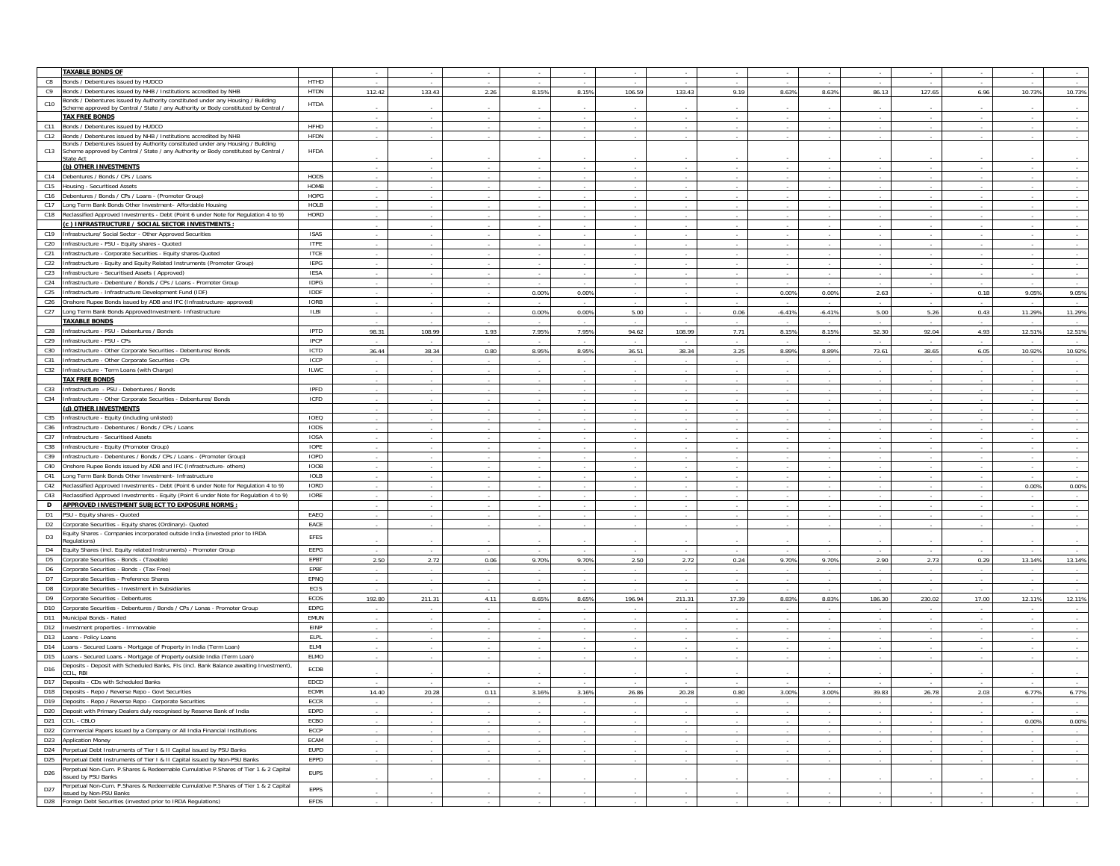|                 | <b>TAXABLE BONDS OF</b>                                                                           |             |                          |        |        |       |       |        |        |       |                          |                          |        |        |        |        |                          |
|-----------------|---------------------------------------------------------------------------------------------------|-------------|--------------------------|--------|--------|-------|-------|--------|--------|-------|--------------------------|--------------------------|--------|--------|--------|--------|--------------------------|
| C8              | Bonds / Debentures issued by HUDCO                                                                | HTHD        |                          |        |        |       |       |        |        |       |                          |                          |        |        |        |        |                          |
| C9              | Bonds / Debentures issued by NHB / Institutions accredited by NHB                                 | <b>HTDN</b> | 112.42                   | 133.43 | 2.26   | 8.15% | 8.15% | 106.59 | 133.43 | 9.19  | 8.63%                    | 8.63%                    | 86.13  | 127.65 | 6.96   | 10.73% | 10.73%                   |
| C10             | Bonds / Debentures issued by Authority constituted under any Housing / Building                   | <b>HTDA</b> |                          |        |        |       |       |        |        |       |                          |                          |        |        |        |        |                          |
|                 | Scheme approved by Central / State / any Authority or Body constituted by Central /               |             |                          |        |        |       |       |        |        |       |                          |                          |        |        |        |        |                          |
|                 | <b>TAX FREE BONDS</b>                                                                             |             |                          |        |        |       |       |        |        |       |                          |                          |        |        |        |        |                          |
| C11             | Bonds / Debentures issued by HUDCO                                                                | HFHD        |                          |        |        |       |       |        |        |       |                          |                          |        |        |        |        |                          |
| C12             | Bonds / Debentures issued by NHB / Institutions accredited by NHB                                 | HFDN        | $\sim$                   |        |        |       |       |        |        |       |                          | $\overline{\phantom{a}}$ | $\sim$ |        |        |        | $\sim$                   |
|                 | Ronds / Debentures issued by Authority constituted under any Housing / Building                   |             |                          |        |        |       |       |        |        |       |                          |                          |        |        |        |        |                          |
| C13             | Scheme approved by Central / State / any Authority or Body constituted by Central /<br>State Act  | HFDA        |                          |        |        |       |       |        |        |       |                          |                          |        |        |        |        |                          |
|                 | (b) OTHER INVESTMENTS                                                                             |             | $\sim$                   |        |        |       |       |        |        |       |                          |                          |        |        |        |        |                          |
| C14             | Debentures / Bonds / CPs / Loans                                                                  | HODS        |                          |        |        |       |       |        |        |       |                          |                          |        |        |        |        |                          |
|                 |                                                                                                   |             | ×                        |        |        |       |       |        |        |       |                          |                          |        |        |        |        |                          |
| C15             | Housing - Securitised Assets                                                                      | HOMB        |                          |        |        |       |       |        |        |       |                          |                          |        |        |        |        |                          |
|                 | C16 Debentures / Bonds / CPs / Loans - (Promoter Group)                                           | HOPG        |                          |        |        |       |       |        |        |       |                          |                          |        |        |        |        |                          |
| C17             | Long Term Bank Bonds Other Investment- Affordable Housing                                         | HOLB        | $\sim$                   |        |        |       |       |        |        |       |                          |                          |        |        |        |        | $\sim$                   |
| C18             | Reclassified Approved Investments - Debt (Point 6 under Note for Regulation 4 to 9)               | HORD        |                          |        |        |       |       |        |        |       |                          |                          |        |        |        |        | $\sim$                   |
|                 | (c ) INFRASTRUCTURE / SOCIAL SECTOR INVESTMENTS :                                                 |             |                          |        |        |       |       |        |        |       |                          |                          |        |        |        |        | $\sim$                   |
| C19             | Infrastructure/ Social Sector - Other Approved Securities                                         | ISAS        |                          |        |        |       |       |        |        |       |                          |                          |        |        |        |        |                          |
| C20             | Infrastructure - PSU - Equity shares - Quoted                                                     | <b>ITPE</b> |                          |        |        |       |       |        |        |       |                          |                          |        |        |        |        |                          |
| C <sub>21</sub> | Infrastructure - Corporate Securities - Equity shares-Quoted                                      | <b>ITCE</b> |                          |        |        |       |       |        |        |       |                          |                          |        |        |        |        |                          |
| C22             | Infrastructure - Equity and Equity Related Instruments (Promoter Group)                           | <b>IEPG</b> |                          |        |        |       |       |        |        |       |                          | $\overline{\phantom{a}}$ |        |        |        |        | $\sim$                   |
| C <sub>23</sub> | Infrastructure - Securitised Assets (Approved)                                                    | <b>IESA</b> |                          |        |        |       |       |        |        |       |                          |                          |        |        |        |        | $\sim$                   |
| C <sub>24</sub> | Infrastructure - Debenture / Bonds / CPs / Loans - Promoter Group                                 | <b>IDPG</b> |                          |        |        |       |       |        |        |       |                          |                          |        |        |        |        |                          |
|                 |                                                                                                   | IDDF        |                          |        |        |       |       |        |        |       |                          |                          | 2.63   |        |        | 9.05%  |                          |
| C <sub>25</sub> | Infrastructure - Infrastructure Development Fund (IDF)                                            | <b>IORB</b> | $\sim$                   |        |        | 0.00% | 0.00% |        |        |       | 0.00%                    | 0.00%                    |        |        | 0.18   |        | 9.05%                    |
| C <sub>26</sub> | Onshore Rupee Bonds issued by ADB and IFC (Infrastructure- approved)                              |             |                          |        |        |       |       |        |        |       |                          |                          |        |        |        |        |                          |
| C27             | Long Term Bank Bonds ApprovedInvestment- Infrastructure                                           | ILBI        |                          |        |        | 0.00% | 0.00% | 5.00   |        | 0.06  | $-6.41%$                 | $-6.41%$                 | 5.00   | 5.26   | 0.43   | 11.29% | 11.29%                   |
|                 | <b>TAXABLE BONDS</b>                                                                              |             |                          |        |        |       |       |        |        |       |                          |                          |        |        |        |        |                          |
| C <sub>28</sub> | Infrastructure - PSU - Debentures / Bonds                                                         | <b>IPTD</b> | 98.31                    | 108.99 | 1.93   | 7.95% | 7.95% | 94.62  | 108.99 | 7.71  | 8.15%                    | 8.15%                    | 52.30  | 92.04  | 4.93   | 12.51% | 12.51%                   |
| C29             | Infrastructure - PSU - CPs                                                                        | IPCP        |                          |        |        |       |       |        |        |       |                          |                          |        |        |        |        |                          |
| C30             | Infrastructure - Other Corporate Securities - Debentures/ Bonds                                   | ICTD        | 36.44                    | 38.34  | 0.80   | 8.959 | 8.95% | 36.51  | 38.34  | 3.25  | 8.89%                    | 8.89%                    | 73.61  | 38.65  | 6.05   | 10.92% | 10.92%                   |
| C31             | Infrastructure - Other Corporate Securities - CPs                                                 | ICCP        |                          |        |        |       |       |        |        |       |                          |                          |        |        |        |        |                          |
| C32             | Infrastructure - Term Loans (with Charge)                                                         | <b>ILWC</b> |                          |        |        |       |       |        |        |       |                          |                          |        |        |        |        |                          |
|                 | <b>TAX FREE BONDS</b>                                                                             |             | $\sim$                   | $\sim$ |        |       |       |        | $\sim$ | ÷     |                          | $\sim$                   | $\sim$ |        |        |        | $\sim$                   |
| C33             | Infrastructure - PSU - Debentures / Bonds                                                         | IPFD        |                          |        |        |       |       |        |        |       |                          |                          |        |        |        |        |                          |
| C34             | Infrastructure - Other Corporate Securities - Debentures/ Bonds                                   | ICFD        |                          |        |        |       |       |        |        |       |                          |                          |        |        |        |        |                          |
|                 | (d) OTHER INVESTMENTS                                                                             |             |                          |        |        |       |       |        |        |       |                          |                          |        |        |        |        | $\sim$                   |
| C35             |                                                                                                   | IOEQ        |                          |        |        |       |       |        |        |       |                          |                          |        |        |        |        |                          |
|                 | Infrastructure - Equity (including unlisted)                                                      |             |                          |        |        |       |       |        |        |       |                          |                          |        |        |        |        | $\sim$                   |
| C36             | Infrastructure - Debentures / Bonds / CPs / Loans<br>Infrastructure - Securitised Assets          | <b>IODS</b> |                          |        |        |       |       |        |        |       |                          |                          |        |        |        |        |                          |
| C37             |                                                                                                   | <b>IOSA</b> |                          |        |        |       |       |        |        |       |                          |                          |        |        |        |        |                          |
| C38             | Infrastructure - Equity (Promoter Group)                                                          | IOPE        | $\sim$                   |        |        |       |       |        |        |       |                          |                          |        |        |        |        | $\sim$                   |
| C39             | Infrastructure - Debentures / Bonds / CPs / Loans - (Promoter Group)                              | <b>IOPD</b> |                          |        |        |       |       |        |        |       |                          |                          |        |        |        |        | $\sim$                   |
| C40             | Onshore Rupee Bonds issued by ADB and IFC (Infrastructure- others)                                | IOOB        |                          |        |        |       |       |        |        |       |                          |                          |        |        |        |        | $\sim$                   |
| C41             | Long Term Bank Bonds Other Investment- Infrastructure                                             | <b>IOLB</b> |                          |        |        |       |       |        |        |       |                          |                          |        |        |        |        |                          |
| C42             | Reclassified Approved Investments - Debt (Point 6 under Note for Regulation 4 to 9)               | IORD        |                          |        |        |       |       |        |        |       |                          |                          |        |        |        | 0.00%  | 0.00%                    |
| C43             | Reclassified Approved Investments - Equity (Point 6 under Note for Regulation 4 to 9)             | IORE        |                          |        |        |       |       |        |        |       |                          |                          |        |        |        |        |                          |
| D               | APPROVED INVESTMENT SUBJECT TO EXPOSURE NORMS:                                                    |             | $\overline{\phantom{a}}$ |        |        |       |       |        |        |       |                          | $\sim$                   |        |        |        |        | $\sim$                   |
| D <sub>1</sub>  | PSU - Equity shares - Quoted                                                                      | EAEQ        | $\sim$                   |        |        |       |       |        |        |       |                          |                          |        |        |        |        | $\sim$                   |
| D <sub>2</sub>  | Corporate Securities - Equity shares (Ordinary)- Quoted                                           | EACE        |                          |        |        |       |       |        |        |       |                          |                          |        |        |        |        |                          |
|                 | Equity Shares - Companies incorporated outside India (invested prior to IRDA                      |             |                          |        |        |       |       |        |        |       |                          |                          |        |        |        |        |                          |
| D <sub>3</sub>  | egulations)                                                                                       | EFES        |                          |        |        |       |       |        |        |       |                          |                          |        |        |        |        |                          |
| D <sub>4</sub>  | Equity Shares (incl. Equity related Instruments) - Promoter Group                                 | EEPG        |                          |        |        |       |       |        |        |       |                          |                          |        |        |        |        |                          |
| D <sub>5</sub>  | Corporate Securities - Bonds - (Taxable)                                                          | EPBT        | 2.50                     | 2.72   | 0.06   | 9.70% | 9.70% | 2.50   | 2.72   | 0.24  | 9.70%                    | 9.70%                    | 2.90   | 2.73   | 0.29   | 13.14% | 13.14%                   |
| D6              | Corporate Securities - Bonds - (Tax Free)                                                         | EPBF        |                          |        |        |       |       |        |        |       |                          |                          |        |        |        |        | $\sim$                   |
| D7              | Corporate Securities - Preference Shares                                                          | EPNQ        |                          |        |        |       |       |        |        |       |                          |                          |        |        |        |        | $\sim$                   |
| D <sub>8</sub>  | Corporate Securities - Investment in Subsidiaries                                                 | ECIS        |                          |        |        |       |       |        |        |       |                          |                          |        |        |        |        |                          |
| D9              | Corporate Securities - Debentures                                                                 | ECOS        | 192.80                   | 211.31 | 4.11   | 8.65% | 8.65% | 196.94 | 211.31 | 17.39 | 8.83%                    | 8.83%                    | 186.30 | 230.02 | 17.00  | 12.11% | 12.11%                   |
| D10             | Corporate Securities - Debentures / Bonds / CPs / Lonas - Promoter Group                          | EDPG        |                          |        |        |       |       |        |        |       |                          |                          |        |        |        |        |                          |
| D11             | Municipal Bonds - Rated                                                                           | EMUN        |                          |        |        |       |       |        |        |       |                          |                          |        |        |        |        |                          |
| D12             | Investment properties - Immovable                                                                 | EINP        |                          |        |        |       |       |        |        |       |                          |                          |        |        |        |        |                          |
| D13             |                                                                                                   | <b>ELPL</b> |                          |        |        |       |       |        |        |       |                          |                          |        |        |        |        | $\overline{\phantom{a}}$ |
|                 | Loans - Policy Loans                                                                              |             |                          |        |        |       |       |        |        |       |                          |                          |        |        |        |        | $\sim$                   |
| D14             | Loans - Secured Loans - Mortgage of Property in India (Term Loan)                                 | ELMI        | $\sim$                   |        |        |       |       |        | $\sim$ |       |                          | ٠.                       | $\sim$ |        |        |        | $\sim$                   |
| D15             | Loans - Secured Loans - Mortgage of Property outside India (Term Loan)                            | ELMO        |                          |        |        |       |       |        |        |       |                          |                          |        |        |        |        |                          |
| D16             | eposits - Deposit with Scheduled Banks, FIs (incl. Bank Balance awaiting Investment),<br>COL, RBI | ECDB        |                          |        |        |       |       |        |        |       |                          |                          |        |        |        |        |                          |
|                 | Deposits - CDs with Scheduled Banks                                                               |             |                          |        |        |       |       |        |        |       |                          |                          |        |        |        |        |                          |
| D17             |                                                                                                   | EDCD        |                          |        |        |       |       |        |        |       |                          |                          |        |        |        |        |                          |
| D18             | Deposits - Repo / Reverse Repo - Govt Securities                                                  | ECMR        | 14.40                    | 20.28  | 0.11   | 3.16% | 3.16% | 26.86  | 20.28  | 0.80  | 3.00%                    | 3.00%                    | 39.83  | 26.78  | 2.03   | 6.77%  | 6.77%                    |
|                 | D19 Deposits - Repo / Reverse Repo - Corporate Securities                                         | ECCR        |                          |        |        |       |       |        |        |       |                          |                          |        |        |        |        |                          |
|                 | D20 Deposit with Primary Dealers duly recognised by Reserve Bank of India                         | EDPD        |                          |        |        |       |       |        |        |       |                          |                          |        |        |        |        |                          |
| D <sub>21</sub> | CCIL - CBLO                                                                                       | ECBO        | $\overline{\phantom{a}}$ |        |        |       |       |        |        |       |                          |                          |        |        |        | 0.00%  | 0.00%                    |
| D <sub>22</sub> | Commercial Papers issued by a Company or All India Financial Institutions                         | ECCP        | $\overline{\phantom{a}}$ | $\sim$ | $\sim$ |       |       | $\sim$ | $\sim$ |       | $\overline{\phantom{a}}$ | $\sim$                   |        |        |        |        | $\sim$                   |
|                 | D23 Application Money                                                                             | ECAM        |                          |        |        |       |       |        |        |       |                          |                          |        |        |        |        | $\sim$                   |
| D <sub>24</sub> | Perpetual Debt Instruments of Tier I & II Capital issued by PSU Banks                             | EUPD        |                          |        |        |       |       |        |        |       |                          |                          |        |        |        |        |                          |
|                 | D25 Perpetual Debt Instruments of Tier I & II Capital issued by Non-PSU Banks                     | EPPD        | $\sim$                   | $\sim$ | $\sim$ | ٠.    |       | $\sim$ | $\sim$ | ÷     | $\sim$                   | $\sim$                   | $\sim$ | $\sim$ | $\sim$ |        | $\sim$                   |
|                 | Perpetual Non-Cum. P.Shares & Redeemable Cumulative P.Shares of Tier 1 & 2 Capital                | <b>EUPS</b> |                          |        |        |       |       |        |        |       |                          |                          |        |        |        |        |                          |
| D <sub>26</sub> | issued by PSU Banks                                                                               |             |                          |        |        |       |       |        |        |       |                          |                          |        |        |        |        |                          |
| D <sub>27</sub> | Perpetual Non-Cum. P.Shares & Redeemable Cumulative P.Shares of Tier 1 & 2 Capital                | EPPS        |                          |        |        |       |       |        |        |       |                          |                          |        |        |        |        |                          |
|                 | ssued by Non-PSU Banks                                                                            |             |                          |        |        |       |       |        |        |       |                          |                          |        |        |        |        |                          |
|                 | D28 Foreign Debt Securities (invested prior to IRDA Regulations)                                  | EFDS        |                          |        |        |       |       |        |        |       |                          |                          |        |        |        |        |                          |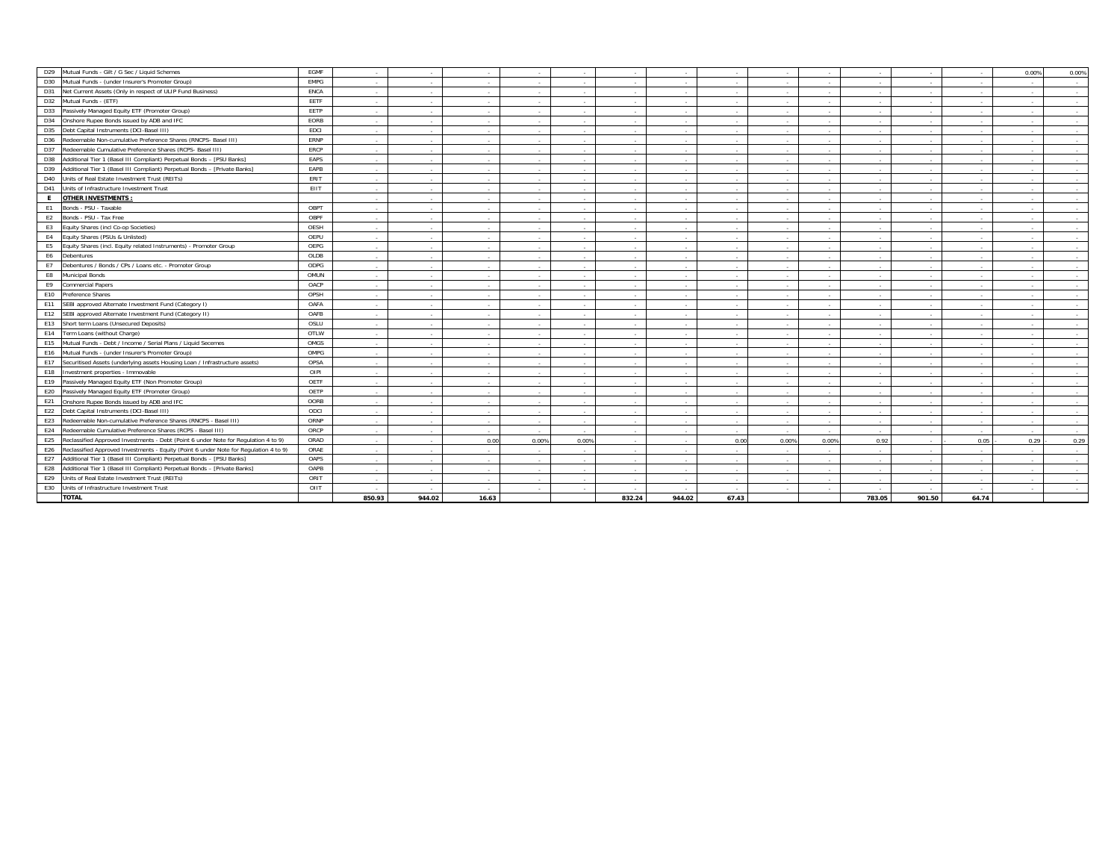| D <sub>29</sub><br>Mutual Funds - Gilt / G Sec / Liquid Schemes                              | EGMF        |                          |                |        |        |        |                          |             |        |                          |        |                          |             |          | 0.00% | 0.00%                    |
|----------------------------------------------------------------------------------------------|-------------|--------------------------|----------------|--------|--------|--------|--------------------------|-------------|--------|--------------------------|--------|--------------------------|-------------|----------|-------|--------------------------|
| D30<br>Mutual Funds - (under Insurer's Promoter Group)                                       | <b>EMPG</b> | ×                        | ۰.             | $\sim$ |        |        |                          | ۰.          |        |                          | $\sim$ |                          |             |          |       | $\overline{\phantom{a}}$ |
| D31<br>Net Current Assets (Only in respect of ULIP Fund Business)                            | ENCA        | $\overline{\phantom{a}}$ | <b>1999</b>    | ۰.     |        |        |                          | <b>1999</b> | $\sim$ |                          |        | $\sim$                   |             |          |       | $\sim$                   |
| D32<br>Mutual Funds - (ETF)                                                                  | EETF        | ٠.                       |                |        |        |        |                          |             |        |                          | $\sim$ |                          |             |          |       | $\sim$                   |
| D33<br>Passively Managed Equity ETF (Promoter Group)                                         | EETP        | $\overline{\phantom{a}}$ | <b>1999</b>    | ۰.     |        |        |                          | <b>1999</b> |        |                          |        | $\sim$                   |             |          |       | $\sim$                   |
| D34<br>Onshore Rupee Bonds issued by ADB and IFC                                             | EORB        | $\sim$                   | $\sim$         | $\sim$ | $\sim$ |        | $\sim$                   | $\sim$      | $\sim$ |                          | $\sim$ | $\overline{a}$           |             |          |       | $\sim$                   |
| D35<br>Debt Capital Instruments (DCI-Basel III)                                              | EDCI        | $\sim$                   | ۰.             | ۰.     |        |        |                          | <b>1999</b> |        |                          |        | $\sim$                   |             |          |       | $\sim$                   |
| Redeemable Non-cumulative Preference Shares (RNCPS- Basel III)<br>D36                        | ERNP        | $\sim$                   | $\sim$         | ۰.     |        |        |                          | <b>1999</b> |        |                          | $\sim$ | $\sim$                   |             |          |       | $\sim$                   |
| D37<br>Redeemable Cumulative Preference Shares (RCPS- Basel III)                             | ERCP        | $\sim$                   | $\sim$         | $\sim$ | $\sim$ |        | $\sim$                   | $\sim$      | ÷      |                          | $\sim$ | $\sim$                   |             |          |       | $\sim$                   |
| D38<br>Additional Tier 1 (Basel III Compliant) Perpetual Bonds - [PSU Banks]                 | EAPS        | ٠.                       | $\sim$         | $\sim$ | $\sim$ |        | $\sim$                   | $\sim$      | $\sim$ | $\overline{\phantom{a}}$ | $\sim$ | $\overline{a}$           | <b>1999</b> |          |       | $\sim$                   |
| D39<br>Additional Tier 1 (Basel III Compliant) Perpetual Bonds - [Private Banks]             | EAPB        | $\sim$                   | $\sim$         | $\sim$ |        |        |                          | $\sim$      | $\sim$ |                          | $\sim$ | $\sim$                   |             |          |       | $\sim$                   |
| D40<br>Units of Real Estate Investment Trust (REITs)                                         | ERIT        | $\sim$                   | $\sim$         | $\sim$ |        |        |                          | <b>1999</b> |        |                          | $\sim$ | $\sim$                   |             |          |       | $\sim$                   |
| D41<br>Units of Infrastructure Investment Trust                                              | EIIT        | ٠.                       | $\sim$         | $\sim$ |        |        | $\overline{\phantom{a}}$ | $\sim$      | $\sim$ |                          | ×      | $\sim$                   |             |          |       | $\sim$                   |
| <b>OTHER INVESTMENTS:</b><br>E                                                               |             | $\sim$                   | <b>1999</b>    | $\sim$ | $\sim$ |        |                          | $\sim$      | $\sim$ |                          | $\sim$ | $\sim$                   |             |          |       | $\sim$                   |
| E1<br>Bonds - PSU - Taxable                                                                  | OBPT        | ٠.                       | $\sim$         | $\sim$ |        |        |                          | $\sim$      | ÷      |                          | $\sim$ | $\sim$                   |             |          |       | $\overline{\phantom{a}}$ |
| Bonds - PSU - Tax Free<br>E2                                                                 | OBPF        | ÷                        |                |        |        |        |                          | ۰.          |        |                          |        |                          |             |          |       |                          |
| E <sub>3</sub><br>Equity Shares (incl Co-op Societies)                                       | OESH        | $\sim$                   | $\sim$         | $\sim$ |        |        |                          | $\sim$      | $\sim$ |                          | $\sim$ | $\overline{a}$           |             |          |       | $\sim$                   |
| E4<br>Equity Shares (PSUs & Unlisted)                                                        | OEPU        | $\sim$                   | $\sim$         | $\sim$ |        |        |                          | $\sim$      |        |                          | $\sim$ | $\sim$                   |             |          |       | $\sim$                   |
| Equity Shares (incl. Equity related Instruments) - Promoter Group<br>E5                      | OEPG        | ٠.                       | $\sim$         | ۰.     |        |        |                          | ۰.          |        |                          | $\sim$ | $\overline{\phantom{a}}$ |             |          |       | $\sim$                   |
| E6<br>Debentures                                                                             | OLDB        | $\overline{\phantom{a}}$ | $\sim$         | ۰.     |        |        |                          | $\sim$      | $\sim$ |                          | $\sim$ | $\sim$                   |             |          |       |                          |
| E7<br>Debentures / Bonds / CPs / Loans etc. - Promoter Group                                 | ODPG        | $\sim$                   | <b>1999</b>    | $\sim$ | $\sim$ |        |                          | <b>1999</b> | $\sim$ |                          | $\sim$ | $\sim$                   |             |          |       | $\sim$                   |
| Municipal Bonds<br>E8                                                                        | OMUN        | ٠.                       | $\sim$         | $\sim$ |        |        |                          | $\sim$      |        |                          | $\sim$ | $\overline{\phantom{a}}$ |             |          |       | $\sim$                   |
| E9<br>Commercial Papers                                                                      | OACP        | $\sim$                   | $\sim$         | $\sim$ | $\sim$ | $\sim$ | $\sim$                   | $\sim$      | $\sim$ | $\sim$                   | $\sim$ | $\sim$                   | $\sim$      | $\sim$   |       | $\sim$                   |
| E10<br>Preference Shares                                                                     | OPSH        | $\overline{\phantom{a}}$ | <b>1999</b>    | $\sim$ |        |        | $\overline{\phantom{a}}$ | <b>1999</b> | $\sim$ |                          | $\sim$ | $\sim$                   |             |          |       | $\sim$                   |
| SEBI approved Alternate Investment Fund (Category I)<br>E11                                  | OAFA        | ٠.                       | $\sim$         | $\sim$ |        |        |                          | $\sim$      |        |                          |        |                          |             |          |       |                          |
| E12<br>SEBI approved Alternate Investment Fund (Category II)                                 | OAFB        | $\sim$                   | $\sim$         | $\sim$ | $\sim$ |        | $\sim$                   | $\sim$      | ÷      | $\overline{\phantom{a}}$ | $\sim$ | $\sim$                   | <b>1999</b> |          |       | $\sim$                   |
| E13<br>Short term Loans (Unsecured Deposits)                                                 | OSLU        | ٠.                       | $\sim$         | $\sim$ |        |        |                          | $\sim$      | $\sim$ |                          | н.     | $\sim$                   |             |          |       | $\overline{\phantom{a}}$ |
| E14<br>Term Loans (without Charge)                                                           | OTLW        | $\sim$                   |                | $\sim$ |        |        |                          |             |        |                          | $\sim$ | $\sim$                   |             |          |       |                          |
| E15<br>Mutual Funds - Debt / Income / Serial Plans / Liquid Secemes                          | OMGS        |                          |                |        |        |        |                          |             |        |                          |        |                          |             |          |       |                          |
| E16<br>Mutual Funds - (under Insurer's Promoter Group)                                       | OMPG        | ٠.                       | <b>1999</b>    | $\sim$ |        |        |                          | <b>1999</b> |        |                          | ÷      | $\sim$                   |             |          |       |                          |
| E17<br>Securitised Assets (underlying assets Housing Loan / Infrastructure assets)           | OPSA        | $\sim$                   | $\sim$         | $\sim$ | $\sim$ | $\sim$ | $\sim$                   | $\sim$      | $\sim$ | $\overline{\phantom{a}}$ | $\sim$ | $\sim$                   |             |          |       | $\sim$                   |
| E18<br>Investment properties - Immovable                                                     | OIPI        |                          |                |        |        |        |                          |             |        |                          |        |                          |             |          |       |                          |
| E19<br>Passively Managed Equity ETF (Non Promoter Group)                                     | OETF        | $\overline{\phantom{a}}$ |                | ۰.     |        |        |                          |             |        |                          | $\sim$ | $\sim$                   |             |          |       | $\sim$                   |
| E20<br>Passively Managed Equity ETF (Promoter Group)                                         | OETP        | ٠.                       | $\sim$         | $\sim$ |        |        |                          | $\sim$      | $\sim$ |                          | $\sim$ | $\sim$                   |             |          |       | $\sim$                   |
| E21<br>Onshore Rupee Bonds issued by ADB and IFC                                             | OORB        | ٠.                       | $\sim$         | $\sim$ | $\sim$ |        | $\overline{\phantom{a}}$ | $\sim$      | $\sim$ |                          | $\sim$ | $\sim$                   |             |          |       | $\sim$                   |
| E22<br>Debt Capital Instruments (DCI-Basel III)                                              | ODCI        | $\sim$                   | $\sim$         | $\sim$ | $\sim$ |        |                          | $\sim$      | $\sim$ |                          | $\sim$ | $\sim$                   |             |          |       | $\sim$                   |
| E23<br>Redeemable Non-cumulative Preference Shares (RNCPS - Basel III)                       | ORNP        | $\sim$                   | <b>1999</b>    | $\sim$ | $\sim$ |        | $\sim$                   | $\sim$      | $\sim$ | $\sim$                   | $\sim$ | $\sim$                   | - 14        | <b>A</b> |       | $\sim$                   |
| E24<br>Redeemable Cumulative Preference Shares (RCPS - Basel III)                            | ORCP        | ٠                        |                |        |        |        |                          | $\sim$      |        |                          |        |                          |             |          |       | $\sim$                   |
| E25<br>Reclassified Approved Investments - Debt (Point 6 under Note for Regulation 4 to 9)   | ORAD        | $\sim$                   | <b>Service</b> | 0.00   | 0.00%  | 0.00%  |                          | <b>1999</b> | 0.00   | 0.00%                    | 0.00%  | 0.92                     |             | 0.05     | 0.29  | 0.29                     |
| E26<br>Reclassified Approved Investments - Equity (Point 6 under Note for Regulation 4 to 9) | ORAE        | $\sim$                   | $\sim$         | $\sim$ | $\sim$ |        | $\sim$                   | $\sim$      | ÷      | $\overline{\phantom{a}}$ | $\sim$ | $\sim$                   | $\sim$      |          |       | $\sim$                   |
| Additional Tier 1 (Basel III Compliant) Perpetual Bonds - [PSU Banks]<br>E27                 | OAPS        | ٠.                       | $\sim$         |        |        |        |                          | ۰.          |        |                          |        |                          |             |          |       | $\sim$                   |
| E28<br>Additional Tier 1 (Basel III Compliant) Perpetual Bonds - [Private Banks]             | OAPB        | $\sim$                   | $\sim$         | $\sim$ |        |        | $\sim$                   | $\sim$      | $\sim$ |                          | $\sim$ | $\sim$                   |             |          |       | $\sim$                   |
| E29<br>Units of Real Estate Investment Trust (REITs)                                         | ORIT        | ٠.                       | $\sim$         | $\sim$ |        |        |                          | $\sim$      | $\sim$ |                          |        | $\sim$                   |             |          |       |                          |
| E30<br>Units of Infrastructure Investment Trust                                              | OIIT        |                          | ۰.             |        |        |        |                          | ۰.          |        |                          |        |                          |             |          |       |                          |
| <b>TOTAL</b>                                                                                 |             | 850.93                   | 944.02         | 16.63  |        |        | 832.24                   | 944.02      | 67.43  |                          |        | 783.05                   | 901.50      | 64.74    |       |                          |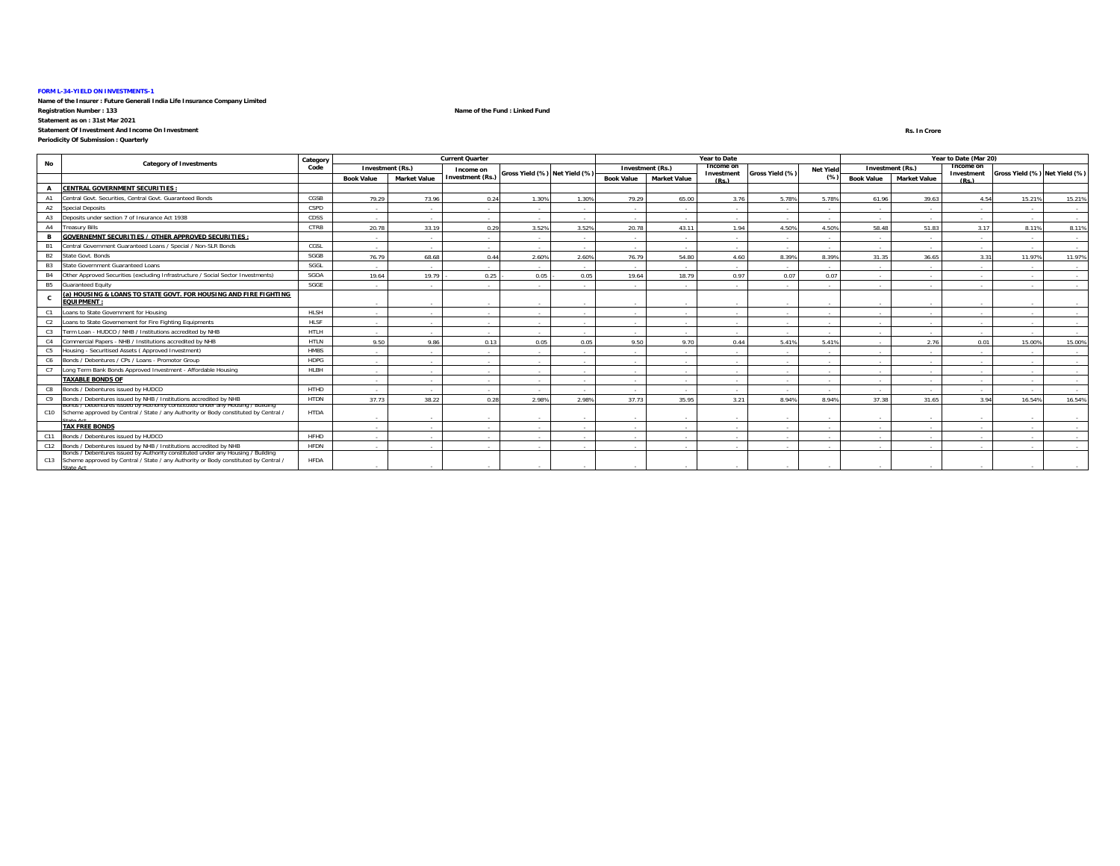#### **FORM L-34-YIELD ON INVESTMENTS-1**

**Name of the Insurer : Future Generali India Life Insurance Company Limited Registration Number : 133 Name of the Fund : Linked Fund**

**Statement as on : 31st Mar 2021 Statement Of Investment And Income On Investment**

### **Periodicity Of Submission : Quarterly**

 **Rs. In Crore**Rs. In Crore

| No             | <b>Category of Investments</b>                                                                                                                                                        | Category    |                   |                     | <b>Current Quarter</b>  |                               |        |                   |                     | Year to Date               |                          |                  |                          |                     | Year to Date (Mar 20) |                               |                          |
|----------------|---------------------------------------------------------------------------------------------------------------------------------------------------------------------------------------|-------------|-------------------|---------------------|-------------------------|-------------------------------|--------|-------------------|---------------------|----------------------------|--------------------------|------------------|--------------------------|---------------------|-----------------------|-------------------------------|--------------------------|
|                |                                                                                                                                                                                       | Code        |                   | Investment (Rs.)    | Income on               | Gross Yield (%) Net Yield (%) |        |                   | Investment (Rs.)    | <b>Income or</b>           | Gross Yield (%)          | <b>Net Yield</b> |                          | Investment (Rs.)    | Income or             | Gross Yield (%) Net Yield (%) |                          |
|                |                                                                                                                                                                                       |             | <b>Book Value</b> | <b>Market Value</b> | <b>Investment (Rs.)</b> |                               |        | <b>Book Value</b> | <b>Market Value</b> | Investment<br>$(P_S)$      |                          | (% )             | <b>Book Value</b>        | <b>Market Value</b> | Investment<br>(Ps)    |                               |                          |
|                | <b>CENTRAL GOVERNMENT SECURITIES:</b>                                                                                                                                                 |             |                   |                     |                         |                               |        |                   |                     |                            |                          |                  |                          |                     |                       |                               |                          |
|                | Central Govt. Securities, Central Govt. Guaranteed Bonds                                                                                                                              | CGSB        | 79.29             | 73.96               | 0.24                    | 1.30%                         | 1.30%  | 79.29             | 65.00               | 3.76                       | 5.78%                    | 5.78%            | 61.96                    | 39.63               | 4.54                  | 15.21%                        | 15.21%                   |
| A2             | <b>Special Deposits</b>                                                                                                                                                               | CSPD        | $\sim$            | .                   | <b>A</b>                |                               |        |                   | <b>Section</b>      |                            |                          | $\sim$           |                          |                     |                       |                               | $\overline{\phantom{a}}$ |
|                | Deposits under section 7 of Insurance Act 1938                                                                                                                                        | CDSS        | $\sim$            | <b>A</b>            | <b>Service</b>          |                               |        | $\sim$            | <b>Section</b>      | $\sim$                     | $\sim$                   | $\sim$           | $\overline{\phantom{a}}$ |                     |                       |                               | $\sim$                   |
| A4             | <b>Treasury Bills</b>                                                                                                                                                                 | CTRB        | 20.78             | 33.19               | 0.29                    | 3.52%                         | 3.52%  | 20.78             | 43.11               | 1.94                       | 4.50%                    | 4.50%            | 58.48                    | 51.83               | 3.17                  | 8.11%                         | 8.11%                    |
|                | <b>GOVERNEMNT SECURITIES / OTHER APPROVED SECURITIES:</b>                                                                                                                             |             | . .               | .                   | <b>COL</b>              |                               |        |                   | $\sim$              |                            |                          | - 1              |                          |                     |                       |                               | $\sim$                   |
|                | Central Government Guaranteed Loans / Special / Non-SLR Bonds                                                                                                                         | CGSL        | $\sim$            | $\sim$              | <b>Section</b>          |                               |        | $\sim$            | <b>Section</b>      |                            | $\overline{\phantom{a}}$ | $\sim$           |                          |                     |                       |                               | $\sim$                   |
| <b>B2</b>      | State Govt, Bonds                                                                                                                                                                     | SGGB        | 76.79             | 68.68               | 0.44                    | 2.60%                         | 2.60%  | 76.79             | 54.80               | 4.60                       | 8.39%                    | 8.399            | 31.35                    | 36.65               | 3.31                  | 11.97%                        | 11.97%                   |
| B <sub>3</sub> | State Government Guaranteed Loans                                                                                                                                                     | SGGL        | . .               | .                   |                         |                               |        |                   |                     |                            |                          |                  |                          |                     |                       |                               | $\sim$                   |
| <b>B4</b>      | Other Approved Securities (excluding Infrastructure / Social Sector Investments)                                                                                                      | SGOA        | 19.64             | 19.79               | 0.25                    | 0.05                          | 0.05   | 19.64             | 18.79               | 0.97                       | 0.07                     | 0.07             |                          |                     |                       |                               | $\overline{\phantom{a}}$ |
| <b>B5</b>      | <b>Guaranteed Equity</b>                                                                                                                                                              | SGGE        | $\sim$            | $\sim$              | <b>Service</b>          |                               |        | $\sim$            | $\sim$              |                            | $\overline{\phantom{a}}$ | $\sim$           | $\overline{\phantom{a}}$ |                     |                       |                               | $\sim$                   |
|                | (a) HOUSING & LOANS TO STATE GOVT. FOR HOUSING AND FIRE FIGHTING<br><b>EQUIPMENT:</b>                                                                                                 |             | $\sim$            |                     | $\sim$                  |                               |        | $\sim$            | <b>.</b>            |                            | $\sim$                   | $\sim$           |                          |                     |                       |                               | $\overline{\phantom{a}}$ |
| C1             | Loans to State Government for Housing                                                                                                                                                 | HLSH        | $\sim$            | - 30                | <b>Service</b>          |                               |        | $\sim$            | <b>Service</b>      |                            | $\sim$                   | $\sim$           | $\overline{\phantom{a}}$ | . .                 | $\sim$                | $\sim$                        | $\sim$                   |
| C <sub>2</sub> | Loans to State Governement for Fire Fighting Equipments                                                                                                                               | <b>HLSF</b> | $\sim$            | ۰.                  | <b>Section</b>          |                               |        | $\sim$            | <b>Section</b>      |                            | $\overline{\phantom{a}}$ | $\sim$           |                          |                     |                       |                               | $\sim$                   |
| C3             | Term Loan - HUDCO / NHB / Institutions accredited by NHB                                                                                                                              | <b>HTLH</b> | $\sim$            | $\sim$              | <b>Section</b>          | $\sim$                        | $\sim$ | $\sim$            | <b>Section</b>      | <b><i><u>Parts</u></i></b> | $\overline{\phantom{a}}$ | $\sim$           | $\overline{\phantom{a}}$ |                     | $\sim$                |                               | $\sim$                   |
| C <sub>4</sub> | Commercial Papers - NHB / Institutions accredited by NHB                                                                                                                              | <b>HTLN</b> | 9.50              | 9.86                | 0.13                    | 0.05                          | 0.05   | 9.50              | 9.70                | 0.44                       | 5.41%                    | 5.41%            | $\overline{\phantom{a}}$ | 2.76                | 0.01                  | 15.00%                        | 15.00%                   |
| C5             | Housing - Securitised Assets (Approved Investment)                                                                                                                                    | <b>HMBS</b> | $\sim$            | .                   | <b>A</b>                |                               |        |                   | <b>Service</b>      |                            | $\sim$                   | $\sim$           |                          |                     |                       |                               | $\sim$                   |
|                | C6 Bonds / Debentures / CPs / Loans - Promotor Group                                                                                                                                  | <b>HDPG</b> | $\sim$            | $\sim$              | $\sim$                  |                               |        | $\sim$            | $\sim$              |                            | $\overline{\phantom{a}}$ | $\sim$           |                          |                     |                       |                               | $\overline{\phantom{a}}$ |
| C7             | Long Term Bank Bonds Approved Investment - Affordable Housing                                                                                                                         | HLBH        | $\sim$            | <b>.</b>            | <b>Section</b>          |                               | $\sim$ | $\sim$            | <b>Section</b>      | <b><i><u>Parts</u></i></b> | $\overline{\phantom{a}}$ | $\sim$           | ٠.                       | . .                 | $\sim$                |                               | $\sim$                   |
|                | <b>TAXABLE BONDS OF</b>                                                                                                                                                               |             | $\sim$            | $\sim$              | <b>Service</b>          |                               |        | $\sim$            | $\sim$              | <b><i><u>Parts</u></i></b> | $\sim$                   | $\sim$           |                          | . .                 | $\sim$                | $\sim$                        | $\sim$                   |
| C8             | Bonds / Debentures issued by HUDCO                                                                                                                                                    | HTHD        | $\sim$            | $\sim$              | <b>Service</b>          |                               |        |                   | <b>Service</b>      |                            |                          | $\sim$           |                          |                     |                       |                               | $\overline{\phantom{a}}$ |
| C9             | Bonds / Debentures issued by NHB / Institutions accredited by NHB                                                                                                                     | <b>HTDN</b> | 37.73             | 38.22               | 0.28                    | 2.98%                         | 2.98%  | 37.73             | 35.95               | 3.21                       | 8.94%                    | 8.94%            | 37.38                    | 31.65               | 3.94                  | 16.54%                        | 16.54%                   |
|                | Bonas / Debentures issued by Authority constituted under any Housing / Building<br>C10 Scheme approved by Central / State / any Authority or Body constituted by Central /            | <b>HTDA</b> |                   | ۰.                  | $\sim$                  |                               |        | $\sim$            | $\sim$              |                            | $\sim$                   | $\sim$           |                          |                     |                       |                               |                          |
|                | <b>TAX FREE BONDS</b>                                                                                                                                                                 |             | $\sim$            | .                   | $\sim$                  |                               | $\sim$ | $\sim$            | <b>Service</b>      | <b><i><u>Parts</u></i></b> | $\overline{\phantom{a}}$ | $\sim$           | $\sim$                   |                     | $\sim$                |                               | $\sim$                   |
| C11            | Bonds / Debentures issued by HUDCO                                                                                                                                                    | <b>HFHD</b> | $\sim$            | $\sim$              | $\sim$                  |                               |        | $\sim$            | $\sim$              |                            |                          | $\sim$           |                          |                     |                       |                               | $\sim$                   |
|                | C12 Bonds / Debentures issued by NHB / Institutions accredited by NHB                                                                                                                 | <b>HFDN</b> | $\sim$            | $\sim$              | $\sim$                  |                               |        | $\sim$            | $\sim$              |                            |                          | $\sim$           |                          |                     |                       |                               |                          |
|                | Bonds / Debentures issued by Authority constituted under any Housing / Building<br>C13 Scheme approved by Central / State / any Authority or Body constituted by Central /<br>th Atat | <b>HFDA</b> |                   |                     |                         |                               |        |                   |                     |                            |                          |                  |                          |                     |                       |                               |                          |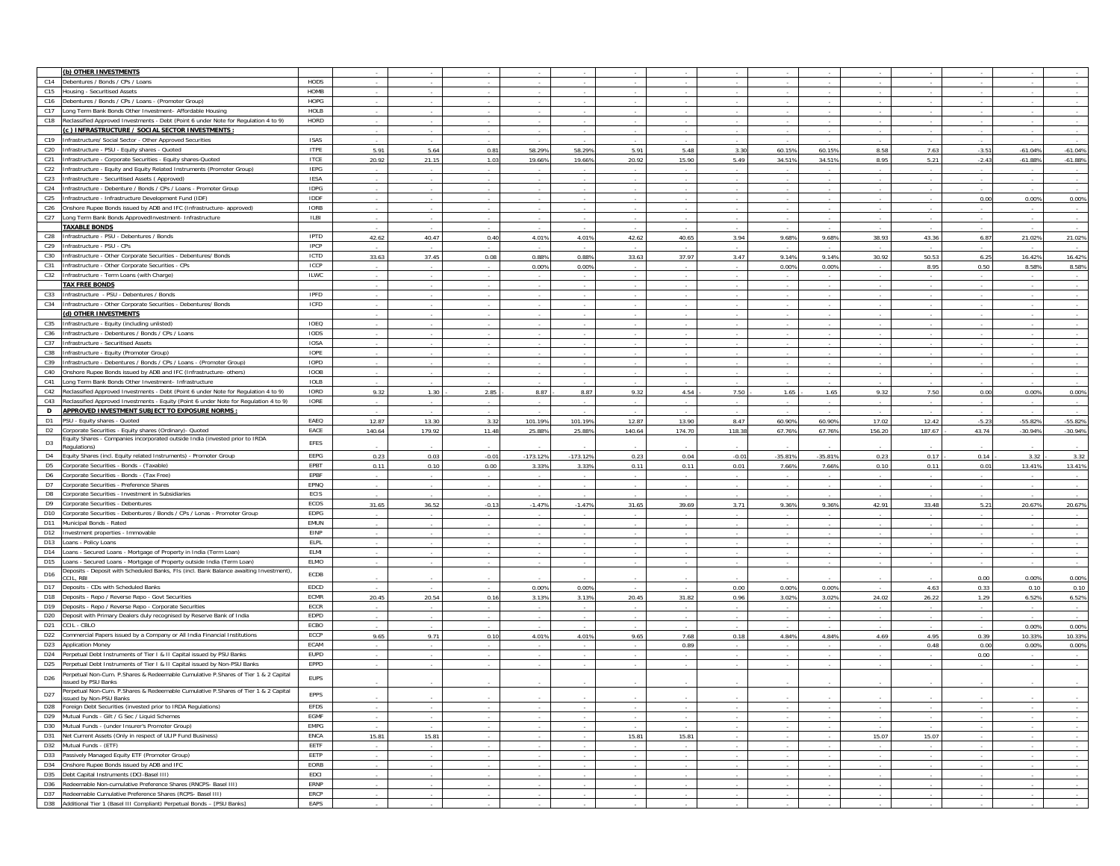| (b) OTHER INVESTMENTS                                                                                                                         |              |                          |        |         |            |            |        |        |                          |                          |                          |                |        |         |           |                          |
|-----------------------------------------------------------------------------------------------------------------------------------------------|--------------|--------------------------|--------|---------|------------|------------|--------|--------|--------------------------|--------------------------|--------------------------|----------------|--------|---------|-----------|--------------------------|
|                                                                                                                                               |              |                          |        |         |            |            |        |        |                          |                          |                          |                |        |         |           |                          |
| C14<br>Debentures / Bonds / CPs / Loans                                                                                                       | HODS         | $\overline{\phantom{a}}$ |        |         |            |            |        |        |                          |                          |                          |                |        |         |           |                          |
| C15<br>Housing - Securitised Assets                                                                                                           | HOMB         |                          |        |         |            |            |        |        |                          |                          |                          |                |        |         |           |                          |
| C16<br>Debentures / Bonds / CPs / Loans - (Promoter Group)                                                                                    | HOPG         |                          |        |         |            |            |        |        |                          |                          |                          |                |        |         |           |                          |
| C17<br>Long Term Bank Bonds Other Investment- Affordable Housing                                                                              | HOLB         | $\overline{\phantom{a}}$ |        |         |            |            |        |        |                          |                          | $\sim$                   |                |        |         |           | $\sim$                   |
| C18<br>Reclassified Approved Investments - Debt (Point 6 under Note for Regulation 4 to 9)                                                    | HORD         | $\sim$                   | $\sim$ | $\sim$  |            |            |        | $\sim$ |                          |                          | $\sim$                   | $\sim$         |        |         |           | $\sim$                   |
| c ) INFRASTRUCTURE / SOCIAL SECTOR INVESTMENTS :                                                                                              |              |                          |        |         |            |            |        |        |                          |                          |                          |                |        |         |           |                          |
| C19<br>Infrastructure/ Social Sector - Other Approved Securities                                                                              | ISAS         |                          |        |         |            |            |        |        |                          |                          |                          |                |        |         |           |                          |
| C20<br>Infrastructure - PSU - Equity shares - Quoted                                                                                          | <b>ITPE</b>  | 5.91                     | 5.64   | 0.81    | 58.29%     | 58.29%     | 5.91   | 5.48   | 3.30                     | 60.15%                   | 60.15%                   | 8.58           | 7.63   | $-3.51$ | $-61.04%$ | $-61.04%$                |
| C21<br>nfrastructure - Corporate Securities - Equity shares-Quoted                                                                            | <b>ITCE</b>  | 20.92                    | 21.15  | 1.03    | 19.66%     | 19.66%     | 20.92  | 15.90  | 5.49                     | 34.51%                   | 34.51%                   | 8.95           | 5.21   | $-2.43$ | $-61.88%$ | $-61.88%$                |
| C22<br>nfrastructure - Equity and Equity Related Instruments (Promoter Group)                                                                 | <b>IEPG</b>  |                          |        |         |            |            |        |        |                          |                          |                          |                |        |         |           |                          |
| C <sub>23</sub><br>nfrastructure - Securitised Assets (Approved)                                                                              | <b>IESA</b>  |                          |        |         |            |            |        |        |                          |                          |                          |                |        |         |           |                          |
| C <sub>24</sub><br>Infrastructure - Debenture / Bonds / CPs / Loans - Promoter Group                                                          | <b>IDPG</b>  |                          |        |         |            |            |        |        |                          |                          |                          |                |        |         |           | $\sim$                   |
|                                                                                                                                               |              |                          |        |         |            |            |        |        |                          |                          | $\sim$                   |                |        |         |           | $\sim$                   |
| C <sub>25</sub><br>Infrastructure - Infrastructure Development Fund (IDF)                                                                     | <b>IDDF</b>  |                          |        |         |            |            |        |        |                          |                          |                          | $\sim$         |        | 0.00    | 0.00%     | 0.00%                    |
| C <sub>26</sub><br>Onshore Rupee Bonds issued by ADB and IFC (Infrastructure-approved)                                                        | <b>IORB</b>  | $\overline{\phantom{a}}$ |        |         |            |            |        |        |                          |                          |                          |                |        |         |           |                          |
| C27<br>Long Term Bank Bonds ApprovedInvestment- Infrastructure                                                                                | <b>ILBI</b>  | $\overline{\phantom{a}}$ |        |         |            |            |        |        |                          |                          |                          |                |        |         |           | $\sim$                   |
| <b>FAXABLE BONDS</b>                                                                                                                          |              |                          |        |         |            |            |        |        |                          |                          |                          |                |        |         |           |                          |
| C <sub>28</sub><br>Infrastructure - PSU - Debentures / Bonds                                                                                  | IPTD         | 42.62                    | 40.47  | 0.40    | 4.01%      | 4.01%      | 42.62  | 40.65  | 3.94                     | 9.68%                    | 9.68%                    | 38.93          | 43.36  | 6.87    | 21.02%    | 21.02%                   |
| C29<br>nfrastructure - PSU - CPs                                                                                                              | IPCP         |                          |        |         |            |            |        |        |                          |                          |                          |                |        |         |           | $\overline{\phantom{a}}$ |
| C30<br>nfrastructure - Other Corporate Securities - Debentures/ Bonds                                                                         | ICTD         | 33.63                    | 37.45  | 0.08    | 0.88%      | 0.88%      | 33.63  | 37.97  | 3.47                     | 9.14%                    | 9.14%                    | 30.92          | 50.53  | 6.25    | 16.42%    | 16.42%                   |
| C31<br>nfrastructure - Other Corporate Securities - CPs                                                                                       | ICCP         |                          |        |         | 0.00%      | 0.00%      |        |        |                          | 0.00%                    | 0.00%                    |                | 8.95   | 0.50    | 8.58%     | 8.58%                    |
| C32<br>Infrastructure - Term Loans (with Charge)                                                                                              | <b>ILWC</b>  | $\sim$                   |        |         |            |            |        |        |                          |                          |                          |                |        |         |           |                          |
| <b>TAX FREE BONDS</b>                                                                                                                         |              |                          |        |         |            |            |        |        |                          |                          |                          |                |        |         |           |                          |
|                                                                                                                                               |              | $\overline{\phantom{a}}$ |        |         | $\sim$     |            |        |        | $\overline{\phantom{a}}$ |                          | $\overline{\phantom{a}}$ | $\sim$         |        |         |           | $\sim$                   |
| C33<br>Infrastructure - PSU - Debentures / Bonds                                                                                              | IPFD         | ٠.                       |        |         |            |            |        |        |                          |                          | $\sim$                   | $\sim$         |        |         |           | $\sim$                   |
| C34<br>Infrastructure - Other Corporate Securities - Debentures/ Bonds                                                                        | ICFD         |                          |        |         |            |            |        |        |                          |                          |                          |                |        |         |           |                          |
| (d) OTHER INVESTMENTS                                                                                                                         |              |                          |        |         |            |            |        |        |                          |                          |                          |                |        |         |           |                          |
| C35<br>nfrastructure - Equity (including unlisted)                                                                                            | IOEQ         | $\overline{\phantom{a}}$ |        |         |            |            |        |        |                          |                          |                          |                |        |         |           | $\overline{\phantom{a}}$ |
| C36<br>nfrastructure - Debentures / Bonds / CPs / Loans                                                                                       | <b>IODS</b>  |                          |        |         |            |            |        |        |                          |                          |                          |                |        |         |           |                          |
| C37<br>Infrastructure - Securitised Assets                                                                                                    | IOSA         |                          |        |         |            |            |        |        |                          |                          |                          |                |        |         |           |                          |
| C38<br>Infrastructure - Equity (Promoter Group)                                                                                               | <b>IOPE</b>  | $\sim$                   | $\sim$ |         | $\sim$     |            |        | $\sim$ |                          |                          | $\sim$                   | $\sim$         |        |         |           | $\sim$                   |
| C39<br>Infrastructure - Debentures / Bonds / CPs / Loans - (Promoter Group)                                                                   | <b>IOPD</b>  | $\sim$                   | $\sim$ | $\sim$  | $\sim$     |            |        |        |                          |                          | $\sim$                   | $\sim$         |        |         |           | $\sim$                   |
| C40<br>Onshore Rupee Bonds issued by ADB and IFC (Infrastructure- others)                                                                     | <b>IOOB</b>  |                          |        |         |            |            |        |        |                          |                          |                          |                |        |         |           |                          |
| C41<br>ong Term Bank Bonds Other Investment- Infrastructure                                                                                   | <b>IOLB</b>  |                          |        |         |            |            |        |        |                          |                          |                          |                |        |         |           |                          |
| C42                                                                                                                                           | IORD         |                          |        |         |            |            |        |        |                          |                          |                          |                |        |         |           |                          |
| Reclassified Approved Investments - Debt (Point 6 under Note for Regulation 4 to 9)                                                           |              | 9.32                     | 1.30   | 2.85    | 8.87       | 8.87       | 9.32   | 4.54   | 7.50                     | 1.65                     | 1.65                     | 9.32           | 7.50   | 0.00    | 0.00%     | 0.00%                    |
| C43<br>eclassified Approved Investments - Equity (Point 6 under Note for Regulation 4 to 9)                                                   | IORE         |                          |        |         |            |            |        |        |                          |                          |                          | $\overline{a}$ |        |         |           | $\sim$                   |
| APPROVED INVESTMENT SUBJECT TO EXPOSURE NORMS :<br>D                                                                                          |              |                          |        |         |            |            |        |        |                          |                          |                          |                |        |         |           |                          |
| D <sub>1</sub><br>PSU - Equity shares - Quoted                                                                                                | EAEQ         | 12.87                    | 13.30  | 3.32    | 101.19%    | 101.19%    | 12.87  | 13.90  | 8.47                     | 60.90%                   | 60.90%                   | 17.02          | 12.42  | $-5.23$ | $-55.82%$ | $-55.82%$                |
| D <sub>2</sub><br>orporate Securities - Equity shares (Ordinary) - Quoted                                                                     | EACE         | 140.64                   | 179.92 | 11.48   | 25.88%     | 25.88%     | 140.64 | 174.70 | 118.38                   | 67.76%                   | 67.76%                   | 156.20         | 187.67 | 43.74   | $-30.94%$ | $-30.94%$                |
| quity Shares - Companies incorporated outside India (invested prior to IRDA<br>D <sub>3</sub>                                                 | EFES         |                          |        |         |            |            |        |        |                          |                          |                          |                |        |         |           |                          |
| equlations)                                                                                                                                   |              |                          |        |         |            |            |        |        |                          |                          |                          |                |        |         |           |                          |
| D <sub>4</sub><br>quity Shares (incl. Equity related Instruments) - Promoter Group                                                            | EEPG         | 0.23                     | 0.03   | $-0.01$ | $-173.12%$ | $-173.12%$ | 0.23   | 0.04   | $-0.01$                  | $-35.81%$                | $-35.81%$                | 0.23           | 0.17   | 0.14    | 3.32      | 3.32                     |
| D <sub>5</sub><br>orporate Securities - Bonds - (Taxable)                                                                                     | EPBT         | 0.11                     | 0.10   | 0.00    | 3.33%      | 3.33%      | 0.11   | 0.11   | 0.01                     | 7.66%                    | 7.66%                    | 0.10           | 0.11   | 0.01    | 13.41%    | 13.41%                   |
| D <sub>6</sub><br>orporate Securities - Bonds - (Tax Free)                                                                                    | EPBF         |                          |        |         |            |            |        |        |                          |                          |                          |                |        |         |           | $\overline{\phantom{a}}$ |
| D7<br>Corporate Securities - Preference Shares                                                                                                | EPNQ         |                          |        |         |            |            |        |        |                          |                          |                          |                |        |         |           | $\sim$                   |
| D8<br>Corporate Securities - Investment in Subsidiaries                                                                                       | ECIS         |                          |        |         |            |            |        |        |                          |                          |                          |                |        |         |           |                          |
| D9<br>orporate Securities - Debentures                                                                                                        | ECOS         | 31.65                    | 36.52  | $-0.13$ | $-1.47%$   | $-1.47%$   | 31.65  | 39.69  | 3.71                     | 9.36%                    | 9.36%                    | 42.91          | 33.48  | 5.21    | 20.67%    | 20.67%                   |
| Corporate Securities - Debentures / Bonds / CPs / Lonas - Promoter Group<br>D10                                                               | EDPG         |                          |        |         |            |            |        |        |                          |                          |                          |                |        |         |           |                          |
| D11<br>Municipal Bonds - Rated                                                                                                                | EMUN         | $\sim$                   |        |         |            |            |        |        |                          |                          |                          |                |        |         |           | $\sim$                   |
| D12<br>westment properties - Immovable                                                                                                        | EINP         |                          |        |         |            |            |        |        |                          |                          |                          |                |        |         |           |                          |
|                                                                                                                                               |              |                          |        |         |            |            |        |        |                          |                          |                          |                |        |         |           |                          |
| D13<br>oans - Policy Loans                                                                                                                    | <b>ELPL</b>  |                          |        |         |            |            |        |        |                          |                          |                          |                |        |         |           | $\cdot$                  |
| D14<br>Loans - Secured Loans - Mortgage of Property in India (Term Loan)                                                                      | ELMI         | $\overline{\phantom{a}}$ | $\sim$ |         | $\sim$     |            |        | $\sim$ |                          |                          | $\sim$                   | $\sim$         |        |         |           | $\sim$                   |
| D15<br>oans - Secured Loans - Mortgage of Property outside India (Term Loan)                                                                  | ELMO         |                          |        |         |            |            |        |        |                          |                          |                          |                |        |         |           | $\sim$                   |
| Deposits - Deposit with Scheduled Banks, FIs (incl. Bank Balance awaiting Investment),<br>D16<br>CIL. RBL                                     | ECDB         |                          |        |         |            |            |        |        |                          |                          |                          |                |        | 0.00    | 0.00%     | 0.00%                    |
| D17<br>Deposits - CDs with Scheduled Banks                                                                                                    | EDCD         |                          |        |         | 0.00%      | 0.00%      |        |        | 0.00                     | 0.00%                    | 0.00%                    |                | 4.63   | 0.33    | 0.10      | 0.10                     |
| D18<br>Deposits - Repo / Reverse Repo - Govt Securities                                                                                       | ECMR         |                          |        | 0.16    | 3.13%      |            |        | 31.82  |                          |                          |                          |                |        |         |           |                          |
|                                                                                                                                               |              | 20.45                    | 20.54  |         |            | 3.13%      | 20.45  |        | 0.96                     | 3.02%                    | 3.02%                    | 24.02          | 26.22  | 1.29    | 6.52%     | 6.52%                    |
| D19<br>Oeposits - Repo / Reverse Repo - Corporate Securities                                                                                  | ECCR         |                          |        |         |            |            |        |        |                          |                          |                          |                |        |         |           | $\sim$                   |
| D <sub>20</sub><br>Deposit with Primary Dealers duly recognised by Reserve Bank of India                                                      | EDPD         | $\overline{\phantom{a}}$ | $\sim$ | $\sim$  | $\sim$     |            | $\sim$ | $\sim$ | $\sim$                   | $\overline{\phantom{a}}$ | $\overline{\phantom{a}}$ | $\sim$         |        |         |           | $\sim$                   |
| D21<br>CCIL - CBLO                                                                                                                            | ECBO         |                          |        |         |            |            |        |        |                          |                          |                          |                |        |         | 0.00%     | 0.00%                    |
| D22<br>ommercial Papers issued by a Company or All India Financial Institutions                                                               | ECCP         | 9.65                     | 9.71   | 0.10    | 4.01%      | 4.01%      | 9.65   | 7.68   | 0.18                     | 4.84%                    | 4.84%                    | 4.69           | 4.95   | 0.39    | 10.33%    | 10.33%                   |
| D <sub>23</sub><br>Application Money                                                                                                          | ECAM         |                          |        |         |            |            |        | 0.89   |                          |                          |                          |                | 0.48   | 0.00    | 0.00%     | 0.00%                    |
| D <sub>24</sub><br>Perpetual Debt Instruments of Tier I & II Capital issued by PSU Banks                                                      | EUPD         |                          |        |         |            |            |        |        |                          |                          |                          |                |        | 0.00    |           | $\sim$                   |
| erpetual Debt Instruments of Tier I & II Capital issued by Non-PSU Banks<br>D <sub>25</sub>                                                   | EPPD         |                          |        |         |            |            |        |        |                          |                          |                          |                |        |         |           |                          |
| erpetual Non-Cum. P.Shares & Redeemable Cumulative P.Shares of Tier 1 & 2 Capital                                                             |              |                          |        |         |            |            |        |        |                          |                          |                          |                |        |         |           |                          |
| D <sub>26</sub><br>ssued by PSU Banks                                                                                                         | <b>EUPS</b>  |                          |        |         |            |            |        |        |                          |                          |                          |                |        |         |           |                          |
| erpetual Non-Cum. P.Shares & Redeemable Cumulative P.Shares of Tier 1 & 2 Capital<br>D <sub>27</sub>                                          | EPPS         |                          |        |         |            |            |        |        |                          |                          |                          |                |        |         |           |                          |
| ied by Non-PSU Banks                                                                                                                          |              |                          |        |         |            |            |        |        |                          |                          |                          |                |        |         |           |                          |
| Foreign Debt Securities (invested prior to IRDA Regulations)<br>D <sub>28</sub>                                                               | EFDS         |                          |        |         |            |            |        |        |                          |                          |                          |                |        |         |           |                          |
| Mutual Funds - Gilt / G Sec / Liquid Schemes<br>D <sub>29</sub>                                                                               | EGMF         | $\overline{\phantom{a}}$ | $\sim$ |         |            |            |        |        |                          |                          |                          |                |        |         |           |                          |
|                                                                                                                                               |              |                          |        |         |            |            |        |        |                          |                          |                          |                |        |         | $\sim$    |                          |
| D30<br>Mutual Funds - (under Insurer's Promoter Group)                                                                                        | <b>EMPG</b>  | $\sim$                   | $\sim$ | $\sim$  | $\sim$     |            | $\sim$ | $\sim$ | $\overline{\phantom{a}}$ | $\sim$                   | $\sim$                   | $\sim$         |        |         |           |                          |
| D31                                                                                                                                           | ENCA         |                          |        | $\sim$  | $\sim$     |            |        |        | $\sim$                   | $\overline{\phantom{a}}$ | $\sim$                   |                |        |         |           |                          |
| Net Current Assets (Only in respect of ULIP Fund Business)<br>D32                                                                             |              | 15.81                    | 15.81  |         |            |            | 15.81  | 15.81  |                          |                          |                          | 15.07          | 15.07  |         |           |                          |
| Mutual Funds - (ETF)                                                                                                                          | EETF         |                          |        |         |            |            |        |        |                          |                          |                          |                |        |         |           |                          |
| D33<br>Passively Managed Equity ETF (Promoter Group)                                                                                          | EETP         | $\sim$                   | $\sim$ |         |            |            |        |        |                          |                          | $\sim$                   | $\sim$         |        |         |           |                          |
| Onshore Rupee Bonds issued by ADB and IFC<br>D34                                                                                              | EORB         | $\overline{\phantom{a}}$ | $\sim$ |         |            |            |        |        |                          |                          | $\overline{\phantom{a}}$ |                |        |         |           |                          |
| D35<br>Debt Capital Instruments (DCI-Basel III)                                                                                               | EDCI         | $\sim$                   |        |         |            |            |        |        |                          |                          |                          |                |        |         |           |                          |
| Redeemable Non-cumulative Preference Shares (RNCPS- Basel III)<br>D36                                                                         | ERNP         |                          |        |         |            |            |        |        |                          |                          |                          |                |        |         |           |                          |
| Redeemable Cumulative Preference Shares (RCPS- Basel III)<br>D37<br>D38 Additional Tier 1 (Basel III Compliant) Perpetual Bonds - [PSU Banks] | ERCP<br>EAPS | $\sim$                   | $\sim$ | $\sim$  | $\sim$     |            | $\sim$ | $\sim$ | $\sim$                   |                          | $\sim$                   | $\sim$         |        |         | $\sim$    | $\sim$                   |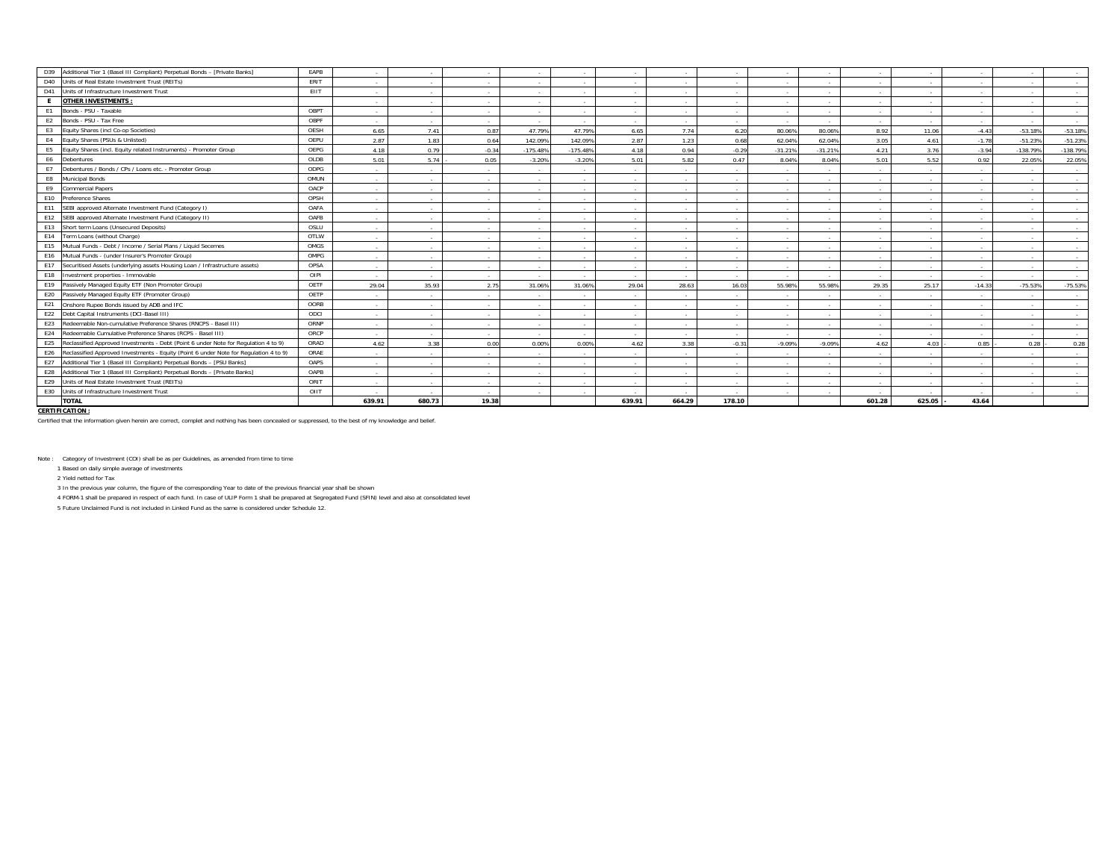| Additional Tier 1 (Basel III Compliant) Perpetual Bonds - [Private Banks]<br>D39             | EAPB | $\sim$ |                | <b>Contract</b>  |            |            | $\sim$                   | <b>Contract</b>  |         |                          |           |        |             |          |            |            |
|----------------------------------------------------------------------------------------------|------|--------|----------------|------------------|------------|------------|--------------------------|------------------|---------|--------------------------|-----------|--------|-------------|----------|------------|------------|
| Units of Real Estate Investment Trust (REITs)<br>D40                                         | ERIT | $\sim$ | $\sim$         | $\sim$           |            | $\sim$     | $\sim$                   | $\sim$           | ۰.      | $\sim$                   | $\sim$    | $\sim$ | .           | . .      |            | $\sim$     |
| D41<br>Units of Infrastructure Investment Trust                                              | EIIT | $\sim$ | $\sim$         | $\sim$ 100 $\mu$ | $\sim$     | $\sim$     | $\sim$                   | $\sim$ 100 $\mu$ | $\sim$  | $\sim$                   | $\sim$    | $\sim$ | $\sim$      | $\sim$   | $\sim$     | $\sim$     |
| <b>OTHER INVESTMENTS:</b><br>E.                                                              |      | $\sim$ | $\sim$         | $\sim$           | $\sim$     | $\sim$     | $\sim$                   | <b>Service</b>   | $\sim$  | $\sim$                   | $\sim$    | $\sim$ | .           | $\sim$   | $\sim$     | $\sim$     |
| Bonds - PSU - Taxable<br>E1                                                                  | OBPT | $\sim$ | $\sim$         | $\sim$           | $\sim$     | $\sim$     | $\sim$                   | $\sim$           | $\sim$  | $\sim$                   | $\sim$    | $\sim$ | $\sim$      | $\sim$   | $\sim$     | $\sim$     |
| Bonds - PSU - Tax Free<br>E2                                                                 | OBPF | $\sim$ | $\sim$         | $\sim$           | $\sim$     | $\sim$     | $\sim$                   | $\sim$           | $\sim$  | $\sim$                   | $\sim$    | $\sim$ | $\sim$      | $\sim$   | $\sim$     | $\sim$     |
| Equity Shares (incl Co-op Societies)<br>E <sub>3</sub>                                       | OESH | 6.65   | 7.41           | 0.87             | 47.79%     | 47.79%     | 6.65                     | 7.74             | 6.20    | 80.06%                   | 80.06%    | 8.92   | 11.06       | $-4.43$  | $-53.18%$  | $-53.18%$  |
| Equity Shares (PSUs & Unlisted)<br>E4                                                        | OEPU | 2.87   | 1.83           | 0.64             | 142.099    | 142.09%    | 2.87                     | 1.23             | 0.68    | 62.04%                   | 62.04%    | 3.05   | 4.61        | $-1.78$  | $-51.23%$  | $-51.23%$  |
| Equity Shares (incl. Equity related Instruments) - Promoter Group<br>E5                      | OEPG | 4.18   | 0.79           | $-0.34$          | $-175.489$ | $-175.48%$ | 4.18                     | 0.94             | $-0.29$ | $-31.21%$                | $-31.21%$ | 4.21   | 3.76        | $-3.94$  | $-138.79%$ | $-138.79%$ |
| E6<br>Debentures                                                                             | OLDB | 5.01   | 5.74           | 0.05             | $-3.209$   | $-3.20%$   | 5.01                     | 5.82             | 0.47    | 8.04%                    | 8.04%     | 5.01   | 5.52        | 0.92     | 22.05%     | 22.05%     |
| Debentures / Bonds / CPs / Loans etc. - Promoter Group<br>E7                                 | ODPG | $\sim$ | $\sim$         | $\sim$ 100 $\mu$ |            | $\sim$     | $\sim$                   | $\sim$           |         |                          | $\sim$    | $\sim$ |             | $\sim$   |            | $\sim$     |
| <b>Municipal Bonds</b><br>E8                                                                 | OMUN | $\sim$ | $\sim$         | $\sim$           |            |            |                          | $\sim$           |         |                          | $\sim$    | $\sim$ |             |          |            | $\sim$     |
| E9<br>Commercial Papers                                                                      | OACP | $\sim$ | $\sim$         | $\sim$           |            | - 11       | $\sim$                   | $\sim$           |         | $\sim$                   | $\sim$    | $\sim$ | . .         | . .      |            | $\sim$     |
| E10<br>Preference Shares                                                                     | OPSH | $\sim$ | $\sim$         | $\sim$           |            |            | $\sim$                   | $\sim$           |         |                          | $\sim$    |        |             |          |            | $\sim$     |
| E11<br>SEBI approved Alternate Investment Fund (Category I)                                  | OAFA | $\sim$ | $\sim$         | $\sim$           |            |            | $\sim$                   | $\sim$           |         | $\sim$                   | $\sim$    | $\sim$ | $\sim$      | $\sim$   |            | $\sim$     |
| E12<br>SEBI approved Alternate Investment Fund (Category II)                                 | OAFB | $\sim$ | $\sim$         | $\sim$           |            |            | $\sim$                   | $\sim$           |         | $\overline{\phantom{a}}$ | $\sim$    | $\sim$ | $\sim$      |          |            | $\sim$     |
| E13<br>Short term Loans (Unsecured Deposits)                                                 | OSLU | $\sim$ | $\sim$         | $\sim$           |            |            | $\sim$                   | $\sim$           | ۰.      | $\sim$                   | $\sim$    | $\sim$ | .           |          |            | $\sim$     |
| E14<br>Term Loans (without Charge)                                                           | OTLW | $\sim$ | $\sim$         | $\sim$           | $\sim$     | $\sim$     | $\sim$                   | $\sim$           | $\sim$  | $\overline{\phantom{a}}$ | $\sim$    | $\sim$ | $\sim$      |          | $\sim$     | $\sim$     |
| Mutual Funds - Debt / Income / Serial Plans / Liquid Secemes<br>E15                          | OMGS | $\sim$ | $\sim$         | $\sim$           | $\sim$     | $\sim$     | $\sim$                   | $\sim$           | $\sim$  | $\overline{\phantom{a}}$ | $\sim$    | $\sim$ | $\sim$      |          | $\sim$     | $\sim$     |
| Mutual Funds - (under Insurer's Promoter Group)<br>E16                                       | OMPG | $\sim$ | $\sim$         | $\sim$           | $\sim$     |            | $\sim$                   | $\sim$           | $\sim$  | $\sim$                   | $\sim$    | $\sim$ | $\sim$      | $\sim$   |            | $\sim$     |
| E17<br>Securitised Assets (underlying assets Housing Loan / Infrastructure assets)           | OPSA | $\sim$ | $\sim$         | $\sim$           | $\sim$     | $\sim$     | $\sim$                   | $\sim$           | $\sim$  | $\sim$                   | $\sim$    | $\sim$ |             | $\sim$   | $\sim$     | $\sim$     |
| E18<br>Investment properties - Immovable                                                     | OIPI | $\sim$ | $\sim$         | $\sim$           |            | $\sim$     | $\sim$                   | $\sim$           | $\sim$  |                          | $\sim$    | $\sim$ | $\sim$      | $\sim$   |            | $\sim$     |
| E19<br>Passively Managed Equity ETF (Non Promoter Group)                                     | OETF | 29.04  | 35.93          | 2.75             | 31.069     | 31.06%     | 29.04                    | 28.63            | 16.03   | 55.98%                   | 55.98%    | 29.35  | 25.17       | $-14.33$ | $-75.53%$  | $-75.53%$  |
| E20<br>Passively Managed Equity ETF (Promoter Group)                                         | OETP | $\sim$ | <b>College</b> | $\sim$           |            |            | $\sim$                   |                  |         |                          | $\sim$    | $\sim$ |             |          |            | $\sim$     |
| E21<br>Onshore Rupee Bonds issued by ADB and IFC                                             | OORB | $\sim$ | $\sim$         | $\sim$           |            |            | $\sim$                   | $\sim$ 100 $\mu$ | $\sim$  |                          | $\sim$    | $\sim$ | $\sim$      |          |            | $\sim$     |
| Debt Capital Instruments (DCI-Basel III)<br>E22                                              | ODCI | $\sim$ | $\sim$         | $\sim$           |            |            | $\overline{\phantom{a}}$ | $\sim$           |         |                          | $\sim$    | $\sim$ |             |          |            | $\sim$     |
| Redeemable Non-cumulative Preference Shares (RNCPS - Basel III)<br>E23                       | ORNP | $\sim$ | $\sim$         | $\sim$ 100 $\mu$ |            | - 11       | $\sim$                   | $\sim$ 100 $\mu$ | $\sim$  | $\sim$                   | $\sim$    | $\sim$ | . .         | $\sim$   |            | $\sim$     |
| E24<br>Redeemable Cumulative Preference Shares (RCPS - Basel III)                            | ORCP | $\sim$ |                | $\sim$           |            |            |                          | <b>Contract</b>  |         |                          |           |        |             |          |            | $\sim$     |
| Reclassified Approved Investments - Debt (Point 6 under Note for Regulation 4 to 9)<br>E25   | ORAD | 4.62   | 3.38           | 0.00             | 0.00%      | 0.00%      | 4.62                     | 3.38             | $-0.31$ | $-9.09%$                 | $-9.09%$  | 4.62   | 4.03        | 0.85     | 0.28       | 0.28       |
| E26<br>Reclassified Approved Investments - Equity (Point 6 under Note for Requlation 4 to 9) | ORAE | $\sim$ | $\sim$         | $\sim$           |            | $\sim$     | $\sim$                   | $\sim$           | $\sim$  | $\sim$                   | - 11      | $\sim$ | $\sim$      |          |            | $\sim$     |
| Additional Tier 1 (Basel III Compliant) Perpetual Bonds - [PSU Banks]<br>E27                 | OAPS | $\sim$ | $\sim$         | $\sim$           | $\sim$     | $\sim$     | $\sim$                   | $\sim$           | $\sim$  | $\sim$                   | $\sim$    | $\sim$ | $\sim$      | $\sim$   | $\sim$     | $\sim$     |
| E28<br>Additional Tier 1 (Basel III Compliant) Perpetual Bonds - [Private Banks]             | OAPB | $\sim$ | $\sim$         | <b>Service</b>   | $\sim$     | $\sim$     | $\sim$                   | <b>Service</b>   | $\sim$  | $\sim$                   | $\sim$    | $\sim$ | $\sim$      | $\sim$   | $\sim$     | $\sim$     |
| E29<br>Units of Real Estate Investment Trust (REITs)                                         | ORIT | $\sim$ | <b>College</b> | $\sim$           | $\sim$     | $\sim$     | $\sim$                   |                  | $\sim$  | $\sim$                   | - 11      | $\sim$ | .           | $\sim$   |            | $\sim$     |
| E30<br>Units of Infrastructure Investment Trust                                              | OIIT | $\sim$ | $\sim$         | $\sim$           | $\sim$     | $\sim$     | $\sim$                   |                  | ۰.      | $\sim$                   | - 11      | $\sim$ | <b>1999</b> | . .      |            | $\sim$     |
| <b>TOTAL</b>                                                                                 |      | 639.91 | 680.73         | 19.38            |            |            | 639.91                   | 664.29           | 178.10  |                          |           | 601.28 | 625.05      | 43.64    |            |            |
| <b>CERTIFICATION:</b>                                                                        |      |        |                |                  |            |            |                          |                  |         |                          |           |        |             |          |            |            |

Certified that the information given herein are correct, complet and nothing has been concealed or suppressed, to the best of my knowledge and belief.

Note : Category of Investment (COI) shall be as per Guidelines, as amended from time to time

1 Based on daily simple average of investments

2 Yield netted for Tax

3 In the previous year column, the figure of the corresponding Year to date of the previous financial year shall be shown

4 FORM-1 shall be prepared in respect of each fund. In case of ULIP Form 1 shall be prepared at Segregated Fund (SFIN) level and also at consolidated level

5 Future Unclaimed Fund is not included in Linked Fund as the same is considered under Schedule 12.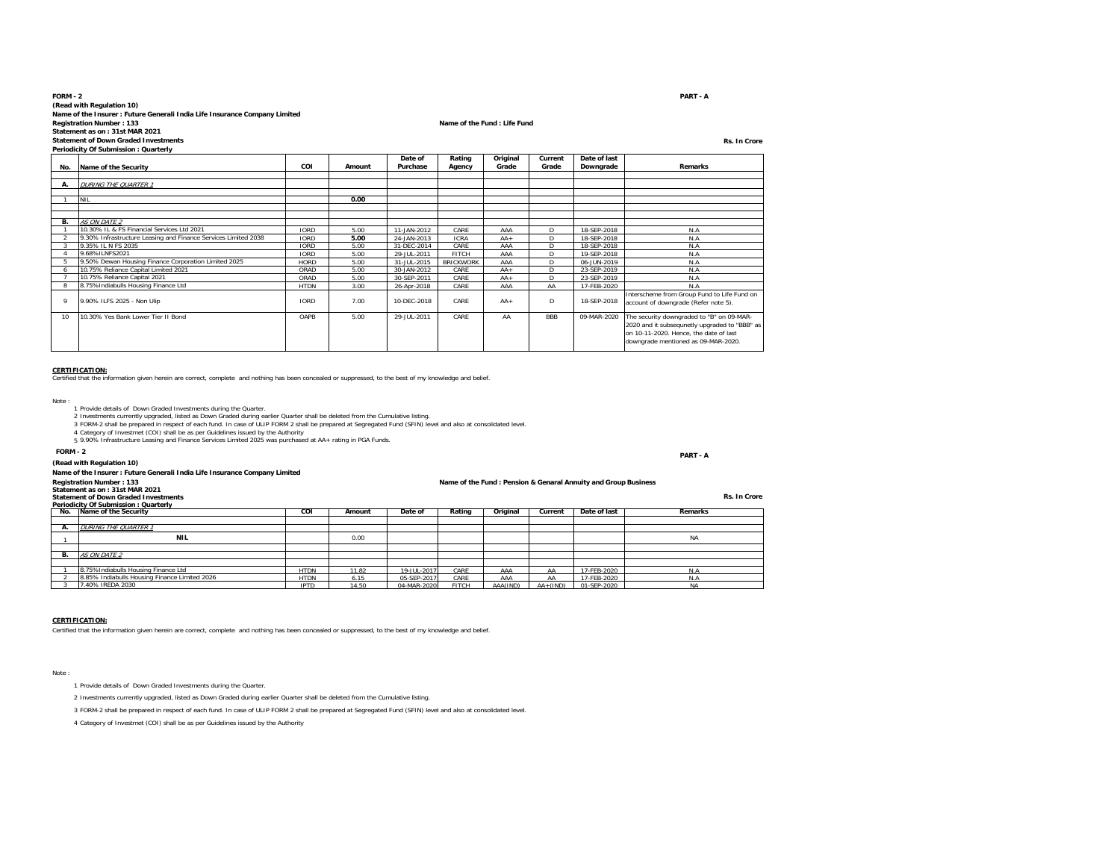#### **FORM - 2 PART - A(Read with Regulation 10) Name of the Insurer : Future Generali India Life Insurance Company Limited Registration Number : 133 Name of the Fund : Life Fund Statement as on : 31st MAR 2021 Statement of Down Graded InvestmentsRs. In Crore**

**Periodicity Of Submission : Quarterly**

|     | Ferrouterty Of Submission. Quarterly                           |             |        |                     |                  |                   |                  |                           |                                               |
|-----|----------------------------------------------------------------|-------------|--------|---------------------|------------------|-------------------|------------------|---------------------------|-----------------------------------------------|
| No. | Name of the Security                                           | COI         | Amount | Date of<br>Purchase | Rating<br>Agency | Original<br>Grade | Current<br>Grade | Date of last<br>Downgrade | Remarks                                       |
|     |                                                                |             |        |                     |                  |                   |                  |                           |                                               |
| А.  | <b>DURING THE QUARTER 1</b>                                    |             |        |                     |                  |                   |                  |                           |                                               |
|     |                                                                |             |        |                     |                  |                   |                  |                           |                                               |
|     | <b>NIL</b>                                                     |             | 0.00   |                     |                  |                   |                  |                           |                                               |
|     |                                                                |             |        |                     |                  |                   |                  |                           |                                               |
|     |                                                                |             |        |                     |                  |                   |                  |                           |                                               |
| В.  | <b>AS ON DATE 2</b>                                            |             |        |                     |                  |                   |                  |                           |                                               |
|     | 10.30% IL & FS Financial Services Ltd 2021                     | <b>IORD</b> | 5.00   | 11-JAN-2012         | CARE             | AAA               | D                | 18-SEP-2018               | N.A                                           |
|     | 9.30% Infrastructure Leasing and Finance Services Limited 2038 | <b>IORD</b> | 5.00   | 24-JAN-2013         | <b>ICRA</b>      | $AA +$            | D                | 18-SEP-2018               | N.A                                           |
|     | 9.35% IL N FS 2035                                             | <b>IORD</b> | 5.00   | 31-DEC-2014         | CARE             | AAA               | D.               | 18-SEP-2018               | N.A                                           |
|     | 9.68%ILNFS2021                                                 | <b>IORD</b> | 5.00   | 29-JUL-2011         | <b>FITCH</b>     | AAA               | D                | 19-SEP-2018               | N.A                                           |
|     | 9.50% Dewan Housing Finance Corporation Limited 2025           | <b>HORD</b> | 5.00   | 31-JUL-2015         | <b>BRICKWORK</b> | AAA               | D                | 06-JUN-2019               | N.A                                           |
|     | 10.75% Reliance Capital Limited 2021                           | ORAD        | 5.00   | 30-JAN-2012         | CARE             | $AA +$            | D                | 23-SEP-2019               | N.A                                           |
|     | 10.75% Reliance Capital 2021                                   | ORAD        | 5.00   | 30-SEP-2011         | CARE             | $AA +$            | D                | 23-SEP-2019               | N.A                                           |
|     | 8.75% Indiabulls Housing Finance Ltd                           | <b>HTDN</b> | 3.00   | 26-Apr-2018         | CARE             | AAA               | AA               | 17-FEB-2020               | N.A                                           |
|     |                                                                |             |        |                     |                  |                   |                  |                           | Interscheme from Group Fund to Life Fund on   |
|     | 9.90% ILFS 2025 - Non Ulip                                     | <b>IORD</b> | 7.00   | 10-DEC-2018         | CARE             | $AA+$             | D                | 18-SEP-2018               | account of downgrade (Refer note 5).          |
|     |                                                                |             |        |                     |                  |                   |                  |                           |                                               |
| 10  | 10.30% Yes Bank Lower Tier II Bond                             | OAPB        | 5.00   | 29-JUL-2011         | CARE             | AA                | <b>BBB</b>       | 09-MAR-2020               | The security downgraded to "B" on 09-MAR-     |
|     |                                                                |             |        |                     |                  |                   |                  |                           | 2020 and it subsequnetly upgraded to "BBB" as |
|     |                                                                |             |        |                     |                  |                   |                  |                           | on 10-11-2020. Hence, the date of last        |
|     |                                                                |             |        |                     |                  |                   |                  |                           | downgrade mentioned as 09-MAR-2020.           |
|     |                                                                |             |        |                     |                  |                   |                  |                           |                                               |

**CERTIFICATION:** Certified that the information given herein are correct, complete and nothing has been concealed or suppressed, to the best of my knowledge and belief.

Note :

- 
- 1 Provide details of Down Graded Investments during the Quarter.<br>2 Investments currently upgraded, listed as Down Graded during earlier Quarter shall be deleted from the Cumulative listing.<br>3 FORM-2 shall be prepared in re
- 
- 4 Category of Investmet (COI) shall be as per Guidelines issued by the Authority 5 9.90% Infrastructure Leasing and Finance Services Limited 2025 was purchased at AA+ rating in PGA Funds.

#### **FORM - 2PART - A**

# **(Read with Regulation 10)**

# **Name of the Insurer : Future Generali India Life Insurance Company Limited**

#### **Name of the Fund : Pension & Genaral Annuity and Group Business**

**Statement as on : 31st MAR 2021 Statement of Down Graded InvestmentsPeriodicity Of Submission : Quarterly**

|    | No. Name of the Security                      | <b>COI</b>  | Amount | Date of     | Rating       | Original | Current      | Date of last | Remarks   |
|----|-----------------------------------------------|-------------|--------|-------------|--------------|----------|--------------|--------------|-----------|
|    |                                               |             |        |             |              |          |              |              |           |
|    | DURING THE QUARTER 1                          |             |        |             |              |          |              |              |           |
|    | <b>NIL</b>                                    |             | 0.00   |             |              |          |              |              | <b>NA</b> |
|    |                                               |             |        |             |              |          |              |              |           |
| В. | AS ON DATE 2                                  |             |        |             |              |          |              |              |           |
|    |                                               |             |        |             |              |          |              |              |           |
|    | 8.75% Indiabulls Housing Finance Ltd          | <b>HTDN</b> | 11.82  | 19-JUL-2017 | CARE         | AAA      | AA           | 17-FEB-2020  | N.A       |
|    | 8.85% Indiabulls Housing Finance Limited 2026 | <b>HTDN</b> | 6.15   | 05-SEP-2017 | CARE         | AAA      | AA           | 17-FEB-2020  | N.A       |
|    | 7.40% IREDA 2030                              | <b>IPTD</b> | 14.50  | 04-MAR-2020 | <b>FITCH</b> | AAA(IND) | $AA + (IND)$ | 01-SEP-2020  | <b>NA</b> |

#### **CERTIFICATION:**

Certified that the information given herein are correct, complete and nothing has been concealed or suppressed, to the best of my knowledge and belief.

Note :

- 1 Provide details of Down Graded Investments during the Quarter.
- 2 Investments currently upgraded, listed as Down Graded during earlier Quarter shall be deleted from the Cumulative listing.

3 FORM-2 shall be prepared in respect of each fund. In case of ULIP FORM 2 shall be prepared at Segregated Fund (SFIN) level and also at consolidated level.

4 Category of Investmet (COI) shall be as per Guidelines issued by the Authority

PART - A

#### **Rs. In Crore**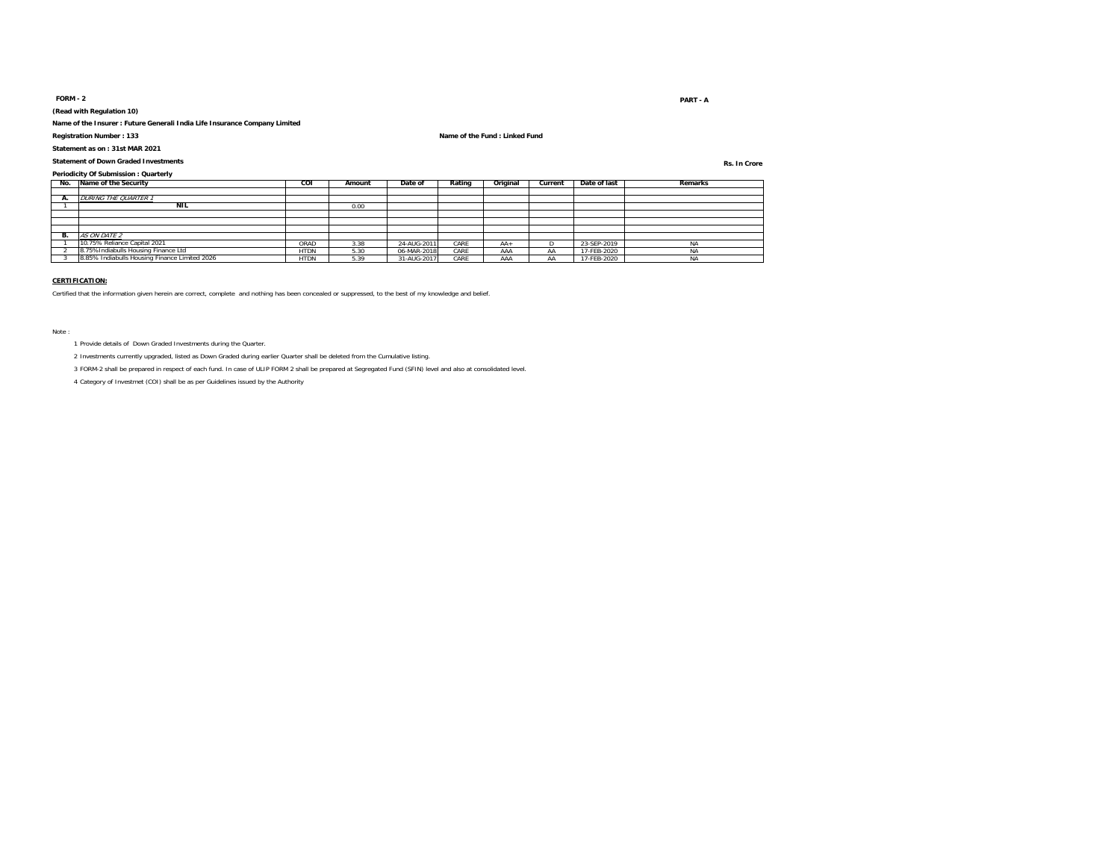#### **FORM - 2**

**(Read with Regulation 10)**

**Name of the Insurer : Future Generali India Life Insurance Company Limited**

**Statement as on : 31st MAR 2021**

**Statement of Down Graded Investments**

**Registration Number : 133 Name of the Fund : Linked Fund**

**Rs. In Crore**

**Periodicity Of Submission : Quarterly<br>No. Name of the Security No. Name of the Security COI Amount Date of Rating Original Current Date of last Remarks A.** DURING THE QUARTER 1 $\overline{1}$  **NILL** 0.00 **B.ON DATE** 0.75% Reliance Capital 2021 1 10.75% Reliance Capital 2021 ORAD 3.38 24-AUG-2011 CARE AA+ D 23-SEP-2019 NA 2 8.75%Indiabulls Housing Finance Ltd<br>2 8.75%Indiabulls Housing Finance Limited 2026 - HTDN 5.30 06-MAR-2018 CARE AAAA AA 17-FEB-2020 NA NA 18<br>2 8.85% Indiabulls Housing Finance Limited 2026 - HTDN 5.39 0.1.4.UC-2017 CARE 8.85% Indiabulls Housing Finance Limited 2026

#### **CERTIFICATION:**

Certified that the information given herein are correct, complete and nothing has been concealed or suppressed, to the best of my knowledge and belief.

Note :

1 Provide details of Down Graded Investments during the Quarter.

2 Investments currently upgraded, listed as Down Graded during earlier Quarter shall be deleted from the Cumulative listing.

3 FORM-2 shall be prepared in respect of each fund. In case of ULIP FORM 2 shall be prepared at Segregated Fund (SFIN) level and also at consolidated level.

4 Category of Investmet (COI) shall be as per Guidelines issued by the Authority

#### extended to the contract of the contract of the contract of the contract of the contract of the contract of the contract of the contract of the contract of the contract of the contract of the contract of the contract of th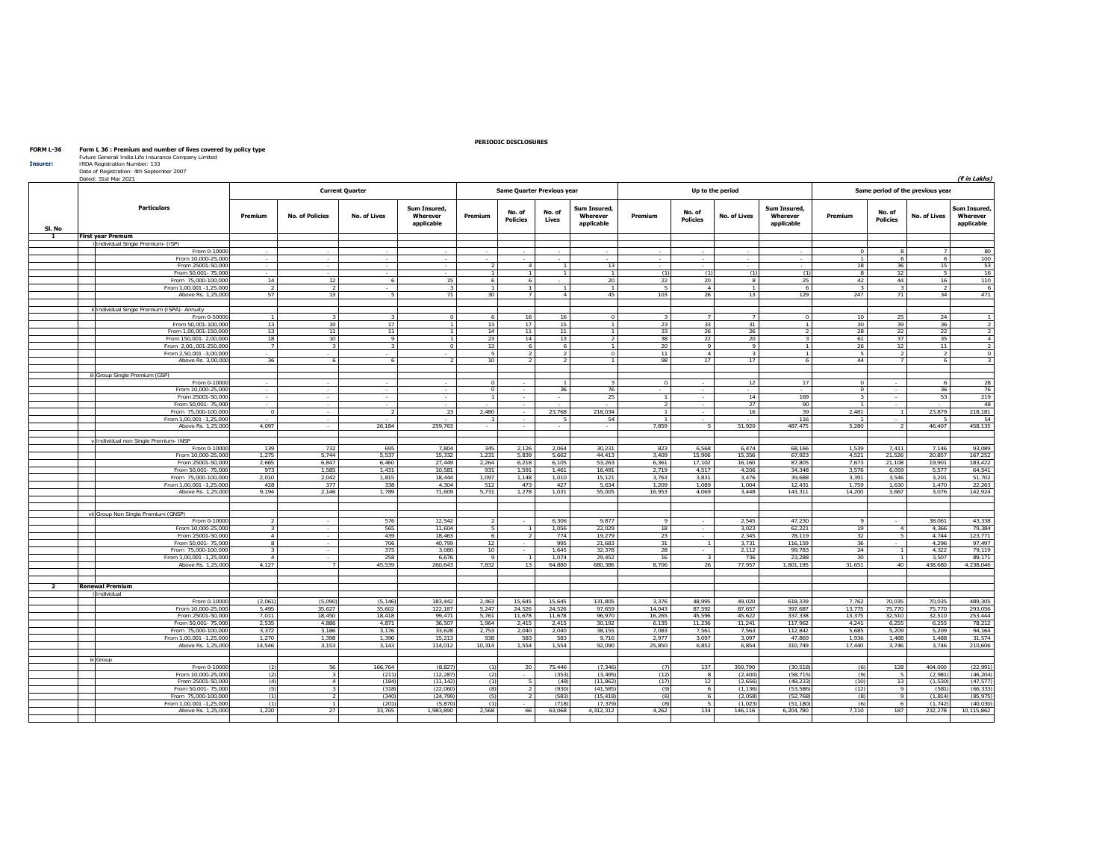| Insurer:       | Future Generali India Life Insurance Company Limited<br>IRDA Registration Number: 133<br>Date of Registration: 4th September 2007<br>Dated: 31st Mar 2021 |                          |                          |                         |                                        |                                  |                                   |                      |                                        |                |                           |                              |                                        |                                  |                           |                                  | (₹ in Lakhs)                           |
|----------------|-----------------------------------------------------------------------------------------------------------------------------------------------------------|--------------------------|--------------------------|-------------------------|----------------------------------------|----------------------------------|-----------------------------------|----------------------|----------------------------------------|----------------|---------------------------|------------------------------|----------------------------------------|----------------------------------|---------------------------|----------------------------------|----------------------------------------|
|                |                                                                                                                                                           |                          |                          | <b>Current Quarter</b>  |                                        |                                  | <b>Same Quarter Previous year</b> |                      |                                        |                |                           | Up to the period             |                                        |                                  |                           | Same period of the previous year |                                        |
|                | <b>Particulars</b>                                                                                                                                        | Premium                  | <b>No. of Policies</b>   | <b>No. of Lives</b>     | Sum Insured,<br>Wherever<br>applicable | Premium                          | No. of<br><b>Policies</b>         | No. of<br>Lives      | Sum Insured.<br>Wherever<br>applicable | Premium        | No. of<br><b>Policies</b> | No. of Lives                 | Sum Insured.<br>Wherever<br>applicable | Premium                          | No. of<br><b>Policies</b> | <b>No. of Lives</b>              | Sum Insured,<br>Wherever<br>applicable |
| SI. No<br>1    | <b>First year Premum</b>                                                                                                                                  |                          |                          |                         |                                        |                                  |                                   |                      |                                        |                |                           |                              |                                        |                                  |                           |                                  |                                        |
|                | i Individual Single Premium- (ISP)                                                                                                                        |                          |                          |                         |                                        |                                  |                                   |                      |                                        |                |                           |                              |                                        |                                  |                           |                                  |                                        |
|                | From 0-10000                                                                                                                                              | $\sim$                   | $\sim$                   | $\sim$                  | $\sim$                                 | $\sim$                           | $\sim$                            | $\sim$               | $\sim$                                 | $\sim$         | $\sim$                    | $\sim$                       | $\sim$                                 | $\Omega$                         | -8                        | $\overline{7}$                   | 80                                     |
|                | From 10,000-25,000                                                                                                                                        |                          |                          | $\sim$                  | $\sim$                                 |                                  |                                   |                      |                                        | $\sim$         | $\overline{\phantom{a}}$  |                              | $\sim$                                 | $\mathbf{1}$                     | - 6                       | $6\overline{6}$                  | 100                                    |
|                | From 25001-50,000                                                                                                                                         | $\overline{\phantom{a}}$ | $\overline{\phantom{a}}$ | $\sim$                  | $\sim$                                 | $\overline{2}$                   | $\overline{4}$                    | $\overline{1}$       | 13                                     | $\sim$         | $\sim$                    | ٠                            | $\sim$                                 | 18                               | 36                        | 15                               | 53                                     |
|                | From 50,001- 75,000                                                                                                                                       | $\sim$                   |                          | $\sim$                  |                                        | $\overline{1}$                   | $\mathbf{1}$                      | $\overline{1}$       | $\mathbf{1}$                           | (1)            | (1)                       | (1)                          | (1)                                    | $^{\circ}$                       | 12                        | -5                               | 16                                     |
|                | From 75,000-100,000<br>From 1,00,001 -1,25,000                                                                                                            | 14<br>$\overline{2}$     | 12<br>J,                 | 6                       | 15<br>$\overline{\mathbf{r}}$          | 6<br>$\overline{1}$              | 6<br>$\overline{1}$               | $\overline{1}$       | 20<br>$\overline{1}$                   | 22<br>$5 -$    | 20<br>$\Lambda$           | $\mathbf{a}$<br>$\mathbf{1}$ | 25                                     | 42                               | 44                        | 16<br>$\overline{2}$             | 110<br>6                               |
|                | Above Rs. 1.25.000                                                                                                                                        | 57                       | 13                       | - 5                     | 71                                     | 30 <sup>2</sup>                  | 7                                 | $\overline{4}$       | 45                                     | 103            | 26                        | 13                           | 6<br>129                               | 247                              | 71                        | 34                               | 471                                    |
|                |                                                                                                                                                           |                          |                          |                         |                                        |                                  |                                   |                      |                                        |                |                           |                              |                                        |                                  |                           |                                  |                                        |
|                | ii Individual Single Premium (ISPA) - Annuity                                                                                                             |                          |                          |                         |                                        |                                  |                                   |                      |                                        |                |                           |                              |                                        |                                  |                           |                                  |                                        |
|                | From 0-50000                                                                                                                                              | $\mathbf{1}$             |                          | 3 <sup>1</sup>          | $\Omega$                               | 6                                | 16                                | 16                   | $\mathbf{0}$                           | $\mathbf{3}$   |                           |                              | $\circ$                                | 10                               | 25                        | 24                               |                                        |
|                | From 50,001-100,000                                                                                                                                       | 13                       | 19                       | 17 <sup>1</sup>         | $\mathbf{1}$                           | 13                               | 17                                | 15                   | 1                                      | 23             | 33                        | 31                           | $\mathbf{1}$                           | 30                               | 39                        | 36                               | $\mathcal{L}$                          |
|                | From 1,00,001-150,000<br>From 150.001-2.00.000                                                                                                            | 13<br>18                 | 11<br>10                 | 11<br>$\overline{9}$    | $\mathbf{1}$<br>$\overline{1}$         | 14<br>23                         | 11<br>14                          | 11<br>13             | 1 <sup>1</sup>                         | 33             | 26<br>22                  | 26                           | 2 <sub>1</sub>                         | 28<br>61                         | 22<br>37                  | 22                               | $\mathcal{L}$<br>$\overline{4}$        |
|                | From 2,00,,001-250,000                                                                                                                                    | 7                        |                          | $\overline{\mathbf{3}}$ | $\Omega$                               | 13                               | 6                                 | 6                    | $\overline{2}$<br>$\mathbf{1}$         | 38<br>20       | -9                        | 20<br>9                      | $\overline{3}$<br>$\mathbf{1}$         | 26                               | 12                        | 35<br>11                         | $\overline{2}$                         |
|                | From 2,50,001 -3,00,000                                                                                                                                   | $\sim$                   |                          |                         |                                        | - 5                              | $\overline{2}$                    | $\mathfrak{D}$       | $\mathbf 0$                            | 11             | $\sqrt{4}$                |                              | $\mathbf{1}$                           | -5                               |                           | $\overline{2}$                   | $\overline{0}$                         |
|                | Above Rs. 3,00,000                                                                                                                                        | 36                       |                          | 6                       |                                        | 10                               | $\overline{2}$                    | $\overline{2}$       |                                        | 98             | 17                        | 17                           | 6                                      | 44                               |                           | 6                                | 3                                      |
|                |                                                                                                                                                           |                          |                          |                         |                                        |                                  |                                   |                      |                                        |                |                           |                              |                                        |                                  |                           |                                  |                                        |
|                | iii Group Single Premium (GSP)                                                                                                                            |                          |                          |                         |                                        |                                  |                                   |                      |                                        |                |                           |                              |                                        |                                  |                           |                                  |                                        |
|                | From 0-10000<br>From 10.000-25.000                                                                                                                        | $\sim$                   | $\sim$<br>$\sim$         | $\sim$<br>$\sim$        | $\sim$<br>$\mathbf{r}$                 | $\overline{0}$<br>$\overline{0}$ | $\sim$                            | $\overline{1}$<br>36 | $\mathbf{3}$<br>76                     | $\overline{0}$ | $\sim$                    | 12                           | 17<br>$\sim$                           | $\overline{0}$<br>$\overline{0}$ |                           | 6<br>36                          | 28<br>76                               |
|                | From 25001-50,000                                                                                                                                         |                          | $\sim$                   | $\sim$                  | $\sim$                                 | $\overline{1}$                   | $\sim$                            |                      | 25                                     | $\mathbf{1}$   | $\sim$                    | 14                           | 169                                    |                                  | $\sim$                    | 53                               | 219                                    |
|                | From 50,001-75,000                                                                                                                                        |                          | $\sim$                   | $\sim$                  |                                        |                                  | $\sim$                            |                      |                                        | 2              | $\cdot$                   | 27                           | 90                                     | $\blacksquare$                   |                           |                                  | 48                                     |
|                | From 75.000-100.000                                                                                                                                       | $\circ$                  | $\sim$                   | <sup>2</sup>            | 23                                     | 2,480                            | $\sim$                            | 23,768               | 218,034                                | $\mathbf{1}$   | $\sim$                    | 16                           | 39                                     | 2,481                            | $\overline{\phantom{0}}$  | 23,879                           | 218,181                                |
|                | From 1,00,001 -1,25,000                                                                                                                                   |                          | $\sim$                   | $\sim$                  | $\sim$                                 | $\overline{1}$                   | $\sim$                            | 5                    | 54                                     | $\overline{1}$ | $\sim$                    | $\sim$                       | 116                                    | $\overline{1}$                   | $\sim$                    | - 5                              | 54                                     |
|                | Above Rs. 1,25,000                                                                                                                                        | 4.097                    | $\sim$                   | 26,184                  | 259,763                                | $\sim$                           | $\sim$                            | $\sim$               | $\sim$                                 | 7,859          | -5                        | 51.920                       | 487.475                                | 5,280                            | $\overline{2}$            | 46,407                           | 458,135                                |
|                |                                                                                                                                                           |                          |                          |                         |                                        |                                  |                                   |                      |                                        |                |                           |                              |                                        |                                  |                           |                                  |                                        |
|                | v Individual non Single Premium- INSP<br>From 0-10000                                                                                                     | 139                      | 732                      | 695                     | 7,804                                  | 345                              | 2,126                             | 2,064                | 30,231                                 | 823            | 6,568                     | 6,474                        | 68,166                                 | 1,539                            | 7,411                     | 7,146                            | 93,089                                 |
|                | From 10,000-25,000                                                                                                                                        | 1,275                    | 5,744                    | 5,537                   | 15,332                                 | 1,231                            | 5,839                             | 5,662                | 44,413                                 | 3,409          | 15,906                    | 15,356                       | 67,923                                 | 4,521                            | 21,526                    | 20,857                           | 167,252                                |
|                | From 25001-50,000                                                                                                                                         | 2,665                    | 6,847                    | 6,460                   | 27,449                                 | 2,264                            | 6,218                             | 6,105                | 53,263                                 | 6,361          | 17,102                    | 16,160                       | 87,805                                 | 7,673                            | 21,108                    | 19,901                           | 183,422                                |
|                | From 50.001-75.000                                                                                                                                        | 973                      | 1.585                    | 1.431                   | 10.581                                 | 931                              | 1.591                             | 1.461                | 16.491                                 | 2.719          | 4.517                     | 4,206                        | 34.348                                 | 3.576                            | 6,059                     | 5.577                            | 64.541                                 |
|                | From 75,000-100,000                                                                                                                                       | 2,010                    | 2,042                    | 1,815                   | 18,444                                 | 1,097                            | 1,148                             | 1,010                | 15,121                                 | 3,763          | 3,831                     | 3,476                        | 39,688                                 | 3,391                            | 3,546                     | 3,201                            | 51,702                                 |
|                | From 1,00,001 -1,25,000                                                                                                                                   | 428                      | 377                      | 338                     | 4,304                                  | 512                              | 473                               | 427                  | 5,634                                  | 1,209          | 1,089                     | 1,004                        | 12,431                                 | 1,759                            | 1,630                     | 1,470                            | 22,263                                 |
|                | Above Rs. 1,25,000                                                                                                                                        | 9.194                    | 2.146                    | 1.789                   | 71.609                                 | 5.731                            | 1,278                             | 1,031                | 55,005                                 | 16.953         | 4.069                     | 3.448                        | 143,311                                | 14,200                           | 3.667                     | 3.076                            | 142,924                                |
|                |                                                                                                                                                           |                          |                          |                         |                                        |                                  |                                   |                      |                                        |                |                           |                              |                                        |                                  |                           |                                  |                                        |
|                | vii Group Non Single Premium (GNSP)                                                                                                                       |                          |                          |                         |                                        |                                  |                                   |                      |                                        |                |                           |                              |                                        |                                  |                           |                                  |                                        |
|                | From 0-10000                                                                                                                                              | $\overline{2}$           |                          | 576                     | 12.542                                 | $\overline{2}$                   |                                   | 6.306                | 9.877                                  | 9              | $\sim$                    | 2,545                        | 47.230                                 |                                  |                           | 38.061                           | 43.338                                 |
|                | From 10,000-25,000                                                                                                                                        | $\overline{\mathbf{3}}$  |                          | 565                     | 11,604                                 | -5                               |                                   | 1,056                | 22,029                                 | 18             |                           | 3,023                        | 62,221                                 | 19                               |                           | 4,366                            | 79,384                                 |
|                | From 25001-50,000                                                                                                                                         | $\overline{4}$           |                          | 439                     | 18,463                                 | 6                                | $\overline{2}$                    | 774                  | 19,279                                 | 23             |                           | 2,345                        | 78,119                                 | 32                               |                           | 4,744                            | 123,771                                |
|                | From 50,001- 75,000<br>From 75,000-100,000                                                                                                                | ø,<br>د                  | $\sim$                   | 706<br>375              | 40,799<br>3,080                        | 12<br>10                         |                                   | 995<br>1.645         | 21,683<br>32,378                       | 31<br>28       | $\sim$                    | 3,731<br>2,112               | 116,159<br>99.783                      | 36<br>24                         | $\overline{1}$            | 4,296<br>4,322                   | 97,497<br>79,119                       |
|                | From 1.00.001 -1.25.000                                                                                                                                   | $\overline{4}$           |                          | 258                     | 6.676                                  | $\circ$                          | $\mathbf{1}$                      | 1.074                | 29.452                                 | 16             |                           | 736                          | 23.288                                 | 30                               |                           | 3.507                            | 89.171                                 |
|                | Above Rs. 1,25,000                                                                                                                                        | 4,127                    |                          | 45,539                  | 260,643                                | 7.832                            | 13                                | 64,880               | 680,386                                | 8,706          | 26                        | 77,957                       | 1,801,195                              | 31,651                           | 40                        | 438.680                          | 4,238,046                              |
|                |                                                                                                                                                           |                          |                          |                         |                                        |                                  |                                   |                      |                                        |                |                           |                              |                                        |                                  |                           |                                  |                                        |
|                |                                                                                                                                                           |                          |                          |                         |                                        |                                  |                                   |                      |                                        |                |                           |                              |                                        |                                  |                           |                                  |                                        |
| $\overline{2}$ | <b>Renewal Premium</b>                                                                                                                                    |                          |                          |                         |                                        |                                  |                                   |                      |                                        |                |                           |                              |                                        |                                  |                           |                                  |                                        |
|                | i Individual<br>From 0-10000                                                                                                                              | (2,061)                  | (5.090)                  | (5, 146)                | 183.442                                | 2.463                            | 15.645                            | 15.645               | 131.805                                | 3.376          | 48.995                    | 49.020                       | 618.339                                | 7.762                            | 70.035                    | 70.035                           | 489.305                                |
|                | From 10.000-25.000                                                                                                                                        | 5.495                    | 35.627                   | 35.602                  | 122.187                                | 5.247                            | 24.526                            | 24.526               | 97.659                                 | 14.043         | 87.592                    | 87.657                       | 397.687                                | 13.775                           | 75,770                    | 75.770                           | 293.056                                |
|                | From 25001-50,000                                                                                                                                         | 7,011                    | 18,450                   | 18,418                  | 99,471                                 | 5,761                            | 11,678                            | 11,678               | 96,970                                 | 16,265         | 45,596                    | 45,622                       | 337,338                                | 13,375                           | 32,510                    | 32,510                           | 253,444                                |
|                | From 50,001- 75,000                                                                                                                                       | 2,535                    | 4,886                    | 4,871                   | 36,507                                 | 1,964                            | 2,415                             | 2,415                | 30,192                                 | 6,135          | 11,236                    | 11,241                       | 117,962                                | 4,241                            | 6,255                     | 6,255                            | 78,212                                 |
|                | From 75,000-100,000                                                                                                                                       | 3,372                    | 3,186                    | 3,176                   | 33.628                                 | 2,753                            | 2,040                             | 2,040                | 38,155                                 | 7,083          | 7,561                     | 7,563                        | 112,842                                | 5,685                            | 5,209                     | 5,209                            | 94,164                                 |
|                | From 1,00,001 -1,25,000                                                                                                                                   | 1,270                    | 1.398                    | 1.396                   | 15,213                                 | 938                              | 583                               | 583                  | 9.716                                  | 2.977          | 3.097                     | 3.097                        | 47.869                                 | 1.936                            | 1.488                     | 1.488                            | 31,574                                 |
|                | Above Rs. 1,25,000                                                                                                                                        | 14.546                   | 3.153                    | 3.143                   | 114.012                                | 10.314                           | 1.554                             | 1,554                | 92,090                                 | 25,850         | 6,852                     | 6,854                        | 310,749                                | 17.440                           | 3.746                     | 3.746                            | 210,606                                |
|                | iii Group                                                                                                                                                 |                          |                          |                         |                                        |                                  |                                   |                      |                                        |                |                           |                              |                                        |                                  |                           |                                  |                                        |
|                | From 0-10000                                                                                                                                              | (1)                      | 56                       | 166,764                 | (8, 827)                               | (1)                              | 20                                | 75,446               | (7, 346)                               | (7)            | 137                       | 350,790                      | (30, 518)                              | (6)                              | 128                       | 404,000                          | (22, 991)                              |
|                | From 10,000-25,000                                                                                                                                        | (2)                      | 3 <sup>1</sup>           | (211)                   | (12, 287)                              | (2)                              |                                   | (353)                | (3, 495)                               | (12)           | $\mathbf{a}$              | (2, 400)                     | (58, 715)                              | (9)                              | -5                        | (2,981)                          | (46, 204)                              |
|                | From 25001-50,000                                                                                                                                         | (4)                      | $\sim$                   | (184)                   | (11, 142)                              | (1)                              | -5                                | (48)                 | (11, 862)                              | (17)           | 12                        | (2,656)                      | (48, 233)                              | (10)                             | 13                        | (1,530)                          | (47, 577)                              |
|                | From 50.001-75.000                                                                                                                                        | (5)                      | $\mathbf{3}$             | (318)                   | (22.060)                               | (8)                              | $\overline{2}$                    | (930)                | (41.585)                               | (9)            | -6                        | (1, 136)                     | (53.586)                               | (12)                             |                           | (581)                            | (66.333)                               |
|                | From 75,000-100,000                                                                                                                                       | (1)                      | $\mathcal{P}$            | (340)                   | (24, 799)                              | (5)                              | $\overline{2}$                    | (583)                | (15, 418)                              | (6)            | 6                         | (2,058)                      | (52, 768)                              | (8)                              | -9                        | (1, 814)                         | (85, 975)                              |
|                | From 1,00,001 -1,25,000                                                                                                                                   | (1)                      | $\mathbf{1}$             | (201)                   | (5, 87)                                | (1)                              |                                   | (718)                | (7, 379)                               | (8)            | $\overline{h}$            | (1,023)                      | (51, 180)                              | (6)                              |                           | (1, 742)                         | (40, 030)                              |
|                | Above Rs. 1,25,000                                                                                                                                        | 1,220                    | 27                       | 33,765                  | 1,983,890                              | 2,568                            | 66                                | 63,068               | 4,312,312                              | 4,262          | 134                       | 146,116                      | 6,204,780                              | 7,110                            | 187                       | 232,278                          | 10,115,862                             |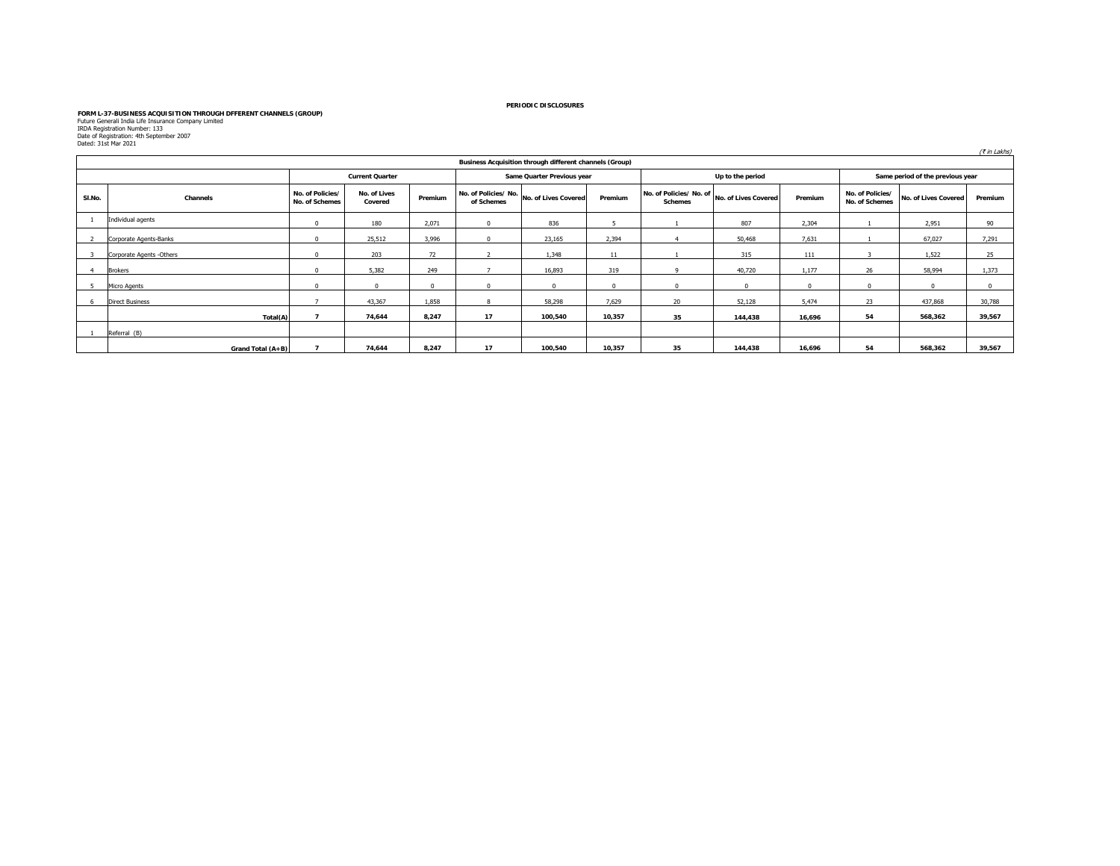# FORM L-37-BUSINESS ACQUISITION THROUGH DFFERENT CHANNELS (GROUP)<br>Future Generali India Life Insurance Company Limited<br>IRDA Registration Number: 133<br>Dated: 31st Mar 2021<br>Dated: 31st Mar 2021

| paceal stocking come |                          |                                    |                         |          |            |                                                         |          |                                          |                      |          |                                    |                                  | (₹ in Lakhs) |
|----------------------|--------------------------|------------------------------------|-------------------------|----------|------------|---------------------------------------------------------|----------|------------------------------------------|----------------------|----------|------------------------------------|----------------------------------|--------------|
|                      |                          |                                    |                         |          |            | Business Acquisition through different channels (Group) |          |                                          |                      |          |                                    |                                  |              |
|                      |                          |                                    | <b>Current Quarter</b>  |          |            | Same Quarter Previous year                              |          |                                          | Up to the period     |          |                                    | Same period of the previous year |              |
| SI.No.               | Channels                 | No. of Policies/<br>No. of Schemes | No. of Lives<br>Covered | Premium  | of Schemes | No. of Policies/ No. No. of Lives Covered               | Premium  | No. of Policies/No. of<br><b>Schemes</b> | No. of Lives Covered | Premium  | No. of Policies/<br>No. of Schemes | No. of Lives Covered             | Premium      |
|                      | Individual agents        | $\Omega$                           | 180                     | 2,071    | $^{\circ}$ | 836                                                     |          |                                          | 807                  | 2,304    |                                    | 2,951                            | 90           |
|                      | Corporate Agents-Banks   | $\Omega$                           | 25,512                  | 3,996    | $\Omega$   | 23,165                                                  | 2,394    |                                          | 50,468               | 7,631    |                                    | 67,027                           | 7,291        |
| 3                    | Corporate Agents -Others |                                    | 203                     | 72       |            | 1,348                                                   | 11       |                                          | 315                  | 111      |                                    | 1,522                            | 25           |
| 4                    | <b>Brokers</b>           |                                    | 5,382                   | 249      |            | 16,893                                                  | 319      | $\Omega$                                 | 40,720               | 1,177    | 26                                 | 58,994                           | 1.373        |
| 5                    | Micro Agents             | $\Omega$                           |                         | $\Omega$ | $\Omega$   | $\Omega$                                                | $\Omega$ | $\Omega$                                 | $\Omega$             | $\Omega$ | $\Omega$                           | $\mathbf{0}$                     |              |
| 6                    | <b>Direct Business</b>   |                                    | 43,367                  | 1,858    | R          | 58,298                                                  | 7,629    | 20                                       | 52,128               | 5,474    | 23                                 | 437,868                          | 30,788       |
|                      | Total(A)                 |                                    | 74,644                  | 8,247    | 17         | 100,540                                                 | 10,357   | 35                                       | 144,438              | 16,696   | 54                                 | 568,362                          | 39,567       |
|                      | Referral (B)             |                                    |                         |          |            |                                                         |          |                                          |                      |          |                                    |                                  |              |
|                      | Grand Total (A+B)        |                                    | 74,644                  | 8.247    | 17         | 100,540                                                 | 10,357   | 35                                       | 144,438              | 16,696   | 54                                 | 568,362                          | 39,567       |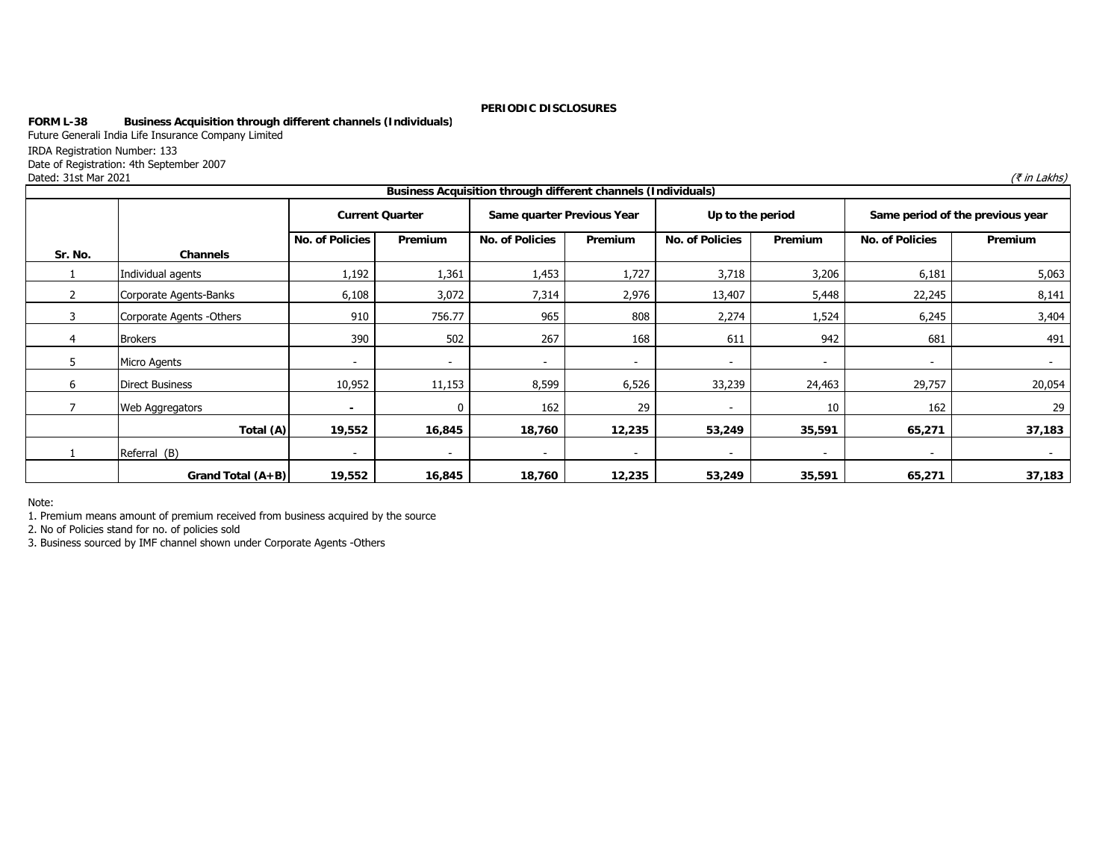# **FORM L-38 Business Acquisition through different channels (Individuals)**

Future Generali India Life Insurance Company Limited

IRDA Registration Number: 133

Date of Registration: 4th September 2007

Dated: 31st Mar 2021 $\left( \bar{\star}\text{ in } \text{Lakhs}\right)$ 

|         |                           |                          |                          | Business Acquisition through different channels (Individuals) |                          |                          |                          |                                  |                          |
|---------|---------------------------|--------------------------|--------------------------|---------------------------------------------------------------|--------------------------|--------------------------|--------------------------|----------------------------------|--------------------------|
|         |                           |                          | <b>Current Quarter</b>   | Same quarter Previous Year                                    |                          | Up to the period         |                          | Same period of the previous year |                          |
|         |                           | <b>No. of Policies</b>   | Premium                  | No. of Policies                                               | <b>Premium</b>           | <b>No. of Policies</b>   | Premium                  | No. of Policies                  | Premium                  |
| Sr. No. | Channels                  |                          |                          |                                                               |                          |                          |                          |                                  |                          |
|         | Individual agents         | 1,192                    | 1,361                    | 1,453                                                         | 1,727                    | 3,718                    | 3,206                    | 6,181                            | 5,063                    |
|         | Corporate Agents-Banks    | 6,108                    | 3,072                    | 7,314                                                         | 2,976                    | 13,407                   | 5,448                    | 22,245                           | 8,141                    |
|         | Corporate Agents - Others | 910                      | 756.77                   | 965                                                           | 808                      | 2,274                    | 1,524                    | 6,245                            | 3,404                    |
| 4       | <b>Brokers</b>            | 390                      | 502                      | 267                                                           | 168                      | 611                      | 942                      | 681                              | 491                      |
| 5       | Micro Agents              | $\overline{\phantom{a}}$ | $\overline{\phantom{a}}$ | $\overline{\phantom{a}}$                                      |                          | $\overline{\phantom{a}}$ | $\overline{\phantom{a}}$ | $\overline{\phantom{a}}$         | $\overline{\phantom{a}}$ |
| 6       | Direct Business           | 10,952                   | 11,153                   | 8,599                                                         | 6,526                    | 33,239                   | 24,463                   | 29,757                           | 20,054                   |
|         | Web Aggregators           | $\blacksquare$           |                          | 162                                                           | 29                       |                          | 10                       | 162                              | 29                       |
|         | Total (A)                 | 19,552                   | 16,845                   | 18,760                                                        | 12,235                   | 53,249                   | 35,591                   | 65,271                           | 37,183                   |
|         | Referral (B)              | $\overline{\phantom{a}}$ | $\overline{\phantom{a}}$ | $\overline{\phantom{a}}$                                      | $\overline{\phantom{a}}$ | $\overline{\phantom{a}}$ | $\overline{\phantom{a}}$ | $\overline{\phantom{a}}$         | $\overline{\phantom{0}}$ |
|         | Grand Total $(A+B)$       | 19,552                   | 16,845                   | 18,760                                                        | 12,235                   | 53,249                   | 35,591                   | 65,271                           | 37,183                   |

Note:

1. Premium means amount of premium received from business acquired by the source

2. No of Policies stand for no. of policies sold

3. Business sourced by IMF channel shown under Corporate Agents -Others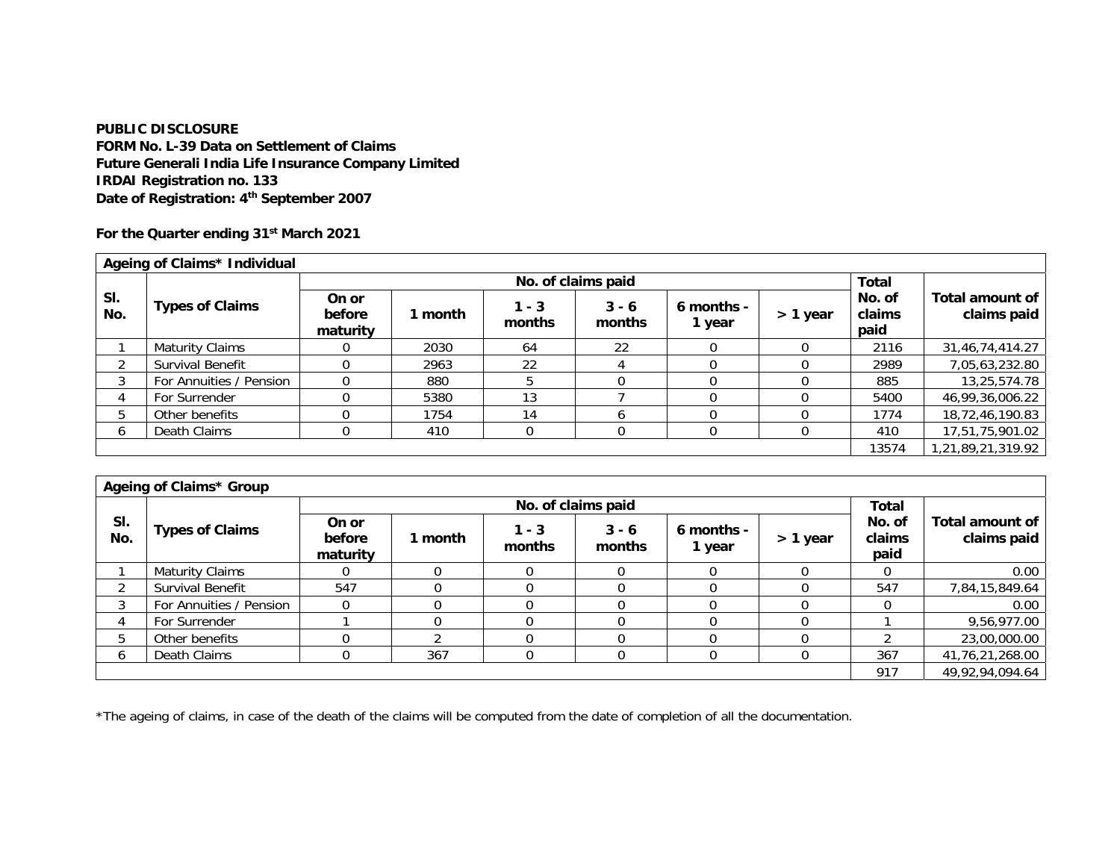**PUBLIC DISCLOSURE FORM No. L-39 Data on Settlement of Claims Future Generali India Life Insurance Company Limited IRDAI Registration no. 133 Date of Registration: 4th September 2007** 

**For the Quarter ending 31st March 2021** 

|            | Ageing of Claims* Individual |                             |         |                   |                    |                      |          |                          |                                       |
|------------|------------------------------|-----------------------------|---------|-------------------|--------------------|----------------------|----------|--------------------------|---------------------------------------|
|            |                              |                             |         |                   | No. of claims paid |                      |          | Total                    |                                       |
| SI.<br>No. | <b>Types of Claims</b>       | On or<br>before<br>maturity | 1 month | $1 - 3$<br>months | $3 - 6$<br>months  | 6 months -<br>1 year | > 1 year | No. of<br>claims<br>paid | <b>Total amount of</b><br>claims paid |
|            | Maturity Claims              |                             | 2030    | 64                | 22                 |                      |          | 2116                     | 31,46,74,414.27                       |
| ◠          | Survival Benefit             |                             | 2963    | 22                |                    |                      |          | 2989                     | 7,05,63,232.80                        |
| 3          | For Annuities / Pension      |                             | 880     |                   |                    |                      |          | 885                      | 13,25,574.78                          |
| 4          | For Surrender                |                             | 5380    | 13                |                    |                      |          | 5400                     | 46,99,36,006.22                       |
| 5          | Other benefits               |                             | 1754    | 14                |                    |                      |          | 1774                     | 18,72,46,190.83                       |
| 6          | Death Claims                 |                             | 410     |                   |                    |                      |          | 410                      | 17,51,75,901.02                       |
|            |                              |                             |         |                   |                    |                      |          | 13574                    | 1,21,89,21,319.92                     |

|            | Ageing of Claims* Group |                             |         |                   |                    |                      |            |                          |                                |
|------------|-------------------------|-----------------------------|---------|-------------------|--------------------|----------------------|------------|--------------------------|--------------------------------|
|            |                         |                             |         |                   | No. of claims paid |                      |            | <b>Total</b>             |                                |
| SI.<br>No. | <b>Types of Claims</b>  | On or<br>before<br>maturity | 1 month | $1 - 3$<br>months | $3 - 6$<br>months  | 6 months -<br>1 year | $> 1$ year | No. of<br>claims<br>paid | Total amount of<br>claims paid |
|            | <b>Maturity Claims</b>  |                             |         |                   |                    |                      |            |                          | 0.00                           |
| ົ          | Survival Benefit        | 547                         |         |                   |                    |                      |            | 547                      | 7,84,15,849.64                 |
| 3          | For Annuities / Pension |                             |         |                   |                    |                      |            |                          | 0.00                           |
|            | For Surrender           |                             |         |                   |                    |                      |            |                          | 9,56,977.00                    |
| 5          | Other benefits          |                             |         |                   |                    |                      |            |                          | 23,00,000.00                   |
| 6          | Death Claims            | $\Omega$                    | 367     | 0                 |                    |                      |            | 367                      | 41,76,21,268.00                |
|            |                         |                             |         |                   |                    |                      |            | 917                      | 49,92,94,094.64                |

\*The ageing of claims, in case of the death of the claims will be computed from the date of completion of all the documentation.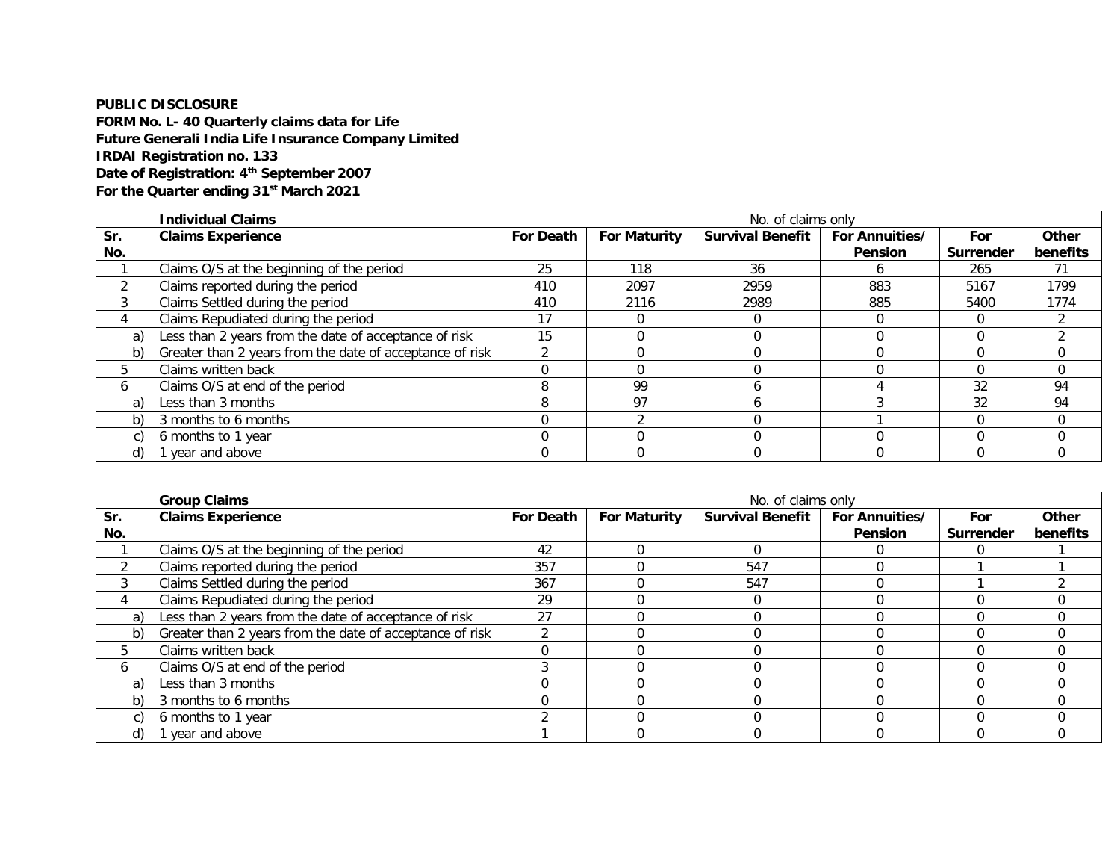# **PUBLIC DISCLOSURE**

**FORM No. L- 40 Quarterly claims data for Life Future Generali India Life Insurance Company Limited IRDAI Registration no. 133 Date of Registration: 4th September 2007 For the Quarter ending 31st March 2021**

|            | <b>Individual Claims</b>                                 |                  |                     | No. of claims only      |                                  |                  |                   |
|------------|----------------------------------------------------------|------------------|---------------------|-------------------------|----------------------------------|------------------|-------------------|
| Sr.<br>No. | <b>Claims Experience</b>                                 | <b>For Death</b> | <b>For Maturity</b> | <b>Survival Benefit</b> | <b>For Annuities/</b><br>Pension | For<br>Surrender | Other<br>benefits |
|            | Claims O/S at the beginning of the period                | 25               | 118                 | 36                      | <sub>n</sub>                     | 265              | 71                |
|            | Claims reported during the period                        | 410              | 2097                | 2959                    | 883                              | 5167             | 1799              |
|            | Claims Settled during the period                         | 410              | 2116                | 2989                    | 885                              | 5400             | 1774              |
|            | Claims Repudiated during the period                      | 17               |                     |                         |                                  | $\Omega$         |                   |
| a)         | Less than 2 years from the date of acceptance of risk    | 15               |                     |                         |                                  | $\Omega$         |                   |
| b)         | Greater than 2 years from the date of acceptance of risk | ി                |                     |                         |                                  | $\Omega$         |                   |
| 5          | Claims written back                                      |                  |                     |                         |                                  | $\Omega$         | 0                 |
| 6          | Claims O/S at end of the period                          |                  | 99                  |                         |                                  | 32               | 94                |
| a)         | Less than 3 months                                       |                  | 97                  |                         |                                  | 32               | 94                |
| b)         | 3 months to 6 months                                     |                  |                     |                         |                                  | $\Omega$         | $\Omega$          |
| C)         | 6 months to 1 year                                       |                  |                     |                         |                                  | $\Omega$         | 0                 |
| d)         | 1 year and above                                         |                  |                     |                         |                                  |                  |                   |

|            | <b>Group Claims</b>                                      | No. of claims only |                     |                         |                                  |                         |                   |  |
|------------|----------------------------------------------------------|--------------------|---------------------|-------------------------|----------------------------------|-------------------------|-------------------|--|
| Sr.<br>No. | <b>Claims Experience</b>                                 | <b>For Death</b>   | <b>For Maturity</b> | <b>Survival Benefit</b> | <b>For Annuities/</b><br>Pension | For<br><b>Surrender</b> | Other<br>benefits |  |
|            | Claims O/S at the beginning of the period                | 42                 |                     |                         |                                  |                         |                   |  |
| ◠          | Claims reported during the period                        | 357                |                     | 547                     |                                  |                         |                   |  |
|            | Claims Settled during the period                         | 367                |                     | 547                     |                                  |                         |                   |  |
| 4          | Claims Repudiated during the period                      | 29                 |                     |                         |                                  |                         |                   |  |
| a)         | Less than 2 years from the date of acceptance of risk    | 27                 |                     |                         |                                  |                         |                   |  |
| b)         | Greater than 2 years from the date of acceptance of risk |                    |                     |                         |                                  |                         |                   |  |
|            | Claims written back                                      |                    |                     |                         |                                  |                         |                   |  |
| 6          | Claims O/S at end of the period                          |                    |                     |                         |                                  |                         |                   |  |
| a)         | Less than 3 months                                       |                    |                     |                         |                                  |                         |                   |  |
| b)         | 3 months to 6 months                                     |                    |                     |                         |                                  |                         |                   |  |
|            | 6 months to 1 year                                       |                    |                     |                         |                                  |                         |                   |  |
| d)         | 1 year and above                                         |                    |                     |                         |                                  |                         |                   |  |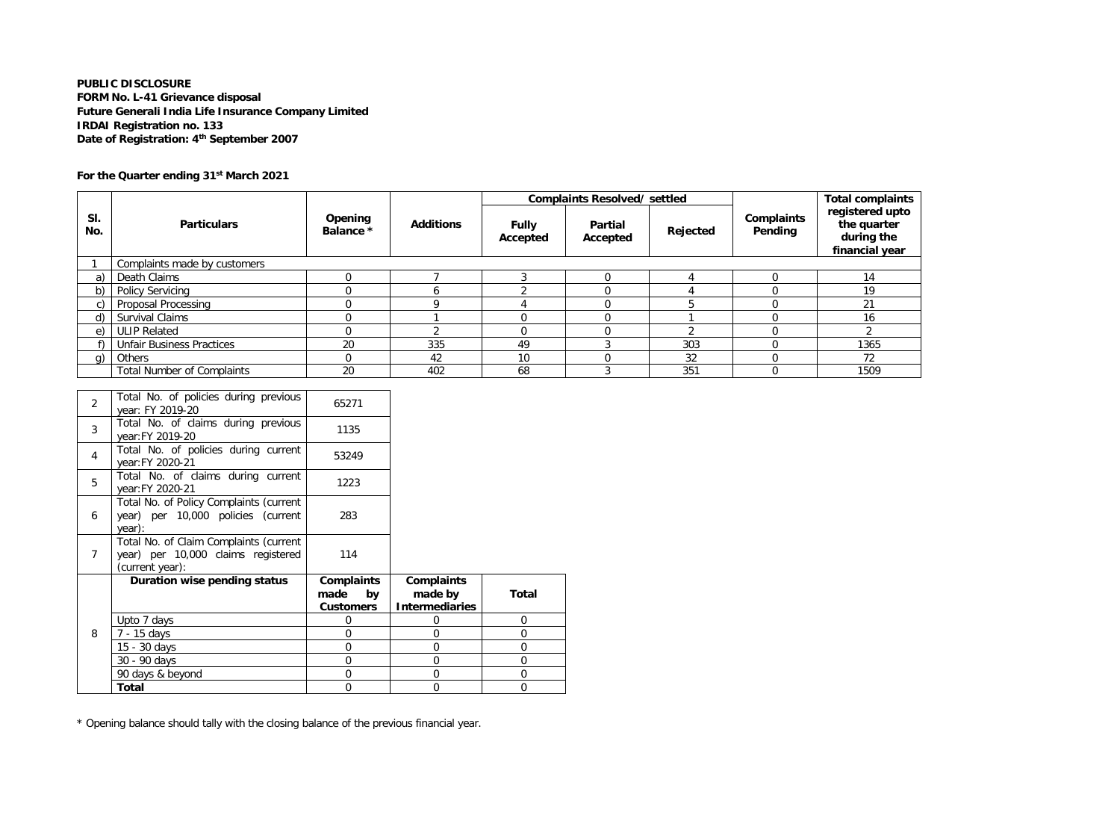# **PUBLIC DISCLOSURE FORM No. L-41 Grievance disposal Future Generali India Life Insurance Company Limited IRDAI Registration no. 133 Date of Registration: 4th September 2007**

# **For the Quarter ending 31st March 2021**

|            |                                   |                      |                  |                          | <b>Complaints Resolved/ settled</b> |          |                       | <b>Total complaints</b>                                        |
|------------|-----------------------------------|----------------------|------------------|--------------------------|-------------------------------------|----------|-----------------------|----------------------------------------------------------------|
| SI.<br>No. | <b>Particulars</b>                | Opening<br>Balance * | <b>Additions</b> | <b>Fully</b><br>Accepted | Partial<br>Accepted                 | Rejected | Complaints<br>Pending | registered upto<br>the quarter<br>during the<br>financial year |
|            | Complaints made by customers      |                      |                  |                          |                                     |          |                       |                                                                |
| a)         | Death Claims                      |                      |                  |                          |                                     |          |                       | 14                                                             |
| b)         | <b>Policy Servicing</b>           |                      | n.               |                          |                                     |          |                       | 19                                                             |
| C)         | <b>Proposal Processing</b>        |                      |                  |                          |                                     |          |                       | 21                                                             |
| d)         | <b>Survival Claims</b>            |                      |                  |                          |                                     |          |                       | 16                                                             |
| e)         | <b>ULIP Related</b>               |                      |                  |                          |                                     |          |                       |                                                                |
|            | <b>Unfair Business Practices</b>  | 20                   | 335              | 49                       |                                     | 303      |                       | 1365                                                           |
| q)         | <b>Others</b>                     |                      | 42               | 10                       |                                     | 32       |                       | 72                                                             |
|            | <b>Total Number of Complaints</b> | 20                   | 402              | 68                       |                                     | 351      |                       | 1509                                                           |

| <b>Total</b>                                              | $\overline{0}$                                                                                                                                                                                            | $\Omega$              | 0        |
|-----------------------------------------------------------|-----------------------------------------------------------------------------------------------------------------------------------------------------------------------------------------------------------|-----------------------|----------|
| 90 days & beyond                                          | 0                                                                                                                                                                                                         | 0                     | 0        |
| 30 - 90 days                                              | $\overline{0}$                                                                                                                                                                                            | 0                     | $\Omega$ |
| 15 - 30 days                                              | 0                                                                                                                                                                                                         | 0                     | 0        |
| 7 - 15 days                                               | $\Omega$                                                                                                                                                                                                  | 0                     | $\Omega$ |
| Upto 7 days                                               | $\Omega$                                                                                                                                                                                                  | ი                     | $\Omega$ |
|                                                           | <b>Customers</b>                                                                                                                                                                                          | <b>Intermediaries</b> |          |
|                                                           | made<br>by                                                                                                                                                                                                | made by               | Total    |
| Duration wise pending status                              | Complaints                                                                                                                                                                                                | <b>Complaints</b>     |          |
|                                                           |                                                                                                                                                                                                           |                       |          |
|                                                           |                                                                                                                                                                                                           |                       |          |
|                                                           |                                                                                                                                                                                                           |                       |          |
|                                                           |                                                                                                                                                                                                           |                       |          |
| Total No. of Policy Complaints (current                   |                                                                                                                                                                                                           |                       |          |
| year: FY 2020-21                                          | 1223                                                                                                                                                                                                      |                       |          |
|                                                           |                                                                                                                                                                                                           |                       |          |
| Total No. of policies during current                      |                                                                                                                                                                                                           |                       |          |
| Total No. of claims during previous<br>year: FY 2019-20   | 1135                                                                                                                                                                                                      |                       |          |
| Total No. of policies during previous<br>year: FY 2019-20 | 65271                                                                                                                                                                                                     |                       |          |
|                                                           | year: FY 2020-21<br>Total No. of claims during current<br>year) per 10,000 policies (current<br>year):<br>Total No. of Claim Complaints (current<br>year) per 10,000 claims registered<br>(current year): | 53249<br>283<br>114   |          |

\* Opening balance should tally with the closing balance of the previous financial year.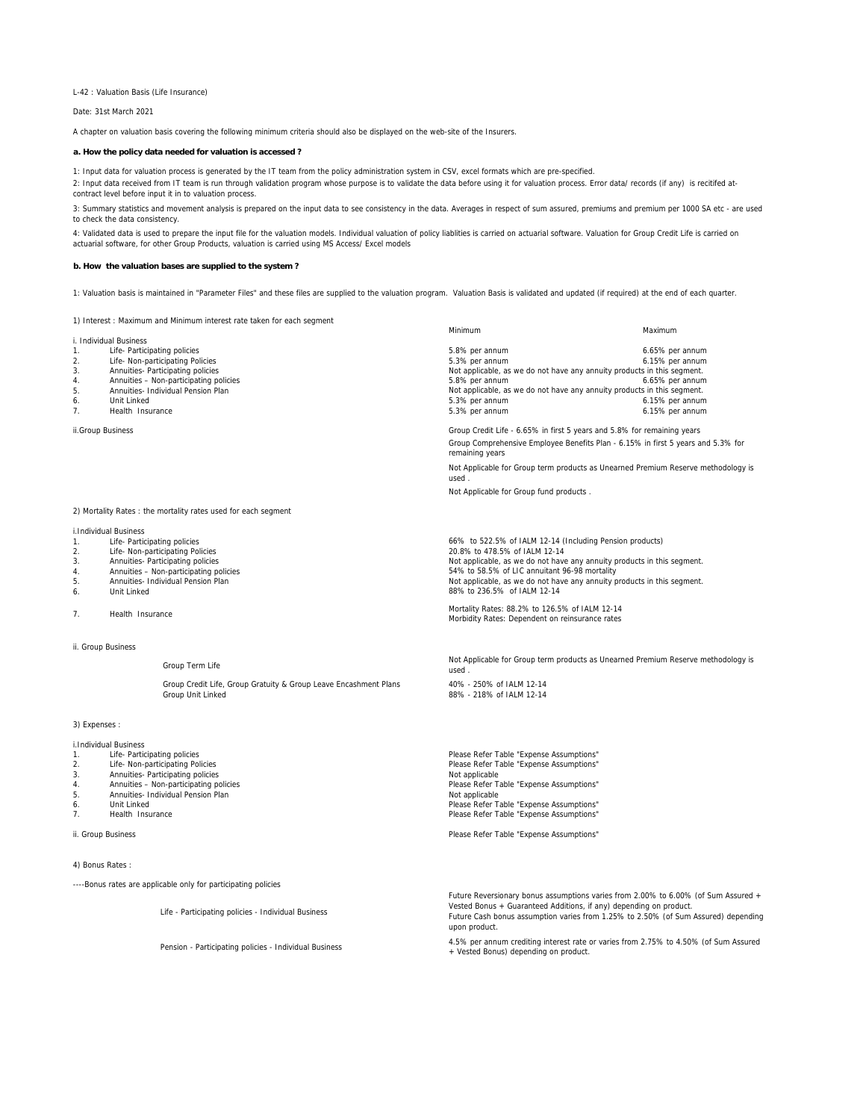L-42 : Valuation Basis (Life Insurance)

Date: 31st March 2021

A chapter on valuation basis covering the following minimum criteria should also be displayed on the web-site of the Insurers.

#### **a. How the policy data needed for valuation is accessed ?**

1: Input data for valuation process is generated by the IT team from the policy administration system in CSV, excel formats which are pre-specified. 2: Input data received from IT team is run through validation program whose purpose is to validate the data before using it for valuation process. Error data/ records (if any) is recitifed atcontract level before input it in to valuation process.

3: Summary statistics and movement analysis is prepared on the input data to see consistency in the data. Averages in respect of sum assured, premiums and premium per 1000 SA etc - are used to check the data consistency.

4: Validated data is used to prepare the input file for the valuation models. Individual valuation of policy liablities is carried on actuarial software. Valuation for Group Credit Life is carried on actuarial software, for other Group Products, valuation is carried using MS Access/ Excel models

#### **b. How the valuation bases are supplied to the system ?**

1: Valuation basis is maintained in "Parameter Files" and these files are supplied to the valuation program. Valuation Basis is validated and updated (if required) at the end of each quarter.

1) Interest : Maximum and Minimum interest rate taken for each segment

i. Individual Business

- 
- 
- 
- 5. Annuities- Individual Pension Plan
- 
- 

ii.Group Business

# 2) Mortality Rates : the mortality rates used for each segment

i.Individual Business

- 1. Life- Participating policies<br>2. Life- Non-participating Po
- Life- Non-participating Policies
- 3. Annuities- Participating policies<br>4. Annuities Non-participating po
- 4. Annuities Non-participating policies<br>5. Annuities- Individual Pension Plan
- 5. Annuities- Individual Pension Plan<br>6. Unit Linked 6. Unit Linked
- 7. Health Insurance

#### ii. Group Business

Group Term Life

Group Credit Life, Group Gratuity & Group Leave Encashment Plans 40% - 250% of IALM 12-14<br>40% - 218% of IALM 12-14

3) Expenses :

- i.Individual Business
- 1. Life- Participating policies<br>2. Life- Non-participating Pol
- 2. Life- Non-participating Policies<br>3. Annuities- Participating policies
- 
- 4. Annuities Non-participating policies<br>5. Annuities- Individual Pension Plan 5. Annuities- Individual Pension Plan<br>6. Mit Linked
- 6. Unit Linked 7. Health Insurance
- 

ii. Group Business

4) Bonus Rates :

----Bonus rates are applicable only for participating policies

Life - Participating policies - Individual Business

Pension - Participating policies - Individual Business

Minimum Maximum 1. Life- Participating policies 5.8% per annum 6.65% per annum 2. Life- Non-participating Policies 5.3% per annum 6.15% per annum 3. Annuities- Participating policies 4. Annuities – Non-participating policies and the state of the state of the state of the state of the state of the state of the state of the state of the state of the state of the state of the state of the state of the sta 6. Unit Linked 5.3% per annum 6.15% per annum 7. Health Insurance 5.3% per annum 6.15% per annum Not applicable, as we do not have any annuity products in this segment. Not applicable, as we do not have any annuity products in this segment.<br>5.3% per annum 6.15% per annum

> Group Credit Life - 6.65% in first 5 years and 5.8% for remaining years Group Comprehensive Employee Benefits Plan - 6.15% in first 5 years and 5.3% for remaining years

Not Applicable for Group term products as Unearned Premium Reserve methodology is used

Not Applicable for Group fund products .

20.8% to 478.5% of IALM 12-14 Not applicable, as we do not have any annuity products in this segment. 54% to 58.5% of LIC annuitant 96-98 mortality Not applicable, as we do not have any annuity products in this segment. 88% to 236.5% of IALM 12-14 66% to 522.5% of IALM 12-14 (Including Pension products)

Mortality Rates: 88.2% to 126.5% of IALM 12-14 Morbidity Rates: Dependent on reinsurance rates

88% - 218% of IALM 12-14 Not Applicable for Group term products as Unearned Premium Reserve methodology is used .

Annuities- Participating policies Not applicable Please Refer Table "Expense Assumptions" Please Refer Table "Expense Assumptions" Please Refer Table "Expense Assumptions" **Not applicable<br>Please Refer Table "Expense Assumptions"** Please Refer Table "Expense Assumptions"

Please Refer Table "Expense Assumptions"

Future Reversionary bonus assumptions varies from 2.00% to 6.00% (of Sum Assured + Vested Bonus + Guaranteed Additions, if any) depending on product. Future Cash bonus assumption varies from 1.25% to 2.50% (of Sum Assured) depending upon product.

4.5% per annum crediting interest rate or varies from 2.75% to 4.50% (of Sum Assured + Vested Bonus) depending on product.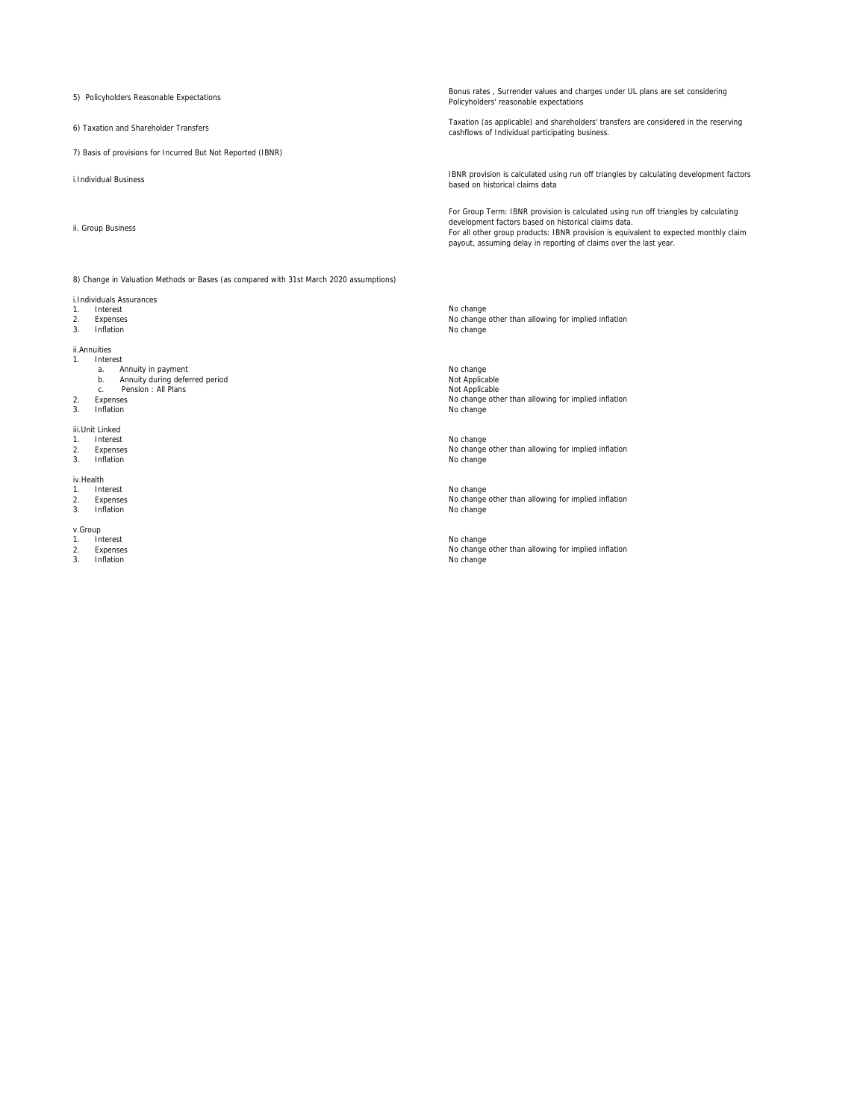5) Policyholders Reasonable Expectations

6) Taxation and Shareholder Transfers

7) Basis of provisions for Incurred But Not Reported (IBNR)

i.Individual Business

ii. Group Business

8) Change in Valuation Methods or Bases (as compared with 31st March 2020 assumptions)

- i.Individuals Assurances
- 1. Interest<br>2. Expenses
- 2. Expenses<br>3. Inflation
- 

#### ii.Annuities 1. Interest

- -
	-
- 2. Expenses<br>3. Inflation

# iii.Unit Linked 1. Interest<br>2. Expense

- 2. Expenses<br>3. Inflation
- 3. Inflation No change is a state of the state of the state of the state of the state of the state of the state of the state of the state of the state of the state of the state of the state of the state of the state of the

# iv.Health<br>1. Inte

- 
- 1. Interest<br>2. Expense<br>3. Inflation Expenses<br>Inflation 3. Inflation No change is a state of the state of the state of the state of the state of the state of the state of the state of the state of the state of the state of the state of the state of the state of the state of the

# v.Group

- 1. Interest 2. Expenses
- 

Bonus rates , Surrender values and charges under UL plans are set considering Policyholders' reasonable expectations

Taxation (as applicable) and shareholders' transfers are considered in the reserving cashflows of Individual participating business.

IBNR provision is calculated using run off triangles by calculating development factors based on historical claims data

For Group Term: IBNR provision is calculated using run off triangles by calculating development factors based on historical claims data. For all other group products: IBNR provision is equivalent to expected monthly claim payout, assuming delay in reporting of claims over the last year.

3. Inflation No change is a state of the state of the state of the state of the state of the state of the state of the state of the state of the state of the state of the state of the state of the state of the state of the No change No change other than allowing for implied inflation

a. Annuity in payment<br>b. Annuity during deferred period Not Applicable and the Same Mot Applicable<br>c. Pension:All Plans Not Applicable and Not Applicable and Not Applicable and Not Applicable 3. Inflation No change is a state of the state of the state of the state of the state of the state of the state of the state of the state of the state of the state of the state of the state of the state of the state of the No change<br>Not Applicable Not Applicable<br>No change other than allowing for implied inflation<br>No change

No change No change other than allowing for implied inflation

No change No change other than allowing for implied inflation

3. Inflation No change is a state of the state of the state of the state of the state of the state of the state of the state of the state of the state of the state of the state of the state of the state of the state of the No change other than allowing for implied inflation<br>No change No change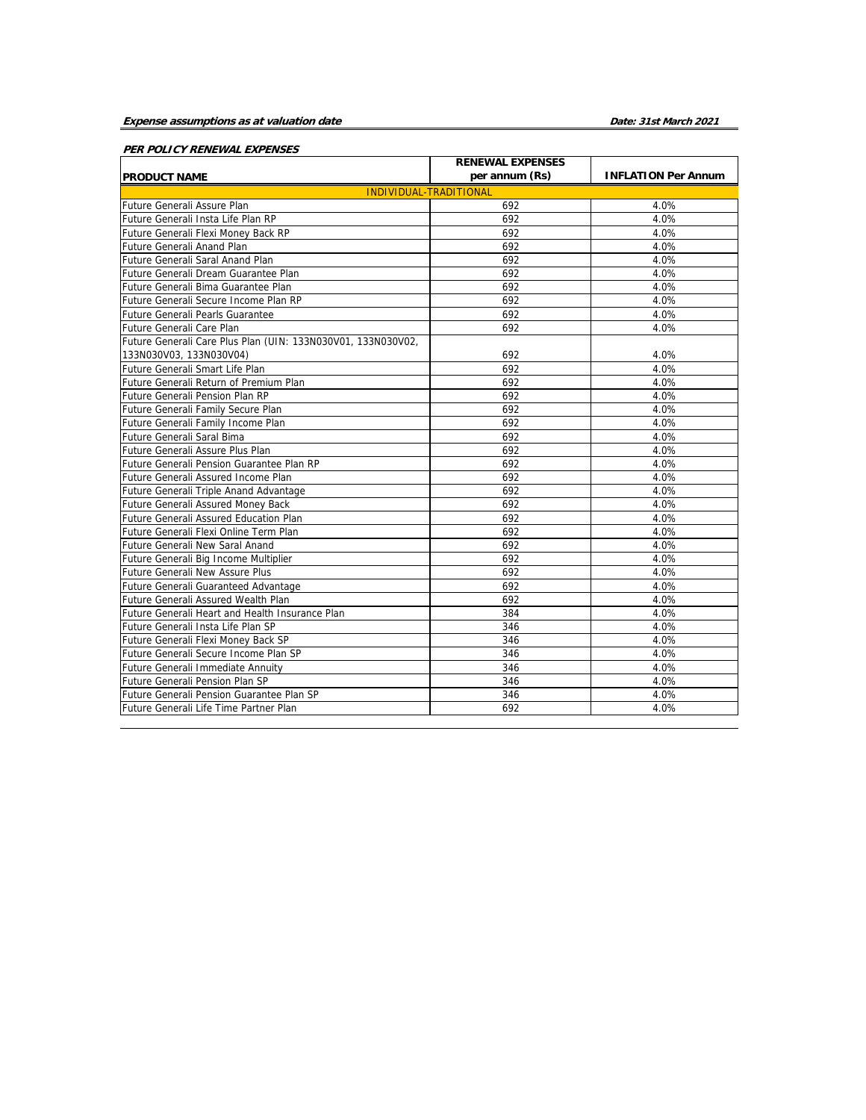# **Expense assumptions as at valuation date**

**Date: 31st March 2021**

# **PER POLICY RENEWAL EXPENSES**

|                                                              | <b>RENEWAL EXPENSES</b> |                            |
|--------------------------------------------------------------|-------------------------|----------------------------|
| <b>PRODUCT NAME</b>                                          | per annum (Rs)          | <b>INFLATION Per Annum</b> |
| <b>INDIVIDUAL-TRADITIONAL</b>                                |                         |                            |
| Future Generali Assure Plan                                  | 692                     | 4.0%                       |
| Future Generali Insta Life Plan RP                           | 692                     | 4.0%                       |
| Future Generali Flexi Money Back RP                          | 692                     | 4.0%                       |
| Future Generali Anand Plan                                   | 692                     | 4.0%                       |
| Future Generali Saral Anand Plan                             | 692                     | 4.0%                       |
| Future Generali Dream Guarantee Plan                         | 692                     | 4.0%                       |
| Future Generali Bima Guarantee Plan                          | 692                     | 4.0%                       |
| Future Generali Secure Income Plan RP                        | 692                     | 4.0%                       |
| Future Generali Pearls Guarantee                             | 692                     | 4.0%                       |
| Future Generali Care Plan                                    | 692                     | 4.0%                       |
| Future Generali Care Plus Plan (UIN: 133N030V01, 133N030V02, |                         |                            |
| 133N030V03, 133N030V04)                                      | 692                     | 4.0%                       |
| Future Generali Smart Life Plan                              | 692                     | 4.0%                       |
| Future Generali Return of Premium Plan                       | 692                     | 4.0%                       |
| Future Generali Pension Plan RP                              | 692                     | 4.0%                       |
| Future Generali Family Secure Plan                           | 692                     | 4.0%                       |
| Future Generali Family Income Plan                           | 692                     | 4.0%                       |
| Future Generali Saral Bima                                   | 692                     | 4.0%                       |
| Future Generali Assure Plus Plan                             | 692                     | 4.0%                       |
| Future Generali Pension Guarantee Plan RP                    | 692                     | 4.0%                       |
| Future Generali Assured Income Plan                          | 692                     | 4.0%                       |
| Future Generali Triple Anand Advantage                       | 692                     | 4.0%                       |
| Future Generali Assured Money Back                           | 692                     | 4.0%                       |
| Future Generali Assured Education Plan                       | 692                     | 4.0%                       |
| Future Generali Flexi Online Term Plan                       | 692                     | 4.0%                       |
| <b>Future Generali New Saral Anand</b>                       | 692                     | 4.0%                       |
| Future Generali Big Income Multiplier                        | 692                     | 4.0%                       |
| Future Generali New Assure Plus                              | 692                     | 4.0%                       |
| Future Generali Guaranteed Advantage                         | 692                     | 4.0%                       |
| Future Generali Assured Wealth Plan                          | 692                     | 4.0%                       |
| Future Generali Heart and Health Insurance Plan              | 384                     | 4.0%                       |
| Future Generali Insta Life Plan SP                           | 346                     | 4.0%                       |
| Future Generali Flexi Money Back SP                          | 346                     | 4.0%                       |
| Future Generali Secure Income Plan SP                        | 346                     | 4.0%                       |
| Future Generali Immediate Annuity                            | 346                     | 4.0%                       |
| Future Generali Pension Plan SP                              | 346                     | 4.0%                       |
| Future Generali Pension Guarantee Plan SP                    | 346                     | 4.0%                       |
| Future Generali Life Time Partner Plan                       | 692                     | 4.0%                       |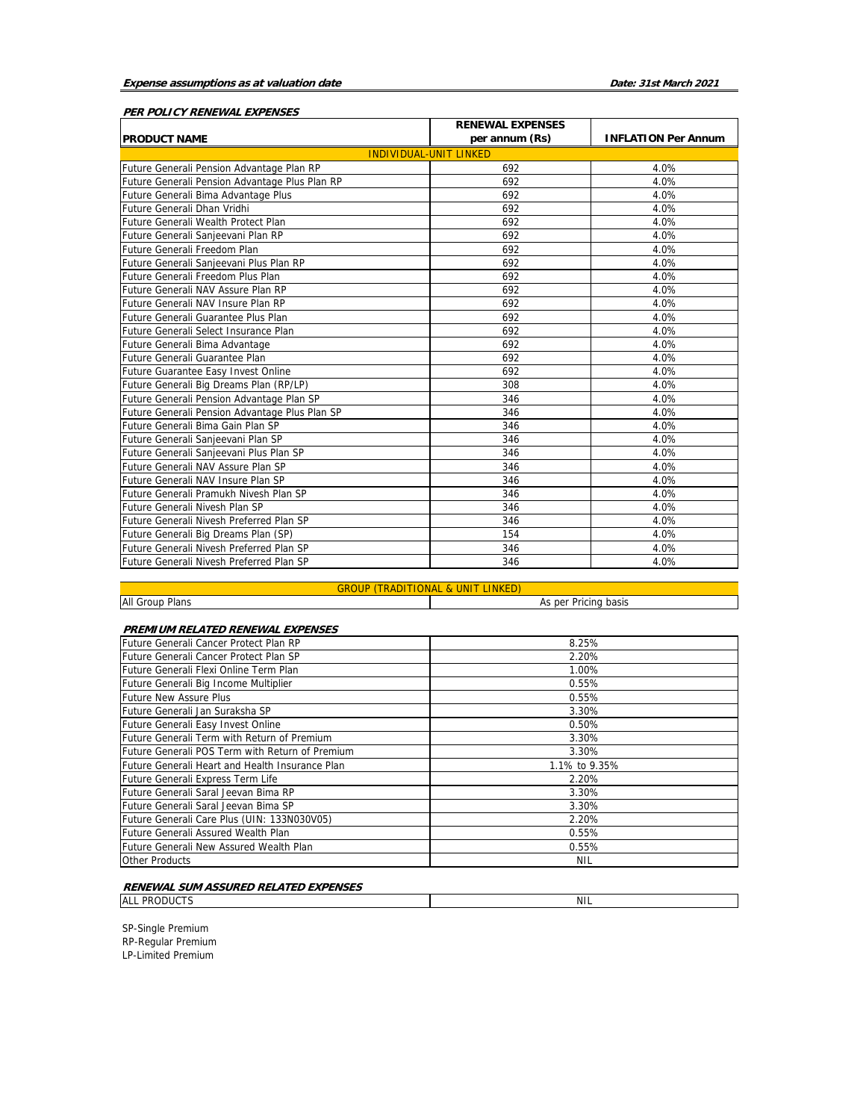# **PER POLICY RENEWAL EXPENSES**

| <b>RENEWAL EXPENSES</b>                        |                               |                            |  |  |  |  |  |  |  |  |
|------------------------------------------------|-------------------------------|----------------------------|--|--|--|--|--|--|--|--|
| <b>PRODUCT NAME</b>                            | per annum (Rs)                | <b>INFLATION Per Annum</b> |  |  |  |  |  |  |  |  |
|                                                | <b>INDIVIDUAL-UNIT LINKED</b> |                            |  |  |  |  |  |  |  |  |
| Future Generali Pension Advantage Plan RP      | 692                           | 4.0%                       |  |  |  |  |  |  |  |  |
| Future Generali Pension Advantage Plus Plan RP | 692                           | 4.0%                       |  |  |  |  |  |  |  |  |
| Future Generali Bima Advantage Plus            | 692                           | 4.0%                       |  |  |  |  |  |  |  |  |
| Future Generali Dhan Vridhi                    | 692                           | 4.0%                       |  |  |  |  |  |  |  |  |
| Future Generali Wealth Protect Plan            | 692                           | 4.0%                       |  |  |  |  |  |  |  |  |
| Future Generali Sanjeevani Plan RP             | 692                           | 4.0%                       |  |  |  |  |  |  |  |  |
| Future Generali Freedom Plan                   | 692                           | 4.0%                       |  |  |  |  |  |  |  |  |
| Future Generali Sanjeevani Plus Plan RP        | 692                           | 4.0%                       |  |  |  |  |  |  |  |  |
| Future Generali Freedom Plus Plan              | 692                           | 4.0%                       |  |  |  |  |  |  |  |  |
| Future Generali NAV Assure Plan RP             | 692                           | 4.0%                       |  |  |  |  |  |  |  |  |
| Future Generali NAV Insure Plan RP             | 692                           | 4.0%                       |  |  |  |  |  |  |  |  |
| Future Generali Guarantee Plus Plan            | 692                           | 4.0%                       |  |  |  |  |  |  |  |  |
| Future Generali Select Insurance Plan          | 692                           | 4.0%                       |  |  |  |  |  |  |  |  |
| Future Generali Bima Advantage                 | 692                           | 4.0%                       |  |  |  |  |  |  |  |  |
| <b>Future Generali Guarantee Plan</b>          | 692                           | 4.0%                       |  |  |  |  |  |  |  |  |
| Future Guarantee Easy Invest Online            | 692                           | 4.0%                       |  |  |  |  |  |  |  |  |
| Future Generali Big Dreams Plan (RP/LP)        | 308                           | 4.0%                       |  |  |  |  |  |  |  |  |
| Future Generali Pension Advantage Plan SP      | 346                           | 4.0%                       |  |  |  |  |  |  |  |  |
| Future Generali Pension Advantage Plus Plan SP | 346                           | 4.0%                       |  |  |  |  |  |  |  |  |
| Future Generali Bima Gain Plan SP              | 346                           | 4.0%                       |  |  |  |  |  |  |  |  |
| Future Generali Sanjeevani Plan SP             | 346                           | 4.0%                       |  |  |  |  |  |  |  |  |
| Future Generali Sanjeevani Plus Plan SP        | 346                           | 4.0%                       |  |  |  |  |  |  |  |  |
| Future Generali NAV Assure Plan SP             | 346                           | 4.0%                       |  |  |  |  |  |  |  |  |
| Future Generali NAV Insure Plan SP             | 346                           | 4.0%                       |  |  |  |  |  |  |  |  |
| Future Generali Pramukh Nivesh Plan SP         | 346                           | 4.0%                       |  |  |  |  |  |  |  |  |
| Future Generali Nivesh Plan SP                 | 346                           | 4.0%                       |  |  |  |  |  |  |  |  |
| Future Generali Nivesh Preferred Plan SP       | 346                           | 4.0%                       |  |  |  |  |  |  |  |  |
| Future Generali Big Dreams Plan (SP)           | 154                           | 4.0%                       |  |  |  |  |  |  |  |  |
| Future Generali Nivesh Preferred Plan SP       | 346                           | 4.0%                       |  |  |  |  |  |  |  |  |
| Future Generali Nivesh Preferred Plan SP       | 346                           | 4.0%                       |  |  |  |  |  |  |  |  |

# GROUP (TRADITIONAL & UNIT LINKED)

All Group Plans

As per Pricing basis

NIL

# **PREMIUM RELATED RENEWAL EXPENSES**

| Future Generali Cancer Protect Plan RP          | 8.25%         |
|-------------------------------------------------|---------------|
| Future Generali Cancer Protect Plan SP          | 2.20%         |
| Future Generali Flexi Online Term Plan          | 1.00%         |
| Future Generali Big Income Multiplier           | 0.55%         |
| <b>Future New Assure Plus</b>                   | 0.55%         |
| Future Generali Jan Suraksha SP                 | 3.30%         |
| Future Generali Easy Invest Online              | 0.50%         |
| Future Generali Term with Return of Premium     | 3.30%         |
| Future Generali POS Term with Return of Premium | 3.30%         |
| Future Generali Heart and Health Insurance Plan | 1.1% to 9.35% |
| Future Generali Express Term Life               | 2.20%         |
| Future Generali Saral Jeevan Bima RP            | 3.30%         |
| lFuture Generali Saral Jeevan Bima SP           | 3.30%         |
| Future Generali Care Plus (UIN: 133N030V05)     | 2.20%         |
| Future Generali Assured Wealth Plan             | 0.55%         |
| Future Generali New Assured Wealth Plan         | 0.55%         |
| <b>Other Products</b>                           | <b>NIL</b>    |
|                                                 |               |

#### **RENEWAL SUM ASSURED RELATED EXPENSES**

ALL PRODUCTS

SP-Single Premium RP-Regular Premium LP-Limited Premium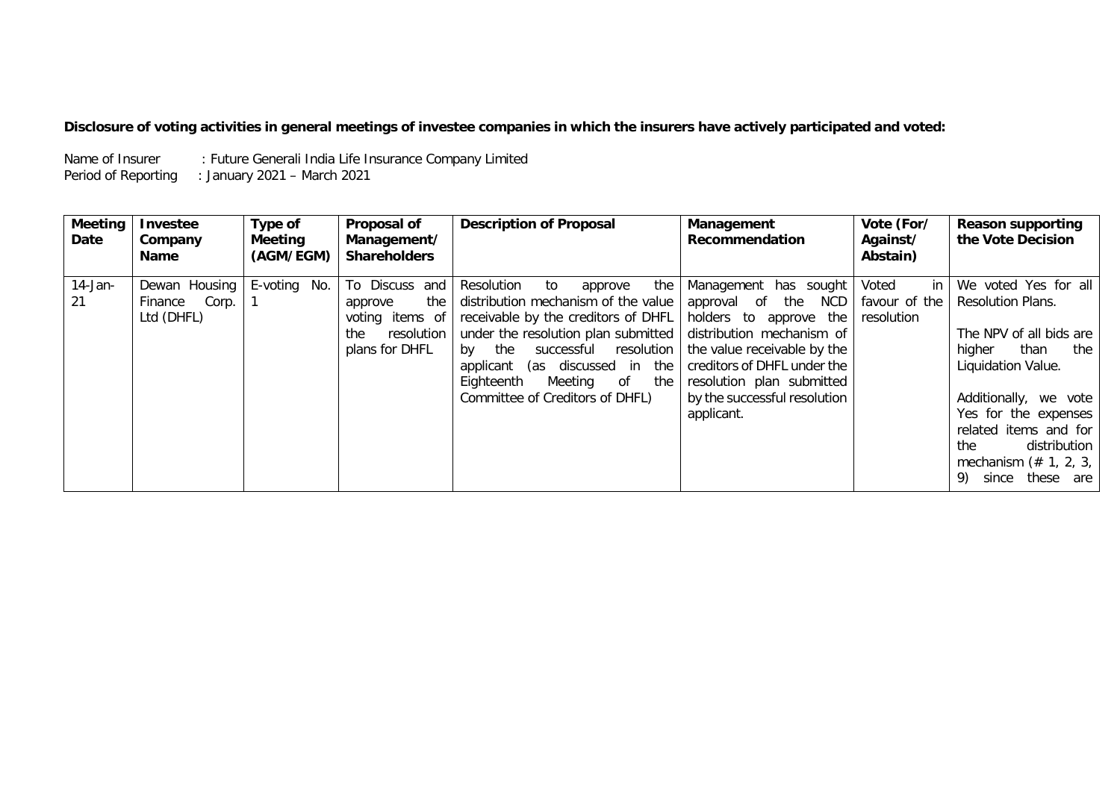# **Disclosure of voting activities in general meetings of investee companies in which the insurers have actively participated and voted:**

Name of Insurer : Future Generali India Life Insurance Company Limited Period of Reporting : January 2021 – March 2021

| <b>Meeting</b><br>Date | <b>Investee</b><br>Company<br><b>Name</b>       | Type of<br>Meeting<br>(AGM/EGM) | Proposal of<br>Management/<br><b>Shareholders</b>                                          | <b>Description of Proposal</b>                                                                                                                                                                                                                                                                                    | Management<br>Recommendation                                                                                                                                                                                                                          | Vote (For/<br>Against/<br>Abstain)         | <b>Reason supporting</b><br>the Vote Decision                                                                                                                                                                                                                                    |
|------------------------|-------------------------------------------------|---------------------------------|--------------------------------------------------------------------------------------------|-------------------------------------------------------------------------------------------------------------------------------------------------------------------------------------------------------------------------------------------------------------------------------------------------------------------|-------------------------------------------------------------------------------------------------------------------------------------------------------------------------------------------------------------------------------------------------------|--------------------------------------------|----------------------------------------------------------------------------------------------------------------------------------------------------------------------------------------------------------------------------------------------------------------------------------|
| $14$ -Jan-<br>21       | Dewan Housing<br>Corp.<br>Finance<br>Ltd (DHFL) | E-voting<br>No.                 | To Discuss and<br>the<br>approve<br>voting items of<br>resolution<br>the<br>plans for DHFL | the<br>Resolution<br>to<br>approve<br>distribution mechanism of the value<br>receivable by the creditors of DHFL<br>under the resolution plan submitted<br>successful<br>resolution<br>bv<br>the<br>(as discussed in<br>the<br>applicant<br>Eighteenth<br>Meeting<br>of<br>the<br>Committee of Creditors of DHFL) | Management has sought<br>NCD<br>the<br>approval of<br>holders to<br>approve the<br>distribution mechanism of<br>the value receivable by the<br>creditors of DHFL under the<br>resolution plan submitted<br>by the successful resolution<br>applicant. | Voted<br>in<br>favour of the<br>resolution | We voted Yes for all<br>Resolution Plans.<br>The NPV of all bids are<br>than<br>higher<br>the<br>Liquidation Value.<br>Additionally, we vote<br>Yes for the expenses<br>related items and for<br>distribution<br>the<br>mechanism $(* 1, 2, 3,  $<br>9)<br>these<br>since<br>are |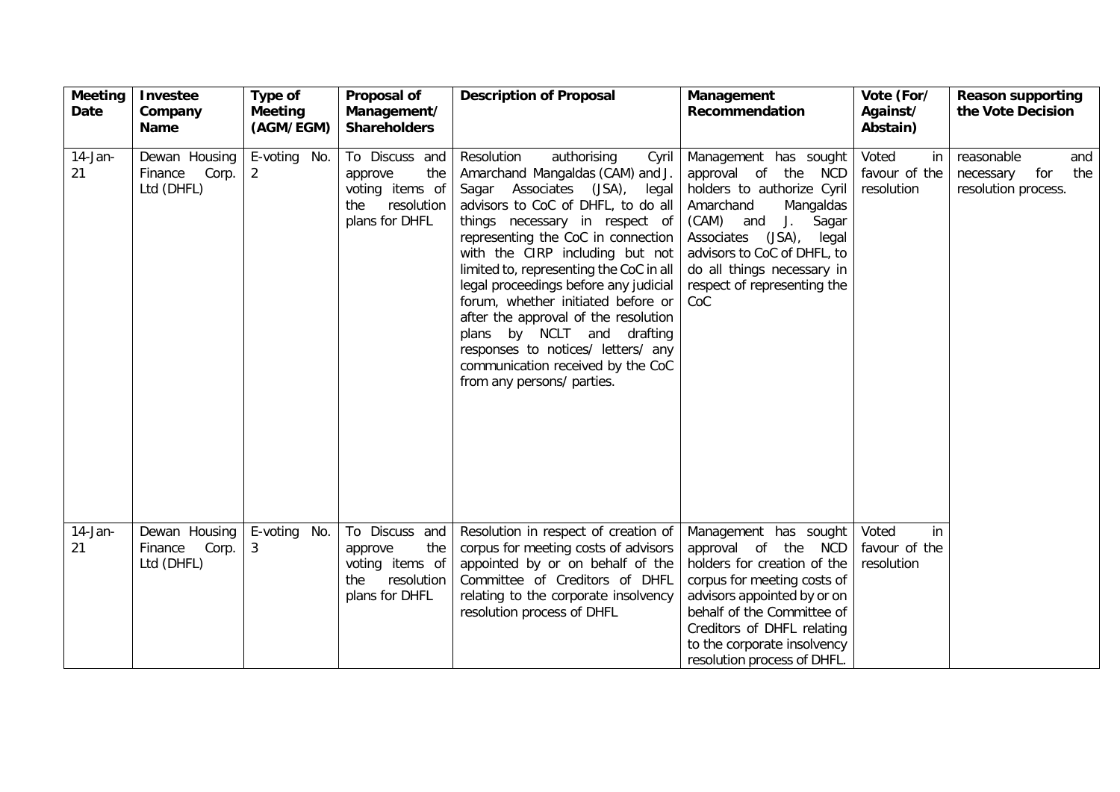| <b>Meeting</b><br>Date | Investee<br>Company<br><b>Name</b>              | Type of<br><b>Meeting</b><br>(AGM/EGM) | Proposal of<br>Management/<br><b>Shareholders</b>                                          | <b>Description of Proposal</b>                                                                                                                                                                                                                                                                                                                                                                                                                                                                                                                                       | Management<br>Recommendation                                                                                                                                                                                                                                         | Vote (For/<br>Against/<br>Abstain)         | <b>Reason supporting</b><br>the Vote Decision                       |
|------------------------|-------------------------------------------------|----------------------------------------|--------------------------------------------------------------------------------------------|----------------------------------------------------------------------------------------------------------------------------------------------------------------------------------------------------------------------------------------------------------------------------------------------------------------------------------------------------------------------------------------------------------------------------------------------------------------------------------------------------------------------------------------------------------------------|----------------------------------------------------------------------------------------------------------------------------------------------------------------------------------------------------------------------------------------------------------------------|--------------------------------------------|---------------------------------------------------------------------|
| $14$ -Jan-<br>21       | Dewan Housing<br>Finance<br>Corp.<br>Ltd (DHFL) | E-voting No.<br>$\overline{2}$         | To Discuss and<br>the<br>approve<br>voting items of<br>resolution<br>the<br>plans for DHFL | Resolution<br>authorising<br>Cyril<br>Amarchand Mangaldas (CAM) and J.<br>Sagar Associates (JSA),<br>legal<br>advisors to CoC of DHFL, to do all<br>things necessary in respect of<br>representing the CoC in connection<br>with the CIRP including but not<br>limited to, representing the CoC in all<br>legal proceedings before any judicial<br>forum, whether initiated before or<br>after the approval of the resolution<br>plans by NCLT and drafting<br>responses to notices/ letters/ any<br>communication received by the CoC<br>from any persons/ parties. | Management has sought<br>approval of the NCD<br>holders to authorize Cyril<br>Amarchand<br>Mangaldas<br>(CAM) and<br>J.<br>Sagar<br>(JSA),<br>Associates<br>legal<br>advisors to CoC of DHFL, to<br>do all things necessary in<br>respect of representing the<br>CoC | Voted<br>in<br>favour of the<br>resolution | reasonable<br>and<br>for<br>the<br>necessary<br>resolution process. |
| $14$ -Jan-<br>21       | Dewan Housing<br>Corp.<br>Finance<br>Ltd (DHFL) | E-voting No.<br>3                      | To Discuss and<br>the<br>approve<br>voting items of<br>resolution<br>the<br>plans for DHFL | Resolution in respect of creation of<br>corpus for meeting costs of advisors<br>appointed by or on behalf of the<br>Committee of Creditors of DHFL<br>relating to the corporate insolvency<br>resolution process of DHFL                                                                                                                                                                                                                                                                                                                                             | Management has sought<br>approval of the NCD<br>holders for creation of the<br>corpus for meeting costs of<br>advisors appointed by or on<br>behalf of the Committee of<br>Creditors of DHFL relating<br>to the corporate insolvency<br>resolution process of DHFL.  | Voted<br>in<br>favour of the<br>resolution |                                                                     |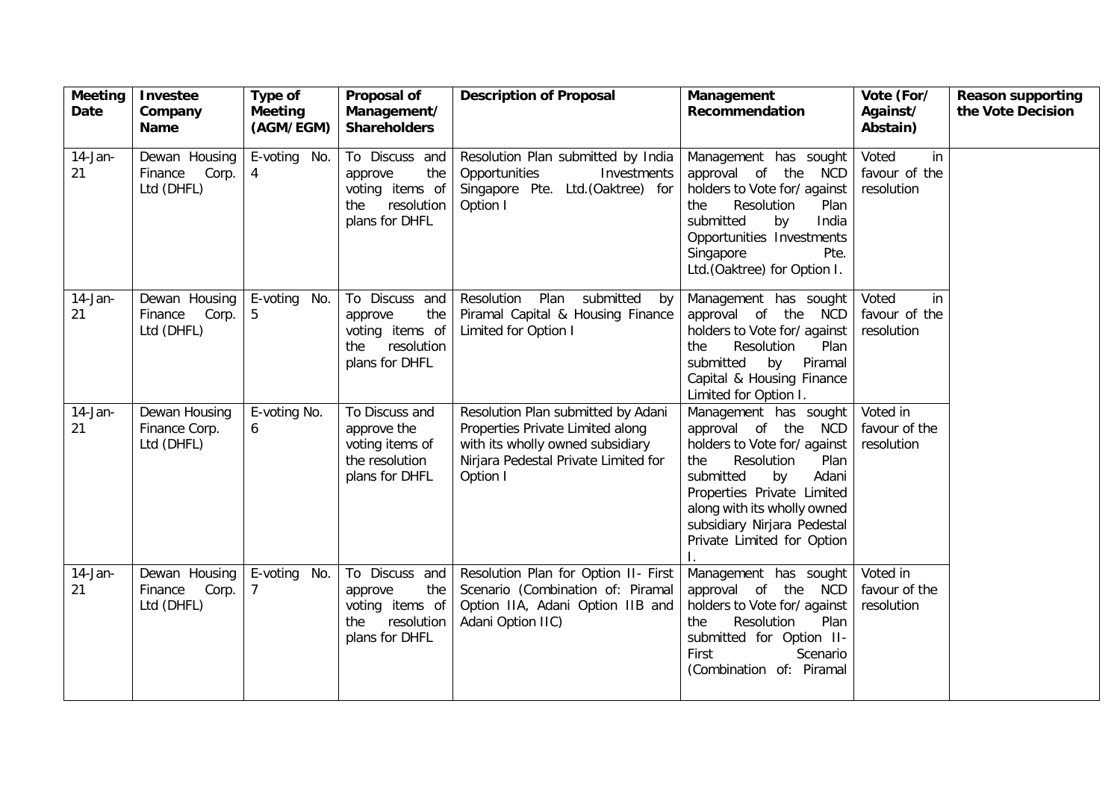| <b>Meeting</b><br>Date | <b>Investee</b><br>Company<br><b>Name</b>       | Type of<br><b>Meeting</b><br>(AGM/EGM) | Proposal of<br>Management/<br><b>Shareholders</b>                                          | <b>Description of Proposal</b>                                                                                                                                 | Management<br>Recommendation                                                                                                                                                                                                                                    | Vote (For/<br>Against/<br>Abstain)         | <b>Reason supporting</b><br>the Vote Decision |
|------------------------|-------------------------------------------------|----------------------------------------|--------------------------------------------------------------------------------------------|----------------------------------------------------------------------------------------------------------------------------------------------------------------|-----------------------------------------------------------------------------------------------------------------------------------------------------------------------------------------------------------------------------------------------------------------|--------------------------------------------|-----------------------------------------------|
| $14$ -Jan-<br>21       | Dewan Housing<br>Corp.<br>Finance<br>Ltd (DHFL) | E-voting No.<br>$\overline{4}$         | To Discuss and<br>the<br>approve<br>voting items of<br>resolution<br>the<br>plans for DHFL | Resolution Plan submitted by India<br>Opportunities<br>Investments<br>Singapore Pte. Ltd. (Oaktree) for<br>Option I                                            | Management has sought<br>approval of the<br><b>NCD</b><br>holders to Vote for/ against<br>Resolution<br>the<br>Plan<br>submitted<br>by<br>India<br>Opportunities Investments<br>Singapore<br>Pte.<br>Ltd.(Oaktree) for Option I.                                | Voted<br>in<br>favour of the<br>resolution |                                               |
| $14$ -Jan-<br>21       | Dewan Housing<br>Corp.<br>Finance<br>Ltd (DHFL) | E-voting No.<br>5                      | To Discuss and<br>the<br>approve<br>voting items of<br>resolution<br>the<br>plans for DHFL | Resolution<br>Plan<br>submitted<br>by<br>Piramal Capital & Housing Finance<br>Limited for Option I                                                             | Management has sought<br>approval of the NCD<br>holders to Vote for/ against<br>Resolution<br>the<br>Plan<br>Piramal<br>submitted<br>by<br>Capital & Housing Finance<br>Limited for Option I.                                                                   | Voted<br>in<br>favour of the<br>resolution |                                               |
| $14$ -Jan-<br>21       | Dewan Housing<br>Finance Corp.<br>Ltd (DHFL)    | E-voting No.<br>6                      | To Discuss and<br>approve the<br>voting items of<br>the resolution<br>plans for DHFL       | Resolution Plan submitted by Adani<br>Properties Private Limited along<br>with its wholly owned subsidiary<br>Nirjara Pedestal Private Limited for<br>Option I | Management has sought<br>approval of the NCD<br>holders to Vote for/ against<br>Resolution<br>Plan<br>the<br>Adani<br>submitted<br>by<br>Properties Private Limited<br>along with its wholly owned<br>subsidiary Nirjara Pedestal<br>Private Limited for Option | Voted in<br>favour of the<br>resolution    |                                               |
| $14$ -Jan-<br>21       | Dewan Housing<br>Corp.<br>Finance<br>Ltd (DHFL) | E-voting No.<br>$\overline{7}$         | To Discuss and<br>the<br>approve<br>voting items of<br>resolution<br>the<br>plans for DHFL | Resolution Plan for Option II- First<br>Scenario (Combination of: Piramal<br>Option IIA, Adani Option IIB and<br>Adani Option IIC)                             | Management has sought<br>approval of the NCD<br>holders to Vote for/ against<br>Resolution<br>Plan<br>the<br>submitted for Option II-<br>First<br>Scenario<br>(Combination of: Piramal                                                                          | Voted in<br>favour of the<br>resolution    |                                               |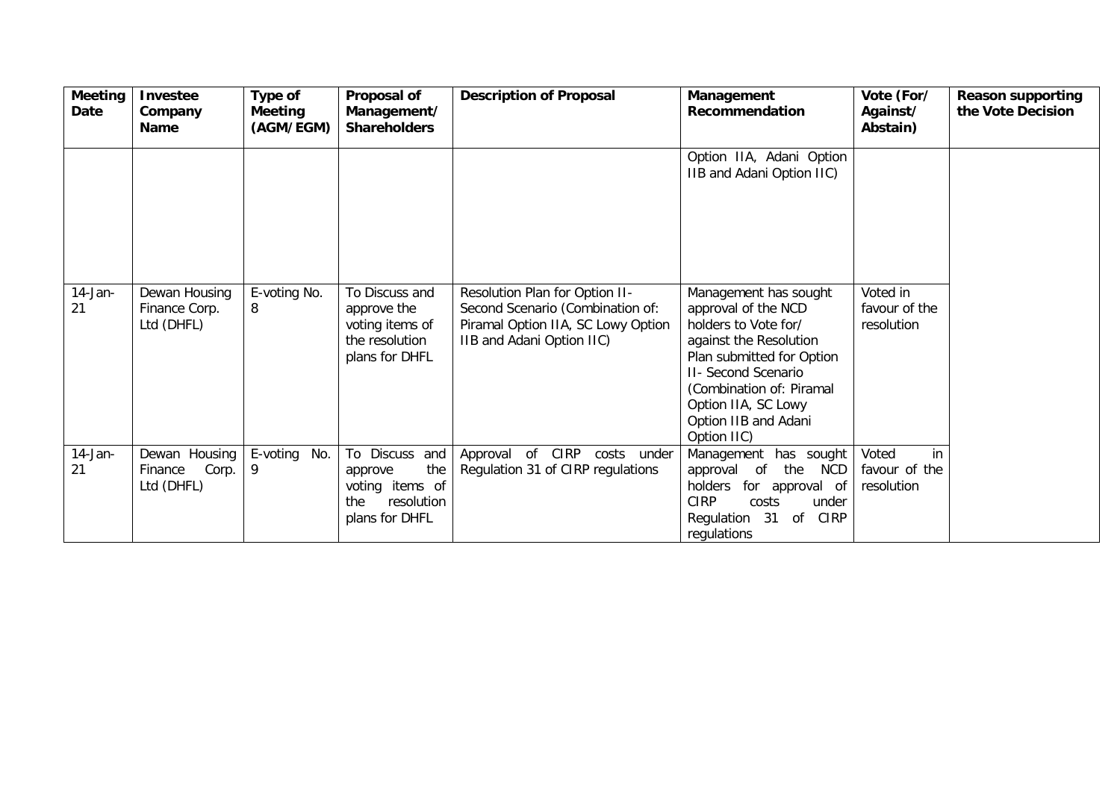| Meeting<br>Date  | <b>Investee</b><br>Company<br>Name              | <b>Type of</b><br><b>Meeting</b><br>(AGM/EGM) | Proposal of<br>Management/<br><b>Shareholders</b>                                          | <b>Description of Proposal</b>                                                                                                        | Management<br>Recommendation                                                                                                                                                                                                                        | Vote (For/<br>Against/<br>Abstain)         | <b>Reason supporting</b><br>the Vote Decision |
|------------------|-------------------------------------------------|-----------------------------------------------|--------------------------------------------------------------------------------------------|---------------------------------------------------------------------------------------------------------------------------------------|-----------------------------------------------------------------------------------------------------------------------------------------------------------------------------------------------------------------------------------------------------|--------------------------------------------|-----------------------------------------------|
|                  |                                                 |                                               |                                                                                            |                                                                                                                                       | Option IIA, Adani Option<br>IIB and Adani Option IIC)                                                                                                                                                                                               |                                            |                                               |
| $14$ -Jan-<br>21 | Dewan Housing<br>Finance Corp.<br>Ltd (DHFL)    | E-voting No.<br>8                             | To Discuss and<br>approve the<br>voting items of<br>the resolution<br>plans for DHFL       | Resolution Plan for Option II-<br>Second Scenario (Combination of:<br>Piramal Option IIA, SC Lowy Option<br>IIB and Adani Option IIC) | Management has sought<br>approval of the NCD<br>holders to Vote for/<br>against the Resolution<br>Plan submitted for Option<br><b>II- Second Scenario</b><br>(Combination of: Piramal<br>Option IIA, SC Lowy<br>Option IIB and Adani<br>Option IIC) | Voted in<br>favour of the<br>resolution    |                                               |
| $14$ -Jan-<br>21 | Dewan Housing<br>Corp.<br>Finance<br>Ltd (DHFL) | E-voting No.<br>9                             | To Discuss and<br>the<br>approve<br>voting items of<br>resolution<br>the<br>plans for DHFL | of CIRP<br>Approval<br>costs<br>under<br>Regulation 31 of CIRP regulations                                                            | Management has sought<br>the<br>NCD<br>approval<br>of<br>holders<br>for approval of<br><b>CIRP</b><br>costs<br>under<br>31<br><b>CIRP</b><br>Regulation<br>0f<br>regulations                                                                        | Voted<br>in<br>favour of the<br>resolution |                                               |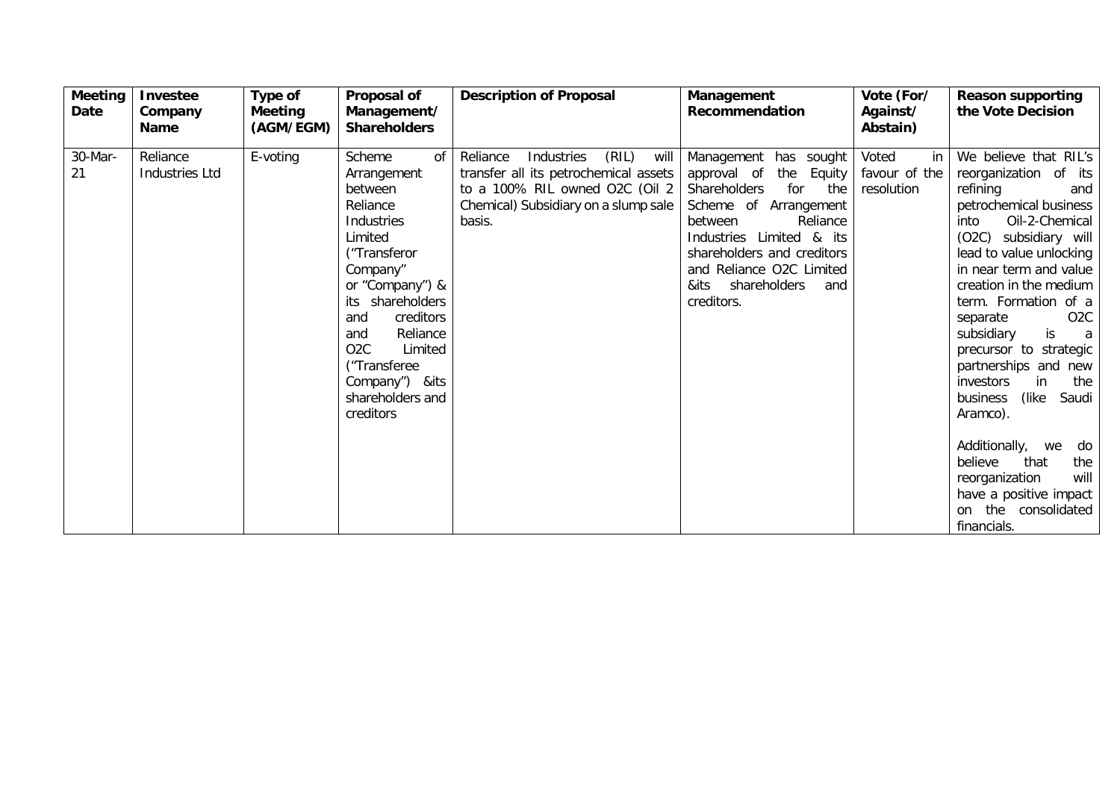| <b>Meeting</b><br>Date | <b>Investee</b><br>Company<br><b>Name</b> | Type of<br>Meeting<br>(AGM/EGM) | Proposal of<br>Management/<br><b>Shareholders</b>                                                                                                                                                                                                                                           | <b>Description of Proposal</b>                                                                                                                                       | Management<br><b>Recommendation</b>                                                                                                                                                                                                                                    | Vote (For/<br>Against/<br>Abstain)         | <b>Reason supporting</b><br>the Vote Decision                                                                                                                                                                                                                                                                                                                                                                                                                                                                                                                                                    |
|------------------------|-------------------------------------------|---------------------------------|---------------------------------------------------------------------------------------------------------------------------------------------------------------------------------------------------------------------------------------------------------------------------------------------|----------------------------------------------------------------------------------------------------------------------------------------------------------------------|------------------------------------------------------------------------------------------------------------------------------------------------------------------------------------------------------------------------------------------------------------------------|--------------------------------------------|--------------------------------------------------------------------------------------------------------------------------------------------------------------------------------------------------------------------------------------------------------------------------------------------------------------------------------------------------------------------------------------------------------------------------------------------------------------------------------------------------------------------------------------------------------------------------------------------------|
| 30-Mar-<br>21          | Reliance<br><b>Industries Ltd</b>         | E-voting                        | Scheme<br>οf<br>Arrangement<br>between<br>Reliance<br>Industries<br>Limited<br>("Transferor<br>Company"<br>or "Company") &<br>shareholders<br>its<br>creditors<br>and<br>Reliance<br>and<br>O <sub>2</sub> C<br>Limited<br>("Transferee<br>Company") & its<br>shareholders and<br>creditors | (RIL)<br>Reliance<br>Industries<br>will<br>transfer all its petrochemical assets<br>to a 100% RIL owned O2C (Oil 2<br>Chemical) Subsidiary on a slump sale<br>basis. | Management has sought<br>approval of<br>the<br>Equity<br>Shareholders<br>for<br>the<br>Scheme of Arrangement<br>between<br>Reliance<br>Industries Limited & its<br>shareholders and creditors<br>and Reliance O2C Limited<br>shareholders<br>&its<br>and<br>creditors. | Voted<br>in<br>favour of the<br>resolution | We believe that RIL's<br>reorganization of its<br>refining<br>and<br>petrochemical business<br>Oil-2-Chemical<br>into<br>(O2C) subsidiary will<br>lead to value unlocking<br>in near term and value<br>creation in the medium<br>term. Formation of a<br>O <sub>2</sub> C<br>separate<br>is<br>subsidiary<br>$\alpha$<br>precursor to strategic<br>partnerships and new<br>in<br>the<br>investors<br>(like)<br>Saudi<br>business<br>Aramco).<br>Additionally,<br>do<br>we<br>that<br>believe<br>the<br>will<br>reorganization<br>have a positive impact<br>the consolidated<br>on<br>financials. |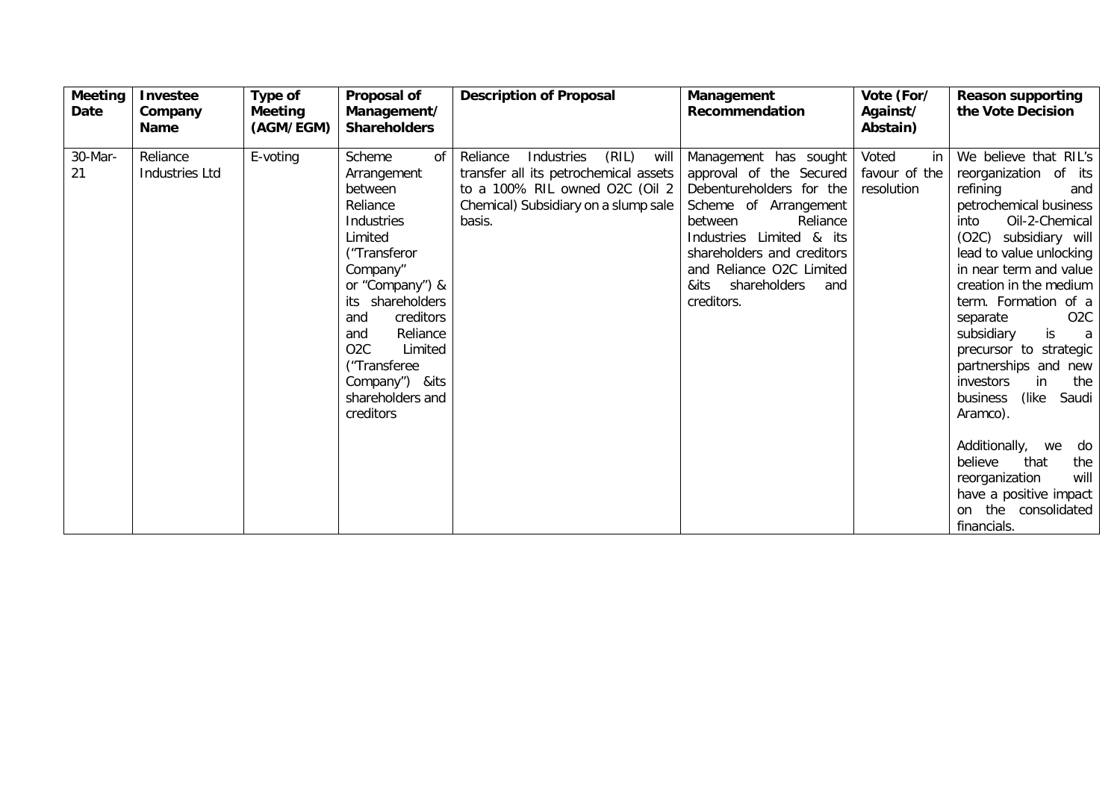| <b>Meeting</b><br>Date | Investee<br>Company<br><b>Name</b> | Type of<br>Meeting<br>(AGM/EGM) | Proposal of<br>Management/<br><b>Shareholders</b>                                                                                                                                                                                                                                           | <b>Description of Proposal</b>                                                                                                                                       | Management<br><b>Recommendation</b>                                                                                                                                                                                                                             | Vote (For/<br>Against/<br>Abstain)         | <b>Reason supporting</b><br>the Vote Decision                                                                                                                                                                                                                                                                                                                                                                                                                                                                                                                                                    |
|------------------------|------------------------------------|---------------------------------|---------------------------------------------------------------------------------------------------------------------------------------------------------------------------------------------------------------------------------------------------------------------------------------------|----------------------------------------------------------------------------------------------------------------------------------------------------------------------|-----------------------------------------------------------------------------------------------------------------------------------------------------------------------------------------------------------------------------------------------------------------|--------------------------------------------|--------------------------------------------------------------------------------------------------------------------------------------------------------------------------------------------------------------------------------------------------------------------------------------------------------------------------------------------------------------------------------------------------------------------------------------------------------------------------------------------------------------------------------------------------------------------------------------------------|
| 30-Mar-<br>21          | Reliance<br><b>Industries Ltd</b>  | E-voting                        | Scheme<br>οf<br>Arrangement<br>between<br>Reliance<br>Industries<br>Limited<br>("Transferor<br>Company"<br>or "Company") &<br>shareholders<br>its<br>creditors<br>and<br>Reliance<br>and<br>O <sub>2</sub> C<br>Limited<br>("Transferee<br>Company") & its<br>shareholders and<br>creditors | (RIL)<br>Reliance<br>Industries<br>will<br>transfer all its petrochemical assets<br>to a 100% RIL owned O2C (Oil 2<br>Chemical) Subsidiary on a slump sale<br>basis. | Management has sought<br>approval of the Secured<br>Debentureholders for the<br>Scheme of Arrangement<br>between<br>Reliance<br>Industries Limited & its<br>shareholders and creditors<br>and Reliance O2C Limited<br>shareholders<br>&its<br>and<br>creditors. | Voted<br>in<br>favour of the<br>resolution | We believe that RIL's<br>reorganization of its<br>refining<br>and<br>petrochemical business<br>Oil-2-Chemical<br>into<br>(O2C) subsidiary will<br>lead to value unlocking<br>in near term and value<br>creation in the medium<br>term. Formation of a<br>O <sub>2</sub> C<br>separate<br>is<br>subsidiary<br>$\alpha$<br>precursor to strategic<br>partnerships and new<br>in<br>the<br>investors<br>(like)<br>Saudi<br>business<br>Aramco).<br>Additionally,<br>do<br>we<br>that<br>believe<br>the<br>will<br>reorganization<br>have a positive impact<br>the consolidated<br>on<br>financials. |